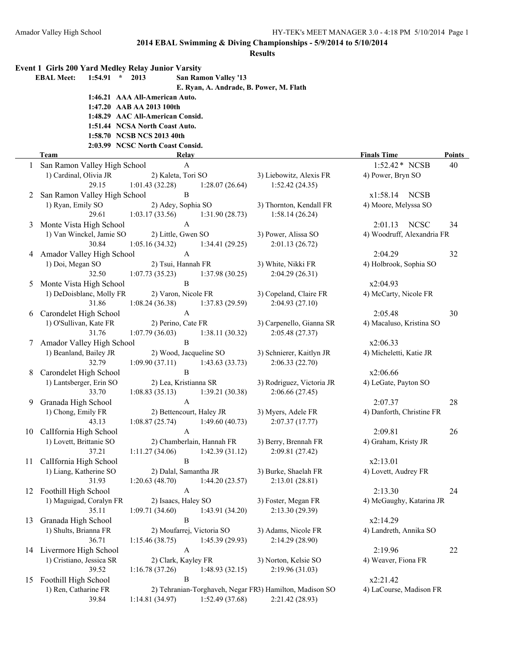|    | Event 1 Girls 200 Yard Medley Relay Junior Varsity |                                  |                                         |                                                                            |                                                 |        |
|----|----------------------------------------------------|----------------------------------|-----------------------------------------|----------------------------------------------------------------------------|-------------------------------------------------|--------|
|    | <b>EBAL Meet:</b><br>1:54.91<br>$\star$            | 2013                             | <b>San Ramon Valley '13</b>             |                                                                            |                                                 |        |
|    |                                                    | 1:46.21 AAA All-American Auto.   | E. Ryan, A. Andrade, B. Power, M. Flath |                                                                            |                                                 |        |
|    |                                                    | 1:47.20 AAB AA 2013 100th        |                                         |                                                                            |                                                 |        |
|    |                                                    | 1:48.29 AAC All-American Consid. |                                         |                                                                            |                                                 |        |
|    |                                                    | 1:51.44 NCSA North Coast Auto.   |                                         |                                                                            |                                                 |        |
|    |                                                    | 1:58.70 NCSB NCS 2013 40th       |                                         |                                                                            |                                                 |        |
|    |                                                    | 2:03.99 NCSC North Coast Consid. |                                         |                                                                            |                                                 |        |
|    | <b>Team</b>                                        |                                  | <b>Relay</b>                            |                                                                            | <b>Finals Time</b>                              | Points |
|    | San Ramon Valley High School                       |                                  | $\mathbf{A}$                            |                                                                            | 1:52.42 * NCSB                                  | 40     |
|    | 1) Cardinal, Olivia JR                             |                                  | 2) Kaleta, Tori SO                      | 3) Liebowitz, Alexis FR                                                    | 4) Power, Bryn SO                               |        |
|    | 29.15                                              | 1:01.43(32.28)                   | 1:28.07(26.64)<br>$\, {\bf B}$          | 1:52.42(24.35)                                                             |                                                 |        |
| 2  | San Ramon Valley High School<br>1) Ryan, Emily SO  |                                  | 2) Adey, Sophia SO                      | 3) Thornton, Kendall FR                                                    | x1:58.14<br><b>NCSB</b><br>4) Moore, Melyssa SO |        |
|    | 29.61                                              | 1:03.17(33.56)                   | 1:31.90 (28.73)                         | 1:58.14(26.24)                                                             |                                                 |        |
| 3  | Monte Vista High School                            |                                  | $\mathbf{A}$                            |                                                                            | <b>NCSC</b><br>2:01.13                          | 34     |
|    | 1) Van Winckel, Jamie SO                           |                                  | 2) Little, Gwen SO                      | 3) Power, Alissa SO                                                        | 4) Woodruff, Alexandria FR                      |        |
|    | 30.84                                              | 1:05.16(34.32)                   | 1:34.41(29.25)                          | 2:01.13(26.72)                                                             |                                                 |        |
| 4  | Amador Valley High School                          |                                  | $\boldsymbol{\rm{A}}$                   |                                                                            | 2:04.29                                         | 32     |
|    | 1) Doi, Megan SO                                   |                                  | 2) Tsui, Hannah FR                      | 3) White, Nikki FR                                                         | 4) Holbrook, Sophia SO                          |        |
|    | 32.50                                              | 1:07.73(35.23)                   | 1:37.98(30.25)                          | 2:04.29(26.31)                                                             |                                                 |        |
| 5  | Monte Vista High School                            |                                  | $\, {\bf B}$                            |                                                                            | x2:04.93                                        |        |
|    | 1) DeDoisblanc, Molly FR                           |                                  | 2) Varon, Nicole FR                     | 3) Copeland, Claire FR                                                     | 4) McCarty, Nicole FR                           |        |
|    | 31.86                                              | 1:08.24(36.38)                   | 1:37.83 (29.59)                         | 2:04.93(27.10)                                                             |                                                 |        |
| 6  | Carondelet High School                             |                                  | $\boldsymbol{\rm{A}}$                   |                                                                            | 2:05.48                                         | 30     |
|    | 1) O'Sullivan, Kate FR                             |                                  | 2) Perino, Cate FR                      | 3) Carpenello, Gianna SR                                                   | 4) Macaluso, Kristina SO                        |        |
|    | 31.76<br>Amador Valley High School                 | 1:07.79(36.03)                   | 1:38.11(30.32)<br>$\, {\bf B}$          | 2:05.48 (27.37)                                                            | x2:06.33                                        |        |
| 7  | 1) Beanland, Bailey JR                             |                                  | 2) Wood, Jacqueline SO                  | 3) Schnierer, Kaitlyn JR                                                   | 4) Micheletti, Katie JR                         |        |
|    | 32.79                                              | 1:09.90(37.11)                   | 1:43.63(33.73)                          | 2:06.33(22.70)                                                             |                                                 |        |
| 8  | Carondelet High School                             |                                  | $\, {\bf B}$                            |                                                                            | x2:06.66                                        |        |
|    | 1) Lantsberger, Erin SO                            |                                  | 2) Lea, Kristianna SR                   | 3) Rodriguez, Victoria JR                                                  | 4) LeGate, Payton SO                            |        |
|    | 33.70                                              | 1:08.83(35.13)                   | 1:39.21(30.38)                          | 2:06.66(27.45)                                                             |                                                 |        |
| 9. | Granada High School                                |                                  | $\boldsymbol{\rm{A}}$                   |                                                                            | 2:07.37                                         | 28     |
|    | 1) Chong, Emily FR                                 |                                  | 2) Bettencourt, Haley JR                | 3) Myers, Adele FR                                                         | 4) Danforth, Christine FR                       |        |
|    | 43.13                                              | 1:08.87(25.74)                   | 1:49.60(40.73)                          | 2:07.37(17.77)                                                             |                                                 |        |
|    | 10 Callfornia High School                          |                                  | A                                       |                                                                            | 2:09.81                                         | 26     |
|    | 1) Lovett, Brittanie SO                            |                                  | 2) Chamberlain, Hannah FR               | 3) Berry, Brennah FR                                                       | 4) Graham, Kristy JR                            |        |
|    | 37.21                                              | 1:11.27 (34.06)                  | 1:42.39(31.12)<br>$\bf{B}$              | 2:09.81 (27.42)                                                            | x2:13.01                                        |        |
| 11 | Callfornia High School<br>1) Liang, Katherine SO   |                                  | 2) Dalal, Samantha JR                   | 3) Burke, Shaelah FR                                                       | 4) Lovett, Audrey FR                            |        |
|    | 31.93                                              | 1:20.63(48.70)                   | 1:44.20(23.57)                          | 2:13.01(28.81)                                                             |                                                 |        |
|    | 12 Foothill High School                            |                                  | $\mathbf{A}$                            |                                                                            | 2:13.30                                         | 24     |
|    | 1) Maguigad, Coralyn FR                            |                                  | 2) Isaacs, Haley SO                     | 3) Foster, Megan FR                                                        | 4) McGaughy, Katarina JR                        |        |
|    | 35.11                                              | 1:09.71(34.60)                   | 1:43.91 (34.20)                         | 2:13.30(29.39)                                                             |                                                 |        |
| 13 | Granada High School                                |                                  | $\bf{B}$                                |                                                                            | x2:14.29                                        |        |
|    | 1) Shults, Brianna FR                              |                                  | 2) Moufarrej, Victoria SO               | 3) Adams, Nicole FR                                                        | 4) Landreth, Annika SO                          |        |
|    | 36.71                                              | 1:15.46(38.75)                   | 1:45.39 (29.93)                         | 2:14.29(28.90)                                                             |                                                 |        |
|    | 14 Livermore High School                           |                                  | $\boldsymbol{\mathsf{A}}$               |                                                                            | 2:19.96                                         | 22     |
|    | 1) Cristiano, Jessica SR                           |                                  | 2) Clark, Kayley FR                     | 3) Norton, Kelsie SO                                                       | 4) Weaver, Fiona FR                             |        |
|    | 39.52                                              | 1:16.78(37.26)                   | 1:48.93(32.15)                          | 2:19.96(31.03)                                                             |                                                 |        |
| 15 | Foothill High School                               |                                  | $\boldsymbol{B}$                        |                                                                            | x2:21.42                                        |        |
|    | 1) Ren, Catharine FR<br>39.84                      | 1:14.81(34.97)                   | 1:52.49 (37.68)                         | 2) Tehranian-Torghaveh, Negar FR3) Hamilton, Madison SO<br>2:21.42 (28.93) | 4) LaCourse, Madison FR                         |        |
|    |                                                    |                                  |                                         |                                                                            |                                                 |        |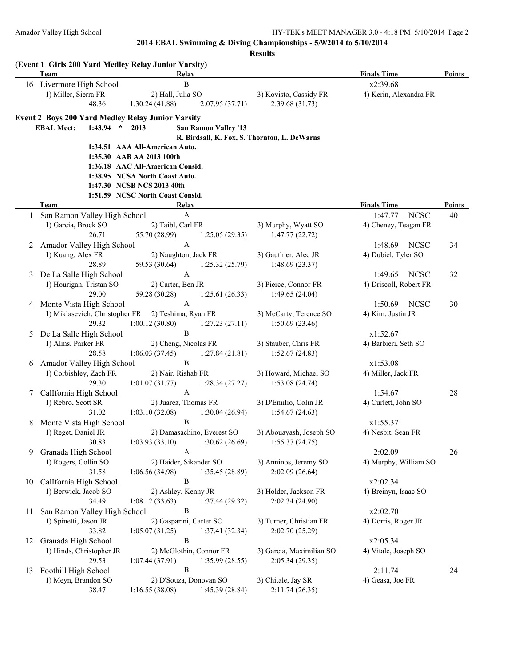|    | (Event 1 Girls 200 Yard Medley Relay Junior Varsity)<br><b>Team</b> | Relay                               |                                              | <b>Finals Time</b>     | Points        |
|----|---------------------------------------------------------------------|-------------------------------------|----------------------------------------------|------------------------|---------------|
|    | 16 Livermore High School                                            | $\, {\bf B}$                        |                                              | x2:39.68               |               |
|    | 1) Miller, Sierra FR                                                | 2) Hall, Julia SO                   | 3) Kovisto, Cassidy FR                       | 4) Kerin, Alexandra FR |               |
|    | 48.36                                                               | 1:30.24(41.88)<br>2:07.95 (37.71)   | 2:39.68(31.73)                               |                        |               |
|    | <b>Event 2 Boys 200 Yard Medley Relay Junior Varsity</b>            |                                     |                                              |                        |               |
|    | <b>EBAL Meet:</b><br>1:43.94<br>$\star$                             | <b>San Ramon Valley '13</b><br>2013 |                                              |                        |               |
|    |                                                                     |                                     | R. Birdsall, K. Fox, S. Thornton, L. DeWarns |                        |               |
|    |                                                                     | 1:34.51 AAA All-American Auto.      |                                              |                        |               |
|    |                                                                     | 1:35.30 AAB AA 2013 100th           |                                              |                        |               |
|    |                                                                     | 1:36.18 AAC All-American Consid.    |                                              |                        |               |
|    |                                                                     | 1:38.95 NCSA North Coast Auto.      |                                              |                        |               |
|    |                                                                     | 1:47.30 NCSB NCS 2013 40th          |                                              |                        |               |
|    |                                                                     | 1:51.59 NCSC North Coast Consid.    |                                              |                        |               |
|    | Team                                                                | Relay                               |                                              | <b>Finals Time</b>     | <b>Points</b> |
|    | San Ramon Valley High School                                        | $\mathbf{A}$                        |                                              | 1:47.77<br><b>NCSC</b> | 40            |
|    | 1) Garcia, Brock SO                                                 | 2) Taibl, Carl FR                   | 3) Murphy, Wyatt SO                          | 4) Cheney, Teagan FR   |               |
|    | 26.71                                                               | 55.70 (28.99)<br>1:25.05(29.35)     | 1:47.77(22.72)                               |                        |               |
| 2  | Amador Valley High School                                           | A                                   |                                              | 1:48.69<br><b>NCSC</b> | 34            |
|    | 1) Kuang, Alex FR                                                   | 2) Naughton, Jack FR                | 3) Gauthier, Alec JR                         | 4) Dubiel, Tyler SO    |               |
|    | 28.89                                                               | 59.53 (30.64)<br>1:25.32(25.79)     | 1:48.69(23.37)                               |                        |               |
| 3  | De La Salle High School                                             | A                                   |                                              | <b>NCSC</b><br>1:49.65 | 32            |
|    | 1) Hourigan, Tristan SO                                             | 2) Carter, Ben JR                   | 3) Pierce, Connor FR                         | 4) Driscoll, Robert FR |               |
|    | 29.00                                                               | 59.28 (30.28)<br>1:25.61(26.33)     | 1:49.65(24.04)                               |                        |               |
| 4  | Monte Vista High School                                             | $\overline{A}$                      |                                              | <b>NCSC</b><br>1:50.69 | 30            |
|    | 1) Miklasevich, Christopher FR                                      | 2) Teshima, Ryan FR                 | 3) McCarty, Terence SO                       | 4) Kim, Justin JR      |               |
|    | 29.32                                                               | 1:00.12(30.80)<br>1:27.23(27.11)    | 1:50.69(23.46)                               |                        |               |
| 5  | De La Salle High School                                             | $\, {\bf B}$                        |                                              | x1:52.67               |               |
|    | 1) Alms, Parker FR                                                  | 2) Cheng, Nicolas FR                | 3) Stauber, Chris FR                         | 4) Barbieri, Seth SO   |               |
|    | 28.58                                                               | 1:06.03(37.45)<br>1:27.84(21.81)    | 1:52.67(24.83)                               |                        |               |
| 6  | Amador Valley High School                                           | B                                   |                                              | x1:53.08               |               |
|    | 1) Corbishley, Zach FR                                              | 2) Nair, Rishab FR                  | 3) Howard, Michael SO                        | 4) Miller, Jack FR     |               |
|    | 29.30                                                               | 1:01.07(31.77)<br>1:28.34(27.27)    | 1:53.08(24.74)                               |                        |               |
| 7  | Callfornia High School                                              | $\mathbf{A}$                        |                                              | 1:54.67                | 28            |
|    | 1) Rebro, Scott SR                                                  | 2) Juarez, Thomas FR                | 3) D'Emilio, Colin JR                        | 4) Curlett, John SO    |               |
|    | 31.02                                                               | 1:03.10(32.08)<br>1:30.04(26.94)    | 1:54.67(24.63)                               |                        |               |
| 8  | Monte Vista High School                                             | B                                   |                                              | x1:55.37               |               |
|    | 1) Reget, Daniel JR                                                 | 2) Damasachino, Everest SO          | 3) Abouayash, Joseph SO                      | 4) Nesbit, Sean FR     |               |
|    | 30.83                                                               | 1:03.93(33.10)<br>1:30.62(26.69)    | 1:55.37(24.75)                               |                        |               |
| 9  | Granada High School                                                 | A                                   |                                              | 2:02.09                | 26            |
|    | 1) Rogers, Collin SO                                                | 2) Haider, Sikander SO              | 3) Anninos, Jeremy SO                        | 4) Murphy, William SO  |               |
|    | 31.58                                                               | 1:06.56(34.98)<br>1:35.45(28.89)    | 2:02.09(26.64)                               |                        |               |
| 10 | CalIfornia High School                                              | B                                   |                                              | x2:02.34               |               |
|    | 1) Berwick, Jacob SO                                                | 2) Ashley, Kenny JR                 | 3) Holder, Jackson FR                        | 4) Breinyn, Isaac SO   |               |
|    | 34.49                                                               | 1:08.12(33.63)<br>1:37.44(29.32)    | 2:02.34 (24.90)                              |                        |               |
| 11 | San Ramon Valley High School                                        | B                                   |                                              | x2:02.70               |               |
|    | 1) Spinetti, Jason JR                                               | 2) Gasparini, Carter SO             | 3) Turner, Christian FR                      | 4) Dorris, Roger JR    |               |
|    | 33.82                                                               | 1:05.07(31.25)<br>1:37.41(32.34)    | 2:02.70 (25.29)                              |                        |               |
| 12 | Granada High School                                                 | B                                   |                                              | x2:05.34               |               |
|    | 1) Hinds, Christopher JR                                            | 2) McGlothin, Connor FR             | 3) Garcia, Maximilian SO                     | 4) Vitale, Joseph SO   |               |
|    | 29.53                                                               | 1:07.44(37.91)<br>1:35.99(28.55)    | 2:05.34(29.35)                               |                        |               |
| 13 | Foothill High School                                                | B                                   |                                              | 2:11.74                | 24            |
|    | 1) Meyn, Brandon SO                                                 | 2) D'Souza, Donovan SO              | 3) Chitale, Jay SR                           | 4) Geasa, Joe FR       |               |
|    | 38.47                                                               | 1:16.55(38.08)<br>1:45.39(28.84)    | 2:11.74(26.35)                               |                        |               |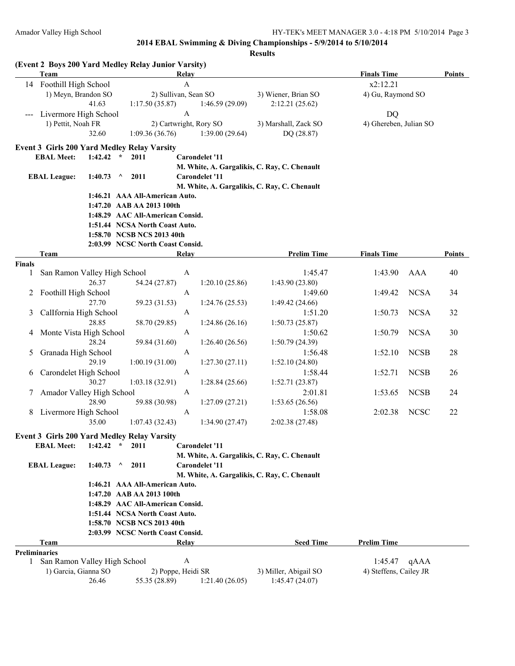|        | <b>Team</b>                                          |             |                            | Relay                            |                       |                                              | <b>Finals Time</b>     |             | <b>Points</b> |
|--------|------------------------------------------------------|-------------|----------------------------|----------------------------------|-----------------------|----------------------------------------------|------------------------|-------------|---------------|
|        | 14 Foothill High School                              |             |                            | $\boldsymbol{\mathsf{A}}$        |                       |                                              | x2:12.21               |             |               |
|        | 1) Meyn, Brandon SO                                  |             |                            | 2) Sullivan, Sean SO             |                       | 3) Wiener, Brian SO                          | 4) Gu, Raymond SO      |             |               |
|        |                                                      | 41.63       |                            | 1:17.50(35.87)                   | 1:46.59(29.09)        | 2:12.21(25.62)                               |                        |             |               |
|        | Livermore High School                                |             |                            | A                                |                       |                                              | <b>DQ</b>              |             |               |
|        | 1) Pettit, Noah FR                                   |             |                            | 2) Cartwright, Rory SO           |                       | 3) Marshall, Zack SO                         | 4) Ghereben, Julian SO |             |               |
|        |                                                      | 32.60       |                            | 1:09.36(36.76)                   | 1:39.00(29.64)        | DQ (28.87)                                   |                        |             |               |
|        |                                                      |             |                            |                                  |                       |                                              |                        |             |               |
|        | <b>Event 3 Girls 200 Yard Medley Relay Varsity</b>   |             |                            |                                  |                       |                                              |                        |             |               |
|        | <b>EBAL Meet:</b>                                    | $1:42.42$ * | 2011                       |                                  | <b>Carondelet '11</b> |                                              |                        |             |               |
|        |                                                      |             |                            |                                  |                       | M. White, A. Gargalikis, C. Ray, C. Chenault |                        |             |               |
|        | <b>EBAL League:</b>                                  | 1:40.73     | 2011<br>$\lambda$          |                                  | <b>Carondelet '11</b> |                                              |                        |             |               |
|        |                                                      |             |                            |                                  |                       | M. White, A. Gargalikis, C. Ray, C. Chenault |                        |             |               |
|        |                                                      |             |                            | 1:46.21 AAA All-American Auto.   |                       |                                              |                        |             |               |
|        |                                                      |             | 1:47.20 AAB AA 2013 100th  |                                  |                       |                                              |                        |             |               |
|        |                                                      |             |                            | 1:48.29 AAC All-American Consid. |                       |                                              |                        |             |               |
|        |                                                      |             |                            | 1:51.44 NCSA North Coast Auto.   |                       |                                              |                        |             |               |
|        |                                                      |             | 1:58.70 NCSB NCS 2013 40th |                                  |                       |                                              |                        |             |               |
|        |                                                      |             |                            | 2:03.99 NCSC North Coast Consid. |                       |                                              |                        |             |               |
|        | Team                                                 |             |                            | Relay                            |                       | <b>Prelim Time</b>                           | <b>Finals Time</b>     |             | <b>Points</b> |
| Finals |                                                      |             |                            |                                  |                       |                                              |                        |             |               |
| 1      | San Ramon Valley High School                         |             |                            | A                                |                       | 1:45.47                                      | 1:43.90                | AAA         | 40            |
|        |                                                      | 26.37       |                            | 54.24 (27.87)                    | 1:20.10(25.86)        | 1:43.90 (23.80)                              |                        |             |               |
| 2      | Foothill High School                                 |             |                            | $\mathbf{A}$                     |                       | 1:49.60                                      | 1:49.42                | <b>NCSA</b> | 34            |
|        |                                                      | 27.70       |                            | 59.23 (31.53)                    | 1:24.76(25.53)        | 1:49.42 (24.66)                              |                        |             |               |
| 3      | CalIfornia High School                               |             |                            | A                                |                       | 1:51.20                                      | 1:50.73                | <b>NCSA</b> | 32            |
|        |                                                      | 28.85       |                            | 58.70 (29.85)                    | 1:24.86(26.16)        | 1:50.73(25.87)                               |                        |             |               |
| 4      | Monte Vista High School                              |             |                            | A                                |                       | 1:50.62                                      | 1:50.79                | <b>NCSA</b> | 30            |
|        |                                                      | 28.24       |                            | 59.84 (31.60)                    | 1:26.40(26.56)        | 1:50.79(24.39)                               |                        |             |               |
| 5      | Granada High School                                  |             |                            | A                                |                       | 1:56.48                                      | 1:52.10                | <b>NCSB</b> | 28            |
|        |                                                      | 29.19       |                            | 1:00.19(31.00)                   | 1:27.30(27.11)        | 1:52.10(24.80)                               |                        |             |               |
| 6      | Carondelet High School                               |             |                            | A                                |                       | 1:58.44                                      | 1:52.71                | <b>NCSB</b> | 26            |
|        |                                                      | 30.27       |                            | 1:03.18(32.91)                   | 1:28.84(25.66)        | 1:52.71 (23.87)                              |                        |             |               |
| 7      | Amador Valley High School                            |             |                            | A                                |                       | 2:01.81                                      | 1:53.65                | <b>NCSB</b> | 24            |
|        |                                                      | 28.90       |                            | 59.88 (30.98)                    | 1:27.09(27.21)        | 1:53.65(26.56)                               |                        |             |               |
| 8      | Livermore High School                                |             |                            | A                                |                       | 1:58.08                                      | 2:02.38                | <b>NCSC</b> | 22            |
|        |                                                      | 35.00       |                            | 1:07.43(32.43)                   | 1:34.90(27.47)        | 2:02.38 (27.48)                              |                        |             |               |
|        |                                                      |             |                            |                                  |                       |                                              |                        |             |               |
|        | Event 3 Girls 200 Yard Medley Relay Varsity          |             |                            |                                  |                       |                                              |                        |             |               |
|        | <b>EBAL Meet:</b>                                    | $1:42.42$ * | 2011                       |                                  | <b>Carondelet '11</b> |                                              |                        |             |               |
|        |                                                      |             |                            |                                  |                       | M. White, A. Gargalikis, C. Ray, C. Chenault |                        |             |               |
|        | <b>EBAL League:</b>                                  | 1:40.73     | 2011<br>$\lambda$          |                                  | <b>Carondelet '11</b> |                                              |                        |             |               |
|        |                                                      |             |                            |                                  |                       | M. White, A. Gargalikis, C. Ray, C. Chenault |                        |             |               |
|        |                                                      |             |                            | 1:46.21 AAA All-American Auto.   |                       |                                              |                        |             |               |
|        |                                                      |             | 1:47.20 AAB AA 2013 100th  |                                  |                       |                                              |                        |             |               |
|        |                                                      |             |                            | 1:48.29 AAC All-American Consid. |                       |                                              |                        |             |               |
|        |                                                      |             |                            | 1:51.44 NCSA North Coast Auto.   |                       |                                              |                        |             |               |
|        |                                                      |             | 1:58.70 NCSB NCS 2013 40th |                                  |                       |                                              |                        |             |               |
|        |                                                      |             |                            | 2:03.99 NCSC North Coast Consid. |                       |                                              |                        |             |               |
|        | Team                                                 |             |                            | Relay                            |                       | <b>Seed Time</b>                             | <b>Prelim Time</b>     |             |               |
| 1      | <b>Preliminaries</b><br>San Ramon Valley High School |             |                            | A                                |                       |                                              | 1:45.47                | qAAA        |               |
|        | 1) Garcia, Gianna SO                                 |             |                            | 2) Poppe, Heidi SR               |                       | 3) Miller, Abigail SO                        | 4) Steffens, Cailey JR |             |               |
|        |                                                      | 26.46       |                            | 55.35 (28.89)                    | 1:21.40(26.05)        | 1:45.47 (24.07)                              |                        |             |               |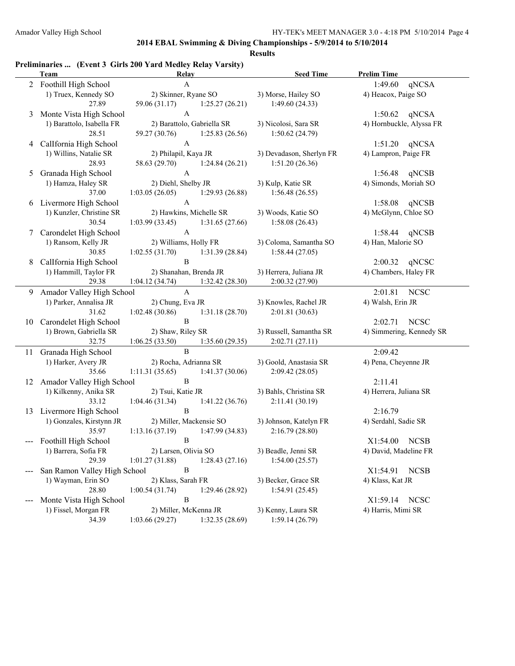**Results**

### **Preliminaries ... (Event 3 Girls 200 Yard Medley Relay Varsity)**

|    | <b>Team</b>                  | Relay                             | <b>Seed Time</b>         | <b>Prelim Time</b>       |
|----|------------------------------|-----------------------------------|--------------------------|--------------------------|
|    | 2 Foothill High School       | $\mathbf{A}$                      |                          | 1:49.60<br>qNCSA         |
|    | 1) Truex, Kennedy SO         | 2) Skinner, Ryane SO              | 3) Morse, Hailey SO      | 4) Heacox, Paige SO      |
|    | 27.89                        | 1:25.27(26.21)<br>59.06 (31.17)   | 1:49.60(24.33)           |                          |
| 3  | Monte Vista High School      | $\boldsymbol{\mathsf{A}}$         |                          | 1:50.62<br>qNCSA         |
|    | 1) Barattolo, Isabella FR    | 2) Barattolo, Gabriella SR        | 3) Nicolosi, Sara SR     | 4) Hornbuckle, Alyssa FR |
|    | 28.51                        | 1:25.83(26.56)<br>59.27 (30.76)   | 1:50.62(24.79)           |                          |
| 4  | CalIfornia High School       | $\boldsymbol{\mathsf{A}}$         |                          | 1:51.20<br>qNCSA         |
|    | 1) Willins, Natalie SR       | 2) Philapil, Kaya JR              | 3) Devadason, Sherlyn FR | 4) Lampron, Paige FR     |
|    | 28.93                        | 58.63 (29.70)<br>1:24.84(26.21)   | 1:51.20(26.36)           |                          |
| 5  | Granada High School          | $\mathbf{A}$                      |                          | 1:56.48<br>qNCSB         |
|    | 1) Hamza, Haley SR           | 2) Diehl, Shelby JR               | 3) Kulp, Katie SR        | 4) Simonds, Moriah SO    |
|    | 37.00                        | 1:03.05(26.05)<br>1:29.93 (26.88) | 1:56.48(26.55)           |                          |
| 6  | Livermore High School        | $\boldsymbol{\mathsf{A}}$         |                          | 1:58.08<br>qNCSB         |
|    | 1) Kunzler, Christine SR     | 2) Hawkins, Michelle SR           | 3) Woods, Katie SO       | 4) McGlynn, Chloe SO     |
|    | 30.54                        | 1:03.99(33.45)<br>1:31.65(27.66)  | 1:58.08(26.43)           |                          |
| 7  | Carondelet High School       | $\mathbf{A}$                      |                          | qNCSB<br>1:58.44         |
|    | 1) Ransom, Kelly JR          | 2) Williams, Holly FR             | 3) Coloma, Samantha SO   | 4) Han, Malorie SO       |
|    | 30.85                        | 1:02.55(31.70)<br>1:31.39(28.84)  | 1:58.44(27.05)           |                          |
| 8  | Callfornia High School       | $\, {\bf B}$                      |                          | 2:00.32<br>qNCSC         |
|    | 1) Hammill, Taylor FR        | 2) Shanahan, Brenda JR            | 3) Herrera, Juliana JR   | 4) Chambers, Haley FR    |
|    | 29.38                        | 1:04.12(34.74)<br>1:32.42 (28.30) | 2:00.32 (27.90)          |                          |
| 9  | Amador Valley High School    | $\mathbf{A}$                      |                          | 2:01.81<br><b>NCSC</b>   |
|    | 1) Parker, Annalisa JR       | 2) Chung, Eva JR                  | 3) Knowles, Rachel JR    | 4) Walsh, Erin JR        |
|    | 31.62                        | 1:02.48(30.86)<br>1:31.18(28.70)  | 2:01.81 (30.63)          |                          |
| 10 | Carondelet High School       | $\, {\bf B}$                      |                          | <b>NCSC</b><br>2:02.71   |
|    | 1) Brown, Gabriella SR       | 2) Shaw, Riley SR                 | 3) Russell, Samantha SR  | 4) Simmering, Kennedy SR |
|    | 32.75                        | 1:06.25(33.50)<br>1:35.60(29.35)  | 2:02.71(27.11)           |                          |
|    | 11 Granada High School       | $\, {\bf B}$                      |                          | 2:09.42                  |
|    | 1) Harker, Avery JR          | 2) Rocha, Adrianna SR             | 3) Goold, Anastasia SR   | 4) Pena, Cheyenne JR     |
|    | 35.66                        | 1:11.31(35.65)<br>1:41.37(30.06)  | 2:09.42 (28.05)          |                          |
| 12 | Amador Valley High School    | $\, {\bf B}$                      |                          | 2:11.41                  |
|    | 1) Kilkenny, Anika SR        | 2) Tsui, Katie JR                 | 3) Bahls, Christina SR   | 4) Herrera, Juliana SR   |
|    | 33.12                        | 1:04.46(31.34)<br>1:41.22(36.76)  | 2:11.41(30.19)           |                          |
| 13 | Livermore High School        | $\, {\bf B}$                      |                          | 2:16.79                  |
|    | 1) Gonzales, Kirstynn JR     | 2) Miller, Mackensie SO           | 3) Johnson, Katelyn FR   | 4) Serdahl, Sadie SR     |
|    | 35.97                        | 1:13.16(37.19)<br>1:47.99(34.83)  | 2:16.79(28.80)           |                          |
|    | Foothill High School         | $\, {\bf B}$                      |                          | X1:54.00<br><b>NCSB</b>  |
|    | 1) Barrera, Sofia FR         | 2) Larsen, Olivia SO              | 3) Beadle, Jenni SR      | 4) David, Madeline FR    |
|    | 29.39                        | 1:01.27(31.88)<br>1:28.43(27.16)  | 1:54.00(25.57)           |                          |
|    | San Ramon Valley High School | B                                 |                          | <b>NCSB</b><br>X1:54.91  |
|    | 1) Wayman, Erin SO           | 2) Klass, Sarah FR                | 3) Becker, Grace SR      | 4) Klass, Kat JR         |
|    | 28.80                        | 1:00.54(31.74)<br>1:29.46(28.92)  | 1:54.91(25.45)           |                          |
|    | Monte Vista High School      | $\, {\bf B}$                      |                          | <b>NCSC</b><br>X1:59.14  |
|    | 1) Fissel, Morgan FR         | 2) Miller, McKenna JR             | 3) Kenny, Laura SR       | 4) Harris, Mimi SR       |
|    | 34.39                        | 1:03.66(29.27)<br>1:32.35(28.69)  | 1:59.14(26.79)           |                          |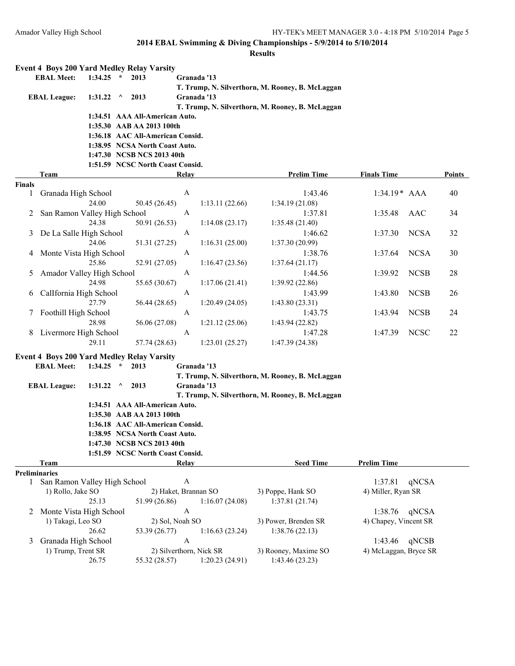|               | <b>Event 4 Boys 200 Yard Medley Relay Varsity</b> |             |          |                                  |                 |                         |                                                  |                       |             |        |
|---------------|---------------------------------------------------|-------------|----------|----------------------------------|-----------------|-------------------------|--------------------------------------------------|-----------------------|-------------|--------|
|               | <b>EBAL Meet:</b>                                 | 1:34.25     | $\star$  | 2013                             |                 | Granada '13             |                                                  |                       |             |        |
|               |                                                   |             |          |                                  |                 |                         | T. Trump, N. Silverthorn, M. Rooney, B. McLaggan |                       |             |        |
|               | <b>EBAL League:</b>                               | 1:31.22     | Λ        | 2013                             |                 | Granada '13             |                                                  |                       |             |        |
|               |                                                   |             |          |                                  |                 |                         | T. Trump, N. Silverthorn, M. Rooney, B. McLaggan |                       |             |        |
|               |                                                   |             |          | 1:34.51 AAA All-American Auto.   |                 |                         |                                                  |                       |             |        |
|               |                                                   |             |          | 1:35.30 AAB AA 2013 100th        |                 |                         |                                                  |                       |             |        |
|               |                                                   |             |          | 1:36.18 AAC All-American Consid. |                 |                         |                                                  |                       |             |        |
|               |                                                   |             |          | 1:38.95 NCSA North Coast Auto.   |                 |                         |                                                  |                       |             |        |
|               |                                                   |             |          | 1:47.30 NCSB NCS 2013 40th       |                 |                         |                                                  |                       |             |        |
|               |                                                   |             |          | 1:51.59 NCSC North Coast Consid. |                 |                         |                                                  |                       |             |        |
|               | Team                                              |             |          |                                  | Relay           |                         | <b>Prelim Time</b>                               | <b>Finals Time</b>    |             | Points |
| <b>Finals</b> |                                                   |             |          |                                  |                 |                         |                                                  |                       |             |        |
| 1             | Granada High School                               |             |          |                                  | A               |                         | 1:43.46                                          | $1:34.19*$ AAA        |             | 40     |
|               |                                                   | 24.00       |          | 50.45 (26.45)                    |                 | 1:13.11(22.66)          | 1:34.19 (21.08)                                  |                       |             |        |
| 2             | San Ramon Valley High School                      |             |          |                                  | A               |                         | 1:37.81                                          | 1:35.48               | AAC         | 34     |
|               |                                                   | 24.38       |          | 50.91 (26.53)                    |                 | 1:14.08(23.17)          | 1:35.48(21.40)                                   |                       |             |        |
| 3             | De La Salle High School                           |             |          |                                  | A               |                         | 1:46.62                                          | 1:37.30               | <b>NCSA</b> | 32     |
|               |                                                   | 24.06       |          |                                  |                 |                         | 1:37.30(20.99)                                   |                       |             |        |
|               |                                                   |             |          | 51.31 (27.25)                    |                 | 1:16.31(25.00)          |                                                  |                       |             |        |
| 4             | Monte Vista High School                           |             |          |                                  | A               |                         | 1:38.76                                          | 1:37.64               | <b>NCSA</b> | 30     |
|               |                                                   | 25.86       |          | 52.91 (27.05)                    |                 | 1:16.47(23.56)          | 1:37.64(21.17)                                   |                       |             |        |
| 5             | Amador Valley High School                         |             |          |                                  | A               |                         | 1:44.56                                          | 1:39.92               | <b>NCSB</b> | 28     |
|               |                                                   | 24.98       |          | 55.65 (30.67)                    |                 | 1:17.06(21.41)          | 1:39.92(22.86)                                   |                       |             |        |
| 6             | Callfornia High School                            |             |          |                                  | A               |                         | 1:43.99                                          | 1:43.80               | <b>NCSB</b> | 26     |
|               |                                                   | 27.79       |          | 56.44 (28.65)                    |                 | 1:20.49(24.05)          | 1:43.80(23.31)                                   |                       |             |        |
| 7             | Foothill High School                              |             |          |                                  | A               |                         | 1:43.75                                          | 1:43.94               | <b>NCSB</b> | 24     |
|               |                                                   | 28.98       |          | 56.06 (27.08)                    |                 | 1:21.12(25.06)          | 1:43.94(22.82)                                   |                       |             |        |
|               | 8 Livermore High School                           |             |          |                                  | A               |                         | 1:47.28                                          | 1:47.39               | <b>NCSC</b> | 22     |
|               |                                                   | 29.11       |          | 57.74 (28.63)                    |                 | 1:23.01(25.27)          | 1:47.39(24.38)                                   |                       |             |        |
|               |                                                   |             |          |                                  |                 |                         |                                                  |                       |             |        |
|               | <b>Event 4 Boys 200 Yard Medley Relay Varsity</b> |             |          |                                  |                 |                         |                                                  |                       |             |        |
|               | <b>EBAL Meet:</b>                                 | $1:34.25$ * |          | 2013                             |                 | Granada '13             |                                                  |                       |             |        |
|               |                                                   |             |          |                                  |                 |                         | T. Trump, N. Silverthorn, M. Rooney, B. McLaggan |                       |             |        |
|               | <b>EBAL League:</b>                               | 1:31.22     | $\wedge$ | 2013                             |                 | Granada '13             |                                                  |                       |             |        |
|               |                                                   |             |          |                                  |                 |                         | T. Trump, N. Silverthorn, M. Rooney, B. McLaggan |                       |             |        |
|               |                                                   |             |          | 1:34.51 AAA All-American Auto.   |                 |                         |                                                  |                       |             |        |
|               |                                                   |             |          | 1:35.30 AAB AA 2013 100th        |                 |                         |                                                  |                       |             |        |
|               |                                                   |             |          | 1:36.18 AAC All-American Consid. |                 |                         |                                                  |                       |             |        |
|               |                                                   |             |          | 1:38.95 NCSA North Coast Auto.   |                 |                         |                                                  |                       |             |        |
|               |                                                   |             |          | 1:47.30 NCSB NCS 2013 40th       |                 |                         |                                                  |                       |             |        |
|               |                                                   |             |          | 1:51.59 NCSC North Coast Consid. |                 |                         |                                                  |                       |             |        |
|               | <b>Team</b>                                       |             |          |                                  | <b>Relay</b>    |                         | <b>Seed Time</b>                                 | <b>Prelim Time</b>    |             |        |
|               | <b>Preliminaries</b>                              |             |          |                                  |                 |                         |                                                  |                       |             |        |
| $\mathbf{1}$  | San Ramon Valley High School                      |             |          |                                  | A               |                         |                                                  | 1:37.81               | qNCSA       |        |
|               | 1) Rollo, Jake SO                                 |             |          |                                  |                 | 2) Haket, Brannan SO    | 3) Poppe, Hank SO                                | 4) Miller, Ryan SR    |             |        |
|               |                                                   | 25.13       |          | 51.99 (26.86)                    |                 | 1:16.07(24.08)          | 1:37.81(21.74)                                   |                       |             |        |
| 2             | Monte Vista High School                           |             |          |                                  | A               |                         |                                                  | 1:38.76               | qNCSA       |        |
|               | 1) Takagi, Leo SO                                 |             |          |                                  | 2) Sol, Noah SO |                         | 3) Power, Brenden SR                             | 4) Chapey, Vincent SR |             |        |
|               |                                                   | 26.62       |          |                                  |                 |                         | 1:38.76(22.13)                                   |                       |             |        |
|               |                                                   |             |          | 53.39 (26.77)                    |                 | 1:16.63(23.24)          |                                                  |                       |             |        |
| 3             | Granada High School                               |             |          |                                  | A               |                         |                                                  | 1:43.46               | qNCSB       |        |
|               | 1) Trump, Trent SR                                |             |          |                                  |                 | 2) Silverthorn, Nick SR | 3) Rooney, Maxime SO                             | 4) McLaggan, Bryce SR |             |        |
|               |                                                   | 26.75       |          | 55.32 (28.57)                    |                 | 1:20.23(24.91)          | 1:43.46 (23.23)                                  |                       |             |        |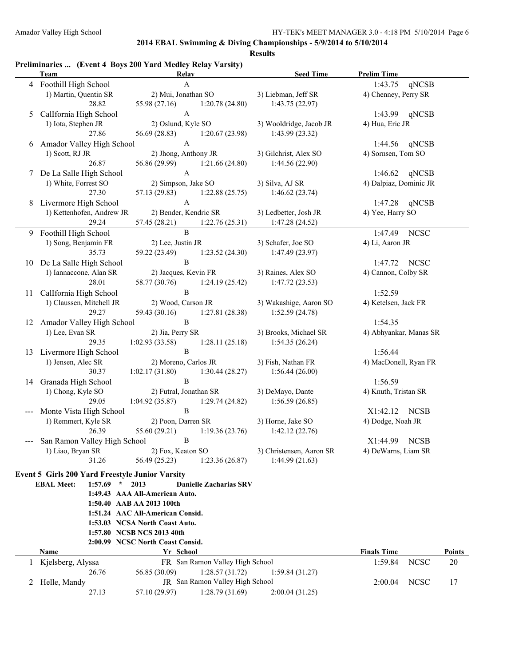| 4 Foothill High School<br>$\mathbf{A}$<br>1:43.75<br>qNCSB<br>1) Martin, Quentin SR<br>2) Mui, Jonathan SO<br>4) Chenney, Perry SR<br>3) Liebman, Jeff SR<br>28.82<br>55.98 (27.16)<br>1:20.78(24.80)<br>1:43.75(22.97)<br>$\mathbf{A}$<br>Callfornia High School<br>1:43.99 qNCSB<br>5<br>1) Iota, Stephen JR<br>2) Oslund, Kyle SO<br>4) Hua, Eric JR<br>3) Wooldridge, Jacob JR<br>27.86<br>56.69 (28.83)<br>1:20.67(23.98)<br>1:43.99(23.32)<br>$\mathbf{A}$<br>6 Amador Valley High School<br>qNCSB<br>1:44.56<br>2) Jhong, Anthony JR<br>1) Scott, RJ JR<br>3) Gilchrist, Alex SO<br>4) Sornsen, Tom SO<br>26.87<br>56.86 (29.99) 1:21.66 (24.80)<br>1:44.56(22.90)<br>$\bf{A}$<br>7 De La Salle High School<br>$1:46.62$ qNCSB<br>1) White, Forrest SO<br>2) Simpson, Jake SO<br>3) Silva, AJ SR<br>4) Dalpiaz, Dominic JR<br>57.13 (29.83)<br>27.30<br>1:46.62(23.74)<br>1:22.88(25.75)<br>$\boldsymbol{\rm{A}}$<br>8 Livermore High School<br>qNCSB<br>1:47.28<br>1) Kettenhofen, Andrew JR<br>2) Bender, Kendric SR<br>3) Ledbetter, Josh JR<br>4) Yee, Harry SO<br>29.24<br>57.45 (28.21)<br>1:22.76(25.31)<br>1:47.28(24.52)<br>$\, {\bf B}$<br>Foothill High School<br><b>NCSC</b><br>1:47.49<br>9.<br>1) Song, Benjamin FR<br>2) Lee, Justin JR<br>3) Schafer, Joe SO<br>4) Li, Aaron JR<br>35.73<br>59.22 (23.49)<br>1:23.52(24.30)<br>1:47.49 (23.97)<br>$\, {\bf B}$<br>10 De La Salle High School<br>1:47.72 NCSC<br>4) Cannon, Colby SR<br>1) Iannaccone, Alan SR<br>2) Jacques, Kevin FR<br>3) Raines, Alex SO<br>28.01<br>58.77 (30.76)<br>1:24.19(25.42)<br>1:47.72(23.53)<br>$\, {\bf B}$<br>11 Callfornia High School<br>1:52.59<br>1) Claussen, Mitchell JR<br>2) Wood, Carson JR<br>3) Wakashige, Aaron SO<br>4) Ketelsen, Jack FR<br>29.27<br>59.43 (30.16)<br>1:27.81(28.38)<br>1:52.59(24.78)<br>$\mathbf B$<br>12 Amador Valley High School<br>1:54.35<br>1) Lee, Evan SR<br>2) Jia, Perry SR<br>3) Brooks, Michael SR<br>4) Abhyankar, Manas SR<br>1:28.11(25.18)<br>1:54.35(26.24)<br>29.35<br>1:02.93(33.58)<br>$\mathbf B$<br>13 Livermore High School<br>1:56.44<br>1) Jensen, Alec SR<br>2) Moreno, Carlos JR<br>3) Fish, Nathan FR<br>4) MacDonell, Ryan FR<br>1:02.17(31.80)<br>1:30.44(28.27)<br>1:56.44(26.00)<br>30.37<br>$\mathbf{B}$<br>Granada High School<br>1:56.59<br>14<br>1) Chong, Kyle SO<br>2) Futral, Jonathan SR<br>3) DeMayo, Dante<br>4) Knuth, Tristan SR<br>$1:04.92(35.87)$ $1:29.74(24.82)$<br>1:56.59(26.85)<br>29.05<br>$\, {\bf B}$<br>Monte Vista High School<br>X1:42.12 NCSB<br>1) Remmert, Kyle SR<br>2) Poon, Darren SR<br>3) Horne, Jake SO<br>4) Dodge, Noah JR<br>55.60 (29.21)<br>26.39<br>1:19.36(23.76)<br>1:42.12(22.76)<br>$\, {\bf B}$<br>San Ramon Valley High School<br>X1:44.99<br><b>NCSB</b><br>1) Liao, Bryan SR<br>2) Fox, Keaton SO<br>3) Christensen, Aaron SR<br>4) DeWarns, Liam SR<br>31.26<br>1:44.99(21.63)<br>56.49 (25.23)<br>1:23.36(26.87)<br><b>Event 5 Girls 200 Yard Freestyle Junior Varsity</b><br>$1:57.69$ * 2013<br><b>EBAL Meet:</b><br><b>Danielle Zacharias SRV</b><br>1:49.43 AAA All-American Auto.<br>1:50.40 AAB AA 2013 100th<br>1:51.24 AAC All-American Consid.<br>1:53.03 NCSA North Coast Auto.<br>1:57.80 NCSB NCS 2013 40th<br>2:00.99 NCSC North Coast Consid.<br><b>Name</b><br><b>Finals Time</b><br>Yr School<br>FR San Ramon Valley High School<br>Kjelsberg, Alyssa<br>1:59.84<br><b>NCSC</b><br>1<br>56.85 (30.09)<br>1:28.57(31.72)<br>26.76<br>1:59.84(31.27)<br>JR San Ramon Valley High School<br><b>NCSC</b><br>2 Helle, Mandy<br>2:00.04 | Preliminaries  (Event 4 Boys 200 Yard Medley Relay Varsity)<br>Team | Relay |  | <b>Seed Time</b> | <b>Prelim Time</b> |  |               |
|----------------------------------------------------------------------------------------------------------------------------------------------------------------------------------------------------------------------------------------------------------------------------------------------------------------------------------------------------------------------------------------------------------------------------------------------------------------------------------------------------------------------------------------------------------------------------------------------------------------------------------------------------------------------------------------------------------------------------------------------------------------------------------------------------------------------------------------------------------------------------------------------------------------------------------------------------------------------------------------------------------------------------------------------------------------------------------------------------------------------------------------------------------------------------------------------------------------------------------------------------------------------------------------------------------------------------------------------------------------------------------------------------------------------------------------------------------------------------------------------------------------------------------------------------------------------------------------------------------------------------------------------------------------------------------------------------------------------------------------------------------------------------------------------------------------------------------------------------------------------------------------------------------------------------------------------------------------------------------------------------------------------------------------------------------------------------------------------------------------------------------------------------------------------------------------------------------------------------------------------------------------------------------------------------------------------------------------------------------------------------------------------------------------------------------------------------------------------------------------------------------------------------------------------------------------------------------------------------------------------------------------------------------------------------------------------------------------------------------------------------------------------------------------------------------------------------------------------------------------------------------------------------------------------------------------------------------------------------------------------------------------------------------------------------------------------------------------------------------------------------------------------------------------------------------------------------------------------------------------------------------------------------------------------------------------------------------------------------------------------------------------------------------------------------------------------------------------------------------------------------------------------------------------------------------------------------|---------------------------------------------------------------------|-------|--|------------------|--------------------|--|---------------|
|                                                                                                                                                                                                                                                                                                                                                                                                                                                                                                                                                                                                                                                                                                                                                                                                                                                                                                                                                                                                                                                                                                                                                                                                                                                                                                                                                                                                                                                                                                                                                                                                                                                                                                                                                                                                                                                                                                                                                                                                                                                                                                                                                                                                                                                                                                                                                                                                                                                                                                                                                                                                                                                                                                                                                                                                                                                                                                                                                                                                                                                                                                                                                                                                                                                                                                                                                                                                                                                                                                                                                                            |                                                                     |       |  |                  |                    |  |               |
|                                                                                                                                                                                                                                                                                                                                                                                                                                                                                                                                                                                                                                                                                                                                                                                                                                                                                                                                                                                                                                                                                                                                                                                                                                                                                                                                                                                                                                                                                                                                                                                                                                                                                                                                                                                                                                                                                                                                                                                                                                                                                                                                                                                                                                                                                                                                                                                                                                                                                                                                                                                                                                                                                                                                                                                                                                                                                                                                                                                                                                                                                                                                                                                                                                                                                                                                                                                                                                                                                                                                                                            |                                                                     |       |  |                  |                    |  |               |
|                                                                                                                                                                                                                                                                                                                                                                                                                                                                                                                                                                                                                                                                                                                                                                                                                                                                                                                                                                                                                                                                                                                                                                                                                                                                                                                                                                                                                                                                                                                                                                                                                                                                                                                                                                                                                                                                                                                                                                                                                                                                                                                                                                                                                                                                                                                                                                                                                                                                                                                                                                                                                                                                                                                                                                                                                                                                                                                                                                                                                                                                                                                                                                                                                                                                                                                                                                                                                                                                                                                                                                            |                                                                     |       |  |                  |                    |  |               |
|                                                                                                                                                                                                                                                                                                                                                                                                                                                                                                                                                                                                                                                                                                                                                                                                                                                                                                                                                                                                                                                                                                                                                                                                                                                                                                                                                                                                                                                                                                                                                                                                                                                                                                                                                                                                                                                                                                                                                                                                                                                                                                                                                                                                                                                                                                                                                                                                                                                                                                                                                                                                                                                                                                                                                                                                                                                                                                                                                                                                                                                                                                                                                                                                                                                                                                                                                                                                                                                                                                                                                                            |                                                                     |       |  |                  |                    |  |               |
|                                                                                                                                                                                                                                                                                                                                                                                                                                                                                                                                                                                                                                                                                                                                                                                                                                                                                                                                                                                                                                                                                                                                                                                                                                                                                                                                                                                                                                                                                                                                                                                                                                                                                                                                                                                                                                                                                                                                                                                                                                                                                                                                                                                                                                                                                                                                                                                                                                                                                                                                                                                                                                                                                                                                                                                                                                                                                                                                                                                                                                                                                                                                                                                                                                                                                                                                                                                                                                                                                                                                                                            |                                                                     |       |  |                  |                    |  |               |
|                                                                                                                                                                                                                                                                                                                                                                                                                                                                                                                                                                                                                                                                                                                                                                                                                                                                                                                                                                                                                                                                                                                                                                                                                                                                                                                                                                                                                                                                                                                                                                                                                                                                                                                                                                                                                                                                                                                                                                                                                                                                                                                                                                                                                                                                                                                                                                                                                                                                                                                                                                                                                                                                                                                                                                                                                                                                                                                                                                                                                                                                                                                                                                                                                                                                                                                                                                                                                                                                                                                                                                            |                                                                     |       |  |                  |                    |  |               |
|                                                                                                                                                                                                                                                                                                                                                                                                                                                                                                                                                                                                                                                                                                                                                                                                                                                                                                                                                                                                                                                                                                                                                                                                                                                                                                                                                                                                                                                                                                                                                                                                                                                                                                                                                                                                                                                                                                                                                                                                                                                                                                                                                                                                                                                                                                                                                                                                                                                                                                                                                                                                                                                                                                                                                                                                                                                                                                                                                                                                                                                                                                                                                                                                                                                                                                                                                                                                                                                                                                                                                                            |                                                                     |       |  |                  |                    |  |               |
|                                                                                                                                                                                                                                                                                                                                                                                                                                                                                                                                                                                                                                                                                                                                                                                                                                                                                                                                                                                                                                                                                                                                                                                                                                                                                                                                                                                                                                                                                                                                                                                                                                                                                                                                                                                                                                                                                                                                                                                                                                                                                                                                                                                                                                                                                                                                                                                                                                                                                                                                                                                                                                                                                                                                                                                                                                                                                                                                                                                                                                                                                                                                                                                                                                                                                                                                                                                                                                                                                                                                                                            |                                                                     |       |  |                  |                    |  |               |
|                                                                                                                                                                                                                                                                                                                                                                                                                                                                                                                                                                                                                                                                                                                                                                                                                                                                                                                                                                                                                                                                                                                                                                                                                                                                                                                                                                                                                                                                                                                                                                                                                                                                                                                                                                                                                                                                                                                                                                                                                                                                                                                                                                                                                                                                                                                                                                                                                                                                                                                                                                                                                                                                                                                                                                                                                                                                                                                                                                                                                                                                                                                                                                                                                                                                                                                                                                                                                                                                                                                                                                            |                                                                     |       |  |                  |                    |  |               |
|                                                                                                                                                                                                                                                                                                                                                                                                                                                                                                                                                                                                                                                                                                                                                                                                                                                                                                                                                                                                                                                                                                                                                                                                                                                                                                                                                                                                                                                                                                                                                                                                                                                                                                                                                                                                                                                                                                                                                                                                                                                                                                                                                                                                                                                                                                                                                                                                                                                                                                                                                                                                                                                                                                                                                                                                                                                                                                                                                                                                                                                                                                                                                                                                                                                                                                                                                                                                                                                                                                                                                                            |                                                                     |       |  |                  |                    |  |               |
|                                                                                                                                                                                                                                                                                                                                                                                                                                                                                                                                                                                                                                                                                                                                                                                                                                                                                                                                                                                                                                                                                                                                                                                                                                                                                                                                                                                                                                                                                                                                                                                                                                                                                                                                                                                                                                                                                                                                                                                                                                                                                                                                                                                                                                                                                                                                                                                                                                                                                                                                                                                                                                                                                                                                                                                                                                                                                                                                                                                                                                                                                                                                                                                                                                                                                                                                                                                                                                                                                                                                                                            |                                                                     |       |  |                  |                    |  |               |
|                                                                                                                                                                                                                                                                                                                                                                                                                                                                                                                                                                                                                                                                                                                                                                                                                                                                                                                                                                                                                                                                                                                                                                                                                                                                                                                                                                                                                                                                                                                                                                                                                                                                                                                                                                                                                                                                                                                                                                                                                                                                                                                                                                                                                                                                                                                                                                                                                                                                                                                                                                                                                                                                                                                                                                                                                                                                                                                                                                                                                                                                                                                                                                                                                                                                                                                                                                                                                                                                                                                                                                            |                                                                     |       |  |                  |                    |  |               |
|                                                                                                                                                                                                                                                                                                                                                                                                                                                                                                                                                                                                                                                                                                                                                                                                                                                                                                                                                                                                                                                                                                                                                                                                                                                                                                                                                                                                                                                                                                                                                                                                                                                                                                                                                                                                                                                                                                                                                                                                                                                                                                                                                                                                                                                                                                                                                                                                                                                                                                                                                                                                                                                                                                                                                                                                                                                                                                                                                                                                                                                                                                                                                                                                                                                                                                                                                                                                                                                                                                                                                                            |                                                                     |       |  |                  |                    |  |               |
|                                                                                                                                                                                                                                                                                                                                                                                                                                                                                                                                                                                                                                                                                                                                                                                                                                                                                                                                                                                                                                                                                                                                                                                                                                                                                                                                                                                                                                                                                                                                                                                                                                                                                                                                                                                                                                                                                                                                                                                                                                                                                                                                                                                                                                                                                                                                                                                                                                                                                                                                                                                                                                                                                                                                                                                                                                                                                                                                                                                                                                                                                                                                                                                                                                                                                                                                                                                                                                                                                                                                                                            |                                                                     |       |  |                  |                    |  |               |
|                                                                                                                                                                                                                                                                                                                                                                                                                                                                                                                                                                                                                                                                                                                                                                                                                                                                                                                                                                                                                                                                                                                                                                                                                                                                                                                                                                                                                                                                                                                                                                                                                                                                                                                                                                                                                                                                                                                                                                                                                                                                                                                                                                                                                                                                                                                                                                                                                                                                                                                                                                                                                                                                                                                                                                                                                                                                                                                                                                                                                                                                                                                                                                                                                                                                                                                                                                                                                                                                                                                                                                            |                                                                     |       |  |                  |                    |  |               |
|                                                                                                                                                                                                                                                                                                                                                                                                                                                                                                                                                                                                                                                                                                                                                                                                                                                                                                                                                                                                                                                                                                                                                                                                                                                                                                                                                                                                                                                                                                                                                                                                                                                                                                                                                                                                                                                                                                                                                                                                                                                                                                                                                                                                                                                                                                                                                                                                                                                                                                                                                                                                                                                                                                                                                                                                                                                                                                                                                                                                                                                                                                                                                                                                                                                                                                                                                                                                                                                                                                                                                                            |                                                                     |       |  |                  |                    |  |               |
|                                                                                                                                                                                                                                                                                                                                                                                                                                                                                                                                                                                                                                                                                                                                                                                                                                                                                                                                                                                                                                                                                                                                                                                                                                                                                                                                                                                                                                                                                                                                                                                                                                                                                                                                                                                                                                                                                                                                                                                                                                                                                                                                                                                                                                                                                                                                                                                                                                                                                                                                                                                                                                                                                                                                                                                                                                                                                                                                                                                                                                                                                                                                                                                                                                                                                                                                                                                                                                                                                                                                                                            |                                                                     |       |  |                  |                    |  |               |
|                                                                                                                                                                                                                                                                                                                                                                                                                                                                                                                                                                                                                                                                                                                                                                                                                                                                                                                                                                                                                                                                                                                                                                                                                                                                                                                                                                                                                                                                                                                                                                                                                                                                                                                                                                                                                                                                                                                                                                                                                                                                                                                                                                                                                                                                                                                                                                                                                                                                                                                                                                                                                                                                                                                                                                                                                                                                                                                                                                                                                                                                                                                                                                                                                                                                                                                                                                                                                                                                                                                                                                            |                                                                     |       |  |                  |                    |  |               |
|                                                                                                                                                                                                                                                                                                                                                                                                                                                                                                                                                                                                                                                                                                                                                                                                                                                                                                                                                                                                                                                                                                                                                                                                                                                                                                                                                                                                                                                                                                                                                                                                                                                                                                                                                                                                                                                                                                                                                                                                                                                                                                                                                                                                                                                                                                                                                                                                                                                                                                                                                                                                                                                                                                                                                                                                                                                                                                                                                                                                                                                                                                                                                                                                                                                                                                                                                                                                                                                                                                                                                                            |                                                                     |       |  |                  |                    |  |               |
|                                                                                                                                                                                                                                                                                                                                                                                                                                                                                                                                                                                                                                                                                                                                                                                                                                                                                                                                                                                                                                                                                                                                                                                                                                                                                                                                                                                                                                                                                                                                                                                                                                                                                                                                                                                                                                                                                                                                                                                                                                                                                                                                                                                                                                                                                                                                                                                                                                                                                                                                                                                                                                                                                                                                                                                                                                                                                                                                                                                                                                                                                                                                                                                                                                                                                                                                                                                                                                                                                                                                                                            |                                                                     |       |  |                  |                    |  |               |
|                                                                                                                                                                                                                                                                                                                                                                                                                                                                                                                                                                                                                                                                                                                                                                                                                                                                                                                                                                                                                                                                                                                                                                                                                                                                                                                                                                                                                                                                                                                                                                                                                                                                                                                                                                                                                                                                                                                                                                                                                                                                                                                                                                                                                                                                                                                                                                                                                                                                                                                                                                                                                                                                                                                                                                                                                                                                                                                                                                                                                                                                                                                                                                                                                                                                                                                                                                                                                                                                                                                                                                            |                                                                     |       |  |                  |                    |  |               |
|                                                                                                                                                                                                                                                                                                                                                                                                                                                                                                                                                                                                                                                                                                                                                                                                                                                                                                                                                                                                                                                                                                                                                                                                                                                                                                                                                                                                                                                                                                                                                                                                                                                                                                                                                                                                                                                                                                                                                                                                                                                                                                                                                                                                                                                                                                                                                                                                                                                                                                                                                                                                                                                                                                                                                                                                                                                                                                                                                                                                                                                                                                                                                                                                                                                                                                                                                                                                                                                                                                                                                                            |                                                                     |       |  |                  |                    |  |               |
|                                                                                                                                                                                                                                                                                                                                                                                                                                                                                                                                                                                                                                                                                                                                                                                                                                                                                                                                                                                                                                                                                                                                                                                                                                                                                                                                                                                                                                                                                                                                                                                                                                                                                                                                                                                                                                                                                                                                                                                                                                                                                                                                                                                                                                                                                                                                                                                                                                                                                                                                                                                                                                                                                                                                                                                                                                                                                                                                                                                                                                                                                                                                                                                                                                                                                                                                                                                                                                                                                                                                                                            |                                                                     |       |  |                  |                    |  |               |
|                                                                                                                                                                                                                                                                                                                                                                                                                                                                                                                                                                                                                                                                                                                                                                                                                                                                                                                                                                                                                                                                                                                                                                                                                                                                                                                                                                                                                                                                                                                                                                                                                                                                                                                                                                                                                                                                                                                                                                                                                                                                                                                                                                                                                                                                                                                                                                                                                                                                                                                                                                                                                                                                                                                                                                                                                                                                                                                                                                                                                                                                                                                                                                                                                                                                                                                                                                                                                                                                                                                                                                            |                                                                     |       |  |                  |                    |  |               |
|                                                                                                                                                                                                                                                                                                                                                                                                                                                                                                                                                                                                                                                                                                                                                                                                                                                                                                                                                                                                                                                                                                                                                                                                                                                                                                                                                                                                                                                                                                                                                                                                                                                                                                                                                                                                                                                                                                                                                                                                                                                                                                                                                                                                                                                                                                                                                                                                                                                                                                                                                                                                                                                                                                                                                                                                                                                                                                                                                                                                                                                                                                                                                                                                                                                                                                                                                                                                                                                                                                                                                                            |                                                                     |       |  |                  |                    |  |               |
|                                                                                                                                                                                                                                                                                                                                                                                                                                                                                                                                                                                                                                                                                                                                                                                                                                                                                                                                                                                                                                                                                                                                                                                                                                                                                                                                                                                                                                                                                                                                                                                                                                                                                                                                                                                                                                                                                                                                                                                                                                                                                                                                                                                                                                                                                                                                                                                                                                                                                                                                                                                                                                                                                                                                                                                                                                                                                                                                                                                                                                                                                                                                                                                                                                                                                                                                                                                                                                                                                                                                                                            |                                                                     |       |  |                  |                    |  |               |
|                                                                                                                                                                                                                                                                                                                                                                                                                                                                                                                                                                                                                                                                                                                                                                                                                                                                                                                                                                                                                                                                                                                                                                                                                                                                                                                                                                                                                                                                                                                                                                                                                                                                                                                                                                                                                                                                                                                                                                                                                                                                                                                                                                                                                                                                                                                                                                                                                                                                                                                                                                                                                                                                                                                                                                                                                                                                                                                                                                                                                                                                                                                                                                                                                                                                                                                                                                                                                                                                                                                                                                            |                                                                     |       |  |                  |                    |  |               |
|                                                                                                                                                                                                                                                                                                                                                                                                                                                                                                                                                                                                                                                                                                                                                                                                                                                                                                                                                                                                                                                                                                                                                                                                                                                                                                                                                                                                                                                                                                                                                                                                                                                                                                                                                                                                                                                                                                                                                                                                                                                                                                                                                                                                                                                                                                                                                                                                                                                                                                                                                                                                                                                                                                                                                                                                                                                                                                                                                                                                                                                                                                                                                                                                                                                                                                                                                                                                                                                                                                                                                                            |                                                                     |       |  |                  |                    |  |               |
|                                                                                                                                                                                                                                                                                                                                                                                                                                                                                                                                                                                                                                                                                                                                                                                                                                                                                                                                                                                                                                                                                                                                                                                                                                                                                                                                                                                                                                                                                                                                                                                                                                                                                                                                                                                                                                                                                                                                                                                                                                                                                                                                                                                                                                                                                                                                                                                                                                                                                                                                                                                                                                                                                                                                                                                                                                                                                                                                                                                                                                                                                                                                                                                                                                                                                                                                                                                                                                                                                                                                                                            |                                                                     |       |  |                  |                    |  |               |
|                                                                                                                                                                                                                                                                                                                                                                                                                                                                                                                                                                                                                                                                                                                                                                                                                                                                                                                                                                                                                                                                                                                                                                                                                                                                                                                                                                                                                                                                                                                                                                                                                                                                                                                                                                                                                                                                                                                                                                                                                                                                                                                                                                                                                                                                                                                                                                                                                                                                                                                                                                                                                                                                                                                                                                                                                                                                                                                                                                                                                                                                                                                                                                                                                                                                                                                                                                                                                                                                                                                                                                            |                                                                     |       |  |                  |                    |  |               |
|                                                                                                                                                                                                                                                                                                                                                                                                                                                                                                                                                                                                                                                                                                                                                                                                                                                                                                                                                                                                                                                                                                                                                                                                                                                                                                                                                                                                                                                                                                                                                                                                                                                                                                                                                                                                                                                                                                                                                                                                                                                                                                                                                                                                                                                                                                                                                                                                                                                                                                                                                                                                                                                                                                                                                                                                                                                                                                                                                                                                                                                                                                                                                                                                                                                                                                                                                                                                                                                                                                                                                                            |                                                                     |       |  |                  |                    |  |               |
|                                                                                                                                                                                                                                                                                                                                                                                                                                                                                                                                                                                                                                                                                                                                                                                                                                                                                                                                                                                                                                                                                                                                                                                                                                                                                                                                                                                                                                                                                                                                                                                                                                                                                                                                                                                                                                                                                                                                                                                                                                                                                                                                                                                                                                                                                                                                                                                                                                                                                                                                                                                                                                                                                                                                                                                                                                                                                                                                                                                                                                                                                                                                                                                                                                                                                                                                                                                                                                                                                                                                                                            |                                                                     |       |  |                  |                    |  |               |
|                                                                                                                                                                                                                                                                                                                                                                                                                                                                                                                                                                                                                                                                                                                                                                                                                                                                                                                                                                                                                                                                                                                                                                                                                                                                                                                                                                                                                                                                                                                                                                                                                                                                                                                                                                                                                                                                                                                                                                                                                                                                                                                                                                                                                                                                                                                                                                                                                                                                                                                                                                                                                                                                                                                                                                                                                                                                                                                                                                                                                                                                                                                                                                                                                                                                                                                                                                                                                                                                                                                                                                            |                                                                     |       |  |                  |                    |  |               |
|                                                                                                                                                                                                                                                                                                                                                                                                                                                                                                                                                                                                                                                                                                                                                                                                                                                                                                                                                                                                                                                                                                                                                                                                                                                                                                                                                                                                                                                                                                                                                                                                                                                                                                                                                                                                                                                                                                                                                                                                                                                                                                                                                                                                                                                                                                                                                                                                                                                                                                                                                                                                                                                                                                                                                                                                                                                                                                                                                                                                                                                                                                                                                                                                                                                                                                                                                                                                                                                                                                                                                                            |                                                                     |       |  |                  |                    |  |               |
|                                                                                                                                                                                                                                                                                                                                                                                                                                                                                                                                                                                                                                                                                                                                                                                                                                                                                                                                                                                                                                                                                                                                                                                                                                                                                                                                                                                                                                                                                                                                                                                                                                                                                                                                                                                                                                                                                                                                                                                                                                                                                                                                                                                                                                                                                                                                                                                                                                                                                                                                                                                                                                                                                                                                                                                                                                                                                                                                                                                                                                                                                                                                                                                                                                                                                                                                                                                                                                                                                                                                                                            |                                                                     |       |  |                  |                    |  |               |
|                                                                                                                                                                                                                                                                                                                                                                                                                                                                                                                                                                                                                                                                                                                                                                                                                                                                                                                                                                                                                                                                                                                                                                                                                                                                                                                                                                                                                                                                                                                                                                                                                                                                                                                                                                                                                                                                                                                                                                                                                                                                                                                                                                                                                                                                                                                                                                                                                                                                                                                                                                                                                                                                                                                                                                                                                                                                                                                                                                                                                                                                                                                                                                                                                                                                                                                                                                                                                                                                                                                                                                            |                                                                     |       |  |                  |                    |  |               |
|                                                                                                                                                                                                                                                                                                                                                                                                                                                                                                                                                                                                                                                                                                                                                                                                                                                                                                                                                                                                                                                                                                                                                                                                                                                                                                                                                                                                                                                                                                                                                                                                                                                                                                                                                                                                                                                                                                                                                                                                                                                                                                                                                                                                                                                                                                                                                                                                                                                                                                                                                                                                                                                                                                                                                                                                                                                                                                                                                                                                                                                                                                                                                                                                                                                                                                                                                                                                                                                                                                                                                                            |                                                                     |       |  |                  |                    |  |               |
|                                                                                                                                                                                                                                                                                                                                                                                                                                                                                                                                                                                                                                                                                                                                                                                                                                                                                                                                                                                                                                                                                                                                                                                                                                                                                                                                                                                                                                                                                                                                                                                                                                                                                                                                                                                                                                                                                                                                                                                                                                                                                                                                                                                                                                                                                                                                                                                                                                                                                                                                                                                                                                                                                                                                                                                                                                                                                                                                                                                                                                                                                                                                                                                                                                                                                                                                                                                                                                                                                                                                                                            |                                                                     |       |  |                  |                    |  |               |
|                                                                                                                                                                                                                                                                                                                                                                                                                                                                                                                                                                                                                                                                                                                                                                                                                                                                                                                                                                                                                                                                                                                                                                                                                                                                                                                                                                                                                                                                                                                                                                                                                                                                                                                                                                                                                                                                                                                                                                                                                                                                                                                                                                                                                                                                                                                                                                                                                                                                                                                                                                                                                                                                                                                                                                                                                                                                                                                                                                                                                                                                                                                                                                                                                                                                                                                                                                                                                                                                                                                                                                            |                                                                     |       |  |                  |                    |  |               |
|                                                                                                                                                                                                                                                                                                                                                                                                                                                                                                                                                                                                                                                                                                                                                                                                                                                                                                                                                                                                                                                                                                                                                                                                                                                                                                                                                                                                                                                                                                                                                                                                                                                                                                                                                                                                                                                                                                                                                                                                                                                                                                                                                                                                                                                                                                                                                                                                                                                                                                                                                                                                                                                                                                                                                                                                                                                                                                                                                                                                                                                                                                                                                                                                                                                                                                                                                                                                                                                                                                                                                                            |                                                                     |       |  |                  |                    |  |               |
|                                                                                                                                                                                                                                                                                                                                                                                                                                                                                                                                                                                                                                                                                                                                                                                                                                                                                                                                                                                                                                                                                                                                                                                                                                                                                                                                                                                                                                                                                                                                                                                                                                                                                                                                                                                                                                                                                                                                                                                                                                                                                                                                                                                                                                                                                                                                                                                                                                                                                                                                                                                                                                                                                                                                                                                                                                                                                                                                                                                                                                                                                                                                                                                                                                                                                                                                                                                                                                                                                                                                                                            |                                                                     |       |  |                  |                    |  |               |
|                                                                                                                                                                                                                                                                                                                                                                                                                                                                                                                                                                                                                                                                                                                                                                                                                                                                                                                                                                                                                                                                                                                                                                                                                                                                                                                                                                                                                                                                                                                                                                                                                                                                                                                                                                                                                                                                                                                                                                                                                                                                                                                                                                                                                                                                                                                                                                                                                                                                                                                                                                                                                                                                                                                                                                                                                                                                                                                                                                                                                                                                                                                                                                                                                                                                                                                                                                                                                                                                                                                                                                            |                                                                     |       |  |                  |                    |  |               |
|                                                                                                                                                                                                                                                                                                                                                                                                                                                                                                                                                                                                                                                                                                                                                                                                                                                                                                                                                                                                                                                                                                                                                                                                                                                                                                                                                                                                                                                                                                                                                                                                                                                                                                                                                                                                                                                                                                                                                                                                                                                                                                                                                                                                                                                                                                                                                                                                                                                                                                                                                                                                                                                                                                                                                                                                                                                                                                                                                                                                                                                                                                                                                                                                                                                                                                                                                                                                                                                                                                                                                                            |                                                                     |       |  |                  |                    |  |               |
|                                                                                                                                                                                                                                                                                                                                                                                                                                                                                                                                                                                                                                                                                                                                                                                                                                                                                                                                                                                                                                                                                                                                                                                                                                                                                                                                                                                                                                                                                                                                                                                                                                                                                                                                                                                                                                                                                                                                                                                                                                                                                                                                                                                                                                                                                                                                                                                                                                                                                                                                                                                                                                                                                                                                                                                                                                                                                                                                                                                                                                                                                                                                                                                                                                                                                                                                                                                                                                                                                                                                                                            |                                                                     |       |  |                  |                    |  |               |
|                                                                                                                                                                                                                                                                                                                                                                                                                                                                                                                                                                                                                                                                                                                                                                                                                                                                                                                                                                                                                                                                                                                                                                                                                                                                                                                                                                                                                                                                                                                                                                                                                                                                                                                                                                                                                                                                                                                                                                                                                                                                                                                                                                                                                                                                                                                                                                                                                                                                                                                                                                                                                                                                                                                                                                                                                                                                                                                                                                                                                                                                                                                                                                                                                                                                                                                                                                                                                                                                                                                                                                            |                                                                     |       |  |                  |                    |  |               |
|                                                                                                                                                                                                                                                                                                                                                                                                                                                                                                                                                                                                                                                                                                                                                                                                                                                                                                                                                                                                                                                                                                                                                                                                                                                                                                                                                                                                                                                                                                                                                                                                                                                                                                                                                                                                                                                                                                                                                                                                                                                                                                                                                                                                                                                                                                                                                                                                                                                                                                                                                                                                                                                                                                                                                                                                                                                                                                                                                                                                                                                                                                                                                                                                                                                                                                                                                                                                                                                                                                                                                                            |                                                                     |       |  |                  |                    |  |               |
|                                                                                                                                                                                                                                                                                                                                                                                                                                                                                                                                                                                                                                                                                                                                                                                                                                                                                                                                                                                                                                                                                                                                                                                                                                                                                                                                                                                                                                                                                                                                                                                                                                                                                                                                                                                                                                                                                                                                                                                                                                                                                                                                                                                                                                                                                                                                                                                                                                                                                                                                                                                                                                                                                                                                                                                                                                                                                                                                                                                                                                                                                                                                                                                                                                                                                                                                                                                                                                                                                                                                                                            |                                                                     |       |  |                  |                    |  | <b>Points</b> |
|                                                                                                                                                                                                                                                                                                                                                                                                                                                                                                                                                                                                                                                                                                                                                                                                                                                                                                                                                                                                                                                                                                                                                                                                                                                                                                                                                                                                                                                                                                                                                                                                                                                                                                                                                                                                                                                                                                                                                                                                                                                                                                                                                                                                                                                                                                                                                                                                                                                                                                                                                                                                                                                                                                                                                                                                                                                                                                                                                                                                                                                                                                                                                                                                                                                                                                                                                                                                                                                                                                                                                                            |                                                                     |       |  |                  |                    |  | 20            |
|                                                                                                                                                                                                                                                                                                                                                                                                                                                                                                                                                                                                                                                                                                                                                                                                                                                                                                                                                                                                                                                                                                                                                                                                                                                                                                                                                                                                                                                                                                                                                                                                                                                                                                                                                                                                                                                                                                                                                                                                                                                                                                                                                                                                                                                                                                                                                                                                                                                                                                                                                                                                                                                                                                                                                                                                                                                                                                                                                                                                                                                                                                                                                                                                                                                                                                                                                                                                                                                                                                                                                                            |                                                                     |       |  |                  |                    |  |               |
|                                                                                                                                                                                                                                                                                                                                                                                                                                                                                                                                                                                                                                                                                                                                                                                                                                                                                                                                                                                                                                                                                                                                                                                                                                                                                                                                                                                                                                                                                                                                                                                                                                                                                                                                                                                                                                                                                                                                                                                                                                                                                                                                                                                                                                                                                                                                                                                                                                                                                                                                                                                                                                                                                                                                                                                                                                                                                                                                                                                                                                                                                                                                                                                                                                                                                                                                                                                                                                                                                                                                                                            |                                                                     |       |  |                  |                    |  | 17            |
| 57.10 (29.97)<br>1:28.79(31.69)<br>27.13<br>2:00.04(31.25)                                                                                                                                                                                                                                                                                                                                                                                                                                                                                                                                                                                                                                                                                                                                                                                                                                                                                                                                                                                                                                                                                                                                                                                                                                                                                                                                                                                                                                                                                                                                                                                                                                                                                                                                                                                                                                                                                                                                                                                                                                                                                                                                                                                                                                                                                                                                                                                                                                                                                                                                                                                                                                                                                                                                                                                                                                                                                                                                                                                                                                                                                                                                                                                                                                                                                                                                                                                                                                                                                                                 |                                                                     |       |  |                  |                    |  |               |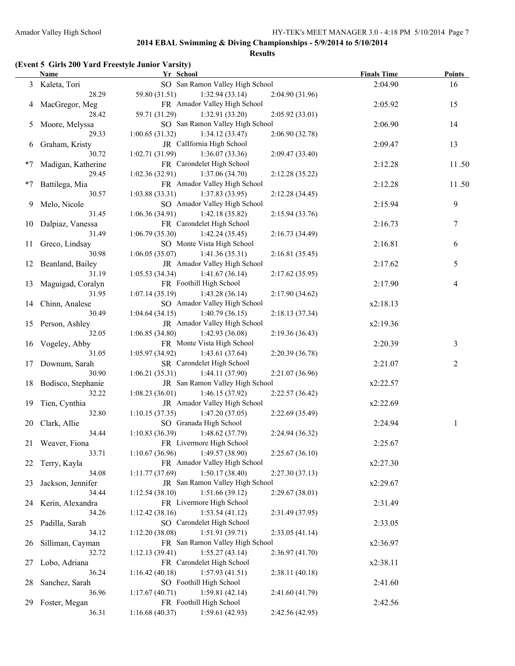**Results**

### **(Event 5 Girls 200 Yard Freestyle Junior Varsity)**

|      | <b>Name</b>           | Yr School                                            | <b>Finals Time</b> | <b>Points</b> |
|------|-----------------------|------------------------------------------------------|--------------------|---------------|
|      | 3 Kaleta, Tori        | SO San Ramon Valley High School                      | 2:04.90            | 16            |
|      | 28.29                 | 59.80 (31.51)<br>1:32.94(33.14)<br>2:04.90 (31.96)   |                    |               |
|      | 4 MacGregor, Meg      | FR Amador Valley High School                         | 2:05.92            | 15            |
|      | 28.42                 | 59.71 (31.29)<br>1:32.91(33.20)<br>2:05.92(33.01)    |                    |               |
| 5    | Moore, Melyssa        | SO San Ramon Valley High School                      | 2:06.90            | 14            |
|      | 29.33                 | 1:00.65(31.32)<br>1:34.12(33.47)<br>2:06.90 (32.78)  |                    |               |
| 6    | Graham, Kristy        | JR Callfornia High School                            | 2:09.47            | 13            |
|      | 30.72                 | 1:02.71 (31.99)<br>1:36.07(33.36)<br>2:09.47(33.40)  |                    |               |
| $*7$ | Madigan, Katherine    | FR Carondelet High School                            | 2:12.28            | 11.50         |
|      | 29.45                 | 1:02.36(32.91)<br>1:37.06(34.70)<br>2:12.28(35.22)   |                    |               |
| $*7$ | Battilega, Mia        | FR Amador Valley High School                         | 2:12.28            | 11.50         |
|      | 30.57                 | 1:03.88(33.31)<br>1:37.83(33.95)<br>2:12.28(34.45)   |                    |               |
| 9    | Melo, Nicole          | SO Amador Valley High School                         | 2:15.94            | 9             |
|      | 31.45                 | 1:06.36(34.91)<br>1:42.18(35.82)<br>2:15.94(33.76)   |                    |               |
| 10   | Dalpiaz, Vanessa      | FR Carondelet High School                            | 2:16.73            | 7             |
|      | 31.49                 | 1:06.79(35.30)<br>1:42.24(35.45)<br>2:16.73(34.49)   |                    |               |
| 11   | Greco, Lindsay        | SO Monte Vista High School                           | 2:16.81            |               |
|      | 30.98                 | 1:06.05(35.07)<br>1:41.36(35.31)<br>2:16.81(35.45)   |                    | 6             |
| 12   | Beanland, Bailey      | JR Amador Valley High School                         | 2:17.62            | 5             |
|      | 31.19                 | 1:41.67(36.14)                                       |                    |               |
|      |                       | 1:05.53(34.34)<br>2:17.62(35.95)                     |                    |               |
| 13   | Maguigad, Coralyn     | FR Foothill High School                              | 2:17.90            | 4             |
|      | 31.95                 | 1:07.14(35.19)<br>1:43.28(36.14)<br>2:17.90(34.62)   |                    |               |
| 14   | Chinn, Analese        | SO Amador Valley High School                         | x2:18.13           |               |
|      | 30.49                 | 1:04.64(34.15)<br>1:40.79(36.15)<br>2:18.13(37.34)   |                    |               |
| 15   | Person, Ashley        | JR Amador Valley High School                         | x2:19.36           |               |
|      | 32.05                 | 1:06.85(34.80)<br>1:42.93(36.08)<br>2:19.36(36.43)   |                    |               |
| 16   | Vogeley, Abby         | FR Monte Vista High School                           | 2:20.39            | 3             |
|      | 31.05                 | 1:05.97(34.92)<br>1:43.61(37.64)<br>2:20.39(36.78)   |                    |               |
| 17   | Downum, Sarah         | SR Carondelet High School                            | 2:21.07            | 2             |
|      | 30.90                 | 1:06.21(35.31)<br>1:44.11(37.90)<br>2:21.07(36.96)   |                    |               |
|      | 18 Bodisco, Stephanie | JR San Ramon Valley High School                      | x2:22.57           |               |
|      | 32.22                 | 1:08.23(36.01)<br>1:46.15(37.92)<br>2:22.57(36.42)   |                    |               |
| 19   | Tien, Cynthia         | JR Amador Valley High School                         | x2:22.69           |               |
|      | 32.80                 | 1:10.15(37.35)<br>1:47.20(37.05)<br>2:22.69 (35.49)  |                    |               |
| 20   | Clark, Allie          | SO Granada High School                               | 2:24.94            | 1             |
|      | 34.44                 | 1:48.62 (37.79)<br>1:10.83(36.39)<br>2:24.94 (36.32) |                    |               |
|      | 21 Weaver, Fiona      | FR Livermore High School                             | 2:25.67            |               |
|      | 33.71                 | 1:10.67(36.96)<br>1:49.57 (38.90)<br>2:25.67(36.10)  |                    |               |
| 22   | Terry, Kayla          | FR Amador Valley High School                         | x2:27.30           |               |
|      | 34.08                 | 1:11.77(37.69)<br>1:50.17(38.40)<br>2:27.30(37.13)   |                    |               |
| 23   | Jackson, Jennifer     | JR San Ramon Valley High School                      | x2:29.67           |               |
|      | 34.44                 | 1:12.54(38.10)<br>1:51.66(39.12)<br>2:29.67(38.01)   |                    |               |
| 24   | Kerin, Alexandra      | FR Livermore High School                             | 2:31.49            |               |
|      | 34.26                 | 1:12.42(38.16)<br>1:53.54(41.12)<br>2:31.49 (37.95)  |                    |               |
| 25   | Padilla, Sarah        | SO Carondelet High School                            | 2:33.05            |               |
|      | 34.12                 | 1:12.20(38.08)<br>1:51.91(39.71)<br>2:33.05(41.14)   |                    |               |
| 26   | Silliman, Cayman      | FR San Ramon Valley High School                      | x2:36.97           |               |
|      | 32.72                 | 1:55.27(43.14)<br>1:12.13(39.41)<br>2:36.97(41.70)   |                    |               |
| 27   | Lobo, Adriana         | FR Carondelet High School                            | x2:38.11           |               |
|      | 36.24                 | 1:57.93(41.51)<br>1:16.42(40.18)<br>2:38.11(40.18)   |                    |               |
| 28   | Sanchez, Sarah        | SO Foothill High School                              | 2:41.60            |               |
|      | 36.96                 | 1:17.67(40.71)<br>1:59.81(42.14)<br>2:41.60 (41.79)  |                    |               |
| 29   | Foster, Megan         | FR Foothill High School                              | 2:42.56            |               |
|      | 36.31                 | 1:16.68(40.37)<br>1:59.61 (42.93)<br>2:42.56 (42.95) |                    |               |
|      |                       |                                                      |                    |               |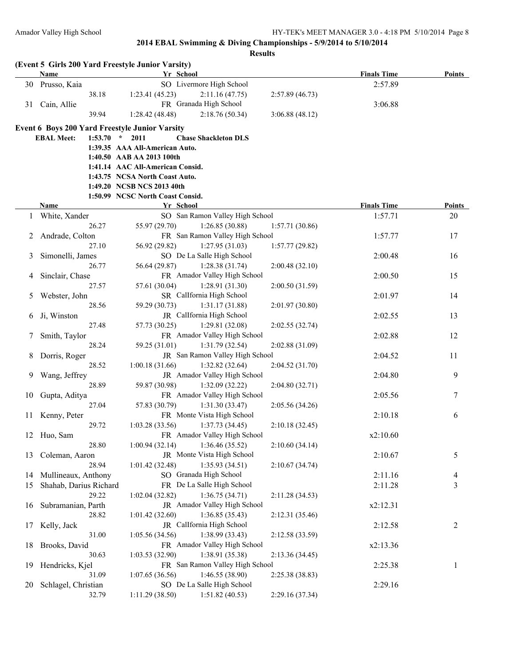|    | <b>Name</b>            |         | (Event 5 Girls 200 Yard Freestyle Junior Varsity)<br>Yr School |                                                   |                 |                    |                          |
|----|------------------------|---------|----------------------------------------------------------------|---------------------------------------------------|-----------------|--------------------|--------------------------|
|    |                        |         |                                                                |                                                   |                 | <b>Finals Time</b> | Points                   |
| 30 | Prusso, Kaia           |         |                                                                | SO Livermore High School                          |                 | 2:57.89            |                          |
|    |                        | 38.18   | 1:23.41(45.23)                                                 | 2:11.16(47.75)                                    | 2:57.89(46.73)  |                    |                          |
|    | 31 Cain, Allie         |         |                                                                | FR Granada High School                            |                 | 3:06.88            |                          |
|    |                        | 39.94   | 1:28.42(48.48)                                                 | 2:18.76(50.34)                                    | 3:06.88(48.12)  |                    |                          |
|    |                        |         | <b>Event 6 Boys 200 Yard Freestyle Junior Varsity</b>          |                                                   |                 |                    |                          |
|    | <b>EBAL Meet:</b>      | 1:53.70 | $\star$<br>2011                                                | <b>Chase Shackleton DLS</b>                       |                 |                    |                          |
|    |                        |         | 1:39.35 AAA All-American Auto.                                 |                                                   |                 |                    |                          |
|    |                        |         | 1:40.50 AAB AA 2013 100th                                      |                                                   |                 |                    |                          |
|    |                        |         | 1:41.14 AAC All-American Consid.                               |                                                   |                 |                    |                          |
|    |                        |         | 1:43.75 NCSA North Coast Auto.                                 |                                                   |                 |                    |                          |
|    |                        |         | 1:49.20 NCSB NCS 2013 40th                                     |                                                   |                 |                    |                          |
|    |                        |         | 1:50.99 NCSC North Coast Consid.                               |                                                   |                 |                    |                          |
|    | Name                   |         | Yr School                                                      |                                                   |                 | <b>Finals Time</b> | <b>Points</b>            |
| 1  | White, Xander          | 26.27   | 55.97 (29.70)                                                  | SO San Ramon Valley High School<br>1:26.85(30.88) | 1:57.71(30.86)  | 1:57.71            | 20                       |
|    | Andrade, Colton        |         |                                                                | FR San Ramon Valley High School                   |                 | 1:57.77            | 17                       |
| 2  |                        | 27.10   | 56.92 (29.82)                                                  | 1:27.95(31.03)                                    | 1:57.77(29.82)  |                    |                          |
| 3  | Simonelli, James       |         |                                                                | SO De La Salle High School                        |                 | 2:00.48            | 16                       |
|    |                        | 26.77   | 56.64 (29.87)                                                  | 1:28.38(31.74)                                    | 2:00.48(32.10)  |                    |                          |
| 4  | Sinclair, Chase        |         |                                                                | FR Amador Valley High School                      |                 | 2:00.50            | 15                       |
|    |                        | 27.57   | 57.61 (30.04)                                                  | 1:28.91(31.30)                                    | 2:00.50 (31.59) |                    |                          |
| 5  | Webster, John          |         |                                                                | SR CalIfornia High School                         |                 | 2:01.97            | 14                       |
|    |                        | 28.56   | 59.29 (30.73)                                                  | 1:31.17(31.88)                                    | 2:01.97(30.80)  |                    |                          |
| 6  | Ji, Winston            |         |                                                                | JR CalIfornia High School                         |                 | 2:02.55            | 13                       |
|    |                        | 27.48   | 57.73 (30.25)                                                  | 1:29.81(32.08)                                    | 2:02.55(32.74)  |                    |                          |
|    | Smith, Taylor          |         |                                                                | FR Amador Valley High School                      |                 | 2:02.88            | 12                       |
|    |                        | 28.24   | 59.25 (31.01)                                                  | 1:31.79(32.54)                                    | 2:02.88 (31.09) |                    |                          |
| 8  | Dorris, Roger          |         |                                                                | JR San Ramon Valley High School                   |                 | 2:04.52            | 11                       |
|    |                        | 28.52   | 1:00.18(31.66)                                                 | 1:32.82(32.64)                                    | 2:04.52 (31.70) |                    |                          |
| 9  | Wang, Jeffrey          |         |                                                                | JR Amador Valley High School                      |                 | 2:04.80            | 9                        |
|    |                        | 28.89   | 59.87 (30.98)                                                  | 1:32.09(32.22)                                    | 2:04.80(32.71)  |                    |                          |
| 10 | Gupta, Aditya          |         |                                                                | FR Amador Valley High School                      |                 | 2:05.56            | 7                        |
|    |                        | 27.04   | 57.83 (30.79)                                                  | 1:31.30(33.47)                                    | 2:05.56 (34.26) |                    |                          |
| 11 | Kenny, Peter           |         |                                                                | FR Monte Vista High School                        |                 | 2:10.18            | 6                        |
|    |                        | 29.72   | 1:03.28(33.56)                                                 | 1:37.73(34.45)                                    | 2:10.18(32.45)  |                    |                          |
|    | 12 Huo, Sam            |         |                                                                | FR Amador Valley High School                      |                 | x2:10.60           |                          |
|    |                        | 28.80   | 1:00.94(32.14)                                                 | 1:36.46(35.52)                                    | 2:10.60(34.14)  |                    |                          |
| 13 | Coleman, Aaron         |         |                                                                | JR Monte Vista High School                        |                 | 2:10.67            | 5                        |
|    |                        | 28.94   | 1:01.42(32.48)                                                 | 1:35.93(34.51)                                    | 2:10.67(34.74)  |                    |                          |
| 14 | Mullineaux, Anthony    |         |                                                                | SO Granada High School                            |                 | 2:11.16            | $\overline{\mathcal{A}}$ |
| 15 | Shahab, Darius Richard |         |                                                                | FR De La Salle High School                        |                 | 2:11.28            | $\mathfrak{Z}$           |
|    |                        | 29.22   | 1:02.04(32.82)                                                 | 1:36.75(34.71)                                    | 2:11.28 (34.53) |                    |                          |
| 16 | Subramanian, Parth     |         |                                                                | JR Amador Valley High School                      |                 | x2:12.31           |                          |
|    |                        | 28.82   | 1:01.42(32.60)                                                 | 1:36.85(35.43)                                    | 2:12.31 (35.46) |                    |                          |
| 17 | Kelly, Jack            |         |                                                                | JR CalIfornia High School                         |                 | 2:12.58            | 2                        |
|    |                        | 31.00   | 1:05.56(34.56)                                                 | 1:38.99(33.43)                                    | 2:12.58 (33.59) |                    |                          |
| 18 | Brooks, David          |         |                                                                | FR Amador Valley High School                      |                 | x2:13.36           |                          |
|    |                        | 30.63   | 1:03.53(32.90)                                                 | 1:38.91(35.38)                                    | 2:13.36 (34.45) |                    |                          |
| 19 | Hendricks, Kjel        |         |                                                                | FR San Ramon Valley High School                   |                 | 2:25.38            | 1                        |
|    |                        | 31.09   | 1:07.65 (36.56)                                                | 1:46.55(38.90)                                    | 2:25.38 (38.83) |                    |                          |
| 20 | Schlagel, Christian    | 32.79   | 1:11.29(38.50)                                                 | SO De La Salle High School<br>1:51.82(40.53)      | 2:29.16 (37.34) | 2:29.16            |                          |
|    |                        |         |                                                                |                                                   |                 |                    |                          |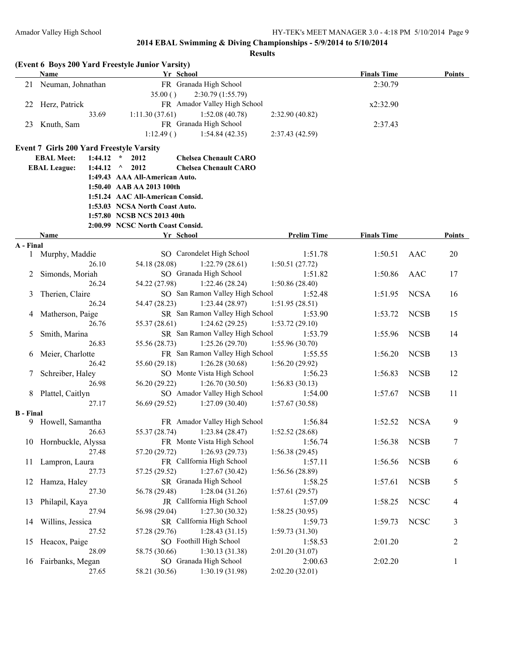| Name<br>Yr School<br><b>Finals Time</b><br>FR Granada High School<br>21 Neuman, Johnathan<br>2:30.79<br>35.00()<br>2:30.79 (1:55.79)<br>FR Amador Valley High School<br>Herz, Patrick<br>x2:32.90<br>22<br>1:11.30(37.61)<br>1:52.08(40.78)<br>33.69<br>2:32.90(40.82)<br>FR Granada High School<br>Knuth, Sam<br>23<br>2:37.43<br>1:12.49()<br>1:54.84(42.35)<br>2:37.43 (42.59)<br><b>Event 7 Girls 200 Yard Freestyle Varsity</b><br><b>EBAL Meet:</b><br>$1:44.12$ *<br>2012<br><b>Chelsea Chenault CARO</b><br><b>Chelsea Chenault CARO</b><br><b>EBAL League:</b><br>1:44.12<br>2012<br>$\wedge$<br>1:49.43 AAA All-American Auto.<br>1:50.40 AAB AA 2013 100th<br>1:51.24 AAC All-American Consid.<br>1:53.03 NCSA North Coast Auto.<br>1:57.80 NCSB NCS 2013 40th<br>2:00.99 NCSC North Coast Consid.<br>Yr School<br><b>Prelim Time</b><br><b>Finals Time</b><br>Name<br>A - Final<br>SO Carondelet High School<br>20<br>1 Murphy, Maddie<br>1:51.78<br>1:50.51<br>AAC<br>54.18 (28.08)<br>1:22.79(28.61)<br>26.10<br>1:50.51(27.72)<br>SO Granada High School<br>1:51.82<br>17<br>Simonds, Moriah<br>1:50.86<br>AAC<br>2<br>26.24<br>54.22 (27.98)<br>1:22.46(28.24)<br>1:50.86(28.40)<br>SO San Ramon Valley High School<br><b>NCSA</b><br>Therien, Claire<br>1:52.48<br>1:51.95<br>16<br>3<br>26.24<br>54.47 (28.23)<br>1:23.44(28.97)<br>1:51.95(28.51)<br>SR San Ramon Valley High School<br><b>NCSB</b><br>Matherson, Paige<br>1:53.90<br>1:53.72<br>15<br>4<br>55.37 (28.61)<br>1:24.62(29.25)<br>26.76<br>1:53.72(29.10)<br>SR San Ramon Valley High School<br><b>NCSB</b><br>Smith, Marina<br>1:55.96<br>14<br>1:53.79<br>5<br>1:25.26(29.70)<br>26.83<br>55.56 (28.73)<br>1:55.96(30.70)<br>FR San Ramon Valley High School<br><b>NCSB</b><br>Meier, Charlotte<br>1:55.55<br>1:56.20<br>13<br>6<br>55.60 (29.18)<br>1:26.28(30.68)<br>26.42<br>1:56.20(29.92)<br>SO Monte Vista High School<br><b>NCSB</b><br>Schreiber, Haley<br>1:56.23<br>1:56.83<br>12<br>7<br>26.98<br>56.20 (29.22)<br>1:26.70(30.50)<br>1:56.83(30.13)<br>SO Amador Valley High School<br><b>NCSB</b><br>8 Plattel, Caitlyn<br>1:54.00<br>1:57.67<br>11<br>56.69 (29.52)<br>27.17<br>1:27.09(30.40)<br>1:57.67(30.58)<br><b>B</b> - Final<br>9<br>FR Amador Valley High School<br>9 Howell, Samantha<br>1:56.84<br>1:52.52<br><b>NCSA</b><br>55.37 (28.74)<br>1:23.84(28.47)<br>1:52.52(28.68)<br>26.63<br>10 Hornbuckle, Alyssa<br>FR Monte Vista High School<br>1:56.74<br>1:56.38<br><b>NCSB</b><br>7<br>1:26.93(29.73)<br>27.48<br>57.20 (29.72)<br>1:56.38(29.45)<br>FR CalIfornia High School<br><b>NCSB</b><br>Lampron, Laura<br>1:57.11<br>1:56.56<br>6<br>11<br>1:27.67(30.42)<br>57.25 (29.52)<br>1:56.56(28.89)<br>27.73<br>SR Granada High School<br><b>NCSB</b><br>Hamza, Haley<br>1:58.25<br>1:57.61<br>5<br>12<br>1:28.04 (31.26)<br>27.30<br>56.78 (29.48)<br>1:57.61(29.57)<br>JR CalIfornia High School<br><b>NCSC</b><br>Philapil, Kaya<br>1:57.09<br>1:58.25<br>13<br>4<br>1:27.30(30.32)<br>27.94<br>56.98 (29.04)<br>1:58.25(30.95)<br>SR CalIfornia High School<br><b>NCSC</b><br>3<br>Willins, Jessica<br>1:59.73<br>1:59.73<br>14<br>57.28 (29.76)<br>1:28.43(31.15)<br>27.52<br>1:59.73(31.30)<br>SO Foothill High School<br>2:01.20<br>$\overline{2}$<br>Heacox, Paige<br>1:58.53<br>15<br>58.75 (30.66)<br>1:30.13(31.38)<br>28.09<br>2:01.20(31.07)<br>SO Granada High School<br>16 Fairbanks, Megan<br>2:00.63<br>2:02.20<br>1<br>1:30.19 (31.98)<br>27.65<br>58.21 (30.56)<br>2:02.20(32.01) |  | (Event 6 Boys 200 Yard Freestyle Junior Varsity) |  |  |  |               |
|-----------------------------------------------------------------------------------------------------------------------------------------------------------------------------------------------------------------------------------------------------------------------------------------------------------------------------------------------------------------------------------------------------------------------------------------------------------------------------------------------------------------------------------------------------------------------------------------------------------------------------------------------------------------------------------------------------------------------------------------------------------------------------------------------------------------------------------------------------------------------------------------------------------------------------------------------------------------------------------------------------------------------------------------------------------------------------------------------------------------------------------------------------------------------------------------------------------------------------------------------------------------------------------------------------------------------------------------------------------------------------------------------------------------------------------------------------------------------------------------------------------------------------------------------------------------------------------------------------------------------------------------------------------------------------------------------------------------------------------------------------------------------------------------------------------------------------------------------------------------------------------------------------------------------------------------------------------------------------------------------------------------------------------------------------------------------------------------------------------------------------------------------------------------------------------------------------------------------------------------------------------------------------------------------------------------------------------------------------------------------------------------------------------------------------------------------------------------------------------------------------------------------------------------------------------------------------------------------------------------------------------------------------------------------------------------------------------------------------------------------------------------------------------------------------------------------------------------------------------------------------------------------------------------------------------------------------------------------------------------------------------------------------------------------------------------------------------------------------------------------------------------------------------------------------------------------------------------------------------------------------------------------------------------------------------------------------------------------------------------------------------------------------------------------------------------------------------------------------------------------------------------------|--|--------------------------------------------------|--|--|--|---------------|
|                                                                                                                                                                                                                                                                                                                                                                                                                                                                                                                                                                                                                                                                                                                                                                                                                                                                                                                                                                                                                                                                                                                                                                                                                                                                                                                                                                                                                                                                                                                                                                                                                                                                                                                                                                                                                                                                                                                                                                                                                                                                                                                                                                                                                                                                                                                                                                                                                                                                                                                                                                                                                                                                                                                                                                                                                                                                                                                                                                                                                                                                                                                                                                                                                                                                                                                                                                                                                                                                                                                       |  |                                                  |  |  |  | <b>Points</b> |
|                                                                                                                                                                                                                                                                                                                                                                                                                                                                                                                                                                                                                                                                                                                                                                                                                                                                                                                                                                                                                                                                                                                                                                                                                                                                                                                                                                                                                                                                                                                                                                                                                                                                                                                                                                                                                                                                                                                                                                                                                                                                                                                                                                                                                                                                                                                                                                                                                                                                                                                                                                                                                                                                                                                                                                                                                                                                                                                                                                                                                                                                                                                                                                                                                                                                                                                                                                                                                                                                                                                       |  |                                                  |  |  |  |               |
|                                                                                                                                                                                                                                                                                                                                                                                                                                                                                                                                                                                                                                                                                                                                                                                                                                                                                                                                                                                                                                                                                                                                                                                                                                                                                                                                                                                                                                                                                                                                                                                                                                                                                                                                                                                                                                                                                                                                                                                                                                                                                                                                                                                                                                                                                                                                                                                                                                                                                                                                                                                                                                                                                                                                                                                                                                                                                                                                                                                                                                                                                                                                                                                                                                                                                                                                                                                                                                                                                                                       |  |                                                  |  |  |  |               |
|                                                                                                                                                                                                                                                                                                                                                                                                                                                                                                                                                                                                                                                                                                                                                                                                                                                                                                                                                                                                                                                                                                                                                                                                                                                                                                                                                                                                                                                                                                                                                                                                                                                                                                                                                                                                                                                                                                                                                                                                                                                                                                                                                                                                                                                                                                                                                                                                                                                                                                                                                                                                                                                                                                                                                                                                                                                                                                                                                                                                                                                                                                                                                                                                                                                                                                                                                                                                                                                                                                                       |  |                                                  |  |  |  |               |
|                                                                                                                                                                                                                                                                                                                                                                                                                                                                                                                                                                                                                                                                                                                                                                                                                                                                                                                                                                                                                                                                                                                                                                                                                                                                                                                                                                                                                                                                                                                                                                                                                                                                                                                                                                                                                                                                                                                                                                                                                                                                                                                                                                                                                                                                                                                                                                                                                                                                                                                                                                                                                                                                                                                                                                                                                                                                                                                                                                                                                                                                                                                                                                                                                                                                                                                                                                                                                                                                                                                       |  |                                                  |  |  |  |               |
|                                                                                                                                                                                                                                                                                                                                                                                                                                                                                                                                                                                                                                                                                                                                                                                                                                                                                                                                                                                                                                                                                                                                                                                                                                                                                                                                                                                                                                                                                                                                                                                                                                                                                                                                                                                                                                                                                                                                                                                                                                                                                                                                                                                                                                                                                                                                                                                                                                                                                                                                                                                                                                                                                                                                                                                                                                                                                                                                                                                                                                                                                                                                                                                                                                                                                                                                                                                                                                                                                                                       |  |                                                  |  |  |  |               |
|                                                                                                                                                                                                                                                                                                                                                                                                                                                                                                                                                                                                                                                                                                                                                                                                                                                                                                                                                                                                                                                                                                                                                                                                                                                                                                                                                                                                                                                                                                                                                                                                                                                                                                                                                                                                                                                                                                                                                                                                                                                                                                                                                                                                                                                                                                                                                                                                                                                                                                                                                                                                                                                                                                                                                                                                                                                                                                                                                                                                                                                                                                                                                                                                                                                                                                                                                                                                                                                                                                                       |  |                                                  |  |  |  |               |
|                                                                                                                                                                                                                                                                                                                                                                                                                                                                                                                                                                                                                                                                                                                                                                                                                                                                                                                                                                                                                                                                                                                                                                                                                                                                                                                                                                                                                                                                                                                                                                                                                                                                                                                                                                                                                                                                                                                                                                                                                                                                                                                                                                                                                                                                                                                                                                                                                                                                                                                                                                                                                                                                                                                                                                                                                                                                                                                                                                                                                                                                                                                                                                                                                                                                                                                                                                                                                                                                                                                       |  |                                                  |  |  |  |               |
|                                                                                                                                                                                                                                                                                                                                                                                                                                                                                                                                                                                                                                                                                                                                                                                                                                                                                                                                                                                                                                                                                                                                                                                                                                                                                                                                                                                                                                                                                                                                                                                                                                                                                                                                                                                                                                                                                                                                                                                                                                                                                                                                                                                                                                                                                                                                                                                                                                                                                                                                                                                                                                                                                                                                                                                                                                                                                                                                                                                                                                                                                                                                                                                                                                                                                                                                                                                                                                                                                                                       |  |                                                  |  |  |  |               |
|                                                                                                                                                                                                                                                                                                                                                                                                                                                                                                                                                                                                                                                                                                                                                                                                                                                                                                                                                                                                                                                                                                                                                                                                                                                                                                                                                                                                                                                                                                                                                                                                                                                                                                                                                                                                                                                                                                                                                                                                                                                                                                                                                                                                                                                                                                                                                                                                                                                                                                                                                                                                                                                                                                                                                                                                                                                                                                                                                                                                                                                                                                                                                                                                                                                                                                                                                                                                                                                                                                                       |  |                                                  |  |  |  |               |
|                                                                                                                                                                                                                                                                                                                                                                                                                                                                                                                                                                                                                                                                                                                                                                                                                                                                                                                                                                                                                                                                                                                                                                                                                                                                                                                                                                                                                                                                                                                                                                                                                                                                                                                                                                                                                                                                                                                                                                                                                                                                                                                                                                                                                                                                                                                                                                                                                                                                                                                                                                                                                                                                                                                                                                                                                                                                                                                                                                                                                                                                                                                                                                                                                                                                                                                                                                                                                                                                                                                       |  |                                                  |  |  |  |               |
|                                                                                                                                                                                                                                                                                                                                                                                                                                                                                                                                                                                                                                                                                                                                                                                                                                                                                                                                                                                                                                                                                                                                                                                                                                                                                                                                                                                                                                                                                                                                                                                                                                                                                                                                                                                                                                                                                                                                                                                                                                                                                                                                                                                                                                                                                                                                                                                                                                                                                                                                                                                                                                                                                                                                                                                                                                                                                                                                                                                                                                                                                                                                                                                                                                                                                                                                                                                                                                                                                                                       |  |                                                  |  |  |  |               |
|                                                                                                                                                                                                                                                                                                                                                                                                                                                                                                                                                                                                                                                                                                                                                                                                                                                                                                                                                                                                                                                                                                                                                                                                                                                                                                                                                                                                                                                                                                                                                                                                                                                                                                                                                                                                                                                                                                                                                                                                                                                                                                                                                                                                                                                                                                                                                                                                                                                                                                                                                                                                                                                                                                                                                                                                                                                                                                                                                                                                                                                                                                                                                                                                                                                                                                                                                                                                                                                                                                                       |  |                                                  |  |  |  |               |
|                                                                                                                                                                                                                                                                                                                                                                                                                                                                                                                                                                                                                                                                                                                                                                                                                                                                                                                                                                                                                                                                                                                                                                                                                                                                                                                                                                                                                                                                                                                                                                                                                                                                                                                                                                                                                                                                                                                                                                                                                                                                                                                                                                                                                                                                                                                                                                                                                                                                                                                                                                                                                                                                                                                                                                                                                                                                                                                                                                                                                                                                                                                                                                                                                                                                                                                                                                                                                                                                                                                       |  |                                                  |  |  |  |               |
|                                                                                                                                                                                                                                                                                                                                                                                                                                                                                                                                                                                                                                                                                                                                                                                                                                                                                                                                                                                                                                                                                                                                                                                                                                                                                                                                                                                                                                                                                                                                                                                                                                                                                                                                                                                                                                                                                                                                                                                                                                                                                                                                                                                                                                                                                                                                                                                                                                                                                                                                                                                                                                                                                                                                                                                                                                                                                                                                                                                                                                                                                                                                                                                                                                                                                                                                                                                                                                                                                                                       |  |                                                  |  |  |  |               |
|                                                                                                                                                                                                                                                                                                                                                                                                                                                                                                                                                                                                                                                                                                                                                                                                                                                                                                                                                                                                                                                                                                                                                                                                                                                                                                                                                                                                                                                                                                                                                                                                                                                                                                                                                                                                                                                                                                                                                                                                                                                                                                                                                                                                                                                                                                                                                                                                                                                                                                                                                                                                                                                                                                                                                                                                                                                                                                                                                                                                                                                                                                                                                                                                                                                                                                                                                                                                                                                                                                                       |  |                                                  |  |  |  |               |
|                                                                                                                                                                                                                                                                                                                                                                                                                                                                                                                                                                                                                                                                                                                                                                                                                                                                                                                                                                                                                                                                                                                                                                                                                                                                                                                                                                                                                                                                                                                                                                                                                                                                                                                                                                                                                                                                                                                                                                                                                                                                                                                                                                                                                                                                                                                                                                                                                                                                                                                                                                                                                                                                                                                                                                                                                                                                                                                                                                                                                                                                                                                                                                                                                                                                                                                                                                                                                                                                                                                       |  |                                                  |  |  |  | Points        |
|                                                                                                                                                                                                                                                                                                                                                                                                                                                                                                                                                                                                                                                                                                                                                                                                                                                                                                                                                                                                                                                                                                                                                                                                                                                                                                                                                                                                                                                                                                                                                                                                                                                                                                                                                                                                                                                                                                                                                                                                                                                                                                                                                                                                                                                                                                                                                                                                                                                                                                                                                                                                                                                                                                                                                                                                                                                                                                                                                                                                                                                                                                                                                                                                                                                                                                                                                                                                                                                                                                                       |  |                                                  |  |  |  |               |
|                                                                                                                                                                                                                                                                                                                                                                                                                                                                                                                                                                                                                                                                                                                                                                                                                                                                                                                                                                                                                                                                                                                                                                                                                                                                                                                                                                                                                                                                                                                                                                                                                                                                                                                                                                                                                                                                                                                                                                                                                                                                                                                                                                                                                                                                                                                                                                                                                                                                                                                                                                                                                                                                                                                                                                                                                                                                                                                                                                                                                                                                                                                                                                                                                                                                                                                                                                                                                                                                                                                       |  |                                                  |  |  |  |               |
|                                                                                                                                                                                                                                                                                                                                                                                                                                                                                                                                                                                                                                                                                                                                                                                                                                                                                                                                                                                                                                                                                                                                                                                                                                                                                                                                                                                                                                                                                                                                                                                                                                                                                                                                                                                                                                                                                                                                                                                                                                                                                                                                                                                                                                                                                                                                                                                                                                                                                                                                                                                                                                                                                                                                                                                                                                                                                                                                                                                                                                                                                                                                                                                                                                                                                                                                                                                                                                                                                                                       |  |                                                  |  |  |  |               |
|                                                                                                                                                                                                                                                                                                                                                                                                                                                                                                                                                                                                                                                                                                                                                                                                                                                                                                                                                                                                                                                                                                                                                                                                                                                                                                                                                                                                                                                                                                                                                                                                                                                                                                                                                                                                                                                                                                                                                                                                                                                                                                                                                                                                                                                                                                                                                                                                                                                                                                                                                                                                                                                                                                                                                                                                                                                                                                                                                                                                                                                                                                                                                                                                                                                                                                                                                                                                                                                                                                                       |  |                                                  |  |  |  |               |
|                                                                                                                                                                                                                                                                                                                                                                                                                                                                                                                                                                                                                                                                                                                                                                                                                                                                                                                                                                                                                                                                                                                                                                                                                                                                                                                                                                                                                                                                                                                                                                                                                                                                                                                                                                                                                                                                                                                                                                                                                                                                                                                                                                                                                                                                                                                                                                                                                                                                                                                                                                                                                                                                                                                                                                                                                                                                                                                                                                                                                                                                                                                                                                                                                                                                                                                                                                                                                                                                                                                       |  |                                                  |  |  |  |               |
|                                                                                                                                                                                                                                                                                                                                                                                                                                                                                                                                                                                                                                                                                                                                                                                                                                                                                                                                                                                                                                                                                                                                                                                                                                                                                                                                                                                                                                                                                                                                                                                                                                                                                                                                                                                                                                                                                                                                                                                                                                                                                                                                                                                                                                                                                                                                                                                                                                                                                                                                                                                                                                                                                                                                                                                                                                                                                                                                                                                                                                                                                                                                                                                                                                                                                                                                                                                                                                                                                                                       |  |                                                  |  |  |  |               |
|                                                                                                                                                                                                                                                                                                                                                                                                                                                                                                                                                                                                                                                                                                                                                                                                                                                                                                                                                                                                                                                                                                                                                                                                                                                                                                                                                                                                                                                                                                                                                                                                                                                                                                                                                                                                                                                                                                                                                                                                                                                                                                                                                                                                                                                                                                                                                                                                                                                                                                                                                                                                                                                                                                                                                                                                                                                                                                                                                                                                                                                                                                                                                                                                                                                                                                                                                                                                                                                                                                                       |  |                                                  |  |  |  |               |
|                                                                                                                                                                                                                                                                                                                                                                                                                                                                                                                                                                                                                                                                                                                                                                                                                                                                                                                                                                                                                                                                                                                                                                                                                                                                                                                                                                                                                                                                                                                                                                                                                                                                                                                                                                                                                                                                                                                                                                                                                                                                                                                                                                                                                                                                                                                                                                                                                                                                                                                                                                                                                                                                                                                                                                                                                                                                                                                                                                                                                                                                                                                                                                                                                                                                                                                                                                                                                                                                                                                       |  |                                                  |  |  |  |               |
|                                                                                                                                                                                                                                                                                                                                                                                                                                                                                                                                                                                                                                                                                                                                                                                                                                                                                                                                                                                                                                                                                                                                                                                                                                                                                                                                                                                                                                                                                                                                                                                                                                                                                                                                                                                                                                                                                                                                                                                                                                                                                                                                                                                                                                                                                                                                                                                                                                                                                                                                                                                                                                                                                                                                                                                                                                                                                                                                                                                                                                                                                                                                                                                                                                                                                                                                                                                                                                                                                                                       |  |                                                  |  |  |  |               |
|                                                                                                                                                                                                                                                                                                                                                                                                                                                                                                                                                                                                                                                                                                                                                                                                                                                                                                                                                                                                                                                                                                                                                                                                                                                                                                                                                                                                                                                                                                                                                                                                                                                                                                                                                                                                                                                                                                                                                                                                                                                                                                                                                                                                                                                                                                                                                                                                                                                                                                                                                                                                                                                                                                                                                                                                                                                                                                                                                                                                                                                                                                                                                                                                                                                                                                                                                                                                                                                                                                                       |  |                                                  |  |  |  |               |
|                                                                                                                                                                                                                                                                                                                                                                                                                                                                                                                                                                                                                                                                                                                                                                                                                                                                                                                                                                                                                                                                                                                                                                                                                                                                                                                                                                                                                                                                                                                                                                                                                                                                                                                                                                                                                                                                                                                                                                                                                                                                                                                                                                                                                                                                                                                                                                                                                                                                                                                                                                                                                                                                                                                                                                                                                                                                                                                                                                                                                                                                                                                                                                                                                                                                                                                                                                                                                                                                                                                       |  |                                                  |  |  |  |               |
|                                                                                                                                                                                                                                                                                                                                                                                                                                                                                                                                                                                                                                                                                                                                                                                                                                                                                                                                                                                                                                                                                                                                                                                                                                                                                                                                                                                                                                                                                                                                                                                                                                                                                                                                                                                                                                                                                                                                                                                                                                                                                                                                                                                                                                                                                                                                                                                                                                                                                                                                                                                                                                                                                                                                                                                                                                                                                                                                                                                                                                                                                                                                                                                                                                                                                                                                                                                                                                                                                                                       |  |                                                  |  |  |  |               |
|                                                                                                                                                                                                                                                                                                                                                                                                                                                                                                                                                                                                                                                                                                                                                                                                                                                                                                                                                                                                                                                                                                                                                                                                                                                                                                                                                                                                                                                                                                                                                                                                                                                                                                                                                                                                                                                                                                                                                                                                                                                                                                                                                                                                                                                                                                                                                                                                                                                                                                                                                                                                                                                                                                                                                                                                                                                                                                                                                                                                                                                                                                                                                                                                                                                                                                                                                                                                                                                                                                                       |  |                                                  |  |  |  |               |
|                                                                                                                                                                                                                                                                                                                                                                                                                                                                                                                                                                                                                                                                                                                                                                                                                                                                                                                                                                                                                                                                                                                                                                                                                                                                                                                                                                                                                                                                                                                                                                                                                                                                                                                                                                                                                                                                                                                                                                                                                                                                                                                                                                                                                                                                                                                                                                                                                                                                                                                                                                                                                                                                                                                                                                                                                                                                                                                                                                                                                                                                                                                                                                                                                                                                                                                                                                                                                                                                                                                       |  |                                                  |  |  |  |               |
|                                                                                                                                                                                                                                                                                                                                                                                                                                                                                                                                                                                                                                                                                                                                                                                                                                                                                                                                                                                                                                                                                                                                                                                                                                                                                                                                                                                                                                                                                                                                                                                                                                                                                                                                                                                                                                                                                                                                                                                                                                                                                                                                                                                                                                                                                                                                                                                                                                                                                                                                                                                                                                                                                                                                                                                                                                                                                                                                                                                                                                                                                                                                                                                                                                                                                                                                                                                                                                                                                                                       |  |                                                  |  |  |  |               |
|                                                                                                                                                                                                                                                                                                                                                                                                                                                                                                                                                                                                                                                                                                                                                                                                                                                                                                                                                                                                                                                                                                                                                                                                                                                                                                                                                                                                                                                                                                                                                                                                                                                                                                                                                                                                                                                                                                                                                                                                                                                                                                                                                                                                                                                                                                                                                                                                                                                                                                                                                                                                                                                                                                                                                                                                                                                                                                                                                                                                                                                                                                                                                                                                                                                                                                                                                                                                                                                                                                                       |  |                                                  |  |  |  |               |
|                                                                                                                                                                                                                                                                                                                                                                                                                                                                                                                                                                                                                                                                                                                                                                                                                                                                                                                                                                                                                                                                                                                                                                                                                                                                                                                                                                                                                                                                                                                                                                                                                                                                                                                                                                                                                                                                                                                                                                                                                                                                                                                                                                                                                                                                                                                                                                                                                                                                                                                                                                                                                                                                                                                                                                                                                                                                                                                                                                                                                                                                                                                                                                                                                                                                                                                                                                                                                                                                                                                       |  |                                                  |  |  |  |               |
|                                                                                                                                                                                                                                                                                                                                                                                                                                                                                                                                                                                                                                                                                                                                                                                                                                                                                                                                                                                                                                                                                                                                                                                                                                                                                                                                                                                                                                                                                                                                                                                                                                                                                                                                                                                                                                                                                                                                                                                                                                                                                                                                                                                                                                                                                                                                                                                                                                                                                                                                                                                                                                                                                                                                                                                                                                                                                                                                                                                                                                                                                                                                                                                                                                                                                                                                                                                                                                                                                                                       |  |                                                  |  |  |  |               |
|                                                                                                                                                                                                                                                                                                                                                                                                                                                                                                                                                                                                                                                                                                                                                                                                                                                                                                                                                                                                                                                                                                                                                                                                                                                                                                                                                                                                                                                                                                                                                                                                                                                                                                                                                                                                                                                                                                                                                                                                                                                                                                                                                                                                                                                                                                                                                                                                                                                                                                                                                                                                                                                                                                                                                                                                                                                                                                                                                                                                                                                                                                                                                                                                                                                                                                                                                                                                                                                                                                                       |  |                                                  |  |  |  |               |
|                                                                                                                                                                                                                                                                                                                                                                                                                                                                                                                                                                                                                                                                                                                                                                                                                                                                                                                                                                                                                                                                                                                                                                                                                                                                                                                                                                                                                                                                                                                                                                                                                                                                                                                                                                                                                                                                                                                                                                                                                                                                                                                                                                                                                                                                                                                                                                                                                                                                                                                                                                                                                                                                                                                                                                                                                                                                                                                                                                                                                                                                                                                                                                                                                                                                                                                                                                                                                                                                                                                       |  |                                                  |  |  |  |               |
|                                                                                                                                                                                                                                                                                                                                                                                                                                                                                                                                                                                                                                                                                                                                                                                                                                                                                                                                                                                                                                                                                                                                                                                                                                                                                                                                                                                                                                                                                                                                                                                                                                                                                                                                                                                                                                                                                                                                                                                                                                                                                                                                                                                                                                                                                                                                                                                                                                                                                                                                                                                                                                                                                                                                                                                                                                                                                                                                                                                                                                                                                                                                                                                                                                                                                                                                                                                                                                                                                                                       |  |                                                  |  |  |  |               |
|                                                                                                                                                                                                                                                                                                                                                                                                                                                                                                                                                                                                                                                                                                                                                                                                                                                                                                                                                                                                                                                                                                                                                                                                                                                                                                                                                                                                                                                                                                                                                                                                                                                                                                                                                                                                                                                                                                                                                                                                                                                                                                                                                                                                                                                                                                                                                                                                                                                                                                                                                                                                                                                                                                                                                                                                                                                                                                                                                                                                                                                                                                                                                                                                                                                                                                                                                                                                                                                                                                                       |  |                                                  |  |  |  |               |
|                                                                                                                                                                                                                                                                                                                                                                                                                                                                                                                                                                                                                                                                                                                                                                                                                                                                                                                                                                                                                                                                                                                                                                                                                                                                                                                                                                                                                                                                                                                                                                                                                                                                                                                                                                                                                                                                                                                                                                                                                                                                                                                                                                                                                                                                                                                                                                                                                                                                                                                                                                                                                                                                                                                                                                                                                                                                                                                                                                                                                                                                                                                                                                                                                                                                                                                                                                                                                                                                                                                       |  |                                                  |  |  |  |               |
|                                                                                                                                                                                                                                                                                                                                                                                                                                                                                                                                                                                                                                                                                                                                                                                                                                                                                                                                                                                                                                                                                                                                                                                                                                                                                                                                                                                                                                                                                                                                                                                                                                                                                                                                                                                                                                                                                                                                                                                                                                                                                                                                                                                                                                                                                                                                                                                                                                                                                                                                                                                                                                                                                                                                                                                                                                                                                                                                                                                                                                                                                                                                                                                                                                                                                                                                                                                                                                                                                                                       |  |                                                  |  |  |  |               |
|                                                                                                                                                                                                                                                                                                                                                                                                                                                                                                                                                                                                                                                                                                                                                                                                                                                                                                                                                                                                                                                                                                                                                                                                                                                                                                                                                                                                                                                                                                                                                                                                                                                                                                                                                                                                                                                                                                                                                                                                                                                                                                                                                                                                                                                                                                                                                                                                                                                                                                                                                                                                                                                                                                                                                                                                                                                                                                                                                                                                                                                                                                                                                                                                                                                                                                                                                                                                                                                                                                                       |  |                                                  |  |  |  |               |
|                                                                                                                                                                                                                                                                                                                                                                                                                                                                                                                                                                                                                                                                                                                                                                                                                                                                                                                                                                                                                                                                                                                                                                                                                                                                                                                                                                                                                                                                                                                                                                                                                                                                                                                                                                                                                                                                                                                                                                                                                                                                                                                                                                                                                                                                                                                                                                                                                                                                                                                                                                                                                                                                                                                                                                                                                                                                                                                                                                                                                                                                                                                                                                                                                                                                                                                                                                                                                                                                                                                       |  |                                                  |  |  |  |               |
|                                                                                                                                                                                                                                                                                                                                                                                                                                                                                                                                                                                                                                                                                                                                                                                                                                                                                                                                                                                                                                                                                                                                                                                                                                                                                                                                                                                                                                                                                                                                                                                                                                                                                                                                                                                                                                                                                                                                                                                                                                                                                                                                                                                                                                                                                                                                                                                                                                                                                                                                                                                                                                                                                                                                                                                                                                                                                                                                                                                                                                                                                                                                                                                                                                                                                                                                                                                                                                                                                                                       |  |                                                  |  |  |  |               |
|                                                                                                                                                                                                                                                                                                                                                                                                                                                                                                                                                                                                                                                                                                                                                                                                                                                                                                                                                                                                                                                                                                                                                                                                                                                                                                                                                                                                                                                                                                                                                                                                                                                                                                                                                                                                                                                                                                                                                                                                                                                                                                                                                                                                                                                                                                                                                                                                                                                                                                                                                                                                                                                                                                                                                                                                                                                                                                                                                                                                                                                                                                                                                                                                                                                                                                                                                                                                                                                                                                                       |  |                                                  |  |  |  |               |
|                                                                                                                                                                                                                                                                                                                                                                                                                                                                                                                                                                                                                                                                                                                                                                                                                                                                                                                                                                                                                                                                                                                                                                                                                                                                                                                                                                                                                                                                                                                                                                                                                                                                                                                                                                                                                                                                                                                                                                                                                                                                                                                                                                                                                                                                                                                                                                                                                                                                                                                                                                                                                                                                                                                                                                                                                                                                                                                                                                                                                                                                                                                                                                                                                                                                                                                                                                                                                                                                                                                       |  |                                                  |  |  |  |               |
|                                                                                                                                                                                                                                                                                                                                                                                                                                                                                                                                                                                                                                                                                                                                                                                                                                                                                                                                                                                                                                                                                                                                                                                                                                                                                                                                                                                                                                                                                                                                                                                                                                                                                                                                                                                                                                                                                                                                                                                                                                                                                                                                                                                                                                                                                                                                                                                                                                                                                                                                                                                                                                                                                                                                                                                                                                                                                                                                                                                                                                                                                                                                                                                                                                                                                                                                                                                                                                                                                                                       |  |                                                  |  |  |  |               |
|                                                                                                                                                                                                                                                                                                                                                                                                                                                                                                                                                                                                                                                                                                                                                                                                                                                                                                                                                                                                                                                                                                                                                                                                                                                                                                                                                                                                                                                                                                                                                                                                                                                                                                                                                                                                                                                                                                                                                                                                                                                                                                                                                                                                                                                                                                                                                                                                                                                                                                                                                                                                                                                                                                                                                                                                                                                                                                                                                                                                                                                                                                                                                                                                                                                                                                                                                                                                                                                                                                                       |  |                                                  |  |  |  |               |
|                                                                                                                                                                                                                                                                                                                                                                                                                                                                                                                                                                                                                                                                                                                                                                                                                                                                                                                                                                                                                                                                                                                                                                                                                                                                                                                                                                                                                                                                                                                                                                                                                                                                                                                                                                                                                                                                                                                                                                                                                                                                                                                                                                                                                                                                                                                                                                                                                                                                                                                                                                                                                                                                                                                                                                                                                                                                                                                                                                                                                                                                                                                                                                                                                                                                                                                                                                                                                                                                                                                       |  |                                                  |  |  |  |               |
|                                                                                                                                                                                                                                                                                                                                                                                                                                                                                                                                                                                                                                                                                                                                                                                                                                                                                                                                                                                                                                                                                                                                                                                                                                                                                                                                                                                                                                                                                                                                                                                                                                                                                                                                                                                                                                                                                                                                                                                                                                                                                                                                                                                                                                                                                                                                                                                                                                                                                                                                                                                                                                                                                                                                                                                                                                                                                                                                                                                                                                                                                                                                                                                                                                                                                                                                                                                                                                                                                                                       |  |                                                  |  |  |  |               |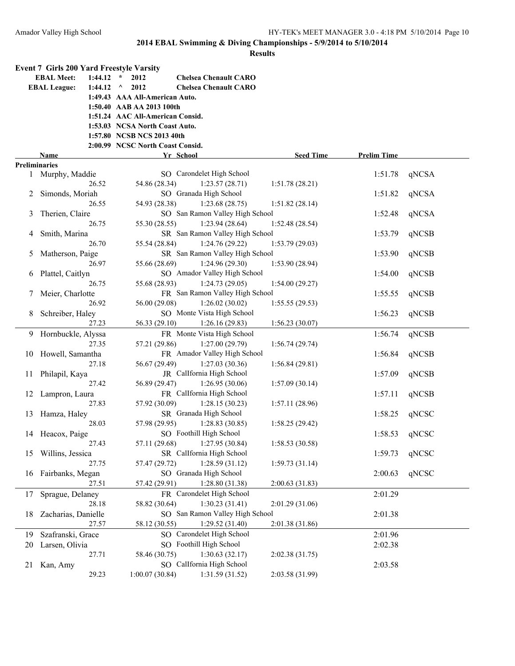|                      | Event 7 Girls 200 Yard Freestyle Varsity |                                      |                  |                    |       |
|----------------------|------------------------------------------|--------------------------------------|------------------|--------------------|-------|
|                      | $1:44.12$ *<br><b>EBAL Meet:</b>         | 2012<br><b>Chelsea Chenault CARO</b> |                  |                    |       |
|                      | <b>EBAL League:</b><br>1:44.12 $\land$   | 2012<br><b>Chelsea Chenault CARO</b> |                  |                    |       |
|                      |                                          | 1:49.43 AAA All-American Auto.       |                  |                    |       |
|                      |                                          | 1:50.40 AAB AA 2013 100th            |                  |                    |       |
|                      |                                          | 1:51.24 AAC All-American Consid.     |                  |                    |       |
|                      |                                          | 1:53.03 NCSA North Coast Auto.       |                  |                    |       |
|                      |                                          | 1:57.80 NCSB NCS 2013 40th           |                  |                    |       |
|                      |                                          | 2:00.99 NCSC North Coast Consid.     |                  |                    |       |
|                      | Name                                     | Yr School                            | <b>Seed Time</b> | <b>Prelim Time</b> |       |
| <b>Preliminaries</b> |                                          |                                      |                  |                    |       |
|                      | 1 Murphy, Maddie                         | SO Carondelet High School            |                  | 1:51.78            | qNCSA |
|                      | 26.52                                    | 54.86 (28.34)<br>1:23.57(28.71)      | 1:51.78(28.21)   |                    |       |
| 2                    | Simonds, Moriah                          | SO Granada High School               |                  | 1:51.82            | qNCSA |
|                      | 26.55                                    | 54.93 (28.38)<br>1:23.68(28.75)      | 1:51.82(28.14)   |                    |       |
| 3                    | Therien, Claire                          | SO San Ramon Valley High School      |                  | 1:52.48            | qNCSA |
|                      | 26.75                                    | 55.30 (28.55)<br>1:23.94(28.64)      | 1:52.48(28.54)   |                    |       |
| 4                    | Smith, Marina                            | SR San Ramon Valley High School      |                  | 1:53.79            | qNCSB |
|                      | 26.70                                    | 1:24.76(29.22)<br>55.54 (28.84)      | 1:53.79(29.03)   |                    |       |
| 5                    | Matherson, Paige                         | SR San Ramon Valley High School      |                  | 1:53.90            | qNCSB |
|                      | 26.97                                    | 55.66 (28.69)<br>1:24.96(29.30)      | 1:53.90(28.94)   |                    |       |
| 6                    | Plattel, Caitlyn                         | SO Amador Valley High School         |                  | 1:54.00            | qNCSB |
|                      | 26.75                                    | 55.68 (28.93)<br>1:24.73(29.05)      | 1:54.00(29.27)   |                    |       |
| 7                    | Meier, Charlotte                         | FR San Ramon Valley High School      |                  | 1:55.55            | qNCSB |
|                      | 26.92                                    | 56.00 (29.08)<br>1:26.02(30.02)      | 1:55.55(29.53)   |                    |       |
| 8                    | Schreiber, Haley                         | SO Monte Vista High School           |                  | 1:56.23            | qNCSB |
|                      | 27.23                                    | 56.33 (29.10)<br>1:26.16(29.83)      | 1:56.23(30.07)   |                    |       |
|                      | 9 Hornbuckle, Alyssa                     | FR Monte Vista High School           |                  | 1:56.74            | qNCSB |
|                      | 27.35                                    | 57.21 (29.86)<br>1:27.00(29.79)      | 1:56.74(29.74)   |                    |       |
| 10                   | Howell, Samantha                         | FR Amador Valley High School         |                  | 1:56.84            | qNCSB |
|                      | 27.18                                    | 56.67 (29.49)<br>1:27.03(30.36)      | 1:56.84(29.81)   |                    |       |
| 11                   | Philapil, Kaya                           | JR CalIfornia High School            |                  | 1:57.09            | qNCSB |
|                      | 27.42                                    | 56.89 (29.47)<br>1:26.95(30.06)      | 1:57.09(30.14)   |                    |       |
|                      | 12 Lampron, Laura                        | FR CalIfornia High School            |                  | 1:57.11            | qNCSB |
|                      | 27.83                                    | 57.92 (30.09)<br>1:28.15(30.23)      | 1:57.11(28.96)   |                    |       |
| 13                   | Hamza, Haley                             | SR Granada High School               |                  | 1:58.25            | qNCSC |
|                      | 28.03                                    | 57.98 (29.95)<br>1:28.83(30.85)      | 1:58.25(29.42)   |                    |       |
|                      | 14 Heacox, Paige                         | SO Foothill High School              |                  | 1:58.53            | qNCSC |
|                      | 27.43                                    | 57.11 (29.68)<br>1:27.95 (30.84)     | 1:58.53(30.58)   |                    |       |
| 15                   | Willins, Jessica                         | SR Callfornia High School            |                  | 1:59.73            | qNCSC |
|                      | 27.75                                    | 1:28.59(31.12)<br>57.47 (29.72)      | 1:59.73(31.14)   |                    |       |
| 16                   | Fairbanks, Megan                         | SO Granada High School               |                  | 2:00.63            | qNCSC |
|                      | 27.51                                    | 57.42 (29.91)<br>1:28.80 (31.38)     | 2:00.63(31.83)   |                    |       |
| 17                   | Sprague, Delaney                         | FR Carondelet High School            |                  | 2:01.29            |       |
|                      | 28.18                                    | 58.82 (30.64)<br>1:30.23(31.41)      | 2:01.29(31.06)   |                    |       |
| 18                   | Zacharias, Danielle                      | SO San Ramon Valley High School      |                  | 2:01.38            |       |
|                      | 27.57                                    | 58.12 (30.55)<br>1:29.52 (31.40)     | 2:01.38 (31.86)  |                    |       |
| 19                   | Szafranski, Grace                        | SO Carondelet High School            |                  | 2:01.96            |       |
| 20                   | Larsen, Olivia                           | SO Foothill High School              |                  | 2:02.38            |       |
|                      | 27.71                                    | 58.46 (30.75)<br>1:30.63(32.17)      | 2:02.38(31.75)   |                    |       |
| 21                   | Kan, Amy                                 | SO CalIfornia High School            |                  | 2:03.58            |       |
|                      | 29.23                                    | 1:00.07(30.84)<br>1:31.59 (31.52)    | 2:03.58 (31.99)  |                    |       |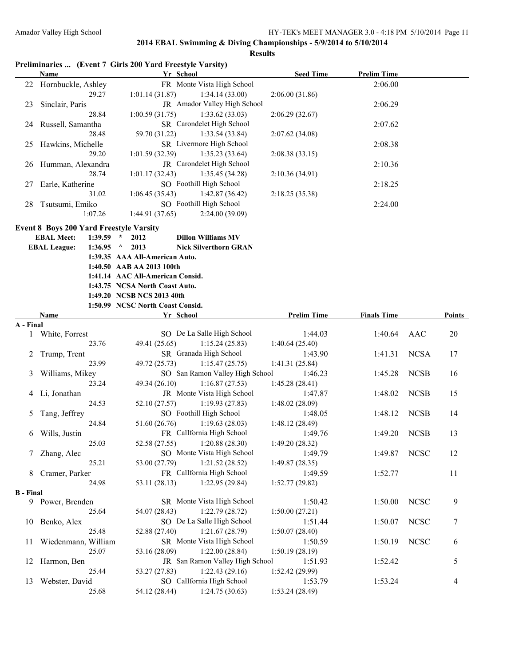| 22 Hornbuckle, Ashley<br>FR Monte Vista High School<br>2:06.00<br>29.27<br>1:01.14(31.87)<br>1:34.14(33.00)<br>2:06.00(31.86)<br>Sinclair, Paris<br>JR Amador Valley High School<br>2:06.29<br>23<br>28.84<br>1:00.59(31.75)<br>1:33.62(33.03)<br>2:06.29(32.67)<br>SR Carondelet High School<br>24 Russell, Samantha<br>2:07.62<br>28.48<br>59.70 (31.22)<br>1:33.54(33.84)<br>2:07.62(34.08)<br>SR Livermore High School<br>25 Hawkins, Michelle<br>2:08.38<br>29.20<br>1:01.59(32.39)<br>1:35.23(33.64)<br>2:08.38(33.15)<br>JR Carondelet High School<br>Humman, Alexandra<br>2:10.36<br>26<br>28.74<br>1:01.17(32.43)<br>1:35.45(34.28)<br>2:10.36 (34.91)<br>SO Foothill High School<br>Earle, Katherine<br>2:18.25<br>27<br>31.02<br>1:06.45(35.43)<br>1:42.87(36.42)<br>2:18.25 (35.38)<br>SO Foothill High School<br>Tsutsumi, Emiko<br>2:24.00<br>28<br>1:07.26<br>1:44.91(37.65)<br>2:24.00(39.09)<br><b>Event 8 Boys 200 Yard Freestyle Varsity</b><br><b>EBAL Meet:</b><br>$1:39.59$ *<br>2012<br><b>Dillon Williams MV</b><br><b>EBAL League:</b><br>$1:36.95$ ^ 2013<br><b>Nick Silverthorn GRAN</b><br>1:39.35 AAA All-American Auto.<br>1:40.50 AAB AA 2013 100th<br>1:41.14 AAC All-American Consid.<br>1:43.75 NCSA North Coast Auto.<br>1:49.20 NCSB NCS 2013 40th<br>1:50.99 NCSC North Coast Consid.<br>Name<br><b>Prelim Time</b><br><b>Finals Time</b><br>Points<br>Yr School<br>A - Final<br>SO De La Salle High School<br>1 White, Forrest<br>1:44.03<br>1:40.64<br>AAC<br>20<br>23.76<br>49.41 (25.65)<br>1:15.24(25.83)<br>1:40.64(25.40)<br>SR Granada High School<br>1:41.31<br><b>NCSA</b><br>Trump, Trent<br>17<br>1:43.90<br>2<br>23.99<br>49.72 (25.73)<br>1:15.47(25.75)<br>1:41.31(25.84)<br>SO San Ramon Valley High School<br><b>NCSB</b><br>Williams, Mikey<br>1:46.23<br>1:45.28<br>16<br>3<br>23.24<br>49.34 (26.10)<br>1:16.87(27.53)<br>1:45.28(28.41)<br>JR Monte Vista High School<br>4 Li, Jonathan<br>1:47.87<br>1:48.02<br><b>NCSB</b><br>15<br>24.53<br>52.10 (27.57)<br>1:19.93(27.83)<br>1:48.02(28.09)<br>SO Foothill High School<br>1:48.05<br>1:48.12<br><b>NCSB</b><br>Tang, Jeffrey<br>14<br>5<br>24.84<br>51.60 (26.76)<br>1:19.63(28.03)<br>1:48.12(28.49)<br>FR CalIfornia High School<br><b>NCSB</b><br>Wills, Justin<br>1:49.20<br>13<br>1:49.76<br>6<br>25.03<br>52.58 (27.55)<br>1:20.88(28.30)<br>1:49.20(28.32)<br>SO Monte Vista High School<br>Zhang, Alec<br>1:49.87<br><b>NCSC</b><br>12<br>1:49.79<br>7<br>1:21.52(28.52)<br>25.21<br>53.00 (27.79)<br>1:49.87(28.35)<br>FR CalIfornia High School<br>Cramer, Parker<br>11<br>8<br>1:49.59<br>1:52.77<br>24.98<br>53.11 (28.13)<br>1:22.95(29.84)<br>1:52.77(29.82)<br><b>B</b> - Final<br>SR Monte Vista High School<br><b>NCSC</b><br>Power, Brenden<br>1:50.42<br>1:50.00<br>9<br>9.<br>1:22.79(28.72)<br>25.64<br>54.07 (28.43)<br>1:50.00(27.21)<br>SO De La Salle High School<br><b>NCSC</b><br>1:50.07<br>Benko, Alex<br>1:51.44<br>7<br>10<br>25.48<br>52.88 (27.40)<br>1:21.67(28.79)<br>1:50.07(28.40)<br>SR Monte Vista High School<br><b>NCSC</b><br>Wiedenmann, William<br>1:50.19<br>1:50.59<br>6<br>11<br>1:22.00(28.84)<br>25.07<br>53.16 (28.09)<br>1:50.19(28.19)<br>JR San Ramon Valley High School<br>Harmon, Ben<br>1:52.42<br>5<br>12<br>1:51.93<br>25.44<br>53.27 (27.83)<br>1:22.43(29.16)<br>1:52.42 (29.99)<br>SO CalIfornia High School<br>1:53.24<br>13<br>Webster, David<br>1:53.79<br>4<br>25.68<br>54.12 (28.44)<br>1:24.75(30.63)<br>1:53.24(28.49) | <b>Name</b> | Preliminaries  (Event 7 Girls 200 Yard Freestyle Varsity)<br>Yr School | <b>Seed Time</b> | <b>Prelim Time</b> |  |
|-----------------------------------------------------------------------------------------------------------------------------------------------------------------------------------------------------------------------------------------------------------------------------------------------------------------------------------------------------------------------------------------------------------------------------------------------------------------------------------------------------------------------------------------------------------------------------------------------------------------------------------------------------------------------------------------------------------------------------------------------------------------------------------------------------------------------------------------------------------------------------------------------------------------------------------------------------------------------------------------------------------------------------------------------------------------------------------------------------------------------------------------------------------------------------------------------------------------------------------------------------------------------------------------------------------------------------------------------------------------------------------------------------------------------------------------------------------------------------------------------------------------------------------------------------------------------------------------------------------------------------------------------------------------------------------------------------------------------------------------------------------------------------------------------------------------------------------------------------------------------------------------------------------------------------------------------------------------------------------------------------------------------------------------------------------------------------------------------------------------------------------------------------------------------------------------------------------------------------------------------------------------------------------------------------------------------------------------------------------------------------------------------------------------------------------------------------------------------------------------------------------------------------------------------------------------------------------------------------------------------------------------------------------------------------------------------------------------------------------------------------------------------------------------------------------------------------------------------------------------------------------------------------------------------------------------------------------------------------------------------------------------------------------------------------------------------------------------------------------------------------------------------------------------------------------------------------------------------------------------------------------------------------------------------------------------------------------------------------------------------------------------------------------------------------------------------------------------------------------------------------------|-------------|------------------------------------------------------------------------|------------------|--------------------|--|
|                                                                                                                                                                                                                                                                                                                                                                                                                                                                                                                                                                                                                                                                                                                                                                                                                                                                                                                                                                                                                                                                                                                                                                                                                                                                                                                                                                                                                                                                                                                                                                                                                                                                                                                                                                                                                                                                                                                                                                                                                                                                                                                                                                                                                                                                                                                                                                                                                                                                                                                                                                                                                                                                                                                                                                                                                                                                                                                                                                                                                                                                                                                                                                                                                                                                                                                                                                                                                                                                                                           |             |                                                                        |                  |                    |  |
|                                                                                                                                                                                                                                                                                                                                                                                                                                                                                                                                                                                                                                                                                                                                                                                                                                                                                                                                                                                                                                                                                                                                                                                                                                                                                                                                                                                                                                                                                                                                                                                                                                                                                                                                                                                                                                                                                                                                                                                                                                                                                                                                                                                                                                                                                                                                                                                                                                                                                                                                                                                                                                                                                                                                                                                                                                                                                                                                                                                                                                                                                                                                                                                                                                                                                                                                                                                                                                                                                                           |             |                                                                        |                  |                    |  |
|                                                                                                                                                                                                                                                                                                                                                                                                                                                                                                                                                                                                                                                                                                                                                                                                                                                                                                                                                                                                                                                                                                                                                                                                                                                                                                                                                                                                                                                                                                                                                                                                                                                                                                                                                                                                                                                                                                                                                                                                                                                                                                                                                                                                                                                                                                                                                                                                                                                                                                                                                                                                                                                                                                                                                                                                                                                                                                                                                                                                                                                                                                                                                                                                                                                                                                                                                                                                                                                                                                           |             |                                                                        |                  |                    |  |
|                                                                                                                                                                                                                                                                                                                                                                                                                                                                                                                                                                                                                                                                                                                                                                                                                                                                                                                                                                                                                                                                                                                                                                                                                                                                                                                                                                                                                                                                                                                                                                                                                                                                                                                                                                                                                                                                                                                                                                                                                                                                                                                                                                                                                                                                                                                                                                                                                                                                                                                                                                                                                                                                                                                                                                                                                                                                                                                                                                                                                                                                                                                                                                                                                                                                                                                                                                                                                                                                                                           |             |                                                                        |                  |                    |  |
|                                                                                                                                                                                                                                                                                                                                                                                                                                                                                                                                                                                                                                                                                                                                                                                                                                                                                                                                                                                                                                                                                                                                                                                                                                                                                                                                                                                                                                                                                                                                                                                                                                                                                                                                                                                                                                                                                                                                                                                                                                                                                                                                                                                                                                                                                                                                                                                                                                                                                                                                                                                                                                                                                                                                                                                                                                                                                                                                                                                                                                                                                                                                                                                                                                                                                                                                                                                                                                                                                                           |             |                                                                        |                  |                    |  |
|                                                                                                                                                                                                                                                                                                                                                                                                                                                                                                                                                                                                                                                                                                                                                                                                                                                                                                                                                                                                                                                                                                                                                                                                                                                                                                                                                                                                                                                                                                                                                                                                                                                                                                                                                                                                                                                                                                                                                                                                                                                                                                                                                                                                                                                                                                                                                                                                                                                                                                                                                                                                                                                                                                                                                                                                                                                                                                                                                                                                                                                                                                                                                                                                                                                                                                                                                                                                                                                                                                           |             |                                                                        |                  |                    |  |
|                                                                                                                                                                                                                                                                                                                                                                                                                                                                                                                                                                                                                                                                                                                                                                                                                                                                                                                                                                                                                                                                                                                                                                                                                                                                                                                                                                                                                                                                                                                                                                                                                                                                                                                                                                                                                                                                                                                                                                                                                                                                                                                                                                                                                                                                                                                                                                                                                                                                                                                                                                                                                                                                                                                                                                                                                                                                                                                                                                                                                                                                                                                                                                                                                                                                                                                                                                                                                                                                                                           |             |                                                                        |                  |                    |  |
|                                                                                                                                                                                                                                                                                                                                                                                                                                                                                                                                                                                                                                                                                                                                                                                                                                                                                                                                                                                                                                                                                                                                                                                                                                                                                                                                                                                                                                                                                                                                                                                                                                                                                                                                                                                                                                                                                                                                                                                                                                                                                                                                                                                                                                                                                                                                                                                                                                                                                                                                                                                                                                                                                                                                                                                                                                                                                                                                                                                                                                                                                                                                                                                                                                                                                                                                                                                                                                                                                                           |             |                                                                        |                  |                    |  |
|                                                                                                                                                                                                                                                                                                                                                                                                                                                                                                                                                                                                                                                                                                                                                                                                                                                                                                                                                                                                                                                                                                                                                                                                                                                                                                                                                                                                                                                                                                                                                                                                                                                                                                                                                                                                                                                                                                                                                                                                                                                                                                                                                                                                                                                                                                                                                                                                                                                                                                                                                                                                                                                                                                                                                                                                                                                                                                                                                                                                                                                                                                                                                                                                                                                                                                                                                                                                                                                                                                           |             |                                                                        |                  |                    |  |
|                                                                                                                                                                                                                                                                                                                                                                                                                                                                                                                                                                                                                                                                                                                                                                                                                                                                                                                                                                                                                                                                                                                                                                                                                                                                                                                                                                                                                                                                                                                                                                                                                                                                                                                                                                                                                                                                                                                                                                                                                                                                                                                                                                                                                                                                                                                                                                                                                                                                                                                                                                                                                                                                                                                                                                                                                                                                                                                                                                                                                                                                                                                                                                                                                                                                                                                                                                                                                                                                                                           |             |                                                                        |                  |                    |  |
|                                                                                                                                                                                                                                                                                                                                                                                                                                                                                                                                                                                                                                                                                                                                                                                                                                                                                                                                                                                                                                                                                                                                                                                                                                                                                                                                                                                                                                                                                                                                                                                                                                                                                                                                                                                                                                                                                                                                                                                                                                                                                                                                                                                                                                                                                                                                                                                                                                                                                                                                                                                                                                                                                                                                                                                                                                                                                                                                                                                                                                                                                                                                                                                                                                                                                                                                                                                                                                                                                                           |             |                                                                        |                  |                    |  |
|                                                                                                                                                                                                                                                                                                                                                                                                                                                                                                                                                                                                                                                                                                                                                                                                                                                                                                                                                                                                                                                                                                                                                                                                                                                                                                                                                                                                                                                                                                                                                                                                                                                                                                                                                                                                                                                                                                                                                                                                                                                                                                                                                                                                                                                                                                                                                                                                                                                                                                                                                                                                                                                                                                                                                                                                                                                                                                                                                                                                                                                                                                                                                                                                                                                                                                                                                                                                                                                                                                           |             |                                                                        |                  |                    |  |
|                                                                                                                                                                                                                                                                                                                                                                                                                                                                                                                                                                                                                                                                                                                                                                                                                                                                                                                                                                                                                                                                                                                                                                                                                                                                                                                                                                                                                                                                                                                                                                                                                                                                                                                                                                                                                                                                                                                                                                                                                                                                                                                                                                                                                                                                                                                                                                                                                                                                                                                                                                                                                                                                                                                                                                                                                                                                                                                                                                                                                                                                                                                                                                                                                                                                                                                                                                                                                                                                                                           |             |                                                                        |                  |                    |  |
|                                                                                                                                                                                                                                                                                                                                                                                                                                                                                                                                                                                                                                                                                                                                                                                                                                                                                                                                                                                                                                                                                                                                                                                                                                                                                                                                                                                                                                                                                                                                                                                                                                                                                                                                                                                                                                                                                                                                                                                                                                                                                                                                                                                                                                                                                                                                                                                                                                                                                                                                                                                                                                                                                                                                                                                                                                                                                                                                                                                                                                                                                                                                                                                                                                                                                                                                                                                                                                                                                                           |             |                                                                        |                  |                    |  |
|                                                                                                                                                                                                                                                                                                                                                                                                                                                                                                                                                                                                                                                                                                                                                                                                                                                                                                                                                                                                                                                                                                                                                                                                                                                                                                                                                                                                                                                                                                                                                                                                                                                                                                                                                                                                                                                                                                                                                                                                                                                                                                                                                                                                                                                                                                                                                                                                                                                                                                                                                                                                                                                                                                                                                                                                                                                                                                                                                                                                                                                                                                                                                                                                                                                                                                                                                                                                                                                                                                           |             |                                                                        |                  |                    |  |
|                                                                                                                                                                                                                                                                                                                                                                                                                                                                                                                                                                                                                                                                                                                                                                                                                                                                                                                                                                                                                                                                                                                                                                                                                                                                                                                                                                                                                                                                                                                                                                                                                                                                                                                                                                                                                                                                                                                                                                                                                                                                                                                                                                                                                                                                                                                                                                                                                                                                                                                                                                                                                                                                                                                                                                                                                                                                                                                                                                                                                                                                                                                                                                                                                                                                                                                                                                                                                                                                                                           |             |                                                                        |                  |                    |  |
|                                                                                                                                                                                                                                                                                                                                                                                                                                                                                                                                                                                                                                                                                                                                                                                                                                                                                                                                                                                                                                                                                                                                                                                                                                                                                                                                                                                                                                                                                                                                                                                                                                                                                                                                                                                                                                                                                                                                                                                                                                                                                                                                                                                                                                                                                                                                                                                                                                                                                                                                                                                                                                                                                                                                                                                                                                                                                                                                                                                                                                                                                                                                                                                                                                                                                                                                                                                                                                                                                                           |             |                                                                        |                  |                    |  |
|                                                                                                                                                                                                                                                                                                                                                                                                                                                                                                                                                                                                                                                                                                                                                                                                                                                                                                                                                                                                                                                                                                                                                                                                                                                                                                                                                                                                                                                                                                                                                                                                                                                                                                                                                                                                                                                                                                                                                                                                                                                                                                                                                                                                                                                                                                                                                                                                                                                                                                                                                                                                                                                                                                                                                                                                                                                                                                                                                                                                                                                                                                                                                                                                                                                                                                                                                                                                                                                                                                           |             |                                                                        |                  |                    |  |
|                                                                                                                                                                                                                                                                                                                                                                                                                                                                                                                                                                                                                                                                                                                                                                                                                                                                                                                                                                                                                                                                                                                                                                                                                                                                                                                                                                                                                                                                                                                                                                                                                                                                                                                                                                                                                                                                                                                                                                                                                                                                                                                                                                                                                                                                                                                                                                                                                                                                                                                                                                                                                                                                                                                                                                                                                                                                                                                                                                                                                                                                                                                                                                                                                                                                                                                                                                                                                                                                                                           |             |                                                                        |                  |                    |  |
|                                                                                                                                                                                                                                                                                                                                                                                                                                                                                                                                                                                                                                                                                                                                                                                                                                                                                                                                                                                                                                                                                                                                                                                                                                                                                                                                                                                                                                                                                                                                                                                                                                                                                                                                                                                                                                                                                                                                                                                                                                                                                                                                                                                                                                                                                                                                                                                                                                                                                                                                                                                                                                                                                                                                                                                                                                                                                                                                                                                                                                                                                                                                                                                                                                                                                                                                                                                                                                                                                                           |             |                                                                        |                  |                    |  |
|                                                                                                                                                                                                                                                                                                                                                                                                                                                                                                                                                                                                                                                                                                                                                                                                                                                                                                                                                                                                                                                                                                                                                                                                                                                                                                                                                                                                                                                                                                                                                                                                                                                                                                                                                                                                                                                                                                                                                                                                                                                                                                                                                                                                                                                                                                                                                                                                                                                                                                                                                                                                                                                                                                                                                                                                                                                                                                                                                                                                                                                                                                                                                                                                                                                                                                                                                                                                                                                                                                           |             |                                                                        |                  |                    |  |
|                                                                                                                                                                                                                                                                                                                                                                                                                                                                                                                                                                                                                                                                                                                                                                                                                                                                                                                                                                                                                                                                                                                                                                                                                                                                                                                                                                                                                                                                                                                                                                                                                                                                                                                                                                                                                                                                                                                                                                                                                                                                                                                                                                                                                                                                                                                                                                                                                                                                                                                                                                                                                                                                                                                                                                                                                                                                                                                                                                                                                                                                                                                                                                                                                                                                                                                                                                                                                                                                                                           |             |                                                                        |                  |                    |  |
|                                                                                                                                                                                                                                                                                                                                                                                                                                                                                                                                                                                                                                                                                                                                                                                                                                                                                                                                                                                                                                                                                                                                                                                                                                                                                                                                                                                                                                                                                                                                                                                                                                                                                                                                                                                                                                                                                                                                                                                                                                                                                                                                                                                                                                                                                                                                                                                                                                                                                                                                                                                                                                                                                                                                                                                                                                                                                                                                                                                                                                                                                                                                                                                                                                                                                                                                                                                                                                                                                                           |             |                                                                        |                  |                    |  |
|                                                                                                                                                                                                                                                                                                                                                                                                                                                                                                                                                                                                                                                                                                                                                                                                                                                                                                                                                                                                                                                                                                                                                                                                                                                                                                                                                                                                                                                                                                                                                                                                                                                                                                                                                                                                                                                                                                                                                                                                                                                                                                                                                                                                                                                                                                                                                                                                                                                                                                                                                                                                                                                                                                                                                                                                                                                                                                                                                                                                                                                                                                                                                                                                                                                                                                                                                                                                                                                                                                           |             |                                                                        |                  |                    |  |
|                                                                                                                                                                                                                                                                                                                                                                                                                                                                                                                                                                                                                                                                                                                                                                                                                                                                                                                                                                                                                                                                                                                                                                                                                                                                                                                                                                                                                                                                                                                                                                                                                                                                                                                                                                                                                                                                                                                                                                                                                                                                                                                                                                                                                                                                                                                                                                                                                                                                                                                                                                                                                                                                                                                                                                                                                                                                                                                                                                                                                                                                                                                                                                                                                                                                                                                                                                                                                                                                                                           |             |                                                                        |                  |                    |  |
|                                                                                                                                                                                                                                                                                                                                                                                                                                                                                                                                                                                                                                                                                                                                                                                                                                                                                                                                                                                                                                                                                                                                                                                                                                                                                                                                                                                                                                                                                                                                                                                                                                                                                                                                                                                                                                                                                                                                                                                                                                                                                                                                                                                                                                                                                                                                                                                                                                                                                                                                                                                                                                                                                                                                                                                                                                                                                                                                                                                                                                                                                                                                                                                                                                                                                                                                                                                                                                                                                                           |             |                                                                        |                  |                    |  |
|                                                                                                                                                                                                                                                                                                                                                                                                                                                                                                                                                                                                                                                                                                                                                                                                                                                                                                                                                                                                                                                                                                                                                                                                                                                                                                                                                                                                                                                                                                                                                                                                                                                                                                                                                                                                                                                                                                                                                                                                                                                                                                                                                                                                                                                                                                                                                                                                                                                                                                                                                                                                                                                                                                                                                                                                                                                                                                                                                                                                                                                                                                                                                                                                                                                                                                                                                                                                                                                                                                           |             |                                                                        |                  |                    |  |
|                                                                                                                                                                                                                                                                                                                                                                                                                                                                                                                                                                                                                                                                                                                                                                                                                                                                                                                                                                                                                                                                                                                                                                                                                                                                                                                                                                                                                                                                                                                                                                                                                                                                                                                                                                                                                                                                                                                                                                                                                                                                                                                                                                                                                                                                                                                                                                                                                                                                                                                                                                                                                                                                                                                                                                                                                                                                                                                                                                                                                                                                                                                                                                                                                                                                                                                                                                                                                                                                                                           |             |                                                                        |                  |                    |  |
|                                                                                                                                                                                                                                                                                                                                                                                                                                                                                                                                                                                                                                                                                                                                                                                                                                                                                                                                                                                                                                                                                                                                                                                                                                                                                                                                                                                                                                                                                                                                                                                                                                                                                                                                                                                                                                                                                                                                                                                                                                                                                                                                                                                                                                                                                                                                                                                                                                                                                                                                                                                                                                                                                                                                                                                                                                                                                                                                                                                                                                                                                                                                                                                                                                                                                                                                                                                                                                                                                                           |             |                                                                        |                  |                    |  |
|                                                                                                                                                                                                                                                                                                                                                                                                                                                                                                                                                                                                                                                                                                                                                                                                                                                                                                                                                                                                                                                                                                                                                                                                                                                                                                                                                                                                                                                                                                                                                                                                                                                                                                                                                                                                                                                                                                                                                                                                                                                                                                                                                                                                                                                                                                                                                                                                                                                                                                                                                                                                                                                                                                                                                                                                                                                                                                                                                                                                                                                                                                                                                                                                                                                                                                                                                                                                                                                                                                           |             |                                                                        |                  |                    |  |
|                                                                                                                                                                                                                                                                                                                                                                                                                                                                                                                                                                                                                                                                                                                                                                                                                                                                                                                                                                                                                                                                                                                                                                                                                                                                                                                                                                                                                                                                                                                                                                                                                                                                                                                                                                                                                                                                                                                                                                                                                                                                                                                                                                                                                                                                                                                                                                                                                                                                                                                                                                                                                                                                                                                                                                                                                                                                                                                                                                                                                                                                                                                                                                                                                                                                                                                                                                                                                                                                                                           |             |                                                                        |                  |                    |  |
|                                                                                                                                                                                                                                                                                                                                                                                                                                                                                                                                                                                                                                                                                                                                                                                                                                                                                                                                                                                                                                                                                                                                                                                                                                                                                                                                                                                                                                                                                                                                                                                                                                                                                                                                                                                                                                                                                                                                                                                                                                                                                                                                                                                                                                                                                                                                                                                                                                                                                                                                                                                                                                                                                                                                                                                                                                                                                                                                                                                                                                                                                                                                                                                                                                                                                                                                                                                                                                                                                                           |             |                                                                        |                  |                    |  |
|                                                                                                                                                                                                                                                                                                                                                                                                                                                                                                                                                                                                                                                                                                                                                                                                                                                                                                                                                                                                                                                                                                                                                                                                                                                                                                                                                                                                                                                                                                                                                                                                                                                                                                                                                                                                                                                                                                                                                                                                                                                                                                                                                                                                                                                                                                                                                                                                                                                                                                                                                                                                                                                                                                                                                                                                                                                                                                                                                                                                                                                                                                                                                                                                                                                                                                                                                                                                                                                                                                           |             |                                                                        |                  |                    |  |
|                                                                                                                                                                                                                                                                                                                                                                                                                                                                                                                                                                                                                                                                                                                                                                                                                                                                                                                                                                                                                                                                                                                                                                                                                                                                                                                                                                                                                                                                                                                                                                                                                                                                                                                                                                                                                                                                                                                                                                                                                                                                                                                                                                                                                                                                                                                                                                                                                                                                                                                                                                                                                                                                                                                                                                                                                                                                                                                                                                                                                                                                                                                                                                                                                                                                                                                                                                                                                                                                                                           |             |                                                                        |                  |                    |  |
|                                                                                                                                                                                                                                                                                                                                                                                                                                                                                                                                                                                                                                                                                                                                                                                                                                                                                                                                                                                                                                                                                                                                                                                                                                                                                                                                                                                                                                                                                                                                                                                                                                                                                                                                                                                                                                                                                                                                                                                                                                                                                                                                                                                                                                                                                                                                                                                                                                                                                                                                                                                                                                                                                                                                                                                                                                                                                                                                                                                                                                                                                                                                                                                                                                                                                                                                                                                                                                                                                                           |             |                                                                        |                  |                    |  |
|                                                                                                                                                                                                                                                                                                                                                                                                                                                                                                                                                                                                                                                                                                                                                                                                                                                                                                                                                                                                                                                                                                                                                                                                                                                                                                                                                                                                                                                                                                                                                                                                                                                                                                                                                                                                                                                                                                                                                                                                                                                                                                                                                                                                                                                                                                                                                                                                                                                                                                                                                                                                                                                                                                                                                                                                                                                                                                                                                                                                                                                                                                                                                                                                                                                                                                                                                                                                                                                                                                           |             |                                                                        |                  |                    |  |
|                                                                                                                                                                                                                                                                                                                                                                                                                                                                                                                                                                                                                                                                                                                                                                                                                                                                                                                                                                                                                                                                                                                                                                                                                                                                                                                                                                                                                                                                                                                                                                                                                                                                                                                                                                                                                                                                                                                                                                                                                                                                                                                                                                                                                                                                                                                                                                                                                                                                                                                                                                                                                                                                                                                                                                                                                                                                                                                                                                                                                                                                                                                                                                                                                                                                                                                                                                                                                                                                                                           |             |                                                                        |                  |                    |  |
|                                                                                                                                                                                                                                                                                                                                                                                                                                                                                                                                                                                                                                                                                                                                                                                                                                                                                                                                                                                                                                                                                                                                                                                                                                                                                                                                                                                                                                                                                                                                                                                                                                                                                                                                                                                                                                                                                                                                                                                                                                                                                                                                                                                                                                                                                                                                                                                                                                                                                                                                                                                                                                                                                                                                                                                                                                                                                                                                                                                                                                                                                                                                                                                                                                                                                                                                                                                                                                                                                                           |             |                                                                        |                  |                    |  |
|                                                                                                                                                                                                                                                                                                                                                                                                                                                                                                                                                                                                                                                                                                                                                                                                                                                                                                                                                                                                                                                                                                                                                                                                                                                                                                                                                                                                                                                                                                                                                                                                                                                                                                                                                                                                                                                                                                                                                                                                                                                                                                                                                                                                                                                                                                                                                                                                                                                                                                                                                                                                                                                                                                                                                                                                                                                                                                                                                                                                                                                                                                                                                                                                                                                                                                                                                                                                                                                                                                           |             |                                                                        |                  |                    |  |
|                                                                                                                                                                                                                                                                                                                                                                                                                                                                                                                                                                                                                                                                                                                                                                                                                                                                                                                                                                                                                                                                                                                                                                                                                                                                                                                                                                                                                                                                                                                                                                                                                                                                                                                                                                                                                                                                                                                                                                                                                                                                                                                                                                                                                                                                                                                                                                                                                                                                                                                                                                                                                                                                                                                                                                                                                                                                                                                                                                                                                                                                                                                                                                                                                                                                                                                                                                                                                                                                                                           |             |                                                                        |                  |                    |  |
|                                                                                                                                                                                                                                                                                                                                                                                                                                                                                                                                                                                                                                                                                                                                                                                                                                                                                                                                                                                                                                                                                                                                                                                                                                                                                                                                                                                                                                                                                                                                                                                                                                                                                                                                                                                                                                                                                                                                                                                                                                                                                                                                                                                                                                                                                                                                                                                                                                                                                                                                                                                                                                                                                                                                                                                                                                                                                                                                                                                                                                                                                                                                                                                                                                                                                                                                                                                                                                                                                                           |             |                                                                        |                  |                    |  |
|                                                                                                                                                                                                                                                                                                                                                                                                                                                                                                                                                                                                                                                                                                                                                                                                                                                                                                                                                                                                                                                                                                                                                                                                                                                                                                                                                                                                                                                                                                                                                                                                                                                                                                                                                                                                                                                                                                                                                                                                                                                                                                                                                                                                                                                                                                                                                                                                                                                                                                                                                                                                                                                                                                                                                                                                                                                                                                                                                                                                                                                                                                                                                                                                                                                                                                                                                                                                                                                                                                           |             |                                                                        |                  |                    |  |
|                                                                                                                                                                                                                                                                                                                                                                                                                                                                                                                                                                                                                                                                                                                                                                                                                                                                                                                                                                                                                                                                                                                                                                                                                                                                                                                                                                                                                                                                                                                                                                                                                                                                                                                                                                                                                                                                                                                                                                                                                                                                                                                                                                                                                                                                                                                                                                                                                                                                                                                                                                                                                                                                                                                                                                                                                                                                                                                                                                                                                                                                                                                                                                                                                                                                                                                                                                                                                                                                                                           |             |                                                                        |                  |                    |  |
|                                                                                                                                                                                                                                                                                                                                                                                                                                                                                                                                                                                                                                                                                                                                                                                                                                                                                                                                                                                                                                                                                                                                                                                                                                                                                                                                                                                                                                                                                                                                                                                                                                                                                                                                                                                                                                                                                                                                                                                                                                                                                                                                                                                                                                                                                                                                                                                                                                                                                                                                                                                                                                                                                                                                                                                                                                                                                                                                                                                                                                                                                                                                                                                                                                                                                                                                                                                                                                                                                                           |             |                                                                        |                  |                    |  |
|                                                                                                                                                                                                                                                                                                                                                                                                                                                                                                                                                                                                                                                                                                                                                                                                                                                                                                                                                                                                                                                                                                                                                                                                                                                                                                                                                                                                                                                                                                                                                                                                                                                                                                                                                                                                                                                                                                                                                                                                                                                                                                                                                                                                                                                                                                                                                                                                                                                                                                                                                                                                                                                                                                                                                                                                                                                                                                                                                                                                                                                                                                                                                                                                                                                                                                                                                                                                                                                                                                           |             |                                                                        |                  |                    |  |
|                                                                                                                                                                                                                                                                                                                                                                                                                                                                                                                                                                                                                                                                                                                                                                                                                                                                                                                                                                                                                                                                                                                                                                                                                                                                                                                                                                                                                                                                                                                                                                                                                                                                                                                                                                                                                                                                                                                                                                                                                                                                                                                                                                                                                                                                                                                                                                                                                                                                                                                                                                                                                                                                                                                                                                                                                                                                                                                                                                                                                                                                                                                                                                                                                                                                                                                                                                                                                                                                                                           |             |                                                                        |                  |                    |  |
|                                                                                                                                                                                                                                                                                                                                                                                                                                                                                                                                                                                                                                                                                                                                                                                                                                                                                                                                                                                                                                                                                                                                                                                                                                                                                                                                                                                                                                                                                                                                                                                                                                                                                                                                                                                                                                                                                                                                                                                                                                                                                                                                                                                                                                                                                                                                                                                                                                                                                                                                                                                                                                                                                                                                                                                                                                                                                                                                                                                                                                                                                                                                                                                                                                                                                                                                                                                                                                                                                                           |             |                                                                        |                  |                    |  |
|                                                                                                                                                                                                                                                                                                                                                                                                                                                                                                                                                                                                                                                                                                                                                                                                                                                                                                                                                                                                                                                                                                                                                                                                                                                                                                                                                                                                                                                                                                                                                                                                                                                                                                                                                                                                                                                                                                                                                                                                                                                                                                                                                                                                                                                                                                                                                                                                                                                                                                                                                                                                                                                                                                                                                                                                                                                                                                                                                                                                                                                                                                                                                                                                                                                                                                                                                                                                                                                                                                           |             |                                                                        |                  |                    |  |
|                                                                                                                                                                                                                                                                                                                                                                                                                                                                                                                                                                                                                                                                                                                                                                                                                                                                                                                                                                                                                                                                                                                                                                                                                                                                                                                                                                                                                                                                                                                                                                                                                                                                                                                                                                                                                                                                                                                                                                                                                                                                                                                                                                                                                                                                                                                                                                                                                                                                                                                                                                                                                                                                                                                                                                                                                                                                                                                                                                                                                                                                                                                                                                                                                                                                                                                                                                                                                                                                                                           |             |                                                                        |                  |                    |  |
|                                                                                                                                                                                                                                                                                                                                                                                                                                                                                                                                                                                                                                                                                                                                                                                                                                                                                                                                                                                                                                                                                                                                                                                                                                                                                                                                                                                                                                                                                                                                                                                                                                                                                                                                                                                                                                                                                                                                                                                                                                                                                                                                                                                                                                                                                                                                                                                                                                                                                                                                                                                                                                                                                                                                                                                                                                                                                                                                                                                                                                                                                                                                                                                                                                                                                                                                                                                                                                                                                                           |             |                                                                        |                  |                    |  |
|                                                                                                                                                                                                                                                                                                                                                                                                                                                                                                                                                                                                                                                                                                                                                                                                                                                                                                                                                                                                                                                                                                                                                                                                                                                                                                                                                                                                                                                                                                                                                                                                                                                                                                                                                                                                                                                                                                                                                                                                                                                                                                                                                                                                                                                                                                                                                                                                                                                                                                                                                                                                                                                                                                                                                                                                                                                                                                                                                                                                                                                                                                                                                                                                                                                                                                                                                                                                                                                                                                           |             |                                                                        |                  |                    |  |
|                                                                                                                                                                                                                                                                                                                                                                                                                                                                                                                                                                                                                                                                                                                                                                                                                                                                                                                                                                                                                                                                                                                                                                                                                                                                                                                                                                                                                                                                                                                                                                                                                                                                                                                                                                                                                                                                                                                                                                                                                                                                                                                                                                                                                                                                                                                                                                                                                                                                                                                                                                                                                                                                                                                                                                                                                                                                                                                                                                                                                                                                                                                                                                                                                                                                                                                                                                                                                                                                                                           |             |                                                                        |                  |                    |  |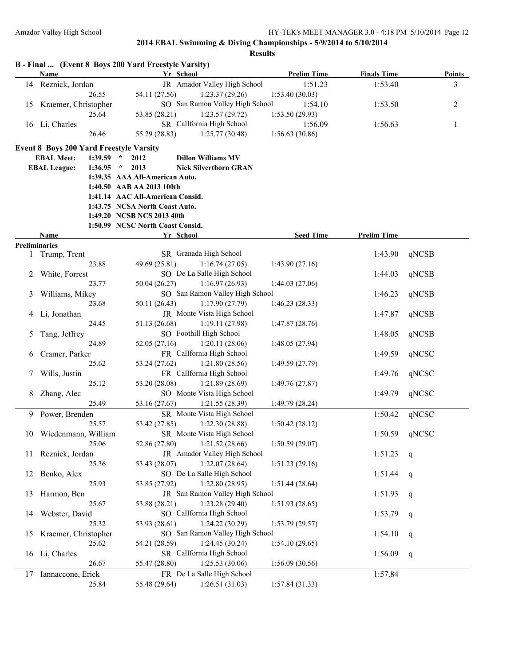|    |                                                |         | B - Final  (Event 8 Boys 200 Yard Freestyle Varsity)           |                                                   |                    |                    |               |
|----|------------------------------------------------|---------|----------------------------------------------------------------|---------------------------------------------------|--------------------|--------------------|---------------|
|    | Name                                           |         |                                                                | Yr School                                         | <b>Prelim Time</b> | <b>Finals Time</b> | <b>Points</b> |
|    | 14 Reznick, Jordan                             |         |                                                                | JR Amador Valley High School                      | 1:51.23            | 1:53.40            | 3             |
|    |                                                | 26.55   | 54.11 (27.56)                                                  | 1:23.37(29.26)<br>SO San Ramon Valley High School | 1:53.40(30.03)     |                    |               |
| 15 | Kraemer, Christopher                           | 25.64   |                                                                |                                                   | 1:54.10            | 1:53.50            | 2             |
|    |                                                |         | 53.85 (28.21)                                                  | 1:23.57(29.72)<br>SR CalIfornia High School       | 1:53.50(29.93)     |                    |               |
|    | 16 Li, Charles                                 |         |                                                                |                                                   | 1:56.09            | 1:56.63            | 1             |
|    |                                                | 26.46   | 55.29 (28.83)                                                  | 1:25.77(30.48)                                    | 1:56.63(30.86)     |                    |               |
|    | <b>Event 8 Boys 200 Yard Freestyle Varsity</b> |         |                                                                |                                                   |                    |                    |               |
|    | <b>EBAL Meet:</b>                              | 1:39.59 | $\star$<br>2012                                                | <b>Dillon Williams MV</b>                         |                    |                    |               |
|    | <b>EBAL League:</b>                            | 1:36.95 | 2013<br>$\Lambda$                                              | <b>Nick Silverthorn GRAN</b>                      |                    |                    |               |
|    |                                                |         | 1:39.35 AAA All-American Auto.                                 |                                                   |                    |                    |               |
|    |                                                |         | 1:40.50 AAB AA 2013 100th                                      |                                                   |                    |                    |               |
|    |                                                |         | 1:41.14 AAC All-American Consid.                               |                                                   |                    |                    |               |
|    |                                                |         | 1:43.75 NCSA North Coast Auto.                                 |                                                   |                    |                    |               |
|    |                                                |         | 1:49.20 NCSB NCS 2013 40th<br>1:50.99 NCSC North Coast Consid. |                                                   |                    |                    |               |
|    | Name                                           |         |                                                                | Yr School                                         | <b>Seed Time</b>   | <b>Prelim Time</b> |               |
|    | <b>Preliminaries</b>                           |         |                                                                |                                                   |                    |                    |               |
| 1  | Trump, Trent                                   |         |                                                                | SR Granada High School                            |                    | 1:43.90            | qNCSB         |
|    |                                                | 23.88   | 49.69 (25.81)                                                  | 1:16.74(27.05)                                    | 1:43.90(27.16)     |                    |               |
| 2  | White, Forrest                                 |         |                                                                | SO De La Salle High School                        |                    | 1:44.03            | qNCSB         |
|    |                                                | 23.77   | 50.04 (26.27)                                                  | 1:16.97(26.93)                                    | 1:44.03(27.06)     |                    |               |
| 3  | Williams, Mikey                                |         |                                                                | SO San Ramon Valley High School                   |                    | 1:46.23            | qNCSB         |
|    |                                                | 23.68   | 50.11 (26.43)                                                  | 1:17.90(27.79)                                    | 1:46.23(28.33)     |                    |               |
| 4  | Li, Jonathan                                   |         |                                                                | JR Monte Vista High School                        |                    | 1:47.87            | qNCSB         |
|    |                                                | 24.45   | 51.13 (26.68)                                                  | 1:19.11(27.98)                                    | 1:47.87(28.76)     |                    |               |
| 5  | Tang, Jeffrey                                  |         |                                                                | SO Foothill High School                           |                    | 1:48.05            | qNCSB         |
|    |                                                | 24.89   | 52.05 (27.16)                                                  | 1:20.11(28.06)                                    | 1:48.05(27.94)     |                    |               |
| 6  | Cramer, Parker                                 |         |                                                                | FR CalIfornia High School                         |                    | 1:49.59            | qNCSC         |
|    |                                                | 25.62   | 53.24 (27.62)                                                  | 1:21.80(28.56)                                    | 1:49.59(27.79)     |                    |               |
| 7  | Wills, Justin                                  |         |                                                                | FR CalIfornia High School                         |                    | 1:49.76            | qNCSC         |
|    |                                                | 25.12   | 53.20 (28.08)                                                  | 1:21.89(28.69)                                    | 1:49.76(27.87)     |                    |               |
| 8  | Zhang, Alec                                    |         |                                                                | SO Monte Vista High School                        |                    | 1:49.79            | qNCSC         |
|    |                                                | 25.49   | 53.16 (27.67)                                                  | 1:21.55(28.39)                                    | 1:49.79(28.24)     |                    |               |
|    | 9 Power, Brenden                               |         |                                                                | SR Monte Vista High School                        |                    | 1:50.42            | qNCSC         |
|    |                                                | 25.57   | 53.42 (27.85)                                                  | 1:22.30(28.88)                                    | 1:50.42(28.12)     |                    |               |
|    | 10 Wiedenmann, William                         |         |                                                                | SR Monte Vista High School                        |                    |                    | 1:50.59 qNCSC |
|    |                                                | 25.06   | 52.86 (27.80)                                                  | 1:21.52(28.66)                                    | 1:50.59(29.07)     |                    |               |
| 11 | Reznick, Jordan                                |         |                                                                | JR Amador Valley High School                      |                    | 1:51.23            | q             |
|    |                                                | 25.36   | 53.43 (28.07)                                                  | 1:22.07(28.64)                                    | 1:51.23(29.16)     |                    |               |
| 12 | Benko, Alex                                    |         |                                                                | SO De La Salle High School                        |                    | 1:51.44            | q             |
|    |                                                | 25.93   | 53.85 (27.92)                                                  | 1:22.80(28.95)                                    | 1:51.44(28.64)     |                    |               |
| 13 | Harmon, Ben                                    |         |                                                                | JR San Ramon Valley High School                   |                    | 1:51.93            | q             |
|    |                                                | 25.67   | 53.88 (28.21)                                                  | 1:23.28(29.40)                                    | 1:51.93(28.65)     |                    |               |
| 14 | Webster, David                                 |         |                                                                | SO CalIfornia High School                         |                    | 1:53.79            | q             |
|    |                                                | 25.32   | 53.93 (28.61)                                                  | 1:24.22(30.29)                                    | 1:53.79(29.57)     |                    |               |
| 15 | Kraemer, Christopher                           |         |                                                                | SO San Ramon Valley High School                   |                    | 1:54.10            | q             |
|    |                                                | 25.62   | 54.21 (28.59)                                                  | 1:24.45(30.24)                                    | 1:54.10(29.65)     |                    |               |
|    | 16 Li, Charles                                 |         |                                                                | SR CalIfornia High School                         |                    | 1:56.09            | q             |
|    |                                                | 26.67   | 55.47 (28.80)                                                  | 1:25.53 (30.06)                                   | 1:56.09(30.56)     |                    |               |
| 17 | Iannaccone, Erick                              |         |                                                                | FR De La Salle High School                        |                    | 1:57.84            |               |
|    |                                                | 25.84   | 55.48 (29.64)                                                  | 1:26.51(31.03)                                    | 1:57.84(31.33)     |                    |               |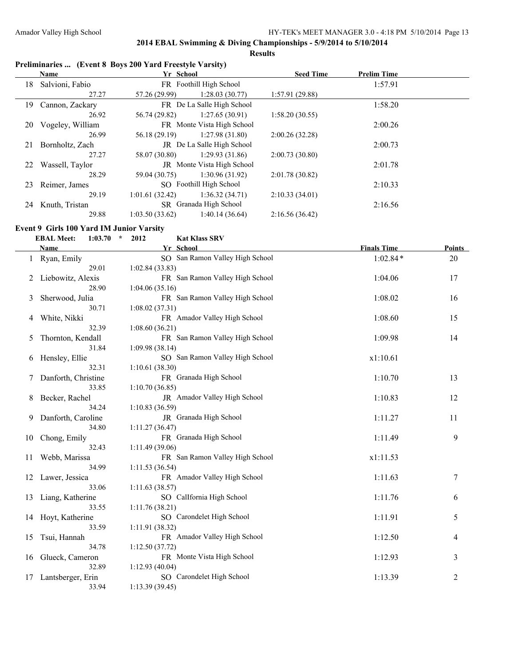**Results**

### **Preliminaries ... (Event 8 Boys 200 Yard Freestyle Varsity)**

|    | <b>Name</b>      | Yr School      |                            | <b>Seed Time</b> | <b>Prelim Time</b> |  |
|----|------------------|----------------|----------------------------|------------------|--------------------|--|
| 18 | Salvioni, Fabio  |                | FR Foothill High School    |                  | 1:57.91            |  |
|    | 27.27            | 57.26 (29.99)  | 1:28.03(30.77)             | 1:57.91(29.88)   |                    |  |
| 19 | Cannon, Zackary  |                | FR De La Salle High School |                  | 1:58.20            |  |
|    | 26.92            | 56.74 (29.82)  | 1:27.65(30.91)             | 1:58.20(30.55)   |                    |  |
| 20 | Vogeley, William |                | FR Monte Vista High School |                  | 2:00.26            |  |
|    | 26.99            | 56.18 (29.19)  | 1:27.98(31.80)             | 2:00.26(32.28)   |                    |  |
| 21 | Bornholtz, Zach  |                | JR De La Salle High School |                  | 2:00.73            |  |
|    | 27.27            | 58.07 (30.80)  | 1:29.93(31.86)             | 2:00.73(30.80)   |                    |  |
| 22 | Wassell, Taylor  |                | JR Monte Vista High School |                  | 2:01.78            |  |
|    | 28.29            | 59.04 (30.75)  | 1:30.96(31.92)             | 2:01.78(30.82)   |                    |  |
| 23 | Reimer, James    |                | SO Foothill High School    |                  | 2:10.33            |  |
|    | 29.19            | 1:01.61(32.42) | 1:36.32(34.71)             | 2:10.33(34.01)   |                    |  |
| 24 | Knuth, Tristan   |                | SR Granada High School     |                  | 2:16.56            |  |
|    | 29.88            | 1:03.50(33.62) | 1:40.14(36.64)             | 2:16.56(36.42)   |                    |  |
|    |                  |                |                            |                  |                    |  |

#### **Event 9 Girls 100 Yard IM Junior Varsity**

|    | <b>EBAL Meet:</b><br>1:03.70 | $\star$<br>2012 | <b>Kat Klass SRV</b>            |                    |               |
|----|------------------------------|-----------------|---------------------------------|--------------------|---------------|
|    | Name                         |                 | Yr School                       | <b>Finals Time</b> | <b>Points</b> |
|    | Ryan, Emily                  |                 | SO San Ramon Valley High School | $1:02.84*$         | 20            |
|    | 29.01                        | 1:02.84(33.83)  |                                 |                    |               |
|    | Liebowitz, Alexis            |                 | FR San Ramon Valley High School | 1:04.06            | 17            |
|    | 28.90                        | 1:04.06(35.16)  |                                 |                    |               |
| 3  | Sherwood, Julia              |                 | FR San Ramon Valley High School | 1:08.02            | 16            |
|    | 30.71                        | 1:08.02(37.31)  |                                 |                    |               |
| 4  | White, Nikki                 |                 | FR Amador Valley High School    | 1:08.60            | 15            |
|    | 32.39                        | 1:08.60(36.21)  |                                 |                    |               |
| 5  | Thornton, Kendall            |                 | FR San Ramon Valley High School | 1:09.98            | 14            |
|    | 31.84                        | 1:09.98(38.14)  |                                 |                    |               |
| 6  | Hensley, Ellie               |                 | SO San Ramon Valley High School | x1:10.61           |               |
|    | 32.31                        | 1:10.61(38.30)  |                                 |                    |               |
| 7  | Danforth, Christine          |                 | FR Granada High School          | 1:10.70            | 13            |
|    | 33.85                        | 1:10.70(36.85)  |                                 |                    |               |
| 8  | Becker, Rachel               |                 | JR Amador Valley High School    | 1:10.83            | 12            |
|    | 34.24                        | 1:10.83 (36.59) |                                 |                    |               |
| 9  | Danforth, Caroline           |                 | JR Granada High School          | 1:11.27            | 11            |
|    | 34.80                        | 1:11.27(36.47)  |                                 |                    |               |
| 10 | Chong, Emily                 |                 | FR Granada High School          | 1:11.49            | 9             |
|    | 32.43                        | 1:11.49(39.06)  |                                 |                    |               |
| 11 | Webb, Marissa                |                 | FR San Ramon Valley High School | x1:11.53           |               |
|    | 34.99                        | 1:11.53(36.54)  |                                 |                    |               |
| 12 | Lawer, Jessica               |                 | FR Amador Valley High School    | 1:11.63            | 7             |
|    | 33.06                        | 1:11.63(38.57)  |                                 |                    |               |
| 13 | Liang, Katherine             |                 | SO CalIfornia High School       | 1:11.76            | 6             |
|    | 33.55                        | 1:11.76(38.21)  |                                 |                    |               |
| 14 | Hoyt, Katherine              |                 | SO Carondelet High School       | 1:11.91            | 5             |
|    | 33.59                        | 1:11.91(38.32)  |                                 |                    |               |
| 15 | Tsui, Hannah                 |                 | FR Amador Valley High School    | 1:12.50            | 4             |
|    | 34.78                        | 1:12.50(37.72)  |                                 |                    |               |
| 16 | Glueck, Cameron              |                 | FR Monte Vista High School      | 1:12.93            | 3             |
|    | 32.89                        | 1:12.93(40.04)  |                                 |                    |               |
| 17 | Lantsberger, Erin            |                 | SO Carondelet High School       | 1:13.39            | 2             |
|    | 33.94                        | 1:13.39(39.45)  |                                 |                    |               |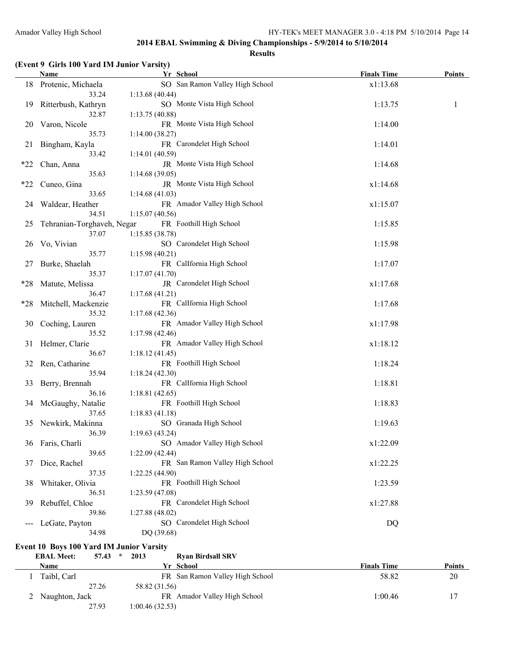#### **Results**

### **(Event 9 Girls 100 Yard IM Junior Varsity)**

|       | <b>Name</b>                | Yr School                       | <b>Finals Time</b> | <b>Points</b> |
|-------|----------------------------|---------------------------------|--------------------|---------------|
|       | 18 Protenic, Michaela      | SO San Ramon Valley High School | x1:13.68           |               |
|       | 33.24                      | 1:13.68(40.44)                  |                    |               |
| 19    | Ritterbush, Kathryn        | SO Monte Vista High School      | 1:13.75            | 1             |
|       | 32.87                      | 1:13.75 (40.88)                 |                    |               |
| 20    | Varon, Nicole              | FR Monte Vista High School      | 1:14.00            |               |
|       | 35.73                      | 1:14.00(38.27)                  |                    |               |
| 21    | Bingham, Kayla             | FR Carondelet High School       | 1:14.01            |               |
|       | 33.42                      | 1:14.01(40.59)                  |                    |               |
| $*22$ | Chan, Anna                 | JR Monte Vista High School      | 1:14.68            |               |
|       | 35.63                      | 1:14.68(39.05)                  |                    |               |
| $*22$ | Cuneo, Gina                | JR Monte Vista High School      | x1:14.68           |               |
|       | 33.65                      | 1:14.68(41.03)                  |                    |               |
| 24    | Waldear, Heather           | FR Amador Valley High School    | x1:15.07           |               |
|       | 34.51                      | 1:15.07(40.56)                  |                    |               |
| 25    | Tehranian-Torghaveh, Negar | FR Foothill High School         | 1:15.85            |               |
|       | 37.07                      | 1:15.85(38.78)                  |                    |               |
| 26    | Vo, Vivian                 | SO Carondelet High School       | 1:15.98            |               |
|       | 35.77                      | 1:15.98(40.21)                  |                    |               |
| 27    | Burke, Shaelah             | FR CalIfornia High School       | 1:17.07            |               |
|       | 35.37                      | 1:17.07(41.70)                  |                    |               |
| $*28$ | Matute, Melissa            | JR Carondelet High School       | x1:17.68           |               |
|       | 36.47                      | 1:17.68(41.21)                  |                    |               |
| $*28$ | Mitchell, Mackenzie        | FR CalIfornia High School       | 1:17.68            |               |
|       | 35.32                      | 1:17.68(42.36)                  |                    |               |
| 30    | Coching, Lauren            | FR Amador Valley High School    | x1:17.98           |               |
|       | 35.52                      | 1:17.98(42.46)                  |                    |               |
|       | 31 Helmer, Clarie          | FR Amador Valley High School    | x1:18.12           |               |
|       | 36.67                      | 1:18.12(41.45)                  |                    |               |
| 32    | Ren, Catharine             | FR Foothill High School         | 1:18.24            |               |
|       | 35.94                      | 1:18.24(42.30)                  |                    |               |
| 33    | Berry, Brennah             | FR CalIfornia High School       | 1:18.81            |               |
|       | 36.16                      | 1:18.81(42.65)                  |                    |               |
| 34    | McGaughy, Natalie          | FR Foothill High School         | 1:18.83            |               |
|       | 37.65                      | 1:18.83(41.18)                  |                    |               |
|       | 35 Newkirk, Makinna        | SO Granada High School          | 1:19.63            |               |
|       | 36.39                      | 1:19.63(43.24)                  |                    |               |
|       | 36 Faris, Charli           | SO Amador Valley High School    | x1:22.09           |               |
|       | 39.65                      | 1:22.09(42.44)                  |                    |               |
| 37    | Dice, Rachel               | FR San Ramon Valley High School | x1:22.25           |               |
|       | 37.35                      | 1:22.25 (44.90)                 |                    |               |
| 38    | Whitaker, Olivia           | FR Foothill High School         | 1:23.59            |               |
|       | 36.51                      | 1:23.59 (47.08)                 |                    |               |
| 39    | Rebuffel, Chloe            | FR Carondelet High School       | x1:27.88           |               |
|       | 39.86                      | 1:27.88 (48.02)                 |                    |               |
|       | LeGate, Payton             | SO Carondelet High School       | DQ                 |               |
|       | 34.98                      | DQ (39.68)                      |                    |               |

# **Event 10 Boys 100 Yard IM Junior Varsity<br>EBAL Meet:** 57.43  $*$  2013

 $Rxan Birdsall SRV$ 

| Name             | Yr School                       | <b>Finals Time</b> | <b>Points</b> |
|------------------|---------------------------------|--------------------|---------------|
| Taibl, Carl      | FR San Ramon Valley High School | 58.82              | 20            |
| 27.26            | 58.82 (31.56)                   |                    |               |
| 2 Naughton, Jack | FR Amador Valley High School    | 1:00.46            | 17            |
| 27.93            | 1:00.46 (32.53)                 |                    |               |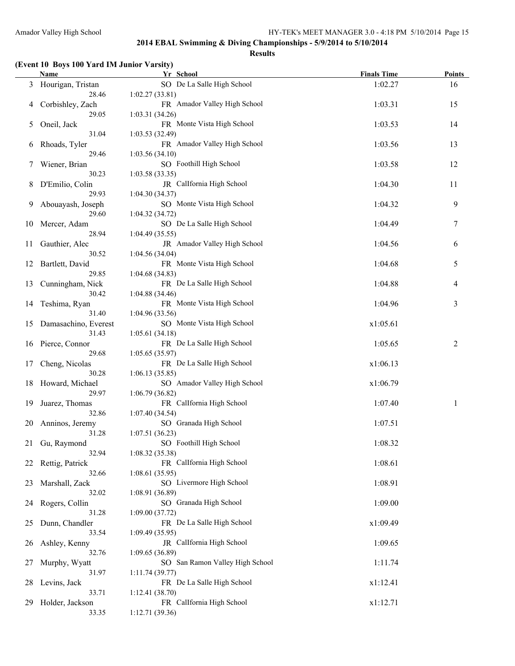#### **Results**

### **(Event 10 Boys 100 Yard IM Junior Varsity)**

|    | <b>Name</b>             | Yr School                                   | <b>Finals Time</b> | <b>Points</b> |
|----|-------------------------|---------------------------------------------|--------------------|---------------|
|    | 3 Hourigan, Tristan     | SO De La Salle High School                  | 1:02.27            | 16            |
|    | 28.46                   | 1:02.27(33.81)                              |                    |               |
| 4  | Corbishley, Zach        | FR Amador Valley High School                | 1:03.31            | 15            |
|    | 29.05                   | 1:03.31(34.26)                              |                    |               |
| 5  | Oneil, Jack             | FR Monte Vista High School                  | 1:03.53            | 14            |
|    | 31.04                   | 1:03.53(32.49)                              |                    |               |
| 6  | Rhoads, Tyler           | FR Amador Valley High School                | 1:03.56            | 13            |
|    | 29.46                   | 1:03.56(34.10)                              |                    |               |
| 7  | Wiener, Brian           | SO Foothill High School                     | 1:03.58            | 12            |
|    | 30.23                   | 1:03.58(33.35)                              |                    |               |
| 8  | D'Emilio, Colin         | JR CalIfornia High School                   | 1:04.30            | 11            |
|    | 29.93                   | 1:04.30(34.37)                              |                    |               |
| 9  | Abouayash, Joseph       | SO Monte Vista High School                  | 1:04.32            | 9             |
|    | 29.60                   | 1:04.32(34.72)                              |                    |               |
| 10 | Mercer, Adam            | SO De La Salle High School                  | 1:04.49            | 7             |
|    | 28.94                   | 1:04.49(35.55)                              |                    |               |
| 11 | Gauthier, Alec          | JR Amador Valley High School                | 1:04.56            | 6             |
|    | 30.52                   | 1:04.56(34.04)                              |                    |               |
| 12 | Bartlett, David         | FR Monte Vista High School                  | 1:04.68            | 5             |
|    | 29.85                   | 1:04.68(34.83)                              |                    |               |
| 13 | Cunningham, Nick        | FR De La Salle High School                  | 1:04.88            | 4             |
|    | 30.42                   | 1:04.88(34.46)                              |                    |               |
|    | 14 Teshima, Ryan        | FR Monte Vista High School                  | 1:04.96            | 3             |
|    | 31.40                   | 1:04.96(33.56)                              |                    |               |
| 15 | Damasachino, Everest    | SO Monte Vista High School                  | x1:05.61           |               |
|    | 31.43                   | 1:05.61(34.18)                              |                    |               |
|    | 16 Pierce, Connor       | FR De La Salle High School                  | 1:05.65            | 2             |
|    | 29.68                   | 1:05.65(35.97)                              |                    |               |
| 17 | Cheng, Nicolas          | FR De La Salle High School                  | x1:06.13           |               |
|    | 30.28                   | 1:06.13(35.85)                              |                    |               |
| 18 | Howard, Michael         | SO Amador Valley High School                | x1:06.79           |               |
| 19 | 29.97                   | 1:06.79(36.82)<br>FR CalIfornia High School | 1:07.40            |               |
|    | Juarez, Thomas<br>32.86 | 1:07.40 (34.54)                             |                    | 1             |
| 20 | Anninos, Jeremy         | SO Granada High School                      | 1:07.51            |               |
|    | 31.28                   | 1:07.51(36.23)                              |                    |               |
|    | 21 Gu, Raymond          | SO Foothill High School                     | 1:08.32            |               |
|    | 32.94                   | 1:08.32(35.38)                              |                    |               |
|    | 22 Rettig, Patrick      | FR CalIfornia High School                   | 1:08.61            |               |
|    | 32.66                   | 1:08.61(35.95)                              |                    |               |
| 23 | Marshall, Zack          | SO Livermore High School                    | 1:08.91            |               |
|    | 32.02                   | 1:08.91(36.89)                              |                    |               |
| 24 | Rogers, Collin          | SO Granada High School                      | 1:09.00            |               |
|    | 31.28                   | 1:09.00(37.72)                              |                    |               |
| 25 | Dunn, Chandler          | FR De La Salle High School                  | x1:09.49           |               |
|    | 33.54                   | 1:09.49(35.95)                              |                    |               |
| 26 | Ashley, Kenny           | JR CalIfornia High School                   | 1:09.65            |               |
|    | 32.76                   | 1:09.65 (36.89)                             |                    |               |
| 27 | Murphy, Wyatt           | SO San Ramon Valley High School             | 1:11.74            |               |
|    | 31.97                   | 1:11.74(39.77)                              |                    |               |
| 28 | Levins, Jack            | FR De La Salle High School                  | x1:12.41           |               |
|    | 33.71                   | 1:12.41(38.70)                              |                    |               |
| 29 | Holder, Jackson         | FR CalIfornia High School                   | x1:12.71           |               |
|    | 33.35                   | 1:12.71(39.36)                              |                    |               |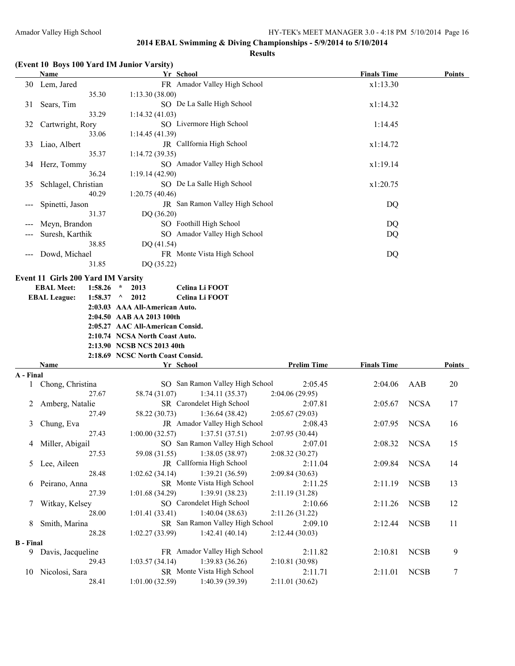#### **Results**

|  | (Event 10 Boys 100 Yard IM Junior Varsity) |  |  |  |
|--|--------------------------------------------|--|--|--|
|--|--------------------------------------------|--|--|--|

|           | <b>Name</b>                               | Yr School                                                           |                            | <b>Finals Time</b> |             | <b>Points</b> |
|-----------|-------------------------------------------|---------------------------------------------------------------------|----------------------------|--------------------|-------------|---------------|
|           | 30 Lem, Jared                             | FR Amador Valley High School                                        |                            | x1:13.30           |             |               |
|           | 35.30                                     | 1:13.30(38.00)                                                      |                            |                    |             |               |
| 31        | Sears, Tim                                | SO De La Salle High School                                          |                            | x1:14.32           |             |               |
|           | 33.29                                     | 1:14.32(41.03)                                                      |                            |                    |             |               |
| 32        | Cartwright, Rory                          | SO Livermore High School                                            |                            | 1:14.45            |             |               |
|           | 33.06                                     | 1:14.45(41.39)                                                      |                            |                    |             |               |
| 33        | Liao, Albert                              | JR Callfornia High School                                           |                            | x1:14.72           |             |               |
|           | 35.37                                     | 1:14.72(39.35)                                                      |                            |                    |             |               |
|           | 34 Herz, Tommy                            | SO Amador Valley High School                                        |                            | x1:19.14           |             |               |
|           | 36.24                                     | 1:19.14(42.90)                                                      |                            |                    |             |               |
| 35        | Schlagel, Christian                       | SO De La Salle High School                                          |                            | x1:20.75           |             |               |
|           | 40.29                                     | 1:20.75(40.46)                                                      |                            |                    |             |               |
|           | Spinetti, Jason                           | JR San Ramon Valley High School                                     |                            | DQ                 |             |               |
|           | 31.37                                     | DQ (36.20)                                                          |                            |                    |             |               |
|           | Meyn, Brandon                             | SO Foothill High School                                             |                            | DQ                 |             |               |
|           | Suresh, Karthik                           | SO Amador Valley High School                                        |                            | DQ                 |             |               |
|           | 38.85                                     | DQ (41.54)                                                          |                            |                    |             |               |
|           | Dowd, Michael                             | FR Monte Vista High School                                          |                            | DQ                 |             |               |
|           | 31.85                                     | DQ (35.22)                                                          |                            |                    |             |               |
|           |                                           |                                                                     |                            |                    |             |               |
|           | <b>Event 11 Girls 200 Yard IM Varsity</b> |                                                                     |                            |                    |             |               |
|           | <b>EBAL Meet:</b><br>1:58.26              | Celina Li FOOT<br>2013<br>$\star$                                   |                            |                    |             |               |
|           | <b>EBAL League:</b><br>1:58.37 $\land$    | 2012<br>Celina Li FOOT                                              |                            |                    |             |               |
|           |                                           | 2:03.03 AAA All-American Auto.                                      |                            |                    |             |               |
|           |                                           | 2:04.50 AAB AA 2013 100th                                           |                            |                    |             |               |
|           |                                           |                                                                     |                            |                    |             |               |
|           |                                           | 2:05.27 AAC All-American Consid.                                    |                            |                    |             |               |
|           |                                           | 2:10.74 NCSA North Coast Auto.                                      |                            |                    |             |               |
|           |                                           | 2:13.90 NCSB NCS 2013 40th                                          |                            |                    |             |               |
|           |                                           | 2:18.69 NCSC North Coast Consid.                                    |                            |                    |             |               |
|           | Name                                      | Yr School                                                           | <b>Prelim Time</b>         | <b>Finals Time</b> |             | <b>Points</b> |
| A - Final |                                           |                                                                     |                            |                    |             |               |
| $\perp$   | Chong, Christina                          | SO San Ramon Valley High School                                     | 2:05.45                    | 2:04.06            | AAB         | 20            |
|           | 27.67                                     | 58.74 (31.07)<br>1:34.11(35.37)                                     | 2:04.06(29.95)             |                    |             |               |
| 2         | Amberg, Natalie                           | SR Carondelet High School                                           | 2:07.81                    | 2:05.67            | <b>NCSA</b> | 17            |
|           | 27.49                                     | 1:36.64(38.42)<br>58.22 (30.73)                                     | 2:05.67(29.03)             |                    |             |               |
| 3         | Chung, Eva                                | JR Amador Valley High School                                        | 2:08.43                    | 2:07.95            | <b>NCSA</b> | 16            |
|           | 27.43                                     | 1:37.51(37.51)<br>1:00.00(32.57)                                    | 2:07.95(30.44)             |                    |             |               |
| 4         | Miller, Abigail                           | SO San Ramon Valley High School                                     | 2:07.01                    | 2:08.32            | <b>NCSA</b> | 15            |
|           | 27.53                                     | 59.08 (31.55)<br>1:38.05 (38.97)                                    | 2:08.32(30.27)             |                    |             |               |
|           | 5 Lee, Aileen                             | JR CalIfornia High School                                           | 2:11.04                    | 2:09.84            | <b>NCSA</b> | 14            |
|           | 28.48                                     | 1:39.21 (36.59)<br>1:02.62(34.14)                                   | 2:09.84 (30.63)            |                    |             |               |
| 6         | Peirano, Anna                             | SR Monte Vista High School                                          | 2:11.25                    | 2:11.19            | <b>NCSB</b> | 13            |
|           | 27.39                                     | 1:39.91 (38.23)<br>1:01.68(34.29)                                   | 2:11.19 (31.28)            |                    |             |               |
| 7         | Witkay, Kelsey                            | SO Carondelet High School                                           | 2:10.66                    | 2:11.26            | <b>NCSB</b> | 12            |
|           | 28.00                                     | 1:40.04(38.63)<br>1:01.41(33.41)                                    | 2:11.26 (31.22)            |                    |             |               |
| 8         | Smith, Marina<br>28.28                    | SR San Ramon Valley High School<br>1:42.41(40.14)<br>1:02.27(33.99) | 2:09.10<br>2:12.44 (30.03) | 2:12.44            | <b>NCSB</b> | 11            |

PR Amador Valley High School 2:11.82 2:10.81 NCSB 9

**B** - **Final**<br>9 Davis, Jacqueline 29.43 1:03.57 (34.14) 1:39.83 (36.26) 2:10.81 (30.98) 10 Nicolosi, Sara SR Monte Vista High School 2:11.71 2:11.01 NCSB 7

28.41 1:01.00 (32.59) 1:40.39 (39.39) 2:11.01 (30.62)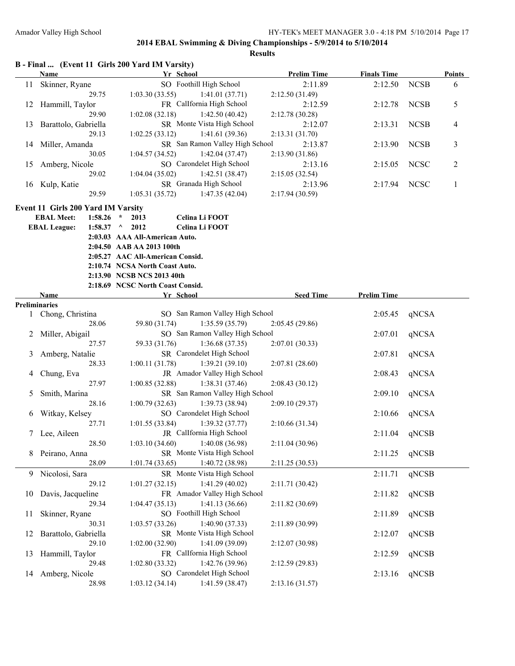|    | B - Final  (Event 11 Girls 200 Yard IM Varsity) |                 |                             |                                  |           |                                 |                    |                    |               |              |
|----|-------------------------------------------------|-----------------|-----------------------------|----------------------------------|-----------|---------------------------------|--------------------|--------------------|---------------|--------------|
|    | Name                                            |                 |                             |                                  | Yr School |                                 | <b>Prelim Time</b> | <b>Finals Time</b> |               | Points       |
|    | 11 Skinner, Ryane                               |                 |                             |                                  |           | SO Foothill High School         | 2:11.89            | 2:12.50            | <b>NCSB</b>   | 6            |
|    |                                                 | 29.75           |                             | 1:03.30(33.55)                   |           | 1:41.01(37.71)                  | 2:12.50(31.49)     |                    |               |              |
|    | 12 Hammill, Taylor                              |                 |                             |                                  |           | FR CalIfornia High School       | 2:12.59            | 2:12.78            | <b>NCSB</b>   | 5            |
|    |                                                 | 29.90           |                             | 1:02.08(32.18)                   |           | 1:42.50(40.42)                  | 2:12.78(30.28)     |                    |               |              |
| 13 | Barattolo, Gabriella                            |                 |                             |                                  |           | SR Monte Vista High School      | 2:12.07            | 2:13.31            | <b>NCSB</b>   | 4            |
|    |                                                 | 29.13           |                             | 1:02.25(33.12)                   |           | 1:41.61(39.36)                  | 2:13.31(31.70)     |                    |               |              |
|    | 14 Miller, Amanda                               |                 |                             |                                  |           | SR San Ramon Valley High School | 2:13.87            | 2:13.90            | <b>NCSB</b>   | 3            |
|    |                                                 | 30.05           |                             | 1:04.57(34.52)                   |           | 1:42.04(37.47)                  | 2:13.90(31.86)     |                    |               |              |
| 15 | Amberg, Nicole                                  |                 |                             |                                  |           | SO Carondelet High School       | 2:13.16            | 2:15.05            | <b>NCSC</b>   | 2            |
|    |                                                 | 29.02           |                             | 1:04.04(35.02)                   |           | 1:42.51(38.47)                  | 2:15.05(32.54)     |                    |               |              |
|    | 16 Kulp, Katie                                  |                 |                             |                                  |           | SR Granada High School          | 2:13.96            | 2:17.94            | <b>NCSC</b>   | $\mathbf{1}$ |
|    |                                                 | 29.59           |                             | 1:05.31(35.72)                   |           | 1:47.35(42.04)                  | 2:17.94 (30.59)    |                    |               |              |
|    | <b>Event 11 Girls 200 Yard IM Varsity</b>       |                 |                             |                                  |           |                                 |                    |                    |               |              |
|    | <b>EBAL Meet:</b>                               | 1:58.26         | $\mathcal{N}_{\mathcal{A}}$ | 2013                             |           | Celina Li FOOT                  |                    |                    |               |              |
|    | <b>EBAL League:</b>                             | 1:58.37 $\land$ |                             | 2012                             |           | Celina Li FOOT                  |                    |                    |               |              |
|    |                                                 |                 |                             | 2:03.03 AAA All-American Auto.   |           |                                 |                    |                    |               |              |
|    |                                                 |                 |                             | 2:04.50 AAB AA 2013 100th        |           |                                 |                    |                    |               |              |
|    |                                                 |                 |                             | 2:05.27 AAC All-American Consid. |           |                                 |                    |                    |               |              |
|    |                                                 |                 |                             | 2:10.74 NCSA North Coast Auto.   |           |                                 |                    |                    |               |              |
|    |                                                 |                 |                             | 2:13.90 NCSB NCS 2013 40th       |           |                                 |                    |                    |               |              |
|    |                                                 |                 |                             | 2:18.69 NCSC North Coast Consid. |           |                                 |                    |                    |               |              |
|    | Name                                            |                 |                             |                                  | Yr School |                                 | <b>Seed Time</b>   | <b>Prelim Time</b> |               |              |
|    | Preliminaries                                   |                 |                             |                                  |           |                                 |                    |                    |               |              |
|    | 1 Chong, Christina                              |                 |                             |                                  |           | SO San Ramon Valley High School |                    | 2:05.45            | qNCSA         |              |
|    |                                                 | 28.06           |                             | 59.80 (31.74)                    |           | 1:35.59(35.79)                  | 2:05.45(29.86)     |                    |               |              |
| 2  | Miller, Abigail                                 |                 |                             |                                  |           | SO San Ramon Valley High School |                    | 2:07.01            | qNCSA         |              |
|    |                                                 | 27.57           |                             | 59.33 (31.76)                    |           | 1:36.68(37.35)                  | 2:07.01 (30.33)    |                    |               |              |
| 3  | Amberg, Natalie                                 |                 |                             |                                  |           | SR Carondelet High School       |                    | 2:07.81            | qNCSA         |              |
|    |                                                 | 28.33           |                             | 1:00.11(31.78)                   |           | 1:39.21(39.10)                  | 2:07.81(28.60)     |                    |               |              |
| 4  | Chung, Eva                                      |                 |                             |                                  |           | JR Amador Valley High School    |                    | 2:08.43            | qNCSA         |              |
|    |                                                 | 27.97           |                             | 1:00.85(32.88)                   |           | 1:38.31(37.46)                  | 2:08.43(30.12)     |                    |               |              |
| 5  | Smith, Marina                                   |                 |                             |                                  |           | SR San Ramon Valley High School |                    | 2:09.10            | qNCSA         |              |
|    |                                                 | 28.16           |                             | 1:00.79(32.63)                   |           | 1:39.73 (38.94)                 | 2:09.10 (29.37)    |                    |               |              |
|    | 6 Witkay, Kelsey                                |                 |                             |                                  |           | SO Carondelet High School       |                    | 2:10.66            | qNCSA         |              |
|    |                                                 | 27.71           |                             | 1:01.55(33.84)                   |           | 1:39.32(37.77)                  | 2:10.66 (31.34)    |                    |               |              |
|    | 7 Lee, Aileen                                   |                 |                             |                                  |           | JR CalIfornia High School       |                    |                    | 2:11.04 qNCSB |              |
|    |                                                 | 28.50           |                             | 1:03.10(34.60)                   |           | 1:40.08(36.98)                  | 2:11.04 (30.96)    |                    |               |              |
| 8  | Peirano, Anna                                   |                 |                             |                                  |           | SR Monte Vista High School      |                    | 2:11.25            | qNCSB         |              |
|    |                                                 | 28.09           |                             | 1:01.74(33.65)                   |           | 1:40.72 (38.98)                 | 2:11.25 (30.53)    |                    |               |              |
|    | 9 Nicolosi, Sara                                |                 |                             |                                  |           | SR Monte Vista High School      |                    | 2:11.71            | qNCSB         |              |
|    |                                                 | 29.12           |                             | 1:01.27(32.15)                   |           | 1:41.29(40.02)                  | 2:11.71 (30.42)    |                    |               |              |
| 10 | Davis, Jacqueline                               |                 |                             |                                  |           | FR Amador Valley High School    |                    | 2:11.82            | qNCSB         |              |
|    |                                                 | 29.34           |                             | 1:04.47(35.13)                   |           | 1:41.13(36.66)                  | 2:11.82 (30.69)    |                    |               |              |
| 11 | Skinner, Ryane                                  |                 |                             |                                  |           | SO Foothill High School         |                    | 2:11.89            | qNCSB         |              |
|    |                                                 | 30.31           |                             | 1:03.57(33.26)                   |           | 1:40.90(37.33)                  | 2:11.89 (30.99)    |                    |               |              |
| 12 | Barattolo, Gabriella                            |                 |                             |                                  |           | SR Monte Vista High School      |                    | 2:12.07            | qNCSB         |              |
|    |                                                 | 29.10           |                             | 1:02.00(32.90)                   |           | 1:41.09(39.09)                  | 2:12.07 (30.98)    |                    |               |              |
| 13 | Hammill, Taylor                                 |                 |                             |                                  |           | FR Callfornia High School       |                    | 2:12.59            | qNCSB         |              |
|    |                                                 | 29.48           |                             | 1:02.80(33.32)                   |           | 1:42.76 (39.96)                 | 2:12.59 (29.83)    |                    |               |              |
|    | 14 Amberg, Nicole                               |                 |                             |                                  |           | SO Carondelet High School       |                    | 2:13.16            | qNCSB         |              |
|    |                                                 | 28.98           |                             | 1:03.12(34.14)                   |           | 1:41.59(38.47)                  | 2:13.16(31.57)     |                    |               |              |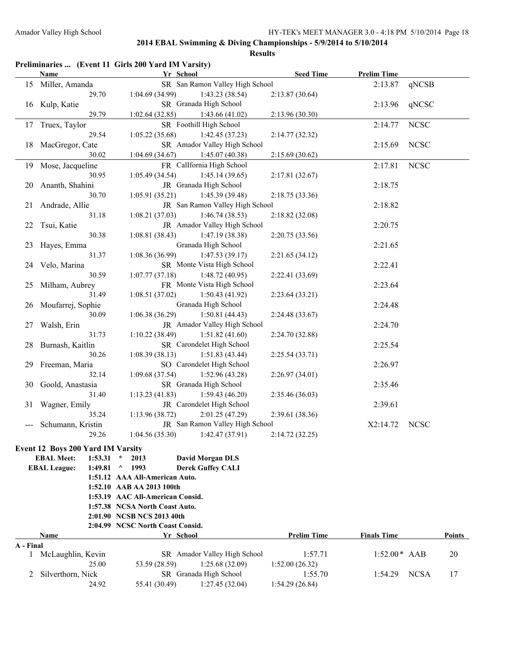|           |                                   | Preliminaries  (Event 11 Girls 200 Yard IM Varsity) |                    |                    |             |        |
|-----------|-----------------------------------|-----------------------------------------------------|--------------------|--------------------|-------------|--------|
|           | Name                              | Yr School                                           | <b>Seed Time</b>   | <b>Prelim Time</b> |             |        |
| 15        | Miller, Amanda                    | SR San Ramon Valley High School                     |                    | 2:13.87            | qNCSB       |        |
|           | 29.70                             | 1:04.69(34.99)<br>1:43.23(38.54)                    | 2:13.87(30.64)     |                    |             |        |
| 16        | Kulp, Katie                       | SR Granada High School                              |                    | 2:13.96            | qNCSC       |        |
|           | 29.79                             | 1:02.64(32.85)<br>1:43.66(41.02)                    | 2:13.96(30.30)     |                    |             |        |
| 17        | Truex, Taylor                     | SR Foothill High School                             |                    | 2:14.77            | <b>NCSC</b> |        |
|           | 29.54                             | 1:42.45(37.23)<br>1:05.22(35.68)                    | 2:14.77(32.32)     |                    |             |        |
| 18        | MacGregor, Cate                   | SR Amador Valley High School                        |                    | 2:15.69            | <b>NCSC</b> |        |
|           | 30.02                             | 1:04.69(34.67)<br>1:45.07(40.38)                    | 2:15.69(30.62)     |                    |             |        |
| 19        | Mose, Jacqueline                  | FR CalIfornia High School                           |                    | 2:17.81            | <b>NCSC</b> |        |
|           | 30.95                             | 1:05.49(34.54)<br>1:45.14(39.65)                    | 2:17.81(32.67)     |                    |             |        |
| 20        | Ananth, Shahini                   | JR Granada High School                              |                    | 2:18.75            |             |        |
|           | 30.70                             | 1:05.91(35.21)<br>1:45.39 (39.48)                   | 2:18.75 (33.36)    |                    |             |        |
| 21        | Andrade, Allie                    | JR San Ramon Valley High School                     |                    | 2:18.82            |             |        |
|           | 31.18                             | 1:08.21(37.03)<br>1:46.74(38.53)                    | 2:18.82 (32.08)    |                    |             |        |
| 22        | Tsui, Katie                       | JR Amador Valley High School                        |                    | 2:20.75            |             |        |
|           | 30.38                             | 1:47.19(38.38)<br>1:08.81(38.43)                    | 2:20.75(33.56)     |                    |             |        |
| 23        | Hayes, Emma                       | Granada High School                                 |                    | 2:21.65            |             |        |
|           | 31.37                             | 1:47.53(39.17)<br>1:08.36(36.99)                    | 2:21.65(34.12)     |                    |             |        |
| 24        | Velo, Marina                      | SR Monte Vista High School                          |                    | 2:22.41            |             |        |
|           | 30.59                             | 1:07.77(37.18)<br>1:48.72(40.95)                    | 2:22.41 (33.69)    |                    |             |        |
| 25        | Milham, Aubrey                    | FR Monte Vista High School                          |                    | 2:23.64            |             |        |
|           | 31.49                             | 1:08.51(37.02)<br>1:50.43(41.92)                    | 2:23.64(33.21)     |                    |             |        |
| 26        | Moufarrej, Sophie                 | Granada High School                                 |                    | 2:24.48            |             |        |
|           | 30.09                             | 1:06.38(36.29)<br>1:50.81(44.43)                    | 2:24.48(33.67)     |                    |             |        |
| 27        | Walsh, Erin                       | JR Amador Valley High School                        |                    | 2:24.70            |             |        |
|           | 31.73                             | 1:51.82(41.60)<br>1:10.22(38.49)                    | 2:24.70 (32.88)    |                    |             |        |
| 28        | Burnash, Kaitlin                  | SR Carondelet High School                           |                    | 2:25.54            |             |        |
|           | 30.26                             | 1:08.39(38.13)<br>1:51.83(43.44)                    | 2:25.54(33.71)     |                    |             |        |
| 29.       | Freeman, Maria                    | SO Carondelet High School                           |                    | 2:26.97            |             |        |
|           | 32.14                             | 1:09.68(37.54)<br>1:52.96(43.28)                    | 2:26.97(34.01)     |                    |             |        |
|           | Goold, Anastasia                  | SR Granada High School                              |                    |                    |             |        |
| 30        |                                   | 1:59.43(46.20)                                      |                    | 2:35.46            |             |        |
|           | 31.40                             | 1:13.23(41.83)<br>JR Carondelet High School         | 2:35.46 (36.03)    |                    |             |        |
| 31        | Wagner, Emily                     |                                                     |                    | 2:39.61            |             |        |
|           | 35.24                             | 1:13.96(38.72)<br>2:01.25 (47.29)                   | 2:39.61(38.36)     |                    |             |        |
| ---       | Schumann, Kristin                 | JR San Ramon Valley High School                     |                    | X2:14.72           | <b>NCSC</b> |        |
|           | 29.26                             | $1:04.56(35.30)$ $1:42.47(37.91)$                   | 2:14.72 (32.25)    |                    |             |        |
|           | Event 12 Boys 200 Yard IM Varsity |                                                     |                    |                    |             |        |
|           | <b>EBAL Meet:</b><br>1:53.31      | 2013<br><b>David Morgan DLS</b><br>$\star$          |                    |                    |             |        |
|           | <b>EBAL League:</b><br>1:49.81    | 1993<br><b>Derek Guffey CALI</b><br>$\wedge$        |                    |                    |             |        |
|           |                                   | 1:51.12 AAA All-American Auto.                      |                    |                    |             |        |
|           |                                   | 1:52.10 AAB AA 2013 100th                           |                    |                    |             |        |
|           |                                   | 1:53.19 AAC All-American Consid.                    |                    |                    |             |        |
|           |                                   | 1:57.38 NCSA North Coast Auto.                      |                    |                    |             |        |
|           |                                   | 2:01.90 NCSB NCS 2013 40th                          |                    |                    |             |        |
|           |                                   | 2:04.99 NCSC North Coast Consid.                    |                    |                    |             |        |
|           | Name                              | Yr School                                           | <b>Prelim Time</b> | <b>Finals Time</b> |             | Points |
| A - Final |                                   |                                                     |                    |                    |             |        |
| 1         | McLaughlin, Kevin                 | SR Amador Valley High School                        | 1:57.71            | $1:52.00*$ AAB     |             | 20     |
|           | 25.00                             | 1:25.68(32.09)<br>53.59 (28.59)                     | 1:52.00(26.32)     |                    |             |        |
| 2         | Silverthorn, Nick                 | SR Granada High School                              | 1:55.70            | 1:54.29            | <b>NCSA</b> | 17     |
|           | 24.92                             | 55.41 (30.49)<br>1:27.45(32.04)                     | 1:54.29(26.84)     |                    |             |        |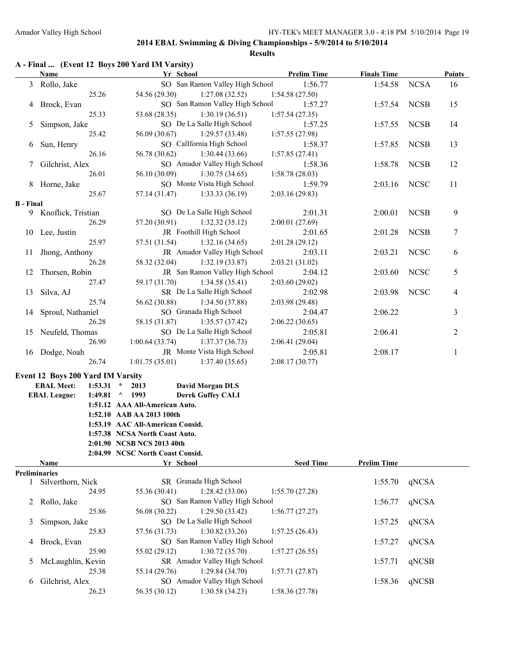| A - Final  (Event 12 Boys 200 Yard IM Varsity) |
|------------------------------------------------|
|------------------------------------------------|

|                  | <b>Name</b>                              | Yr School                                   | <b>Prelim Time</b> | <b>Finals Time</b> |             | <b>Points</b>  |
|------------------|------------------------------------------|---------------------------------------------|--------------------|--------------------|-------------|----------------|
|                  | 3 Rollo, Jake                            | SO San Ramon Valley High School             | 1:56.77            | 1:54.58            | <b>NCSA</b> | 16             |
|                  | 25.26                                    | 54.56 (29.30)<br>1:27.08(32.52)             | 1:54.58(27.50)     |                    |             |                |
|                  | 4 Brock, Evan                            | SO San Ramon Valley High School             | 1:57.27            | 1:57.54            | <b>NCSB</b> | 15             |
|                  | 25.33                                    | 53.68 (28.35)<br>1:30.19(36.51)             | 1:57.54(27.35)     |                    |             |                |
| 5                | Simpson, Jake                            | SO De La Salle High School                  | 1:57.25            | 1:57.55            | <b>NCSB</b> | 14             |
|                  | 25.42                                    | 56.09 (30.67)<br>1:29.57(33.48)             | 1:57.55(27.98)     |                    |             |                |
| 6                | Sun, Henry                               | SO CalIfornia High School                   | 1:58.37            | 1:57.85            | <b>NCSB</b> | 13             |
|                  | 26.16                                    | 56.78 (30.62)<br>1:30.44(33.66)             | 1:57.85(27.41)     |                    |             |                |
|                  | Gilchrist, Alex                          | SO Amador Valley High School                | 1:58.36            | 1:58.78            | <b>NCSB</b> | 12             |
| 7                | 26.01                                    | 56.10 (30.09)                               |                    |                    |             |                |
|                  |                                          | 1:30.75(34.65)                              | 1:58.78(28.03)     |                    |             |                |
|                  | 8 Horne, Jake                            | SO Monte Vista High School                  | 1:59.79            | 2:03.16            | <b>NCSC</b> | 11             |
|                  | 25.67                                    | 57.14 (31.47)<br>1:33.33(36.19)             | 2:03.16(29.83)     |                    |             |                |
| <b>B</b> - Final |                                          |                                             |                    |                    |             |                |
|                  | 9 Knoflick, Tristian                     | SO De La Salle High School                  | 2:01.31            | 2:00.01            | <b>NCSB</b> | 9              |
|                  | 26.29                                    | 57.20 (30.91)<br>1:32.32(35.12)             | 2:00.01(27.69)     |                    |             |                |
|                  | 10 Lee, Justin                           | JR Foothill High School                     | 2:01.65            | 2:01.28            | <b>NCSB</b> | $\tau$         |
|                  | 25.97                                    | 57.51 (31.54)<br>1:32.16(34.65)             | 2:01.28(29.12)     |                    |             |                |
| 11               | Jhong, Anthony                           | JR Amador Valley High School                | 2:03.11            | 2:03.21            | <b>NCSC</b> | 6              |
|                  | 26.28                                    | 58.32 (32.04)<br>1:32.19(33.87)             | 2:03.21 (31.02)    |                    |             |                |
| 12               | Thorsen, Robin                           | JR San Ramon Valley High School             | 2:04.12            | 2:03.60            | <b>NCSC</b> | 5              |
|                  | 27.47                                    | 59.17 (31.70)<br>1:34.58(35.41)             | 2:03.60 (29.02)    |                    |             |                |
| 13               | Silva, AJ                                | SR De La Salle High School                  | 2:02.98            | 2:03.98            | <b>NCSC</b> | $\overline{4}$ |
|                  | 25.74                                    | 56.62 (30.88)<br>1:34.50 (37.88)            | 2:03.98 (29.48)    |                    |             |                |
|                  | 14 Sproul, Nathaniel                     | SO Granada High School                      | 2:04.47            | 2:06.22            |             | 3              |
|                  | 26.28                                    | 58.15 (31.87)<br>1:35.57(37.42)             | 2:06.22(30.65)     |                    |             |                |
|                  | 15 Neufeld, Thomas                       | SO De La Salle High School                  | 2:05.81            | 2:06.41            |             | 2              |
|                  | 26.90                                    | 1:00.64(33.74)<br>1:37.37(36.73)            | 2:06.41 (29.04)    |                    |             |                |
|                  | 16 Dodge, Noah                           | JR Monte Vista High School                  | 2:05.81            | 2:08.17            |             | $\mathbf{1}$   |
|                  | 26.74                                    | 1:01.75(35.01)<br>1:37.40(35.65)            | 2:08.17(30.77)     |                    |             |                |
|                  |                                          |                                             |                    |                    |             |                |
|                  | <b>Event 12 Boys 200 Yard IM Varsity</b> |                                             |                    |                    |             |                |
|                  | <b>EBAL Meet:</b><br>1:53.31             | <b>David Morgan DLS</b><br>2013<br>$\star$  |                    |                    |             |                |
|                  | <b>EBAL League:</b><br>1:49.81           | <b>Derek Guffey CALI</b><br>$^{\circ}$ 1993 |                    |                    |             |                |
|                  |                                          | 1:51.12 AAA All-American Auto.              |                    |                    |             |                |
|                  |                                          | 1:52.10 AAB AA 2013 100th                   |                    |                    |             |                |
|                  |                                          | 1:53.19 AAC All-American Consid.            |                    |                    |             |                |
|                  |                                          | 1:57.38 NCSA North Coast Auto.              |                    |                    |             |                |
|                  |                                          | 2:01.90 NCSB NCS 2013 40th                  |                    |                    |             |                |
|                  |                                          | 2:04.99 NCSC North Coast Consid.            |                    |                    |             |                |
|                  | Name                                     | Yr School                                   | <b>Seed Time</b>   | <b>Prelim Time</b> |             |                |
|                  | <b>Preliminaries</b>                     |                                             |                    |                    |             |                |
| $\mathbf{1}$     | Silverthorn, Nick                        | SR Granada High School                      |                    | 1:55.70            | qNCSA       |                |
|                  | 24.95                                    | 55.36 (30.41)<br>1:28.42(33.06)             | 1:55.70(27.28)     |                    |             |                |
|                  | 2 Rollo, Jake                            | SO San Ramon Valley High School             |                    | 1:56.77            | qNCSA       |                |
|                  | 25.86                                    | 1:29.50(33.42)<br>56.08 (30.22)             | 1:56.77(27.27)     |                    |             |                |
| 3                | Simpson, Jake                            | SO De La Salle High School                  |                    | 1:57.25            | qNCSA       |                |
|                  | 25.83                                    | 1:30.82(33.26)<br>57.56 (31.73)             | 1:57.25(26.43)     |                    |             |                |
| 4                | Brock, Evan                              | SO San Ramon Valley High School             |                    | 1:57.27            | qNCSA       |                |
|                  | 25.90                                    | 55.02 (29.12)<br>1:30.72(35.70)             | 1:57.27(26.55)     |                    |             |                |
| 5                | McLaughlin, Kevin                        | SR Amador Valley High School                |                    | 1:57.71            | qNCSB       |                |
|                  | 25.38                                    | 1:29.84(34.70)<br>55.14 (29.76)             | 1:57.71(27.87)     |                    |             |                |
| 6                | Gilchrist, Alex                          | SO Amador Valley High School                |                    | 1:58.36            | qNCSB       |                |
|                  | 26.23                                    | 56.35 (30.12)<br>1:30.58(34.23)             | 1:58.36 (27.78)    |                    |             |                |
|                  |                                          |                                             |                    |                    |             |                |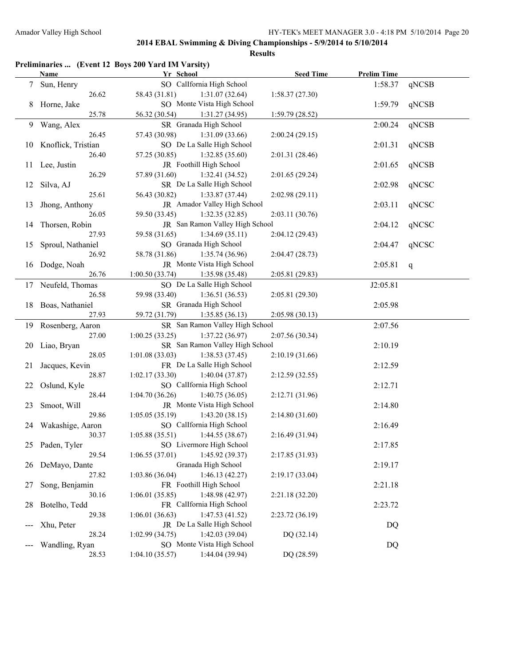|                 |                      | Preliminaries  (Event 12 Boys 200 Yard IM Varsity)            |                  |                    |       |
|-----------------|----------------------|---------------------------------------------------------------|------------------|--------------------|-------|
|                 | Name                 | Yr School                                                     | <b>Seed Time</b> | <b>Prelim Time</b> |       |
| $7\overline{ }$ | Sun, Henry           | SO CalIfornia High School                                     |                  | 1:58.37            | qNCSB |
|                 | 26.62                | 58.43 (31.81)<br>1:31.07(32.64)                               | 1:58.37(27.30)   |                    |       |
| 8               | Horne, Jake          | SO Monte Vista High School                                    |                  | 1:59.79            | qNCSB |
|                 | 25.78                | 56.32 (30.54)<br>1:31.27 (34.95)                              | 1:59.79(28.52)   |                    |       |
| 9               | Wang, Alex           | SR Granada High School                                        |                  | 2:00.24            | qNCSB |
|                 | 26.45                | 57.43 (30.98)<br>1:31.09(33.66)                               | 2:00.24(29.15)   |                    |       |
| 10              | Knoflick, Tristian   | SO De La Salle High School                                    |                  | 2:01.31            | qNCSB |
|                 | 26.40                | 57.25 (30.85)<br>1:32.85(35.60)                               | 2:01.31 (28.46)  |                    |       |
| 11              | Lee, Justin          | JR Foothill High School                                       |                  | 2:01.65            | qNCSB |
|                 | 26.29                | 57.89 (31.60)<br>1:32.41(34.52)                               | 2:01.65(29.24)   |                    |       |
| 12              | Silva, AJ            | SR De La Salle High School                                    |                  | 2:02.98            | qNCSC |
|                 | 25.61                | 56.43 (30.82)<br>1:33.87(37.44)                               | 2:02.98(29.11)   |                    |       |
| 13              | Jhong, Anthony       | JR Amador Valley High School                                  |                  | 2:03.11            | qNCSC |
|                 | 26.05                | 59.50 (33.45)<br>1:32.35(32.85)                               | 2:03.11 (30.76)  |                    |       |
| 14              | Thorsen, Robin       | JR San Ramon Valley High School                               |                  | 2:04.12            | qNCSC |
|                 | 27.93                | 59.58 (31.65)<br>1:34.69(35.11)                               | 2:04.12 (29.43)  |                    |       |
| 15              | Sproul, Nathaniel    | SO Granada High School                                        |                  | 2:04.47            | qNCSC |
|                 | 26.92                | 58.78 (31.86)<br>1:35.74(36.96)                               | 2:04.47(28.73)   |                    |       |
| 16              | Dodge, Noah          | JR Monte Vista High School                                    |                  | 2:05.81            | q     |
|                 | 26.76                | 1:00.50(33.74)<br>1:35.98 (35.48)                             | 2:05.81(29.83)   |                    |       |
|                 | 17 Neufeld, Thomas   | SO De La Salle High School                                    |                  | J2:05.81           |       |
|                 | 26.58                | 59.98 (33.40)<br>1:36.51(36.53)                               | 2:05.81 (29.30)  |                    |       |
| 18              | Boas, Nathaniel      | SR Granada High School                                        |                  | 2:05.98            |       |
|                 | 27.93                | 59.72 (31.79)<br>1:35.85(36.13)                               | 2:05.98(30.13)   |                    |       |
| 19              | Rosenberg, Aaron     | SR San Ramon Valley High School                               |                  | 2:07.56            |       |
|                 | 27.00                | 1:00.25(33.25)<br>1:37.22(36.97)                              | 2:07.56 (30.34)  |                    |       |
|                 | Liao, Bryan          | SR San Ramon Valley High School                               |                  | 2:10.19            |       |
| 20              | 28.05                | 1:01.08(33.03)<br>1:38.53(37.45)                              | 2:10.19(31.66)   |                    |       |
|                 |                      | FR De La Salle High School                                    |                  |                    |       |
| 21              | Jacques, Kevin       |                                                               |                  | 2:12.59            |       |
|                 | 28.87                | 1:02.17(33.30)<br>1:40.04(37.87)<br>SO CalIfornia High School | 2:12.59(32.55)   | 2:12.71            |       |
| 22              | Oslund, Kyle         |                                                               |                  |                    |       |
|                 | 28.44                | 1:04.70(36.26)<br>1:40.75(36.05)                              | 2:12.71 (31.96)  |                    |       |
| 23              | Smoot, Will<br>29.86 | JR Monte Vista High School                                    |                  | 2:14.80            |       |
|                 |                      | 1:05.05(35.19)<br>1:43.20(38.15)                              | 2:14.80(31.60)   |                    |       |
|                 | 24 Wakashige, Aaron  | SO CalIfornia High School                                     |                  | 2:16.49            |       |
|                 | 30.37                | $1:05.88(35.51)$ $1:44.55(38.67)$                             | 2:16.49 (31.94)  |                    |       |
| 25              | Paden, Tyler         | SO Livermore High School                                      |                  | 2:17.85            |       |
|                 | 29.54                | 1:45.92 (39.37)<br>1:06.55(37.01)                             | 2:17.85 (31.93)  |                    |       |
| 26              | DeMayo, Dante        | Granada High School                                           |                  | 2:19.17            |       |
|                 | 27.82                | 1:46.13(42.27)<br>1:03.86(36.04)                              | 2:19.17(33.04)   |                    |       |
| 27              | Song, Benjamin       | FR Foothill High School                                       |                  | 2:21.18            |       |
|                 | 30.16                | 1:48.98 (42.97)<br>1:06.01(35.85)                             | 2:21.18 (32.20)  |                    |       |
| 28              | Botelho, Tedd        | FR CalIfornia High School                                     |                  | 2:23.72            |       |
|                 | 29.38                | 1:06.01(36.63)<br>1:47.53(41.52)                              | 2:23.72 (36.19)  |                    |       |
|                 | Xhu, Peter           | JR De La Salle High School                                    |                  | DQ                 |       |
|                 | 28.24                | 1:42.03 (39.04)<br>1:02.99(34.75)                             | DQ (32.14)       |                    |       |
|                 | Wandling, Ryan       | SO Monte Vista High School                                    |                  | DQ                 |       |
|                 | 28.53                | 1:04.10(35.57)<br>1:44.04 (39.94)                             | DQ (28.59)       |                    |       |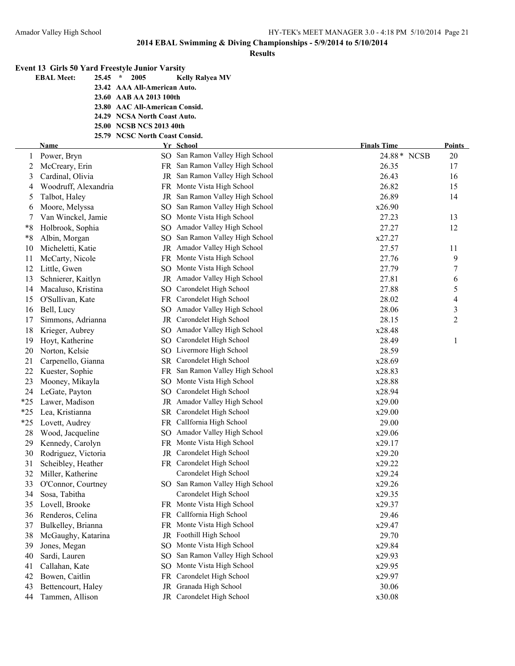|       | <b>Event 13 Girls 50 Yard Freestyle Junior Varsity</b> |                                |                                                      |                    |               |
|-------|--------------------------------------------------------|--------------------------------|------------------------------------------------------|--------------------|---------------|
|       | <b>EBAL Meet:</b><br>$25.45$ *                         | 2005                           | <b>Kelly Ralyea MV</b>                               |                    |               |
|       |                                                        | 23.42 AAA All-American Auto.   |                                                      |                    |               |
|       |                                                        | 23.60 AAB AA 2013 100th        |                                                      |                    |               |
|       |                                                        | 23.80 AAC All-American Consid. |                                                      |                    |               |
|       |                                                        | 24.29 NCSA North Coast Auto.   |                                                      |                    |               |
|       |                                                        | 25.00 NCSB NCS 2013 40th       |                                                      |                    |               |
|       |                                                        | 25.79 NCSC North Coast Consid. |                                                      |                    |               |
|       | Name                                                   |                                | Yr School                                            | <b>Finals Time</b> | <b>Points</b> |
|       | 1 Power, Bryn                                          |                                | SO San Ramon Valley High School                      | 24.88* NCSB        | 20            |
| 2     | McCreary, Erin                                         |                                | FR San Ramon Valley High School                      | 26.35              | 17            |
| 3     | Cardinal, Olivia                                       |                                | JR San Ramon Valley High School                      | 26.43              | 16            |
| 4     | Woodruff, Alexandria                                   |                                | FR Monte Vista High School                           | 26.82              | 15            |
| 5     | Talbot, Haley                                          |                                | JR San Ramon Valley High School                      | 26.89              | 14            |
| 6     | Moore, Melyssa                                         | SO.                            | San Ramon Valley High School                         | x26.90             |               |
| 7     | Van Winckel, Jamie                                     |                                | SO Monte Vista High School                           | 27.23              | 13            |
| $*8$  | Holbrook, Sophia                                       |                                | SO Amador Valley High School                         | 27.27              | 12            |
| $*8$  | Albin, Morgan                                          | SO                             | San Ramon Valley High School                         | x27.27             |               |
| 10    | Micheletti, Katie                                      |                                | JR Amador Valley High School                         | 27.57              | 11            |
| 11    | McCarty, Nicole                                        |                                | FR Monte Vista High School                           | 27.76              | 9             |
| 12    | Little, Gwen                                           |                                | SO Monte Vista High School                           | 27.79              | 7             |
| 13    | Schnierer, Kaitlyn                                     |                                | JR Amador Valley High School                         | 27.81              | 6             |
| 14    | Macaluso, Kristina                                     | SO                             | Carondelet High School                               | 27.88              | 5             |
| 15    | O'Sullivan, Kate                                       |                                | FR Carondelet High School                            | 28.02              | 4             |
| 16    | Bell, Lucy                                             |                                | SO Amador Valley High School                         | 28.06              | 3             |
| 17    | Simmons, Adrianna                                      |                                | JR Carondelet High School                            | 28.15              | 2             |
| 18    | Krieger, Aubrey                                        |                                | SO Amador Valley High School                         | x28.48             |               |
| 19    | Hoyt, Katherine                                        | SO                             | Carondelet High School                               | 28.49              | 1             |
| 20    | Norton, Kelsie                                         |                                | SO Livermore High School                             | 28.59              |               |
| 21    | Carpenello, Gianna                                     |                                | SR Carondelet High School                            | x28.69             |               |
| 22    | Kuester, Sophie                                        |                                | FR San Ramon Valley High School                      | x28.83             |               |
| 23    | Mooney, Mikayla                                        |                                | SO Monte Vista High School                           | x28.88             |               |
| 24    | LeGate, Payton                                         | SO                             | Carondelet High School                               | x28.94             |               |
| $*25$ | Lawer, Madison                                         |                                | JR Amador Valley High School                         | x29.00             |               |
| $*25$ | Lea, Kristianna                                        |                                | SR Carondelet High School                            | x29.00             |               |
| $*25$ | Lovett, Audrey                                         |                                | FR CalIfornia High School                            | 29.00              |               |
| 28    | Wood, Jacqueline                                       |                                | SO Amador Valley High School                         | x29.06             |               |
| 29    | Kennedy, Carolyn                                       |                                | FR Monte Vista High School                           | x29.17             |               |
| 30    | Rodriguez, Victoria                                    | JR                             | Carondelet High School<br>FR Carondelet High School  | x29.20             |               |
| 31    | Scheibley, Heather                                     |                                |                                                      | x29.22             |               |
| 32    | Miller, Katherine                                      |                                | Carondelet High School                               | x29.24             |               |
| 33    | O'Connor, Courtney                                     |                                | SO San Ramon Valley High School                      | x29.26             |               |
| 34    | Sosa, Tabitha                                          |                                | Carondelet High School                               | x29.35             |               |
| 35    | Lovell, Brooke                                         |                                | FR Monte Vista High School<br>CalIfornia High School | x29.37             |               |
| 36    | Renderos, Celina                                       | FR.                            |                                                      | 29.46              |               |
| 37    | Bulkelley, Brianna                                     | FR                             | Monte Vista High School                              | x29.47             |               |
| 38    | McGaughy, Katarina                                     | $_{\rm JR}$                    | Foothill High School                                 | 29.70              |               |
| 39    | Jones, Megan                                           | SO.                            | Monte Vista High School                              | x29.84             |               |
| 40    | Sardi, Lauren                                          | SO.                            | San Ramon Valley High School                         | x29.93             |               |
| 41    | Callahan, Kate                                         | SO                             | Monte Vista High School                              | x29.95             |               |
| 42    | Bowen, Caitlin                                         | FR                             | Carondelet High School                               | x29.97             |               |
| 43    | Bettencourt, Haley                                     | JR                             | Granada High School                                  | 30.06              |               |
| 44    | Tammen, Allison                                        |                                | JR Carondelet High School                            | x30.08             |               |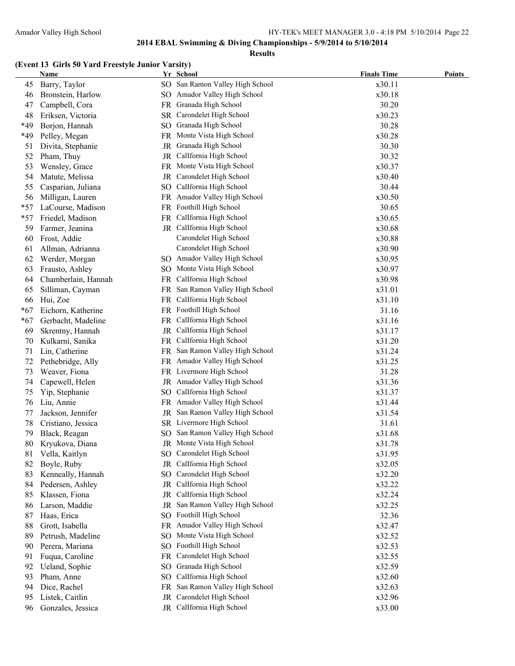#### **Results**

### **(Event 13 Girls 50 Yard Freestyle Junior Varsity)**

|       | <b>Name</b>         |      | Yr School                       | <b>Finals Time</b> | <b>Points</b> |
|-------|---------------------|------|---------------------------------|--------------------|---------------|
| 45    | Barry, Taylor       |      | SO San Ramon Valley High School | x30.11             |               |
| 46    | Bronstein, Harlow   |      | SO Amador Valley High School    | x30.18             |               |
| 47    | Campbell, Cora      |      | FR Granada High School          | 30.20              |               |
| 48    | Eriksen, Victoria   |      | SR Carondelet High School       | x30.23             |               |
| *49   | Borjon, Hannah      |      | SO Granada High School          | 30.28              |               |
| *49   | Pelley, Megan       |      | FR Monte Vista High School      | x30.28             |               |
| 51    | Divita, Stephanie   |      | JR Granada High School          | 30.30              |               |
| 52    | Pham, Thuy          | JR   | CalIfornia High School          | 30.32              |               |
| 53    | Wensley, Grace      |      | FR Monte Vista High School      | x30.37             |               |
| 54    | Matute, Melissa     |      | JR Carondelet High School       | x30.40             |               |
| 55    | Casparian, Juliana  |      | SO CalIfornia High School       | 30.44              |               |
| 56    | Milligan, Lauren    |      | FR Amador Valley High School    | x30.50             |               |
| $*57$ | LaCourse, Madison   |      | FR Foothill High School         | 30.65              |               |
| $*57$ | Friedel, Madison    |      | FR Callfornia High School       | x30.65             |               |
| 59    | Farmer, Jeanina     |      | JR Callfornia High School       | x30.68             |               |
| 60    | Frost, Addie        |      | Carondelet High School          | x30.88             |               |
| 61    | Allman, Adrianna    |      | Carondelet High School          | x30.90             |               |
| 62    | Werder, Morgan      |      | SO Amador Valley High School    | x30.95             |               |
| 63    | Frausto, Ashley     |      | SO Monte Vista High School      | x30.97             |               |
| 64    | Chamberlain, Hannah |      | FR CalIfornia High School       | x30.98             |               |
| 65    | Silliman, Cayman    | FR - | San Ramon Valley High School    | x31.01             |               |
| 66    | Hui, Zoe            |      | FR CalIfornia High School       | x31.10             |               |
| $*67$ | Eichorn, Katherine  |      | FR Foothill High School         | 31.16              |               |
| $*67$ | Gerbacht, Madeline  |      | FR Callfornia High School       | x31.16             |               |
| 69    | Skrentny, Hannah    |      | JR Callfornia High School       | x31.17             |               |
| 70    | Kulkarni, Sanika    |      | FR CalIfornia High School       | x31.20             |               |
| 71    | Lin, Catherine      |      | FR San Ramon Valley High School | x31.24             |               |
| 72    | Pethebridge, Ally   |      | FR Amador Valley High School    | x31.25             |               |
| 73    | Weaver, Fiona       |      | FR Livermore High School        | 31.28              |               |
| 74    | Capewell, Helen     |      | JR Amador Valley High School    | x31.36             |               |
| 75    | Yip, Stephanie      |      | SO CalIfornia High School       | x31.37             |               |
| 76    | Liu, Annie          |      | FR Amador Valley High School    | x31.44             |               |
| 77    | Jackson, Jennifer   |      | JR San Ramon Valley High School | x31.54             |               |
| 78    | Cristiano, Jessica  |      | SR Livermore High School        | 31.61              |               |
| 79    | Black, Reagan       |      | SO San Ramon Valley High School | x31.68             |               |
| 80    | Krvukova. Diana     |      | JR Monte Vista High School      | x31.78             |               |
| 81    | Vella, Kaitlyn      |      | SO Carondelet High School       | x31.95             |               |
| 82    | Boyle, Ruby         | JR   | CalIfornia High School          | x32.05             |               |
| 83    | Kenneally, Hannah   |      | SO Carondelet High School       | x32.20             |               |
| 84    | Pedersen, Ashley    | JR   | CalIfornia High School          | x32.22             |               |
| 85    | Klassen, Fiona      | JR   | CalIfornia High School          | x32.24             |               |
| 86    | Larson, Maddie      | JR   | San Ramon Valley High School    | x32.25             |               |
| 87    | Haas, Erica         |      | SO Foothill High School         | 32.36              |               |
| 88    | Grott, Isabella     | FR   | Amador Valley High School       | x32.47             |               |
| 89    | Petrush, Madeline   | SO   | Monte Vista High School         | x32.52             |               |
| 90    | Perera, Mariana     |      | SO Foothill High School         | x32.53             |               |
| 91    | Fuqua, Caroline     | FR   | Carondelet High School          | x32.55             |               |
| 92    | Ueland, Sophie      |      | SO Granada High School          | x32.59             |               |
| 93    | Pham, Anne          | SO.  | CalIfornia High School          | x32.60             |               |
| 94    | Dice, Rachel        | FR.  | San Ramon Valley High School    | x32.63             |               |
| 95    | Listek, Caitlin     | JR   | Carondelet High School          | x32.96             |               |
| 96    | Gonzales, Jessica   |      | JR CalIfornia High School       | x33.00             |               |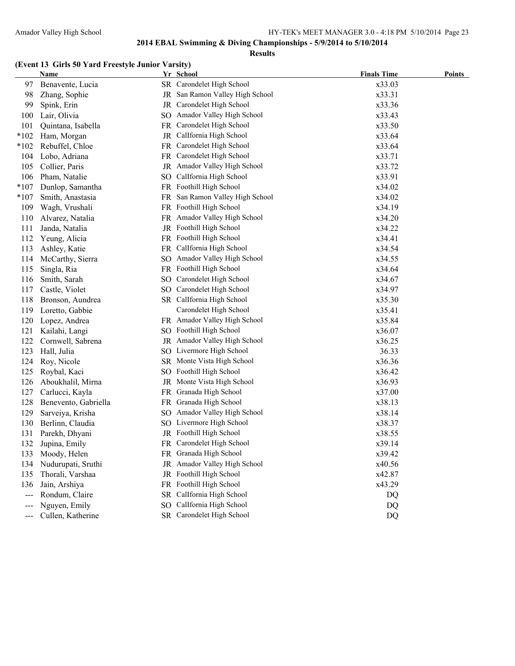#### **Results**

### **(Event 13 Girls 50 Yard Freestyle Junior Varsity)**

|        | Name                 |     | Yr School                       | <b>Finals Time</b> | <b>Points</b> |
|--------|----------------------|-----|---------------------------------|--------------------|---------------|
| 97     | Benavente, Lucia     |     | SR Carondelet High School       | x33.03             |               |
| 98     | Zhang, Sophie        |     | JR San Ramon Valley High School | x33.31             |               |
| 99     | Spink, Erin          |     | JR Carondelet High School       | x33.36             |               |
| 100    | Lair, Olivia         |     | SO Amador Valley High School    | x33.43             |               |
| 101    | Quintana, Isabella   |     | FR Carondelet High School       | x33.50             |               |
| $*102$ | Ham, Morgan          | JR  | CalIfornia High School          | x33.64             |               |
| $*102$ | Rebuffel, Chloe      | FR  | Carondelet High School          | x33.64             |               |
| 104    | Lobo, Adriana        | FR. | Carondelet High School          | x33.71             |               |
| 105    | Collier, Paris       |     | JR Amador Valley High School    | x33.72             |               |
| 106    | Pham, Natalie        |     | SO CalIfornia High School       | x33.91             |               |
| $*107$ | Dunlop, Samantha     |     | FR Foothill High School         | x34.02             |               |
| $*107$ | Smith, Anastasia     |     | FR San Ramon Valley High School | x34.02             |               |
| 109    | Wagh, Vrushali       |     | FR Foothill High School         | x34.19             |               |
| 110    | Alvarez, Natalia     |     | FR Amador Valley High School    | x34.20             |               |
| 111    | Janda, Natalia       |     | JR Foothill High School         | x34.22             |               |
| 112    | Yeung, Alicia        |     | FR Foothill High School         | x34.41             |               |
| 113    | Ashley, Katie        |     | FR Callfornia High School       | x34.54             |               |
| 114    | McCarthy, Sierra     |     | SO Amador Valley High School    | x34.55             |               |
| 115    | Singla, Ria          |     | FR Foothill High School         | x34.64             |               |
| 116    | Smith, Sarah         |     | SO Carondelet High School       | x34.67             |               |
| 117    | Castle, Violet       |     | SO Carondelet High School       | x34.97             |               |
| 118    | Bronson, Aundrea     |     | SR CalIfornia High School       | x35.30             |               |
| 119    | Loretto, Gabbie      |     | Carondelet High School          | x35.41             |               |
| 120    | Lopez, Andrea        |     | FR Amador Valley High School    | x35.84             |               |
| 121    | Kailahi, Langi       |     | SO Foothill High School         | x36.07             |               |
| 122    | Cornwell, Sabrena    |     | JR Amador Valley High School    | x36.25             |               |
| 123    | Hall, Julia          |     | SO Livermore High School        | 36.33              |               |
| 124    | Roy, Nicole          |     | SR Monte Vista High School      | x36.36             |               |
| 125    | Roybal, Kaci         |     | SO Foothill High School         | x36.42             |               |
| 126    | Aboukhalil, Mirna    |     | JR Monte Vista High School      | x36.93             |               |
| 127    | Carlucci, Kayla      |     | FR Granada High School          | x37.00             |               |
| 128    | Benevento, Gabriella |     | FR Granada High School          | x38.13             |               |
| 129    | Sarveiya, Krisha     |     | SO Amador Valley High School    | x38.14             |               |
| 130    | Berlinn, Claudia     |     | SO Livermore High School        | x38.37             |               |
| 131    | Parekh, Dhyani       |     | JR Foothill High School         | x38.55             |               |
| 132    | Jupina, Emily        |     | FR Carondelet High School       | x39.14             |               |
| 133    | Moody, Helen         |     | FR Granada High School          | x39.42             |               |
| 134    | Nudurupati, Sruthi   |     | JR Amador Valley High School    | x40.56             |               |
| 135    | Thorali, Varshaa     |     | JR Foothill High School         | x42.87             |               |
| 136    | Jain, Arshiya        |     | FR Foothill High School         | x43.29             |               |
| $---$  | Rondum, Claire       | SR  | CalIfornia High School          | DQ                 |               |
| $---$  | Nguyen, Emily        | SO. | CalIfornia High School          | DQ                 |               |
| $---$  | Cullen, Katherine    |     | SR Carondelet High School       | DQ                 |               |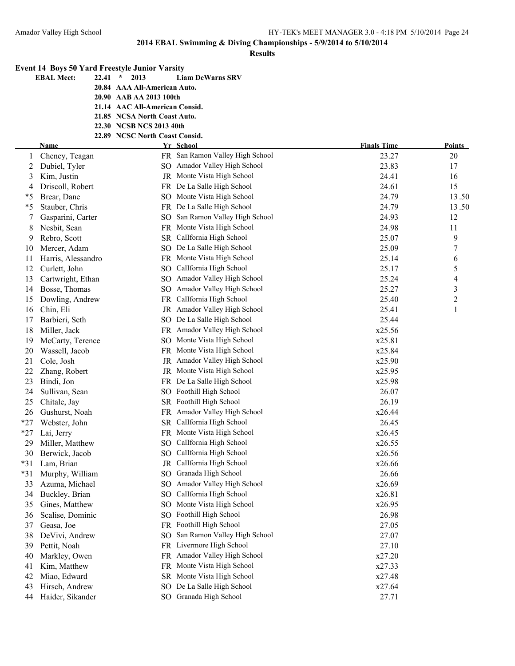|        | <b>Event 14 Boys 50 Yard Freestyle Junior Varsity</b> |                                |                                              |                             |                |
|--------|-------------------------------------------------------|--------------------------------|----------------------------------------------|-----------------------------|----------------|
|        | 22.41<br><b>EBAL Meet:</b>                            | $\star$<br>2013                | <b>Liam DeWarns SRV</b>                      |                             |                |
|        |                                                       | 20.84 AAA All-American Auto.   |                                              |                             |                |
|        |                                                       | 20.90 AAB AA 2013 100th        |                                              |                             |                |
|        |                                                       | 21.14 AAC All-American Consid. |                                              |                             |                |
|        |                                                       | 21.85 NCSA North Coast Auto.   |                                              |                             |                |
|        |                                                       | 22.30 NCSB NCS 2013 40th       |                                              |                             |                |
|        |                                                       | 22.89 NCSC North Coast Consid. |                                              |                             |                |
|        | <b>Name</b>                                           |                                | Yr School<br>FR San Ramon Valley High School | <b>Finals Time</b><br>23.27 | Points<br>20   |
|        | Cheney, Teagan                                        |                                | SO Amador Valley High School                 | 23.83                       | 17             |
| 2<br>3 | Dubiel, Tyler<br>Kim, Justin                          |                                | JR Monte Vista High School                   | 24.41                       | 16             |
| 4      | Driscoll, Robert                                      |                                | FR De La Salle High School                   | 24.61                       | 15             |
| *5     | Brear, Dane                                           |                                | SO Monte Vista High School                   | 24.79                       | 13.50          |
| *5     | Stauber, Chris                                        |                                | FR De La Salle High School                   | 24.79                       | 13.50          |
| 7      | Gasparini, Carter                                     |                                | SO San Ramon Valley High School              | 24.93                       | 12             |
| 8      | Nesbit, Sean                                          |                                | FR Monte Vista High School                   | 24.98                       | 11             |
| 9      | Rebro, Scott                                          |                                | SR CalIfornia High School                    | 25.07                       | 9              |
| 10     | Mercer, Adam                                          |                                | SO De La Salle High School                   | 25.09                       | 7              |
| 11     | Harris, Alessandro                                    |                                | FR Monte Vista High School                   | 25.14                       | 6              |
| 12     | Curlett, John                                         |                                | SO CalIfornia High School                    | 25.17                       | 5              |
| 13     | Cartwright, Ethan                                     |                                | SO Amador Valley High School                 | 25.24                       | 4              |
| 14     | Bosse, Thomas                                         |                                | SO Amador Valley High School                 | 25.27                       | 3              |
| 15     | Dowling, Andrew                                       |                                | FR CalIfornia High School                    | 25.40                       | $\overline{c}$ |
| 16     | Chin, Eli                                             |                                | JR Amador Valley High School                 | 25.41                       | $\mathbf{1}$   |
| 17     | Barbieri, Seth                                        |                                | SO De La Salle High School                   | 25.44                       |                |
| 18     | Miller, Jack                                          |                                | FR Amador Valley High School                 | x25.56                      |                |
| 19     | McCarty, Terence                                      |                                | SO Monte Vista High School                   | x25.81                      |                |
| 20     | Wassell, Jacob                                        |                                | FR Monte Vista High School                   | x25.84                      |                |
| 21     | Cole, Josh                                            |                                | JR Amador Valley High School                 | x25.90                      |                |
| 22     | Zhang, Robert                                         |                                | JR Monte Vista High School                   | x25.95                      |                |
| 23     | Bindi, Jon                                            |                                | FR De La Salle High School                   | x25.98                      |                |
| 24     | Sullivan, Sean                                        |                                | SO Foothill High School                      | 26.07                       |                |
| 25     | Chitale, Jay                                          |                                | SR Foothill High School                      | 26.19                       |                |
| 26     | Gushurst, Noah                                        |                                | FR Amador Valley High School                 | x26.44                      |                |
| $*27$  | Webster, John                                         |                                | SR CalIfornia High School                    | 26.45                       |                |
| $*27$  | Lai, Jerry                                            |                                | FR Monte Vista High School                   | x26.45                      |                |
| 29     | Miller, Matthew                                       |                                | SO CalIfornia High School                    | x26.55                      |                |
| 30     | Berwick, Jacob                                        | SO.                            | CalIfornia High School                       | x26.56                      |                |
| $*31$  | Lam, Brian                                            | JR                             | CalIfornia High School                       | x26.66                      |                |
| $*31$  | Murphy, William                                       | SO <sub>1</sub>                | Granada High School                          | 26.66                       |                |
| 33     | Azuma, Michael                                        | SO.                            | Amador Valley High School                    | x26.69                      |                |
| 34     | Buckley, Brian                                        | SO.                            | CalIfornia High School                       | x26.81                      |                |
| 35     | Gines, Matthew                                        | SO.                            | Monte Vista High School                      | x26.95                      |                |
| 36     | Scalise, Dominic                                      | SO.                            | Foothill High School                         | 26.98                       |                |
| 37     | Geasa, Joe                                            | FR                             | Foothill High School                         | 27.05                       |                |
| 38     | DeVivi, Andrew                                        | SO.                            | San Ramon Valley High School                 | 27.07                       |                |
| 39     | Pettit, Noah                                          | FR                             | Livermore High School                        | 27.10                       |                |
| 40     | Markley, Owen                                         |                                | FR Amador Valley High School                 | x27.20                      |                |
| 41     | Kim, Matthew                                          | FR.                            | Monte Vista High School                      | x27.33                      |                |
| 42     | Miao, Edward                                          |                                | SR Monte Vista High School                   | x27.48                      |                |
| 43     | Hirsch, Andrew                                        | SO.                            | De La Salle High School                      | x27.64                      |                |
| 44     | Haider, Sikander                                      |                                | SO Granada High School                       | 27.71                       |                |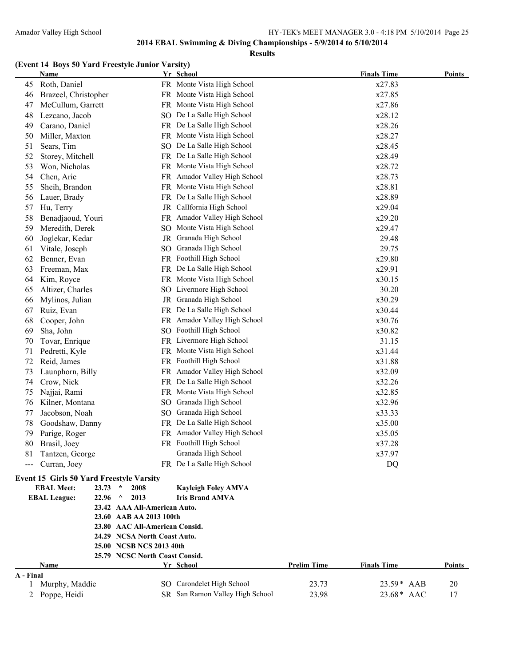#### **Results**

### **(Event 14 Boys 50 Yard Freestyle Junior Varsity)**

|                | <b>Name</b>                                     |                                | Yr School                       |                    | <b>Finals Time</b> | <b>Points</b> |
|----------------|-------------------------------------------------|--------------------------------|---------------------------------|--------------------|--------------------|---------------|
| 45             | Roth, Daniel                                    |                                | FR Monte Vista High School      |                    | x27.83             |               |
| 46             | Brazeel, Christopher                            |                                | FR Monte Vista High School      |                    | x27.85             |               |
| 47             | McCullum, Garrett                               |                                | FR Monte Vista High School      |                    | x27.86             |               |
| 48             | Lezcano, Jacob                                  |                                | SO De La Salle High School      |                    | x28.12             |               |
| 49             | Carano, Daniel                                  |                                | FR De La Salle High School      |                    | x28.26             |               |
| 50             | Miller, Maxton                                  |                                | FR Monte Vista High School      |                    | x28.27             |               |
| 51             | Sears, Tim                                      |                                | SO De La Salle High School      |                    | x28.45             |               |
| 52             | Storey, Mitchell                                |                                | FR De La Salle High School      |                    | x28.49             |               |
| 53             | Won, Nicholas                                   |                                | FR Monte Vista High School      |                    | x28.72             |               |
| 54             | Chen, Arie                                      |                                | FR Amador Valley High School    |                    | x28.73             |               |
| 55             | Sheih, Brandon                                  |                                | FR Monte Vista High School      |                    | x28.81             |               |
| 56             | Lauer, Brady                                    |                                | FR De La Salle High School      |                    | x28.89             |               |
| 57             | Hu, Terry                                       |                                | JR CalIfornia High School       |                    | x29.04             |               |
| 58             | Benadjaoud, Youri                               |                                | FR Amador Valley High School    |                    | x29.20             |               |
| 59             | Meredith, Derek                                 |                                | SO Monte Vista High School      |                    | x29.47             |               |
| 60             | Joglekar, Kedar                                 |                                | JR Granada High School          |                    | 29.48              |               |
| 61             | Vitale, Joseph                                  |                                | SO Granada High School          |                    | 29.75              |               |
| 62             | Benner, Evan                                    |                                | FR Foothill High School         |                    | x29.80             |               |
| 63             | Freeman, Max                                    |                                | FR De La Salle High School      |                    | x29.91             |               |
| 64             | Kim, Royce                                      |                                | FR Monte Vista High School      |                    | x30.15             |               |
| 65             | Altizer, Charles                                |                                | SO Livermore High School        |                    | 30.20              |               |
| 66             | Mylinos, Julian                                 |                                | JR Granada High School          |                    | x30.29             |               |
| 67             | Ruiz, Evan                                      |                                | FR De La Salle High School      |                    | x30.44             |               |
| 68             | Cooper, John                                    |                                | FR Amador Valley High School    |                    | x30.76             |               |
| 69             | Sha, John                                       |                                | SO Foothill High School         |                    | x30.82             |               |
| 70             | Tovar, Enrique                                  |                                | FR Livermore High School        |                    | 31.15              |               |
| 71             | Pedretti, Kyle                                  |                                | FR Monte Vista High School      |                    | x31.44             |               |
| 72             | Reid, James                                     |                                | FR Foothill High School         |                    | x31.88             |               |
| 73             | Launphorn, Billy                                |                                | FR Amador Valley High School    |                    | x32.09             |               |
| 74             | Crow, Nick                                      |                                | FR De La Salle High School      |                    | x32.26             |               |
| 75             | Najjai, Rami                                    |                                | FR Monte Vista High School      |                    | x32.85             |               |
| 76             | Kilner, Montana                                 |                                | SO Granada High School          |                    | x32.96             |               |
| 77             | Jacobson, Noah                                  |                                | SO Granada High School          |                    | x33.33             |               |
| 78             | Goodshaw, Danny                                 |                                | FR De La Salle High School      |                    | x35.00             |               |
| 79             | Parige, Roger                                   |                                | FR Amador Valley High School    |                    | x35.05             |               |
| 80             | Brasil, Joey                                    |                                | FR Foothill High School         |                    | x37.28             |               |
| 81             | Tantzen, George                                 |                                | Granada High School             |                    | x37.97             |               |
| ---            | Curran, Joey                                    |                                | FR De La Salle High School      |                    | DQ                 |               |
|                | <b>Event 15 Girls 50 Yard Freestyle Varsity</b> |                                |                                 |                    |                    |               |
|                | <b>EBAL Meet:</b><br>23.73                      | $\star$<br>2008                | <b>Kayleigh Foley AMVA</b>      |                    |                    |               |
|                | <b>EBAL League:</b><br>22.96                    | $\wedge$<br>2013               | <b>Iris Brand AMVA</b>          |                    |                    |               |
|                |                                                 | 23.42 AAA All-American Auto.   |                                 |                    |                    |               |
|                |                                                 | 23.60 AAB AA 2013 100th        |                                 |                    |                    |               |
|                |                                                 | 23.80 AAC All-American Consid. |                                 |                    |                    |               |
|                |                                                 | 24.29 NCSA North Coast Auto.   |                                 |                    |                    |               |
|                |                                                 | 25.00 NCSB NCS 2013 40th       |                                 |                    |                    |               |
|                |                                                 | 25.79 NCSC North Coast Consid. |                                 |                    |                    |               |
|                | Name                                            |                                | Yr School                       | <b>Prelim Time</b> | <b>Finals Time</b> | <b>Points</b> |
| A - Final<br>1 | Murphy, Maddie                                  |                                | SO Carondelet High School       | 23.73              | 23.59* AAB         | 20            |
| $\overline{2}$ | Poppe, Heidi                                    |                                | SR San Ramon Valley High School | 23.98              | 23.68* AAC         | 17            |
|                |                                                 |                                |                                 |                    |                    |               |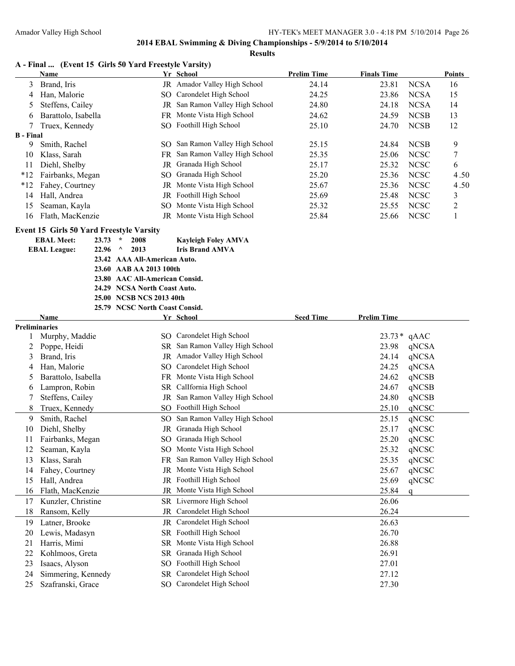**Results**

| A - Final  (Event 15 Girls 50 Yard Freestyle Varsity) |  |  |  |  |  |  |  |  |  |  |
|-------------------------------------------------------|--|--|--|--|--|--|--|--|--|--|
|-------------------------------------------------------|--|--|--|--|--|--|--|--|--|--|

|                  | <b>Name</b>         |      | Yr School                           | <b>Prelim Time</b> | <b>Finals Time</b> |             | <b>Points</b> |
|------------------|---------------------|------|-------------------------------------|--------------------|--------------------|-------------|---------------|
| 3                | Brand, Iris         |      | <b>JR</b> Amador Valley High School | 24.14              | 23.81              | <b>NCSA</b> | 16            |
| 4                | Han, Malorie        |      | SO Carondelet High School           | 24.25              | 23.86              | <b>NCSA</b> | 15            |
|                  | Steffens, Cailey    | JR   | San Ramon Valley High School        | 24.80              | 24.18              | <b>NCSA</b> | 14            |
| 6                | Barattolo, Isabella |      | FR Monte Vista High School          | 24.62              | 24.59              | <b>NCSB</b> | 13            |
|                  | Truex, Kennedy      |      | SO Foothill High School             | 25.10              | 24.70              | <b>NCSB</b> | 12            |
| <b>B</b> - Final |                     |      |                                     |                    |                    |             |               |
| 9                | Smith, Rachel       | SO.  | San Ramon Valley High School        | 25.15              | 24.84              | <b>NCSB</b> | 9             |
| 10               | Klass, Sarah        |      | FR San Ramon Valley High School     | 25.35              | 25.06              | <b>NCSC</b> | 7             |
| 11               | Diehl, Shelby       | JR - | Granada High School                 | 25.17              | 25.32              | <b>NCSC</b> | 6             |
| $*12$            | Fairbanks, Megan    |      | SO Granada High School              | 25.20              | 25.36              | <b>NCSC</b> | 4.50          |
| $*12$            | Fahey, Courtney     |      | <b>JR</b> Monte Vista High School   | 25.67              | 25.36              | <b>NCSC</b> | 4.50          |
| 14               | Hall, Andrea        |      | JR Foothill High School             | 25.69              | 25.48              | <b>NCSC</b> | 3             |
| 15               | Seaman, Kayla       |      | SO Monte Vista High School          | 25.32              | 25.55              | <b>NCSC</b> | 2             |
| 16               | Flath, MacKenzie    | JR   | Monte Vista High School             | 25.84              | 25.66              | <b>NCSC</b> |               |
|                  |                     |      |                                     |                    |                    |             |               |

#### **Event 15 Girls 50 Yard Freestyle Varsity**

| <b>EBAL Meet:</b>   | $23.73$ * | 2008                           | <b>Kayleigh Foley AMVA</b> |
|---------------------|-----------|--------------------------------|----------------------------|
| <b>EBAL League:</b> | $22.96$ ^ | 2013                           | <b>Iris Brand AMVA</b>     |
|                     |           | 23.42 AAA All-American Auto.   |                            |
|                     |           | 23.60 AAB AA 2013 100th        |                            |
|                     |           | 23.80 AAC All-American Consid. |                            |
|                     |           | 24.29 NCSA North Coast Auto.   |                            |
|                     |           | 25.00 NCSB NCS 2013 40th       |                            |
|                     |           | 25.79 NCSC North Coast Consid. |                            |
| Name                |           |                                | Vr School                  |

|                      | Name                |                 | Yr School                    | <b>Seed Time</b> | <b>Prelim Time</b> |       |
|----------------------|---------------------|-----------------|------------------------------|------------------|--------------------|-------|
| <b>Preliminaries</b> |                     |                 |                              |                  |                    |       |
|                      | Murphy, Maddie      | SO.             | Carondelet High School       |                  | $23.73*$           | qAAC  |
| 2                    | Poppe, Heidi        | <b>SR</b>       | San Ramon Valley High School |                  | 23.98              | qNCSA |
| 3                    | Brand, Iris         | JR              | Amador Valley High School    |                  | 24.14              | qNCSA |
| 4                    | Han, Malorie        | SO.             | Carondelet High School       |                  | 24.25              | qNCSA |
| 5                    | Barattolo, Isabella | <b>FR</b>       | Monte Vista High School      |                  | 24.62              | qNCSB |
| 6                    | Lampron, Robin      | <b>SR</b>       | CalIfornia High School       |                  | 24.67              | qNCSB |
| 7                    | Steffens, Cailey    | JR              | San Ramon Valley High School |                  | 24.80              | qNCSB |
| 8                    | Truex, Kennedy      | SO.             | Foothill High School         |                  | 25.10              | qNCSC |
| 9                    | Smith, Rachel       | SO.             | San Ramon Valley High School |                  | 25.15              | qNCSC |
| 10                   | Diehl, Shelby       | <b>JR</b>       | Granada High School          |                  | 25.17              | qNCSC |
| 11                   | Fairbanks, Megan    | <sub>SO</sub>   | Granada High School          |                  | 25.20              | qNCSC |
| 12                   | Seaman, Kayla       | SO <sub>1</sub> | Monte Vista High School      |                  | 25.32              | qNCSC |
| 13                   | Klass, Sarah        | <b>FR</b>       | San Ramon Valley High School |                  | 25.35              | qNCSC |
| 14                   | Fahey, Courtney     | JR              | Monte Vista High School      |                  | 25.67              | qNCSC |
| 15                   | Hall, Andrea        | JR              | Foothill High School         |                  | 25.69              | qNCSC |
| 16                   | Flath, MacKenzie    | <b>JR</b>       | Monte Vista High School      |                  | 25.84              | q     |
| 17                   | Kunzler, Christine  | SR              | Livermore High School        |                  | 26.06              |       |
| 18                   | Ransom, Kelly       | <b>JR</b>       | Carondelet High School       |                  | 26.24              |       |
| 19                   | Latner, Brooke      | JR              | Carondelet High School       |                  | 26.63              |       |
| 20                   | Lewis, Madasyn      | <b>SR</b>       | Foothill High School         |                  | 26.70              |       |
| 21                   | Harris, Mimi        | <b>SR</b>       | Monte Vista High School      |                  | 26.88              |       |
| 22                   | Kohlmoos, Greta     | <b>SR</b>       | Granada High School          |                  | 26.91              |       |
| 23                   | Isaacs, Alyson      | <sub>SO</sub>   | Foothill High School         |                  | 27.01              |       |
| 24                   | Simmering, Kennedy  | <b>SR</b>       | Carondelet High School       |                  | 27.12              |       |
| 25                   | Szafranski, Grace   | SO.             | Carondelet High School       |                  | 27.30              |       |
|                      |                     |                 |                              |                  |                    |       |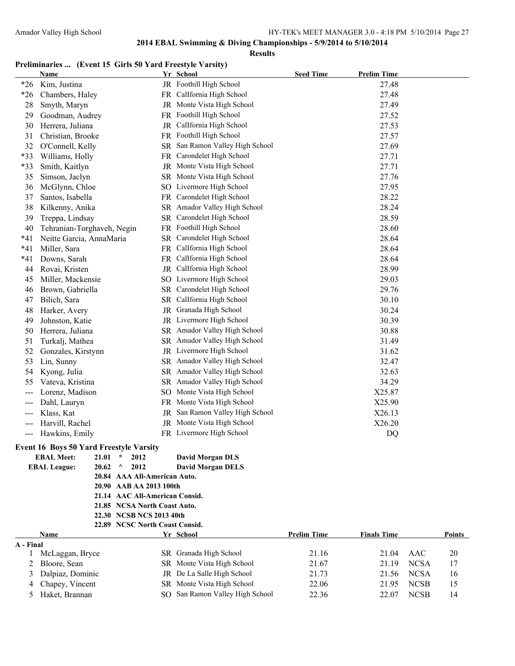**Results**

### **Preliminaries ... (Event 15 Girls 50 Yard Freestyle Varsity)**

|                   | <b>Name</b>                                      |    | Yr School                       | <b>Seed Time</b>   | <b>Prelim Time</b> |        |
|-------------------|--------------------------------------------------|----|---------------------------------|--------------------|--------------------|--------|
| $*26$             | Kim, Justina                                     |    | JR Foothill High School         |                    | 27.48              |        |
| $*26$             | Chambers, Haley                                  |    | FR CalIfornia High School       |                    | 27.48              |        |
| 28                | Smyth, Maryn                                     |    | JR Monte Vista High School      |                    | 27.49              |        |
| 29                | Goodman, Audrey                                  |    | FR Foothill High School         |                    | 27.52              |        |
| 30                | Herrera, Juliana                                 |    | JR Callfornia High School       |                    | 27.53              |        |
| 31                | Christian, Brooke                                |    | FR Foothill High School         |                    | 27.57              |        |
| 32                | O'Connell, Kelly                                 |    | SR San Ramon Valley High School |                    | 27.69              |        |
| *33               | Williams, Holly                                  | FR | Carondelet High School          |                    | 27.71              |        |
| *33               | Smith, Kaitlyn                                   |    | JR Monte Vista High School      |                    | 27.71              |        |
| 35                | Simson, Jaclyn                                   |    | SR Monte Vista High School      |                    | 27.76              |        |
| 36                | McGlynn, Chloe                                   |    | SO Livermore High School        |                    | 27.95              |        |
| 37                | Santos, Isabella                                 |    | FR Carondelet High School       |                    | 28.22              |        |
| 38                | Kilkenny, Anika                                  |    | SR Amador Valley High School    |                    | 28.24              |        |
| 39                | Treppa, Lindsay                                  |    | SR Carondelet High School       |                    | 28.59              |        |
| 40                | Tehranian-Torghaveh, Negin                       |    | FR Foothill High School         |                    | 28.60              |        |
| $*41$             | Neitte Garcia, AnnaMaria                         |    | SR Carondelet High School       |                    | 28.64              |        |
| $*41$             | Miller, Sara                                     |    | FR CalIfornia High School       |                    | 28.64              |        |
| *41               | Downs, Sarah                                     |    | FR CalIfornia High School       |                    | 28.64              |        |
| 44                | Rovai, Kristen                                   |    | JR CalIfornia High School       |                    | 28.99              |        |
| 45                | Miller, Mackensie                                |    | SO Livermore High School        |                    | 29.03              |        |
| 46                | Brown, Gabriella                                 |    | SR Carondelet High School       |                    | 29.76              |        |
| 47                | Bilich, Sara                                     |    | SR CalIfornia High School       |                    | 30.10              |        |
| 48                |                                                  |    | JR Granada High School          |                    | 30.24              |        |
|                   | Harker, Avery                                    |    | JR Livermore High School        |                    | 30.39              |        |
| 49                | Johnston, Katie                                  |    | SR Amador Valley High School    |                    |                    |        |
| 50                | Herrera, Juliana                                 |    |                                 |                    | 30.88              |        |
| 51                | Turkalj, Mathea                                  |    | SR Amador Valley High School    |                    | 31.49              |        |
| 52                | Gonzales, Kirstynn                               |    | JR Livermore High School        |                    | 31.62              |        |
| 53                | Lin, Sunny                                       |    | SR Amador Valley High School    |                    | 32.47              |        |
| 54                | Kyong, Julia                                     |    | SR Amador Valley High School    |                    | 32.63              |        |
| 55                | Vateva, Kristina                                 |    | SR Amador Valley High School    |                    | 34.29              |        |
| $---$             | Lorenz, Madison                                  |    | SO Monte Vista High School      |                    | X25.87             |        |
| $---$             | Dahl, Lauryn                                     |    | FR Monte Vista High School      |                    | X25.90             |        |
| $---$             | Klass, Kat                                       |    | JR San Ramon Valley High School |                    | X26.13             |        |
| $---$             | Harvill, Rachel                                  |    | JR Monte Vista High School      |                    | X26.20             |        |
| $\qquad \qquad -$ | Hawkins, Emily                                   |    | FR Livermore High School        |                    | DQ                 |        |
|                   | <b>Event 16 Boys 50 Yard Freestyle Varsity</b>   |    |                                 |                    |                    |        |
|                   | <b>EBAL Meet:</b><br>21.01<br>$\star$<br>2012    |    | <b>David Morgan DLS</b>         |                    |                    |        |
|                   | <b>EBAL League:</b><br>20.62<br>$\wedge$<br>2012 |    | <b>David Morgan DELS</b>        |                    |                    |        |
|                   | 20.84 AAA All-American Auto.                     |    |                                 |                    |                    |        |
|                   | 20.90 AAB AA 2013 100th                          |    |                                 |                    |                    |        |
|                   | 21.14 AAC All-American Consid.                   |    |                                 |                    |                    |        |
|                   | 21.85 NCSA North Coast Auto.                     |    |                                 |                    |                    |        |
|                   | 22.30 NCSB NCS 2013 40th                         |    |                                 |                    |                    |        |
|                   | 22.89 NCSC North Coast Consid.                   |    |                                 |                    |                    |        |
| A - Final         | Name                                             |    | Yr School                       | <b>Prelim Time</b> | <b>Finals Time</b> | Points |
|                   | 1 McLaggan, Bryce                                |    | SR Granada High School          | 21.16              | 21.04 AAC          | 20     |

| McLaggan, Bryce |                                                                                          | 21.16                                                                                                                                               | 21.04 | AAC         | 20                  |
|-----------------|------------------------------------------------------------------------------------------|-----------------------------------------------------------------------------------------------------------------------------------------------------|-------|-------------|---------------------|
|                 |                                                                                          | 21.67                                                                                                                                               | 21 19 | <b>NCSA</b> |                     |
|                 |                                                                                          | 21.73                                                                                                                                               | 21.56 |             | 16                  |
|                 |                                                                                          | 22.06                                                                                                                                               | 21.95 |             | 15                  |
|                 |                                                                                          | 22.36                                                                                                                                               | 22.07 | <b>NCSB</b> | 14                  |
|                 | - Final<br>2 Bloore, Sean<br>3 Dalpiaz, Dominic<br>4 Chapey, Vincent<br>5 Haket, Brannan | SR Granada High School<br>SR Monte Vista High School<br>JR De La Salle High School<br>SR Monte Vista High School<br>SO San Ramon Valley High School |       |             | <b>NCSA</b><br>NCSB |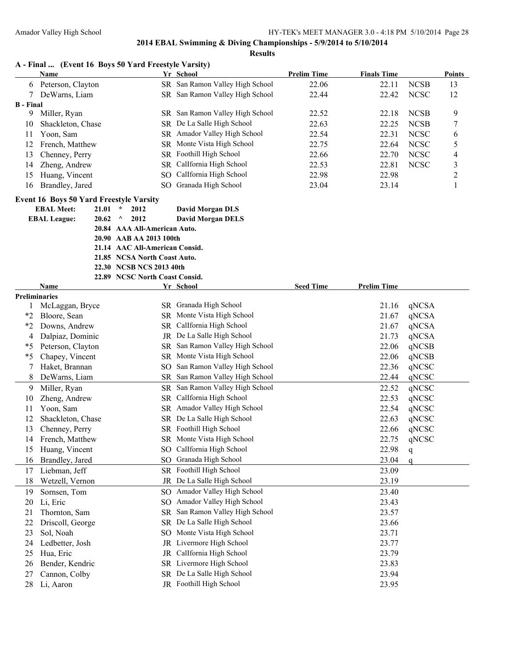|                  |                                                                     |                | A - Final  (Event 16 Boys 50 Yard Freestyle Varsity) |                                                               |                    |                    |                            |               |
|------------------|---------------------------------------------------------------------|----------------|------------------------------------------------------|---------------------------------------------------------------|--------------------|--------------------|----------------------------|---------------|
|                  | Name                                                                |                |                                                      | Yr School                                                     | <b>Prelim Time</b> | <b>Finals Time</b> |                            | <b>Points</b> |
| 6                | Peterson, Clayton                                                   |                |                                                      | SR San Ramon Valley High School                               | 22.06              | 22.11              | <b>NCSB</b>                | 13            |
| 7                | DeWarns, Liam                                                       |                |                                                      | SR San Ramon Valley High School                               | 22.44              | 22.42              | <b>NCSC</b>                | 12            |
| <b>B</b> - Final | Miller, Ryan                                                        |                |                                                      |                                                               |                    |                    |                            |               |
| 9                | Shackleton, Chase                                                   |                |                                                      | SR San Ramon Valley High School<br>SR De La Salle High School | 22.52<br>22.63     | 22.18<br>22.25     | <b>NCSB</b><br><b>NCSB</b> | 9<br>7        |
| 10               | Yoon, Sam                                                           |                |                                                      | SR Amador Valley High School                                  | 22.54              | 22.31              | <b>NCSC</b>                |               |
| 11<br>12         | French, Matthew                                                     |                |                                                      | SR Monte Vista High School                                    | 22.75              | 22.64              | <b>NCSC</b>                | 6<br>5        |
| 13               | Chenney, Perry                                                      |                |                                                      | SR Foothill High School                                       | 22.66              | 22.70              | <b>NCSC</b>                | 4             |
| 14               | Zheng, Andrew                                                       |                |                                                      | SR Callfornia High School                                     | 22.53              | 22.81              | <b>NCSC</b>                | 3             |
| 15               | Huang, Vincent                                                      |                | SO                                                   | CalIfornia High School                                        | 22.98              | 22.98              |                            | 2             |
| 16               | Brandley, Jared                                                     |                | SO.                                                  | Granada High School                                           | 23.04              | 23.14              |                            | 1             |
|                  |                                                                     |                |                                                      |                                                               |                    |                    |                            |               |
|                  | <b>Event 16 Boys 50 Yard Freestyle Varsity</b><br><b>EBAL Meet:</b> |                | $\star$                                              |                                                               |                    |                    |                            |               |
|                  |                                                                     | 21.01<br>20.62 | 2012<br>$\wedge$<br>2012                             | <b>David Morgan DLS</b><br><b>David Morgan DELS</b>           |                    |                    |                            |               |
|                  | <b>EBAL League:</b>                                                 |                | 20.84 AAA All-American Auto.                         |                                                               |                    |                    |                            |               |
|                  |                                                                     |                | 20.90 AAB AA 2013 100th                              |                                                               |                    |                    |                            |               |
|                  |                                                                     |                | 21.14 AAC All-American Consid.                       |                                                               |                    |                    |                            |               |
|                  |                                                                     |                | 21.85 NCSA North Coast Auto.                         |                                                               |                    |                    |                            |               |
|                  |                                                                     |                | 22.30 NCSB NCS 2013 40th                             |                                                               |                    |                    |                            |               |
|                  |                                                                     |                | 22.89 NCSC North Coast Consid.                       |                                                               |                    |                    |                            |               |
|                  | Name                                                                |                |                                                      | <b>Yr School</b>                                              | <b>Seed Time</b>   | <b>Prelim Time</b> |                            |               |
|                  | <b>Preliminaries</b>                                                |                |                                                      |                                                               |                    |                    |                            |               |
| $\mathbf{I}$     | McLaggan, Bryce                                                     |                |                                                      | SR Granada High School                                        |                    | 21.16              | qNCSA                      |               |
| $*_{2}$          | Bloore, Sean                                                        |                |                                                      | SR Monte Vista High School                                    |                    | 21.67              | qNCSA                      |               |
| $*_{2}$          | Downs, Andrew                                                       |                |                                                      | SR CalIfornia High School                                     |                    | 21.67              | qNCSA                      |               |
| 4                | Dalpiaz, Dominic                                                    |                |                                                      | JR De La Salle High School                                    |                    | 21.73              | qNCSA                      |               |
| *5               | Peterson, Clayton                                                   |                |                                                      | SR San Ramon Valley High School                               |                    | 22.06              | qNCSB                      |               |
| *5               | Chapey, Vincent                                                     |                |                                                      | SR Monte Vista High School                                    |                    | 22.06              | qNCSB                      |               |
| 7                | Haket, Brannan                                                      |                | SO.                                                  | San Ramon Valley High School                                  |                    | 22.36              | qNCSC                      |               |
| 8                | DeWarns, Liam                                                       |                |                                                      | SR San Ramon Valley High School                               |                    | 22.44              | qNCSC                      |               |
| 9                | Miller, Ryan                                                        |                |                                                      | SR San Ramon Valley High School                               |                    | 22.52              | qNCSC                      |               |
| 10               | Zheng, Andrew                                                       |                |                                                      | SR CalIfornia High School                                     |                    | 22.53              | qNCSC                      |               |
| 11               | Yoon, Sam                                                           |                |                                                      | SR Amador Valley High School                                  |                    | 22.54              | qNCSC                      |               |
| 12               | Shackleton, Chase                                                   |                |                                                      | SR De La Salle High School                                    |                    | 22.63              | qNCSC                      |               |
| 13               | Chenney, Perry                                                      |                |                                                      | SR Foothill High School                                       |                    | 22.66              | qNCSC                      |               |
| 14               | French, Matthew                                                     |                |                                                      | SR Monte Vista High School                                    |                    | 22.75              | qNCSC                      |               |
| 15               | Huang, Vincent                                                      |                | SO.                                                  | CalIfornia High School                                        |                    | 22.98              | q                          |               |
| 16               | Brandley, Jared                                                     |                |                                                      | SO Granada High School                                        |                    | 23.04              | $\mathsf{q}$               |               |
| 17               | Liebman, Jeff                                                       |                |                                                      | SR Foothill High School                                       |                    | 23.09              |                            |               |
| 18               | Wetzell, Vernon                                                     |                |                                                      | JR De La Salle High School                                    |                    | 23.19              |                            |               |
| 19               | Sornsen, Tom                                                        |                | SO                                                   | Amador Valley High School                                     |                    | 23.40              |                            |               |
| 20               | Li, Eric                                                            |                | SO                                                   | Amador Valley High School                                     |                    | 23.43              |                            |               |
| 21               | Thornton, Sam                                                       |                |                                                      | SR San Ramon Valley High School                               |                    | 23.57              |                            |               |
| 22               | Driscoll, George                                                    |                |                                                      | SR De La Salle High School                                    |                    | 23.66              |                            |               |
| 23               | Sol, Noah                                                           |                |                                                      | SO Monte Vista High School                                    |                    | 23.71              |                            |               |
| 24               | Ledbetter, Josh                                                     |                |                                                      | JR Livermore High School                                      |                    | 23.77              |                            |               |
| 25               | Hua, Eric                                                           |                |                                                      | JR Callfornia High School<br>SR Livermore High School         |                    | 23.79              |                            |               |
| 26               | Bender, Kendric                                                     |                |                                                      | SR De La Salle High School                                    |                    | 23.83<br>23.94     |                            |               |
| 27               | Cannon, Colby                                                       |                |                                                      | JR Foothill High School                                       |                    |                    |                            |               |
| 28               | Li, Aaron                                                           |                |                                                      |                                                               |                    | 23.95              |                            |               |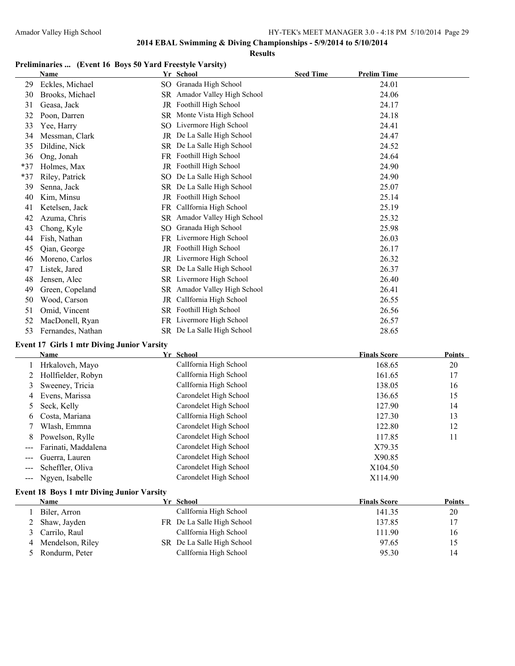**Results**

# **Preliminaries ...** (Event 16 Boys 50 Yard Freestyle Varsity)<br>Name We School

|     | Name                                                                                      |     | Yr School                    | <b>Seed Time</b> | <b>Prelim Time</b> |
|-----|-------------------------------------------------------------------------------------------|-----|------------------------------|------------------|--------------------|
| 29  | Eckles, Michael                                                                           |     | SO Granada High School       |                  | 24.01              |
| 30  | Brooks, Michael                                                                           |     | SR Amador Valley High School |                  | 24.06              |
| 31  | Geasa, Jack                                                                               |     | JR Foothill High School      |                  | 24.17              |
| 32  | Poon, Darren                                                                              | SR. | Monte Vista High School      |                  | 24.18              |
| 33  | Yee, Harry                                                                                | SO  | Livermore High School        |                  | 24.41              |
| 34  | Messman, Clark                                                                            | JR  | De La Salle High School      |                  | 24.47              |
| 35  | Dildine, Nick                                                                             |     | SR De La Salle High School   |                  | 24.52              |
| 36  | Ong, Jonah                                                                                |     | FR Foothill High School      |                  | 24.64              |
| *37 | Holmes, Max                                                                               |     | JR Foothill High School      |                  | 24.90              |
| *37 | Riley, Patrick                                                                            |     | SO De La Salle High School   |                  | 24.90              |
| 39  | Senna, Jack                                                                               |     | SR De La Salle High School   |                  | 25.07              |
| 40  | Kim, Minsu                                                                                |     | JR Foothill High School      |                  | 25.14              |
| 41  | Ketelsen, Jack                                                                            |     | FR CalIfornia High School    |                  | 25.19              |
| 42  | Azuma, Chris                                                                              |     | SR Amador Valley High School |                  | 25.32              |
| 43  | Chong, Kyle                                                                               |     | SO Granada High School       |                  | 25.98              |
| 44  | Fish, Nathan                                                                              |     | FR Livermore High School     |                  | 26.03              |
| 45  | Qian, George                                                                              |     | JR Foothill High School      |                  | 26.17              |
| 46  | Moreno, Carlos                                                                            |     | JR Livermore High School     |                  | 26.32              |
| 47  | Listek, Jared                                                                             |     | SR De La Salle High School   |                  | 26.37              |
| 48  | Jensen, Alec                                                                              |     | SR Livermore High School     |                  | 26.40              |
| 49  | Green, Copeland                                                                           |     | SR Amador Valley High School |                  | 26.41              |
| 50  | Wood, Carson                                                                              | JR  | CalIfornia High School       |                  | 26.55              |
| 51  | Omid, Vincent                                                                             |     | SR Foothill High School      |                  | 26.56              |
| 52  | MacDonell, Ryan                                                                           |     | FR Livermore High School     |                  | 26.57              |
| 53  | Fernandes, Nathan                                                                         |     | SR De La Salle High School   |                  | 28.65              |
|     | $\mathbf{A}$ and $\mathbf{A}$ and $\mathbf{A}$ is the set of $\mathbf{A}$<br>$\mathbf{v}$ |     |                              |                  |                    |

#### **Event 17 Girls 1 mtr Diving Junior Varsity**

|       | Name                 | Yr School              | <b>Finals Score</b> | <b>Points</b> |
|-------|----------------------|------------------------|---------------------|---------------|
|       | Hrkalovch, Mayo      | CalIfornia High School | 168.65              | 20            |
|       | 2 Hollfielder, Robyn | CalIfornia High School | 161.65              | 17            |
| 3     | Sweeney, Tricia      | CalIfornia High School | 138.05              | 16            |
| 4     | Evens, Marissa       | Carondelet High School | 136.65              | 15            |
| 5     | Seck, Kelly          | Carondelet High School | 127.90              | 14            |
| 6     | Costa, Mariana       | CalIfornia High School | 127.30              | 13            |
|       | Wlash, Emmna         | Carondelet High School | 122.80              | 12            |
| 8     | Powelson, Rylle      | Carondelet High School | 117.85              | 11            |
|       | Farinati, Maddalena  | Carondelet High School | X79.35              |               |
|       | Guerra, Lauren       | Carondelet High School | X90.85              |               |
|       | Scheffler, Oliva     | Carondelet High School | X104.50             |               |
| $---$ | Ngyen, Isabelle      | Carondelet High School | X114.90             |               |
|       |                      |                        |                     |               |

### **Event 18 Boys 1 mtr Diving Junior Varsity**

| Name               | Yr School                  | <b>Finals Score</b> | <b>Points</b> |
|--------------------|----------------------------|---------------------|---------------|
| Biler, Arron       | CalIfornia High School     | 141.35              | 20            |
| 2 Shaw, Jayden     | FR De La Salle High School | 137.85              | 17            |
| 3 Carrilo, Raul    | CalIfornia High School     | 111.90              | 16            |
| 4 Mendelson, Riley | SR De La Salle High School | 97.65               | 15            |
| 5 Rondurm, Peter   | CalIfornia High School     | 95.30               | 14            |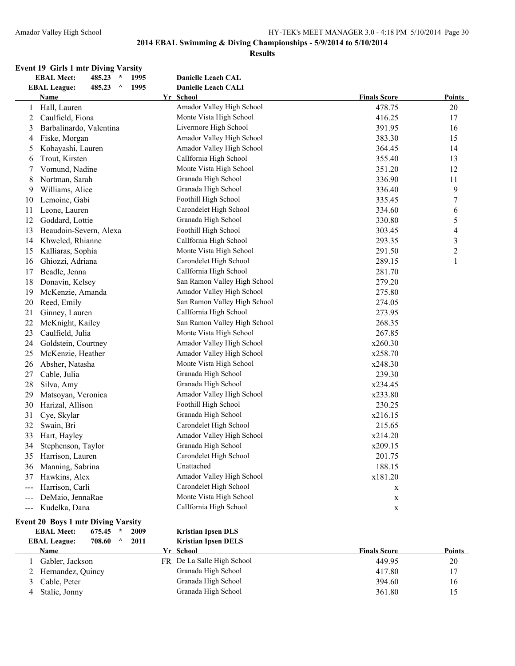#### **Results**

# **Event 19 Girls 1 mtr Diving Varsity<br>EBAL Meet:** 485.23 \* 1995

|                | <b>EBAL Meet:</b><br>1995<br>485.23<br>$\star$     | <b>Danielle Leach CAL</b>    |                     |                          |
|----------------|----------------------------------------------------|------------------------------|---------------------|--------------------------|
|                | 1995<br><b>EBAL League:</b><br>485.23<br>$\lambda$ | <b>Danielle Leach CALI</b>   |                     |                          |
|                | <b>Name</b>                                        | Yr School                    | <b>Finals Score</b> | <b>Points</b>            |
| $\mathbf{1}$   | Hall, Lauren                                       | Amador Valley High School    | 478.75              | 20                       |
| $\overline{2}$ | Caulfield, Fiona                                   | Monte Vista High School      | 416.25              | 17                       |
| 3              | Barbalinardo, Valentina                            | Livermore High School        | 391.95              | 16                       |
| 4              | Fiske, Morgan                                      | Amador Valley High School    | 383.30              | 15                       |
| 5              | Kobayashi, Lauren                                  | Amador Valley High School    | 364.45              | 14                       |
| 6              | Trout, Kirsten                                     | CalIfornia High School       | 355.40              | 13                       |
| 7              | Vomund, Nadine                                     | Monte Vista High School      | 351.20              | 12                       |
| 8              | Nortman, Sarah                                     | Granada High School          | 336.90              | 11                       |
| 9              | Williams, Alice                                    | Granada High School          | 336.40              | 9                        |
| 10             | Lemoine, Gabi                                      | Foothill High School         | 335.45              | $\tau$                   |
| 11             | Leone, Lauren                                      | Carondelet High School       | 334.60              | 6                        |
| 12             | Goddard, Lottie                                    | Granada High School          | 330.80              | 5                        |
| 13             | Beaudoin-Severn, Alexa                             | Foothill High School         | 303.45              | $\overline{\mathcal{L}}$ |
| 14             | Khweled, Rhianne                                   | CalIfornia High School       | 293.35              | $\mathfrak{Z}$           |
| 15             | Kalliaras, Sophia                                  | Monte Vista High School      | 291.50              | $\overline{c}$           |
| 16             | Ghiozzi, Adriana                                   | Carondelet High School       | 289.15              | $\mathbf{1}$             |
| 17             | Beadle, Jenna                                      | CalIfornia High School       | 281.70              |                          |
| 18             | Donavin, Kelsey                                    | San Ramon Valley High School | 279.20              |                          |
| 19             | McKenzie, Amanda                                   | Amador Valley High School    | 275.80              |                          |
| 20             | Reed, Emily                                        | San Ramon Valley High School | 274.05              |                          |
| 21             | Ginney, Lauren                                     | CalIfornia High School       | 273.95              |                          |
| 22             | McKnight, Kailey                                   | San Ramon Valley High School | 268.35              |                          |
| 23             | Caulfield, Julia                                   | Monte Vista High School      | 267.85              |                          |
| 24             | Goldstein, Courtney                                | Amador Valley High School    | x260.30             |                          |
| 25             | McKenzie, Heather                                  | Amador Valley High School    | x258.70             |                          |
| 26             | Absher, Natasha                                    | Monte Vista High School      | x248.30             |                          |
| 27             | Cable, Julia                                       | Granada High School          | 239.30              |                          |
| 28             | Silva, Amy                                         | Granada High School          | x234.45             |                          |
| 29             | Matsoyan, Veronica                                 | Amador Valley High School    | x233.80             |                          |
| 30             | Harizal, Allison                                   | Foothill High School         | 230.25              |                          |
| 31             | Cye, Skylar                                        | Granada High School          | x216.15             |                          |
| 32             | Swain, Bri                                         | Carondelet High School       | 215.65              |                          |
| 33             | Hart, Hayley                                       | Amador Valley High School    | x214.20             |                          |
| 34             | Stephenson, Taylor                                 | Granada High School          | x209.15             |                          |
| 35             | Harrison, Lauren                                   | Carondelet High School       | 201.75              |                          |
| 36             | Manning, Sabrina                                   | Unattached                   | 188.15              |                          |
| 37             | Hawkins, Alex                                      | Amador Valley High School    | x181.20             |                          |
| ---            | Harrison, Carli                                    | Carondelet High School       | X                   |                          |
| $---$          | DeMaio, JennaRae                                   | Monte Vista High School      | $\mathbf X$         |                          |
| $---$          | Kudelka, Dana                                      | CalIfornia High School       | $\mathbf X$         |                          |
|                |                                                    |                              |                     |                          |

#### **Event 20 Boys 1 mtr Diving Varsity**

#### **EBAL Meet: 675.45 \* 2009 Kristian Ipsen DLS EBAL League: 708.60 ^ 2011 Kristian Ipsen DELS**

| LDIALI LUGUU.<br>, ,,,,,, | $\cdots$ | <b>Reported Theory</b>     |                     |        |
|---------------------------|----------|----------------------------|---------------------|--------|
| Name                      |          | Yr School                  | <b>Finals Score</b> | Points |
| Gabler, Jackson           |          | FR De La Salle High School | 449.95              | 20     |
| 2 Hernandez, Quincy       |          | Granada High School        | 417.80              |        |
| Cable, Peter              |          | Granada High School        | 394.60              | 16     |
| Stalie, Jonny             |          | Granada High School        | 361.80              | 15     |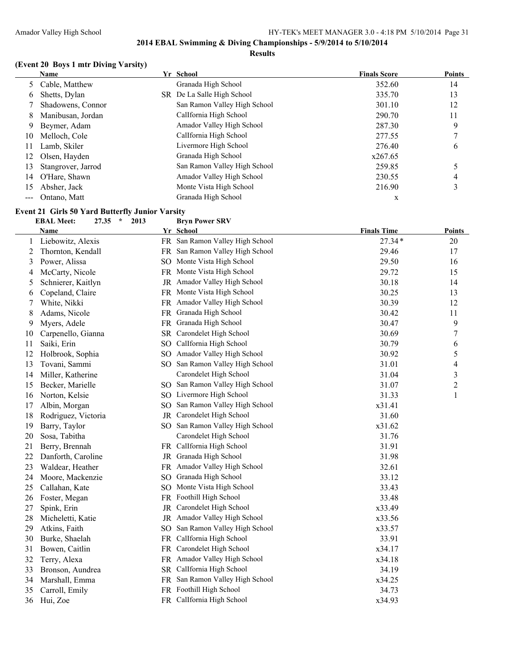#### **Results**

### **(Event 20 Boys 1 mtr Diving Varsity)**

|    | Name               | Yr School                    | <b>Finals Score</b> | <b>Points</b> |
|----|--------------------|------------------------------|---------------------|---------------|
|    | 5 Cable, Matthew   | Granada High School          | 352.60              | 14            |
| 6  | Shetts, Dylan      | SR De La Salle High School   | 335.70              | 13            |
|    | Shadowens, Connor  | San Ramon Valley High School | 301.10              | 12            |
| 8  | Manibusan, Jordan  | CalIfornia High School       | 290.70              | 11            |
| 9  | Beymer, Adam       | Amador Valley High School    | 287.30              | 9             |
| 10 | Melloch, Cole      | CalIfornia High School       | 277.55              |               |
| 11 | Lamb, Skiler       | Livermore High School        | 276.40              | 6             |
| 12 | Olsen, Hayden      | Granada High School          | x267.65             |               |
| 13 | Stangrover, Jarrod | San Ramon Valley High School | 259.85              |               |
| 14 | O'Hare, Shawn      | Amador Valley High School    | 230.55              | 4             |
| 15 | Absher, Jack       | Monte Vista High School      | 216.90              | 3             |
|    | Ontano, Matt       | Granada High School          | X                   |               |

#### **Event 21 Girls 50 Yard Butterfly Junior Varsity<br>EBAL Meet:** 27.35  $*$  2013 Bryn Power SRV **EBAL Meet: 27.35 \* 2013**

|    | Name                | Yr School                       | <b>Finals Time</b> | <b>Points</b>    |
|----|---------------------|---------------------------------|--------------------|------------------|
| 1  | Liebowitz, Alexis   | FR San Ramon Valley High School | $27.34*$           | 20               |
| 2  | Thornton, Kendall   | FR San Ramon Valley High School | 29.46              | 17               |
| 3  | Power, Alissa       | SO Monte Vista High School      | 29.50              | 16               |
| 4  | McCarty, Nicole     | FR Monte Vista High School      | 29.72              | 15               |
| 5  | Schnierer, Kaitlyn  | JR Amador Valley High School    | 30.18              | 14               |
| 6  | Copeland, Claire    | FR Monte Vista High School      | 30.25              | 13               |
| 7  | White, Nikki        | FR Amador Valley High School    | 30.39              | 12               |
| 8  | Adams, Nicole       | FR Granada High School          | 30.42              | 11               |
| 9  | Myers, Adele        | FR Granada High School          | 30.47              | 9                |
| 10 | Carpenello, Gianna  | SR Carondelet High School       | 30.69              | $\overline{7}$   |
| 11 | Saiki, Erin         | SO CalIfornia High School       | 30.79              | 6                |
| 12 | Holbrook, Sophia    | SO Amador Valley High School    | 30.92              | 5                |
| 13 | Tovani, Sammi       | SO San Ramon Valley High School | 31.01              | 4                |
| 14 | Miller, Katherine   | Carondelet High School          | 31.04              | $\mathfrak{Z}$   |
| 15 | Becker, Marielle    | SO San Ramon Valley High School | 31.07              | $\boldsymbol{2}$ |
| 16 | Norton, Kelsie      | SO Livermore High School        | 31.33              | $\mathbf{1}$     |
| 17 | Albin, Morgan       | SO San Ramon Valley High School | x31.41             |                  |
| 18 | Rodriguez, Victoria | JR Carondelet High School       | 31.60              |                  |
| 19 | Barry, Taylor       | SO San Ramon Valley High School | x31.62             |                  |
| 20 | Sosa, Tabitha       | Carondelet High School          | 31.76              |                  |
| 21 | Berry, Brennah      | FR Callfornia High School       | 31.91              |                  |
| 22 | Danforth, Caroline  | JR Granada High School          | 31.98              |                  |
| 23 | Waldear, Heather    | FR Amador Valley High School    | 32.61              |                  |
| 24 | Moore, Mackenzie    | SO Granada High School          | 33.12              |                  |
| 25 | Callahan, Kate      | SO Monte Vista High School      | 33.43              |                  |
| 26 | Foster, Megan       | FR Foothill High School         | 33.48              |                  |
| 27 | Spink, Erin         | JR Carondelet High School       | x33.49             |                  |
| 28 | Micheletti, Katie   | JR Amador Valley High School    | x33.56             |                  |
| 29 | Atkins, Faith       | SO San Ramon Valley High School | x33.57             |                  |
| 30 | Burke, Shaelah      | FR CalIfornia High School       | 33.91              |                  |
| 31 | Bowen, Caitlin      | FR Carondelet High School       | x34.17             |                  |
| 32 | Terry, Alexa        | FR Amador Valley High School    | x34.18             |                  |
| 33 | Bronson, Aundrea    | SR CalIfornia High School       | 34.19              |                  |
| 34 | Marshall, Emma      | FR San Ramon Valley High School | x34.25             |                  |
| 35 | Carroll, Emily      | FR Foothill High School         | 34.73              |                  |
| 36 | Hui, Zoe            | FR CalIfornia High School       | x34.93             |                  |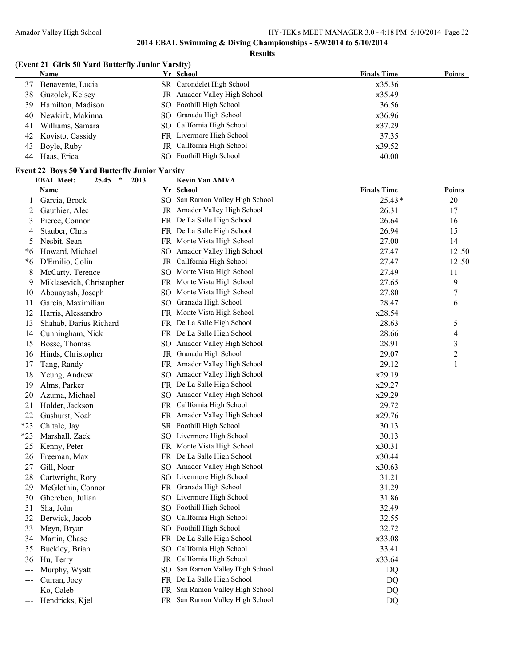#### **Results**

### **(Event 21 Girls 50 Yard Butterfly Junior Varsity)**

|    | Name                 | Yr School                    | <b>Finals Time</b> | Points |
|----|----------------------|------------------------------|--------------------|--------|
| 37 | Benavente, Lucia     | SR Carondelet High School    | x35.36             |        |
| 38 | Guzolek, Kelsey      | JR Amador Valley High School | x35.49             |        |
|    | 39 Hamilton, Madison | SO Foothill High School      | 36.56              |        |
|    | 40 Newkirk, Makinna  | SO Granada High School       | x36.96             |        |
| 41 | Williams, Samara     | SO Callfornia High School    | x37.29             |        |
|    | 42 Kovisto, Cassidy  | FR Livermore High School     | 37.35              |        |
| 43 | Boyle, Ruby          | JR Callfornia High School    | x39.52             |        |
| 44 | Haas, Erica          | SO Foothill High School      | 40.00              |        |

#### **Event 22 Boys 50 Yard Butterfly Junior Varsity**

|              | <b>EBAL Meet:</b><br>25.45<br>$\star$<br>2013 |    | Kevin Yan AMVA                  |                    |                  |
|--------------|-----------------------------------------------|----|---------------------------------|--------------------|------------------|
|              | <b>Name</b>                                   |    | Yr School                       | <b>Finals Time</b> | <b>Points</b>    |
| $\mathbf{1}$ | Garcia, Brock                                 |    | SO San Ramon Valley High School | $25.43*$           | $20\,$           |
| 2            | Gauthier, Alec                                |    | JR Amador Valley High School    | 26.31              | 17               |
| 3            | Pierce, Connor                                |    | FR De La Salle High School      | 26.64              | 16               |
| 4            | Stauber, Chris                                |    | FR De La Salle High School      | 26.94              | 15               |
| 5            | Nesbit, Sean                                  |    | FR Monte Vista High School      | 27.00              | 14               |
| *6           | Howard, Michael                               |    | SO Amador Valley High School    | 27.47              | 12.50            |
| *6           | D'Emilio, Colin                               |    | JR CalIfornia High School       | 27.47              | 12.50            |
| 8            | McCarty, Terence                              |    | SO Monte Vista High School      | 27.49              | 11               |
| 9            | Miklasevich, Christopher                      |    | FR Monte Vista High School      | 27.65              | 9                |
| 10           | Abouayash, Joseph                             |    | SO Monte Vista High School      | 27.80              | $\boldsymbol{7}$ |
| 11           | Garcia, Maximilian                            |    | SO Granada High School          | 28.47              | 6                |
| 12           | Harris, Alessandro                            |    | FR Monte Vista High School      | x28.54             |                  |
| 13           | Shahab, Darius Richard                        |    | FR De La Salle High School      | 28.63              | 5                |
| 14           | Cunningham, Nick                              |    | FR De La Salle High School      | 28.66              | 4                |
| 15           | Bosse, Thomas                                 |    | SO Amador Valley High School    | 28.91              | 3                |
| 16           | Hinds, Christopher                            |    | JR Granada High School          | 29.07              | $\overline{c}$   |
| 17           | Tang, Randy                                   |    | FR Amador Valley High School    | 29.12              | $\mathbf{1}$     |
| 18           | Yeung, Andrew                                 |    | SO Amador Valley High School    | x29.19             |                  |
| 19           | Alms, Parker                                  |    | FR De La Salle High School      | x29.27             |                  |
| 20           | Azuma, Michael                                |    | SO Amador Valley High School    | x29.29             |                  |
| 21           | Holder, Jackson                               |    | FR Callfornia High School       | 29.72              |                  |
| 22           | Gushurst, Noah                                |    | FR Amador Valley High School    | x29.76             |                  |
| $*23$        | Chitale, Jay                                  |    | SR Foothill High School         | 30.13              |                  |
| *23          | Marshall, Zack                                |    | SO Livermore High School        | 30.13              |                  |
| 25           | Kenny, Peter                                  |    | FR Monte Vista High School      | x30.31             |                  |
| 26           | Freeman, Max                                  |    | FR De La Salle High School      | x30.44             |                  |
| 27           | Gill, Noor                                    |    | SO Amador Valley High School    | x30.63             |                  |
| 28           | Cartwright, Rory                              |    | SO Livermore High School        | 31.21              |                  |
| 29           | McGlothin, Connor                             |    | FR Granada High School          | 31.29              |                  |
| 30           | Ghereben, Julian                              |    | SO Livermore High School        | 31.86              |                  |
| 31           | Sha, John                                     |    | SO Foothill High School         | 32.49              |                  |
| 32           | Berwick, Jacob                                |    | SO CalIfornia High School       | 32.55              |                  |
| 33           | Meyn, Bryan                                   |    | SO Foothill High School         | 32.72              |                  |
| 34           | Martin, Chase                                 |    | FR De La Salle High School      | x33.08             |                  |
| 35           | Buckley, Brian                                | SO | CalIfornia High School          | 33.41              |                  |
| 36           | Hu, Terry                                     |    | JR CalIfornia High School       | x33.64             |                  |
|              | Murphy, Wyatt                                 |    | SO San Ramon Valley High School | DQ                 |                  |
|              | Curran, Joey                                  |    | FR De La Salle High School      | DQ                 |                  |
|              | Ko, Caleb                                     |    | FR San Ramon Valley High School | DQ                 |                  |
|              | Hendricks, Kjel                               |    | FR San Ramon Valley High School | DQ                 |                  |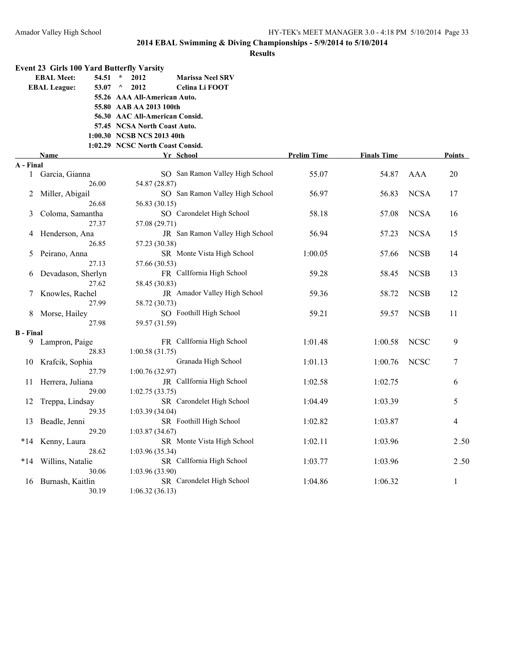|                  | <b>Event 23 Girls 100 Yard Butterfly Varsity</b> |                                             |                    |                    |             |               |
|------------------|--------------------------------------------------|---------------------------------------------|--------------------|--------------------|-------------|---------------|
|                  | <b>EBAL Meet:</b><br>54.51                       | $\star$<br>2012<br><b>Marissa Neel SRV</b>  |                    |                    |             |               |
|                  | <b>EBAL League:</b><br>53.07                     | $\wedge$<br>2012<br>Celina Li FOOT          |                    |                    |             |               |
|                  |                                                  | 55.26 AAA All-American Auto.                |                    |                    |             |               |
|                  |                                                  | 55.80 AAB AA 2013 100th                     |                    |                    |             |               |
|                  |                                                  | 56.30 AAC All-American Consid.              |                    |                    |             |               |
|                  |                                                  | 57.45 NCSA North Coast Auto.                |                    |                    |             |               |
|                  |                                                  | 1:00.30 NCSB NCS 2013 40th                  |                    |                    |             |               |
|                  |                                                  | 1:02.29 NCSC North Coast Consid.            |                    |                    |             |               |
|                  | Name                                             | Yr School                                   | <b>Prelim Time</b> | <b>Finals Time</b> |             | <b>Points</b> |
| A - Final<br>1   |                                                  | SO San Ramon Valley High School             | 55.07              | 54.87              | AAA         | 20            |
|                  | Garcia, Gianna<br>26.00                          | 54.87 (28.87)                               |                    |                    |             |               |
| 2                | Miller, Abigail                                  | SO San Ramon Valley High School             | 56.97              | 56.83              | <b>NCSA</b> | 17            |
|                  | 26.68                                            | 56.83 (30.15)                               |                    |                    |             |               |
| 3                | Coloma, Samantha                                 | SO Carondelet High School                   | 58.18              | 57.08              | <b>NCSA</b> | 16            |
|                  | 27.37                                            | 57.08 (29.71)                               |                    |                    |             |               |
| 4                | Henderson, Ana                                   | JR San Ramon Valley High School             | 56.94              | 57.23              | <b>NCSA</b> | 15            |
|                  | 26.85                                            | 57.23 (30.38)                               |                    |                    |             |               |
| 5                | Peirano, Anna                                    | SR Monte Vista High School                  | 1:00.05            | 57.66              | <b>NCSB</b> | 14            |
|                  | 27.13                                            | 57.66 (30.53)                               |                    |                    |             |               |
| 6                | Devadason, Sherlyn                               | FR CalIfornia High School                   | 59.28              | 58.45              | <b>NCSB</b> | 13            |
|                  | 27.62                                            | 58.45 (30.83)                               |                    |                    |             |               |
| 7                | Knowles, Rachel                                  | JR Amador Valley High School                | 59.36              | 58.72              | <b>NCSB</b> | 12            |
|                  | 27.99                                            | 58.72 (30.73)                               |                    |                    |             |               |
| 8                | Morse, Hailey                                    | SO Foothill High School                     | 59.21              | 59.57              | <b>NCSB</b> | 11            |
|                  | 27.98                                            | 59.57 (31.59)                               |                    |                    |             |               |
| <b>B</b> - Final |                                                  |                                             |                    |                    |             |               |
| 9.               | Lampron, Paige                                   | FR CalIfornia High School                   | 1:01.48            | 1:00.58            | <b>NCSC</b> | 9             |
|                  | 28.83                                            | 1:00.58(31.75)                              |                    |                    |             |               |
| 10               | Krafcik, Sophia                                  | Granada High School                         | 1:01.13            | 1:00.76            | <b>NCSC</b> | 7             |
|                  | 27.79                                            | 1:00.76(32.97)<br>JR Callfornia High School |                    |                    |             |               |
| 11               | Herrera, Juliana<br>29.00                        |                                             | 1:02.58            | 1:02.75            |             | 6             |
| 12               | Treppa, Lindsay                                  | 1:02.75(33.75)<br>SR Carondelet High School | 1:04.49            | 1:03.39            |             | 5             |
|                  | 29.35                                            | 1:03.39(34.04)                              |                    |                    |             |               |
| 13               | Beadle, Jenni                                    | SR Foothill High School                     | 1:02.82            | 1:03.87            |             | 4             |
|                  | 29.20                                            | 1:03.87 (34.67)                             |                    |                    |             |               |
| $*14$            | Kenny, Laura                                     | SR Monte Vista High School                  | 1:02.11            | 1:03.96            |             | 2.50          |
|                  | 28.62                                            | 1:03.96(35.34)                              |                    |                    |             |               |
| $*14$            | Willins, Natalie                                 | SR CalIfornia High School                   | 1:03.77            | 1:03.96            |             | 2.50          |
|                  | 30.06                                            | 1:03.96 (33.90)                             |                    |                    |             |               |
| 16               | Burnash, Kaitlin                                 | SR Carondelet High School                   | 1:04.86            | 1:06.32            |             | $\mathbf{1}$  |
|                  | 30.19                                            | 1:06.32(36.13)                              |                    |                    |             |               |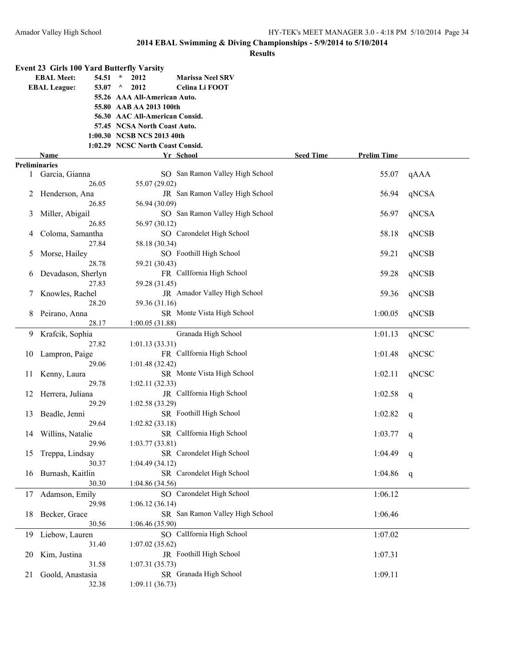|    |                      |               | <b>Event 23 Girls 100 Yard Butterfly Varsity</b> |                                 |                  |                    |       |
|----|----------------------|---------------|--------------------------------------------------|---------------------------------|------------------|--------------------|-------|
|    | <b>EBAL Meet:</b>    | 54.51         | $\star$<br>2012                                  | <b>Marissa Neel SRV</b>         |                  |                    |       |
|    | <b>EBAL League:</b>  | 53.07 $\land$ | 2012                                             | Celina Li FOOT                  |                  |                    |       |
|    |                      |               | 55.26 AAA All-American Auto.                     |                                 |                  |                    |       |
|    |                      |               | 55.80 AAB AA 2013 100th                          |                                 |                  |                    |       |
|    |                      |               | 56.30 AAC All-American Consid.                   |                                 |                  |                    |       |
|    |                      |               | 57.45 NCSA North Coast Auto.                     |                                 |                  |                    |       |
|    |                      |               | 1:00.30 NCSB NCS 2013 40th                       |                                 |                  |                    |       |
|    |                      |               | 1:02.29 NCSC North Coast Consid.                 |                                 |                  |                    |       |
|    | Name                 |               |                                                  | <u>Yr School</u>                | <b>Seed Time</b> | <b>Prelim Time</b> |       |
|    | <b>Preliminaries</b> |               |                                                  |                                 |                  |                    |       |
|    | 1 Garcia, Gianna     |               |                                                  | SO San Ramon Valley High School |                  | 55.07              | qAAA  |
|    |                      | 26.05         | 55.07 (29.02)                                    |                                 |                  |                    |       |
| 2  | Henderson, Ana       |               |                                                  | JR San Ramon Valley High School |                  | 56.94              | qNCSA |
|    |                      | 26.85         | 56.94 (30.09)                                    |                                 |                  |                    |       |
| 3  | Miller, Abigail      |               |                                                  | SO San Ramon Valley High School |                  | 56.97              | qNCSA |
|    |                      | 26.85         | 56.97 (30.12)                                    |                                 |                  |                    |       |
| 4  | Coloma, Samantha     |               |                                                  | SO Carondelet High School       |                  | 58.18              | qNCSB |
|    |                      | 27.84         | 58.18 (30.34)                                    |                                 |                  |                    |       |
| 5  | Morse, Hailey        |               |                                                  | SO Foothill High School         |                  | 59.21              | qNCSB |
|    |                      | 28.78         | 59.21 (30.43)                                    |                                 |                  |                    |       |
| 6  | Devadason, Sherlyn   |               |                                                  | FR Callfornia High School       |                  | 59.28              | qNCSB |
|    |                      | 27.83         | 59.28 (31.45)                                    |                                 |                  |                    |       |
| 7  | Knowles, Rachel      |               |                                                  | JR Amador Valley High School    |                  | 59.36              | qNCSB |
|    |                      | 28.20         | 59.36 (31.16)                                    |                                 |                  |                    |       |
|    | Peirano, Anna        | 28.17         |                                                  | SR Monte Vista High School      |                  | 1:00.05            | qNCSB |
|    |                      |               | 1:00.05(31.88)                                   |                                 |                  |                    |       |
| 9  | Krafcik, Sophia      | 27.82         |                                                  | Granada High School             |                  | 1:01.13            | qNCSC |
|    |                      |               | 1:01.13(33.31)                                   | FR Callfornia High School       |                  | 1:01.48            |       |
| 10 | Lampron, Paige       |               |                                                  |                                 |                  |                    | qNCSC |
|    |                      | 29.06         | 1:01.48(32.42)                                   | SR Monte Vista High School      |                  | 1:02.11            |       |
| 11 | Kenny, Laura         | 29.78         | 1:02.11(32.33)                                   |                                 |                  |                    | qNCSC |
|    |                      |               |                                                  | JR CalIfornia High School       |                  | 1:02.58            |       |
| 12 | Herrera, Juliana     | 29.29         | 1:02.58 (33.29)                                  |                                 |                  |                    | q     |
| 13 | Beadle, Jenni        |               |                                                  | SR Foothill High School         |                  | 1:02.82            |       |
|    |                      | 29.64         | 1:02.82(33.18)                                   |                                 |                  |                    | q     |
|    | 14 Willins, Natalie  |               |                                                  | SR Callfornia High School       |                  | 1:03.77            |       |
|    |                      | 29.96         | 1:03.77(33.81)                                   |                                 |                  |                    | q     |
|    | 15 Treppa, Lindsay   |               |                                                  | SR Carondelet High School       |                  | 1:04.49            | q     |
|    |                      | 30.37         | 1:04.49(34.12)                                   |                                 |                  |                    |       |
| 16 | Burnash, Kaitlin     |               |                                                  | SR Carondelet High School       |                  | 1:04.86            | q     |
|    |                      | 30.30         | 1:04.86 (34.56)                                  |                                 |                  |                    |       |
| 17 | Adamson, Emily       |               |                                                  | SO Carondelet High School       |                  | 1:06.12            |       |
|    |                      | 29.98         | 1:06.12(36.14)                                   |                                 |                  |                    |       |
| 18 | Becker, Grace        |               |                                                  | SR San Ramon Valley High School |                  | 1:06.46            |       |
|    |                      | 30.56         | 1:06.46 (35.90)                                  |                                 |                  |                    |       |
| 19 | Liebow, Lauren       |               |                                                  | SO CalIfornia High School       |                  | 1:07.02            |       |
|    |                      | 31.40         | 1:07.02(35.62)                                   |                                 |                  |                    |       |
| 20 | Kim, Justina         |               |                                                  | JR Foothill High School         |                  | 1:07.31            |       |
|    |                      | 31.58         | 1:07.31(35.73)                                   |                                 |                  |                    |       |
| 21 | Goold, Anastasia     |               |                                                  | SR Granada High School          |                  | 1:09.11            |       |
|    |                      | 32.38         | 1:09.11(36.73)                                   |                                 |                  |                    |       |
|    |                      |               |                                                  |                                 |                  |                    |       |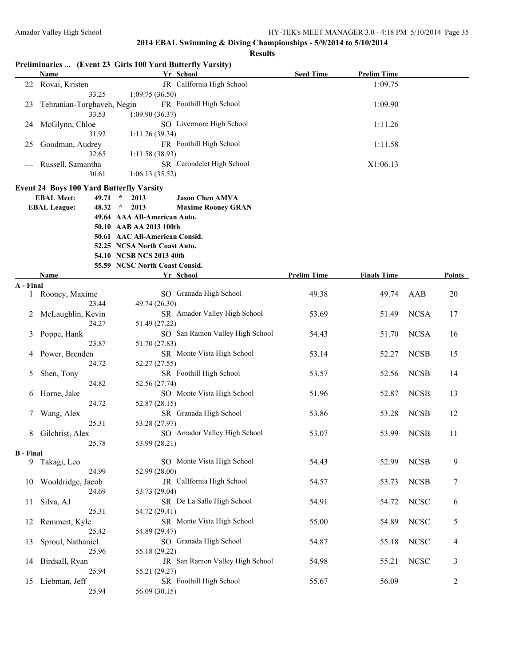|                  | <b>Name</b>                                     | Preliminaries  (Event 23 Girls 100 Yard Butterfly Varsity)<br>Yr School | <b>Seed Time</b>   | <b>Prelim Time</b> |              |                |
|------------------|-------------------------------------------------|-------------------------------------------------------------------------|--------------------|--------------------|--------------|----------------|
|                  | 22 Rovai, Kristen                               | JR CalIfornia High School                                               |                    | 1:09.75            |              |                |
|                  | 33.25                                           | 1:09.75(36.50)                                                          |                    |                    |              |                |
| 23               | Tehranian-Torghaveh, Negin                      | FR Foothill High School                                                 |                    | 1:09.90            |              |                |
|                  | 33.53                                           | 1:09.90(36.37)                                                          |                    |                    |              |                |
| 24               | McGlynn, Chloe                                  | SO Livermore High School                                                |                    | 1:11.26            |              |                |
|                  | 31.92                                           | 1:11.26(39.34)                                                          |                    |                    |              |                |
| 25               | Goodman, Audrey                                 | FR Foothill High School                                                 |                    | 1:11.58            |              |                |
|                  | 32.65                                           | 1:11.58(38.93)                                                          |                    |                    |              |                |
|                  | Russell, Samantha                               | SR Carondelet High School                                               |                    | X1:06.13           |              |                |
|                  | 30.61                                           | 1:06.13(35.52)                                                          |                    |                    |              |                |
|                  | <b>Event 24 Boys 100 Yard Butterfly Varsity</b> |                                                                         |                    |                    |              |                |
|                  | <b>EBAL Meet:</b><br>49.71                      | 2013<br><b>Jason Chen AMVA</b><br>$\star$                               |                    |                    |              |                |
|                  | <b>EBAL League:</b><br>48.32                    | $\wedge$<br>2013<br><b>Maxime Rooney GRAN</b>                           |                    |                    |              |                |
|                  |                                                 | 49.64 AAA All-American Auto.                                            |                    |                    |              |                |
|                  |                                                 | 50.10 AAB AA 2013 100th                                                 |                    |                    |              |                |
|                  |                                                 | 50.61 AAC All-American Consid.                                          |                    |                    |              |                |
|                  |                                                 | 52.25 NCSA North Coast Auto.                                            |                    |                    |              |                |
|                  |                                                 | 54.10 NCSB NCS 2013 40th                                                |                    |                    |              |                |
|                  |                                                 | 55.59 NCSC North Coast Consid.                                          |                    |                    |              |                |
|                  | Name                                            | Yr School                                                               | <b>Prelim Time</b> | <b>Finals Time</b> |              | Points         |
| A - Final        |                                                 |                                                                         |                    |                    |              |                |
| 1                | Rooney, Maxime                                  | SO Granada High School                                                  | 49.38              | 49.74              | AAB          | 20             |
|                  | 23.44                                           | 49.74 (26.30)                                                           |                    |                    |              |                |
| 2                | McLaughlin, Kevin                               | SR Amador Valley High School                                            | 53.69              | 51.49              | <b>NCSA</b>  | 17             |
|                  | 24.27                                           | 51.49 (27.22)                                                           |                    |                    |              |                |
| 3                | Poppe, Hank                                     | SO San Ramon Valley High School                                         | 54.43              | 51.70              | <b>NCSA</b>  | 16             |
|                  | 23.87                                           | 51.70 (27.83)                                                           |                    |                    |              |                |
| 4                | Power, Brenden                                  | SR Monte Vista High School                                              | 53.14              | 52.27              | <b>NCSB</b>  | 15             |
|                  | 24.72                                           | 52.27 (27.55)                                                           |                    |                    |              |                |
| 5                | Shen, Tony                                      | SR Foothill High School                                                 | 53.57              | 52.56              | <b>NCSB</b>  | 14             |
|                  | 24.82                                           | 52.56 (27.74)                                                           |                    |                    |              |                |
| 6                | Horne, Jake                                     | SO Monte Vista High School                                              | 51.96              | 52.87              | <b>NCSB</b>  | 13             |
|                  | 24.72                                           | 52.87 (28.15)                                                           |                    |                    |              |                |
| $\mathcal{L}$    | Wang, Alex                                      | SR Granada High School                                                  | 53.86              | 53.28              | <b>NCSB</b>  | 12             |
|                  | 25.31                                           | 53.28 (27.97)                                                           |                    |                    |              |                |
| 8                | Gilchrist, Alex                                 | SO Amador Valley High School                                            | 53.07              | 53.99              | <b>NCSB</b>  | 11             |
|                  | 25.78                                           | 53.99 (28.21)                                                           |                    |                    |              |                |
| <b>B</b> - Final |                                                 |                                                                         |                    |                    |              |                |
|                  | 9 Takagi, Leo                                   | SO Monte Vista High School                                              | 54.43              | 52.99              | <b>NCSB</b>  | 9              |
|                  | 24.99                                           | 52.99 (28.00)<br>JR CalIfornia High School                              |                    |                    |              |                |
| 10               | Wooldridge, Jacob                               | 53.73 (29.04)                                                           | 54.57              | 53.73              | <b>NCSB</b>  | 7              |
|                  | 24.69                                           |                                                                         |                    |                    |              |                |
| 11               | Silva, AJ                                       | SR De La Salle High School                                              | 54.91              | 54.72              | ${\rm NCSC}$ | 6              |
|                  | 25.31                                           | 54.72 (29.41)                                                           |                    |                    |              |                |
| 12               | Remmert, Kyle                                   | SR Monte Vista High School                                              | 55.00              | 54.89              | <b>NCSC</b>  | 5              |
|                  | 25.42                                           | 54.89 (29.47)                                                           |                    |                    |              |                |
| 13               | Sproul, Nathaniel                               | SO Granada High School                                                  | 54.87              | 55.18              | <b>NCSC</b>  | 4              |
|                  | 25.96                                           | 55.18 (29.22)<br>JR San Ramon Valley High School                        |                    |                    |              |                |
| 14               | Birdsall, Ryan                                  |                                                                         | 54.98              | 55.21              | <b>NCSC</b>  | 3              |
|                  | 25.94                                           | 55.21 (29.27)<br>SR Foothill High School                                |                    |                    |              |                |
| 15               | Liebman, Jeff                                   | 56.09 (30.15)                                                           | 55.67              | 56.09              |              | $\overline{c}$ |
|                  | 25.94                                           |                                                                         |                    |                    |              |                |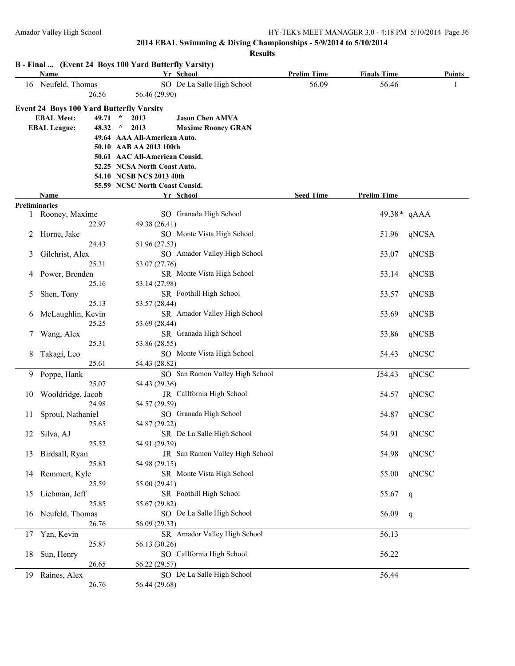|    | <b>Name</b>                                     | B - Final  (Event 24 Boys 100 Yard Butterfly Varsity)<br>Yr School | <b>Prelim Time</b> | <b>Finals Time</b> | Points      |
|----|-------------------------------------------------|--------------------------------------------------------------------|--------------------|--------------------|-------------|
|    | 16 Neufeld, Thomas                              | SO De La Salle High School                                         | 56.09              | 56.46              |             |
|    | 26.56                                           | 56.46 (29.90)                                                      |                    |                    |             |
|    | <b>Event 24 Boys 100 Yard Butterfly Varsity</b> |                                                                    |                    |                    |             |
|    | <b>EBAL Meet:</b>                               | $49.71 *$<br><b>Jason Chen AMVA</b><br>2013                        |                    |                    |             |
|    | <b>EBAL League:</b><br>48.32                    | $\wedge$<br>2013<br><b>Maxime Rooney GRAN</b>                      |                    |                    |             |
|    |                                                 | 49.64 AAA All-American Auto.                                       |                    |                    |             |
|    |                                                 | 50.10 AAB AA 2013 100th                                            |                    |                    |             |
|    |                                                 | 50.61 AAC All-American Consid.                                     |                    |                    |             |
|    |                                                 | 52.25 NCSA North Coast Auto.                                       |                    |                    |             |
|    |                                                 | 54.10 NCSB NCS 2013 40th                                           |                    |                    |             |
|    |                                                 | 55.59 NCSC North Coast Consid.                                     |                    |                    |             |
|    | Name                                            | Yr School                                                          | <b>Seed Time</b>   | <b>Prelim Time</b> |             |
|    | <b>Preliminaries</b>                            |                                                                    |                    |                    |             |
| 1  | Rooney, Maxime                                  | SO Granada High School                                             |                    |                    | 49.38* qAAA |
|    | 22.97                                           | 49.38 (26.41)                                                      |                    |                    |             |
| 2  | Horne, Jake                                     | SO Monte Vista High School                                         |                    | 51.96              | qNCSA       |
|    | 24.43                                           | 51.96 (27.53)                                                      |                    |                    |             |
| 3  | Gilchrist, Alex                                 | SO Amador Valley High School                                       |                    | 53.07              | qNCSB       |
|    | 25.31                                           | 53.07 (27.76)                                                      |                    |                    |             |
| 4  | Power, Brenden                                  | SR Monte Vista High School                                         |                    | 53.14              | qNCSB       |
|    | 25.16                                           | 53.14 (27.98)                                                      |                    |                    |             |
| 5  | Shen, Tony                                      | SR Foothill High School                                            |                    | 53.57              | qNCSB       |
|    | 25.13                                           | 53.57 (28.44)                                                      |                    |                    |             |
| 6  | McLaughlin, Kevin                               | SR Amador Valley High School                                       |                    | 53.69              | qNCSB       |
|    | 25.25                                           | 53.69 (28.44)                                                      |                    |                    |             |
| 7  | Wang, Alex                                      | SR Granada High School                                             |                    | 53.86              | qNCSB       |
|    | 25.31                                           | 53.86 (28.55)                                                      |                    |                    |             |
| 8  | Takagi, Leo                                     | SO Monte Vista High School                                         |                    | 54.43              | qNCSC       |
|    | 25.61                                           | 54.43 (28.82)                                                      |                    |                    |             |
| 9. | Poppe, Hank                                     | SO San Ramon Valley High School                                    |                    | J54.43             | qNCSC       |
|    | 25.07                                           | 54.43 (29.36)                                                      |                    |                    |             |
| 10 | Wooldridge, Jacob                               | JR CalIfornia High School                                          |                    | 54.57              | qNCSC       |
|    | 24.98                                           | 54.57 (29.59)                                                      |                    |                    |             |
| 11 | Sproul, Nathaniel                               | SO Granada High School                                             |                    | 54.87              | qNCSC       |
|    | 25.65                                           | 54.87 (29.22)                                                      |                    |                    |             |
|    | 12 Silva, AJ                                    | SR De La Salle High School                                         |                    |                    | 54.91 qNCSC |
|    | 25.52                                           | 54.91 (29.39)                                                      |                    |                    |             |
| 13 | Birdsall, Ryan                                  | JR San Ramon Valley High School                                    |                    | 54.98              | qNCSC       |
|    | 25.83                                           | 54.98 (29.15)                                                      |                    |                    |             |
| 14 | Remmert, Kyle<br>25.59                          | SR Monte Vista High School                                         |                    | 55.00              | qNCSC       |
|    |                                                 | 55.00 (29.41)<br>SR Foothill High School                           |                    |                    |             |
| 15 | Liebman, Jeff<br>25.85                          | 55.67 (29.82)                                                      |                    | 55.67              | q           |
|    |                                                 | SO De La Salle High School                                         |                    |                    |             |
| 16 | Neufeld, Thomas<br>26.76                        | 56.09 (29.33)                                                      |                    | 56.09              | q           |
|    | Yan, Kevin                                      | SR Amador Valley High School                                       |                    |                    |             |
| 17 |                                                 |                                                                    |                    | 56.13              |             |
|    | 25.87                                           | 56.13 (30.26)<br>SO CalIfornia High School                         |                    |                    |             |
| 18 | Sun, Henry<br>26.65                             | 56.22 (29.57)                                                      |                    | 56.22              |             |
|    |                                                 | SO De La Salle High School                                         |                    | 56.44              |             |
| 19 | Raines, Alex<br>26.76                           | 56.44 (29.68)                                                      |                    |                    |             |
|    |                                                 |                                                                    |                    |                    |             |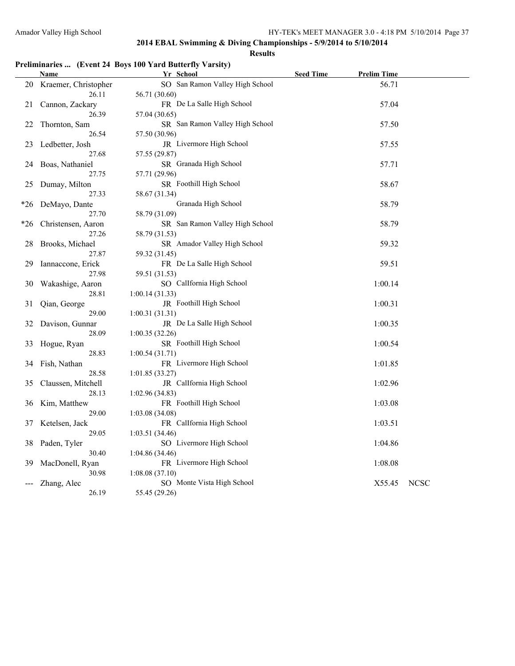**Results**

# **Preliminaries ... (Event 24 Boys 100 Yard Butterfly Varsity)**

|     | Name                     | Yr School                                   | <b>Seed Time</b> | <b>Prelim Time</b> |             |
|-----|--------------------------|---------------------------------------------|------------------|--------------------|-------------|
|     | 20 Kraemer, Christopher  | SO San Ramon Valley High School             |                  | 56.71              |             |
|     | 26.11                    | 56.71 (30.60)                               |                  |                    |             |
| 21  | Cannon, Zackary          | FR De La Salle High School                  |                  | 57.04              |             |
|     | 26.39                    | 57.04 (30.65)                               |                  |                    |             |
| 22  | Thornton, Sam            | SR San Ramon Valley High School             |                  | 57.50              |             |
|     | 26.54                    | 57.50 (30.96)                               |                  |                    |             |
| 23  | Ledbetter, Josh          | JR Livermore High School                    |                  | 57.55              |             |
|     | 27.68                    | 57.55 (29.87)                               |                  |                    |             |
| 24  | Boas, Nathaniel          | SR Granada High School                      |                  | 57.71              |             |
|     | 27.75                    | 57.71 (29.96)                               |                  |                    |             |
| 25  | Dumay, Milton            | SR Foothill High School                     |                  | 58.67              |             |
|     | 27.33                    | 58.67 (31.34)                               |                  |                    |             |
| *26 | DeMayo, Dante            | Granada High School                         |                  | 58.79              |             |
|     | 27.70                    | 58.79 (31.09)                               |                  |                    |             |
| *26 | Christensen, Aaron       | SR San Ramon Valley High School             |                  | 58.79              |             |
|     | 27.26                    | 58.79 (31.53)                               |                  |                    |             |
| 28  | Brooks, Michael          | SR Amador Valley High School                |                  | 59.32              |             |
|     | 27.87                    | 59.32 (31.45)                               |                  |                    |             |
| 29  | Iannaccone, Erick        | FR De La Salle High School                  |                  | 59.51              |             |
|     | 27.98                    | 59.51 (31.53)                               |                  |                    |             |
| 30  | Wakashige, Aaron         | SO CalIfornia High School                   |                  | 1:00.14            |             |
|     | 28.81                    | 1:00.14(31.33)                              |                  |                    |             |
| 31  | Qian, George             | JR Foothill High School                     |                  | 1:00.31            |             |
|     | 29.00                    | 1:00.31(31.31)                              |                  |                    |             |
| 32  | Davison, Gunnar          | JR De La Salle High School                  |                  | 1:00.35            |             |
|     | 28.09                    | 1:00.35(32.26)                              |                  |                    |             |
| 33  | Hogue, Ryan              | SR Foothill High School                     |                  | 1:00.54            |             |
|     | 28.83                    | 1:00.54(31.71)                              |                  |                    |             |
| 34  | Fish, Nathan             | FR Livermore High School                    |                  | 1:01.85            |             |
|     | 28.58                    | 1:01.85(33.27)                              |                  |                    |             |
| 35  | Claussen, Mitchell       | JR Callfornia High School                   |                  | 1:02.96            |             |
|     | 28.13                    | 1:02.96(34.83)                              |                  |                    |             |
| 36  | Kim, Matthew             | FR Foothill High School                     |                  | 1:03.08            |             |
|     | 29.00                    | 1:03.08(34.08)                              |                  |                    |             |
| 37  | Ketelsen, Jack           | FR CalIfornia High School                   |                  | 1:03.51            |             |
|     | 29.05                    | 1:03.51(34.46)<br>SO Livermore High School  |                  |                    |             |
| 38  | Paden, Tyler             |                                             |                  | 1:04.86            |             |
|     | 30.40                    | 1:04.86 (34.46)<br>FR Livermore High School |                  |                    |             |
| 39  | MacDonell, Ryan<br>30.98 | 1:08.08(37.10)                              |                  | 1:08.08            |             |
|     |                          | SO Monte Vista High School                  |                  |                    |             |
|     | Zhang, Alec<br>26.19     | 55.45 (29.26)                               |                  | X55.45             | <b>NCSC</b> |
|     |                          |                                             |                  |                    |             |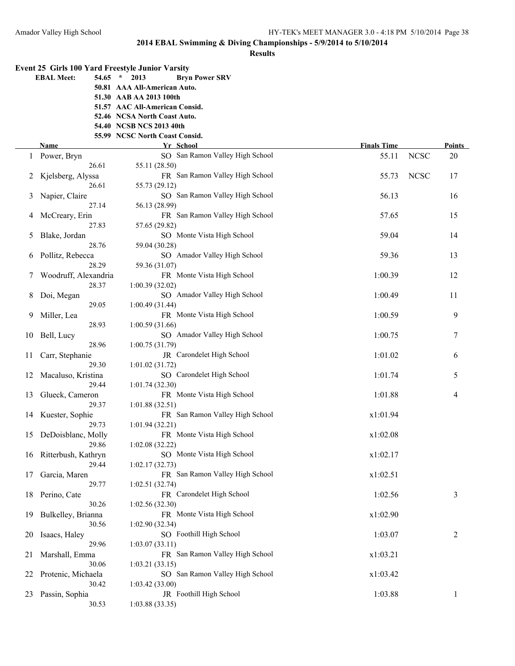**Finals Time Points** 

# **2014 EBAL Swimming & Diving Championships - 5/9/2014 to 5/10/2014**

|   |                            | Result                                                  |
|---|----------------------------|---------------------------------------------------------|
|   |                            | <b>Event 25 Girls 100 Yard Freestyle Junior Varsity</b> |
|   | <b>EBAL Meet:</b><br>54.65 | $\star$<br>2013<br><b>Bryn Power SRV</b>                |
|   |                            | 50.81 AAA All-American Auto.                            |
|   |                            | 51.30 AAB AA 2013 100th                                 |
|   |                            | 51.57 AAC All-American Consid.                          |
|   |                            | 52.46 NCSA North Coast Auto.                            |
|   |                            | 54.40 NCSB NCS 2013 40th                                |
|   |                            | 55.99 NCSC North Coast Consid.                          |
|   | Name                       | Yr School                                               |
| 1 | Power, Bryn                | SO San Ramon Valley High Schoo                          |
|   | 26.61                      | 55.11 (28.50)                                           |
| 2 | Kjelsberg, Alyssa          | FR San Ramon Valley High Schoo                          |
|   | 26.61                      | 55.73 (29.12)                                           |
| 3 | Napier, Claire             | SO San Ramon Valley High Schoo                          |
|   | 27.14                      | 56.13 (28.99)                                           |
| 4 | McCreary, Erin             | FR San Ramon Valley High Schoo                          |
|   | 27.83                      | 57.65 (29.82)                                           |
| 5 | Blake, Jordan              | SO Monte Vista High School                              |
|   | 28.76                      | 59.04 (30.28)                                           |
| 6 | Pollitz, Rebecca           | SO Amador Valley High School                            |
|   | 28.29                      | 59.36 (31.07)                                           |
| 7 | Woodruff, Alexandria       | FR Monte Vista High School                              |
|   | 28.37                      | 1:00.39(32.02)                                          |

| 1  | Power, Bryn          | SO San Ramon Valley High School | 55.11    | <b>NCSC</b> | 20             |
|----|----------------------|---------------------------------|----------|-------------|----------------|
|    | 26.61                | 55.11 (28.50)                   |          |             |                |
| 2  | Kjelsberg, Alyssa    | FR San Ramon Valley High School | 55.73    | <b>NCSC</b> | 17             |
|    | 26.61                | 55.73 (29.12)                   |          |             |                |
| 3  | Napier, Claire       | SO San Ramon Valley High School | 56.13    |             | 16             |
|    | 27.14                | 56.13 (28.99)                   |          |             |                |
| 4  | McCreary, Erin       | FR San Ramon Valley High School | 57.65    |             | 15             |
|    | 27.83                | 57.65 (29.82)                   |          |             |                |
| 5  | Blake, Jordan        | SO Monte Vista High School      | 59.04    |             | 14             |
|    | 28.76                | 59.04 (30.28)                   |          |             |                |
| 6  | Pollitz, Rebecca     | SO Amador Valley High School    | 59.36    |             | 13             |
|    | 28.29                | 59.36 (31.07)                   |          |             |                |
| 7  | Woodruff, Alexandria | FR Monte Vista High School      | 1:00.39  |             | 12             |
|    | 28.37                | 1:00.39(32.02)                  |          |             |                |
| 8  | Doi, Megan           | SO Amador Valley High School    | 1:00.49  |             | 11             |
|    | 29.05                | 1:00.49 (31.44)                 |          |             |                |
| 9  | Miller, Lea          | FR Monte Vista High School      | 1:00.59  |             | 9              |
|    | 28.93                | 1:00.59(31.66)                  |          |             |                |
| 10 | Bell, Lucy           | SO Amador Valley High School    | 1:00.75  |             | 7              |
|    | 28.96                | 1:00.75(31.79)                  |          |             |                |
| 11 | Carr, Stephanie      | JR Carondelet High School       | 1:01.02  |             | 6              |
|    | 29.30                | 1:01.02(31.72)                  |          |             |                |
| 12 | Macaluso, Kristina   | SO Carondelet High School       | 1:01.74  |             | 5              |
|    | 29.44                | 1:01.74(32.30)                  |          |             |                |
| 13 | Glueck, Cameron      | FR Monte Vista High School      | 1:01.88  |             | 4              |
|    | 29.37                | 1:01.88(32.51)                  |          |             |                |
| 14 | Kuester, Sophie      | FR San Ramon Valley High School | x1:01.94 |             |                |
|    | 29.73                | 1:01.94(32.21)                  |          |             |                |
| 15 | DeDoisblanc, Molly   | FR Monte Vista High School      | x1:02.08 |             |                |
|    | 29.86                | 1:02.08(32.22)                  |          |             |                |
| 16 | Ritterbush, Kathryn  | SO Monte Vista High School      | x1:02.17 |             |                |
|    | 29.44                | 1:02.17(32.73)                  |          |             |                |
| 17 | Garcia, Maren        | FR San Ramon Valley High School | x1:02.51 |             |                |
|    | 29.77                | 1:02.51 (32.74)                 |          |             |                |
| 18 | Perino, Cate         | FR Carondelet High School       | 1:02.56  |             | 3              |
|    | 30.26                | 1:02.56(32.30)                  |          |             |                |
| 19 | Bulkelley, Brianna   | FR Monte Vista High School      | x1:02.90 |             |                |
|    | 30.56                | 1:02.90(32.34)                  |          |             |                |
| 20 | Isaacs, Haley        | SO Foothill High School         | 1:03.07  |             | $\overline{c}$ |
|    | 29.96                | 1:03.07(33.11)                  |          |             |                |
| 21 | Marshall, Emma       | FR San Ramon Valley High School | x1:03.21 |             |                |
|    | 30.06                | 1:03.21(33.15)                  |          |             |                |
| 22 | Protenic, Michaela   | SO San Ramon Valley High School | x1:03.42 |             |                |
|    | 30.42                | 1:03.42(33.00)                  |          |             |                |
| 23 | Passin, Sophia       | JR Foothill High School         | 1:03.88  |             | 1              |
|    | 30.53                | 1:03.88(33.35)                  |          |             |                |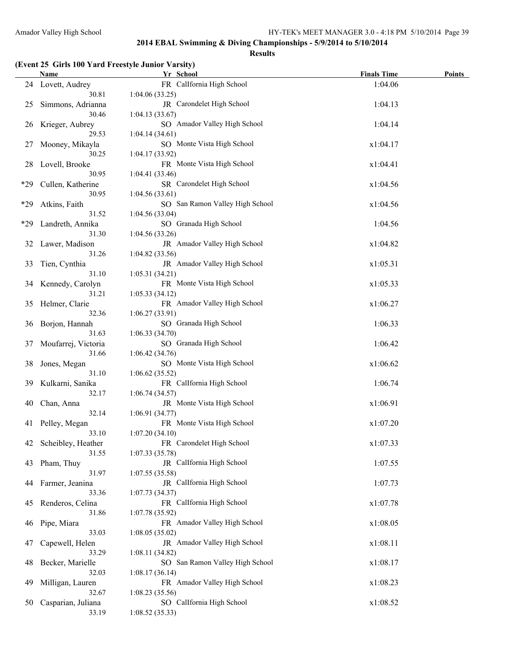#### **Results**

### **(Event 25 Girls 100 Yard Freestyle Junior Varsity)**

|       | Name                      | Yr School                                    | <b>Finals Time</b> | Points |
|-------|---------------------------|----------------------------------------------|--------------------|--------|
|       | 24 Lovett, Audrey         | FR CalIfornia High School                    | 1:04.06            |        |
|       | 30.81                     | 1:04.06(33.25)                               |                    |        |
| 25    | Simmons, Adrianna         | JR Carondelet High School                    | 1:04.13            |        |
|       | 30.46                     | 1:04.13(33.67)                               |                    |        |
| 26    | Krieger, Aubrey           | SO Amador Valley High School                 | 1:04.14            |        |
|       | 29.53                     | 1:04.14(34.61)                               |                    |        |
| 27    | Mooney, Mikayla           | SO Monte Vista High School                   | x1:04.17           |        |
|       | 30.25                     | 1:04.17(33.92)                               |                    |        |
| 28    | Lovell, Brooke            | FR Monte Vista High School                   | x1:04.41           |        |
|       | 30.95                     | 1:04.41(33.46)                               |                    |        |
| *29   | Cullen, Katherine         | SR Carondelet High School                    | x1:04.56           |        |
|       | 30.95                     | 1:04.56(33.61)                               |                    |        |
| $*29$ | Atkins, Faith             | SO San Ramon Valley High School              | x1:04.56           |        |
|       | 31.52                     | 1:04.56(33.04)                               |                    |        |
| *29   | Landreth, Annika          | SO Granada High School                       | 1:04.56            |        |
|       | 31.30                     | 1:04.56(33.26)                               |                    |        |
| 32    | Lawer, Madison            | JR Amador Valley High School                 | x1:04.82           |        |
|       | 31.26                     | 1:04.82(33.56)                               |                    |        |
| 33    | Tien, Cynthia             | JR Amador Valley High School                 | x1:05.31           |        |
|       | 31.10                     | 1:05.31(34.21)                               |                    |        |
|       | 34 Kennedy, Carolyn       | FR Monte Vista High School                   | x1:05.33           |        |
|       | 31.21                     | 1:05.33(34.12)                               |                    |        |
|       | 35 Helmer, Clarie         | FR Amador Valley High School                 | x1:06.27           |        |
|       | 32.36                     | 1:06.27(33.91)                               |                    |        |
| 36    | Borjon, Hannah            | SO Granada High School                       | 1:06.33            |        |
|       | 31.63                     | 1:06.33(34.70)                               |                    |        |
| 37    | Moufarrej, Victoria       | SO Granada High School                       | 1:06.42            |        |
|       | 31.66                     | 1:06.42(34.76)                               |                    |        |
| 38    | Jones, Megan              | SO Monte Vista High School                   | x1:06.62           |        |
|       | 31.10                     | 1:06.62(35.52)                               |                    |        |
| 39    | Kulkarni, Sanika<br>32.17 | FR CalIfornia High School                    | 1:06.74            |        |
| 40    | Chan, Anna                | 1:06.74(34.57)<br>JR Monte Vista High School | x1:06.91           |        |
|       | 32.14                     | 1:06.91 (34.77)                              |                    |        |
| 41    | Pelley, Megan             | FR Monte Vista High School                   | x1:07.20           |        |
|       | 33.10                     | 1:07.20(34.10)                               |                    |        |
| 42    | Scheibley, Heather        | FR Carondelet High School                    | x1:07.33           |        |
|       | 31.55                     | 1:07.33(35.78)                               |                    |        |
| 43    | Pham, Thuy                | JR CalIfornia High School                    | 1:07.55            |        |
|       | 31.97                     | 1:07.55(35.58)                               |                    |        |
| 44    | Farmer, Jeanina           | JR CalIfornia High School                    | 1:07.73            |        |
|       | 33.36                     | 1:07.73(34.37)                               |                    |        |
| 45    | Renderos, Celina          | FR CalIfornia High School                    | x1:07.78           |        |
|       | 31.86                     | 1:07.78(35.92)                               |                    |        |
| 46    | Pipe, Miara               | FR Amador Valley High School                 | x1:08.05           |        |
|       | 33.03                     | 1:08.05(35.02)                               |                    |        |
| 47    | Capewell, Helen           | JR Amador Valley High School                 | x1:08.11           |        |
|       | 33.29                     | 1:08.11(34.82)                               |                    |        |
| 48    | Becker, Marielle          | SO San Ramon Valley High School              | x1:08.17           |        |
|       | 32.03                     | 1:08.17(36.14)                               |                    |        |
| 49    | Milligan, Lauren          | FR Amador Valley High School                 | x1:08.23           |        |
|       | 32.67                     | 1:08.23(35.56)                               |                    |        |
| 50    | Casparian, Juliana        | SO CalIfornia High School                    | x1:08.52           |        |
|       | 33.19                     | 1:08.52(35.33)                               |                    |        |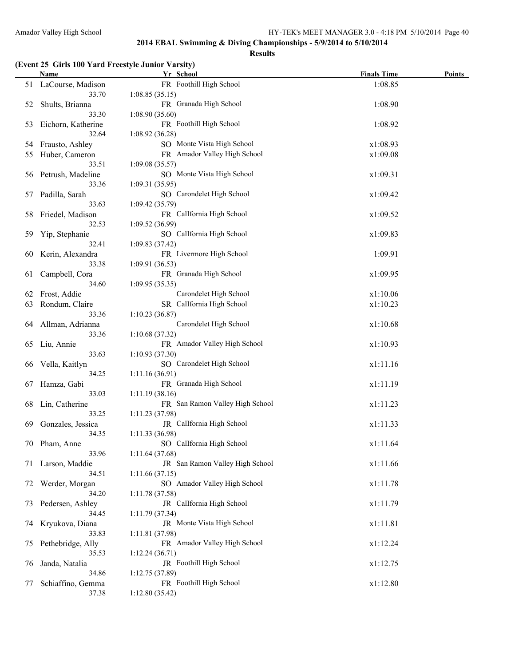#### **Results**

### **(Event 25 Girls 100 Yard Freestyle Junior Varsity)**

|    | Name                 | Yr School                       | <b>Finals Time</b> | Points |
|----|----------------------|---------------------------------|--------------------|--------|
| 51 | LaCourse, Madison    | FR Foothill High School         | 1:08.85            |        |
|    | 33.70                | 1:08.85(35.15)                  |                    |        |
| 52 | Shults, Brianna      | FR Granada High School          | 1:08.90            |        |
|    | 33.30                | 1:08.90(35.60)                  |                    |        |
| 53 | Eichorn, Katherine   | FR Foothill High School         | 1:08.92            |        |
|    | 32.64                | 1:08.92(36.28)                  |                    |        |
| 54 | Frausto, Ashley      | SO Monte Vista High School      | x1:08.93           |        |
| 55 | Huber, Cameron       | FR Amador Valley High School    | x1:09.08           |        |
|    | 33.51                | 1:09.08(35.57)                  |                    |        |
|    | 56 Petrush, Madeline | SO Monte Vista High School      | x1:09.31           |        |
|    | 33.36                | 1:09.31(35.95)                  |                    |        |
| 57 | Padilla, Sarah       | SO Carondelet High School       | x1:09.42           |        |
|    | 33.63                | 1:09.42(35.79)                  |                    |        |
| 58 | Friedel, Madison     | FR CalIfornia High School       | x1:09.52           |        |
|    | 32.53                | 1:09.52(36.99)                  |                    |        |
| 59 | Yip, Stephanie       | SO CalIfornia High School       | x1:09.83           |        |
|    | 32.41                | 1:09.83(37.42)                  |                    |        |
| 60 | Kerin, Alexandra     | FR Livermore High School        | 1:09.91            |        |
|    | 33.38                | 1:09.91(36.53)                  |                    |        |
| 61 | Campbell, Cora       | FR Granada High School          | x1:09.95           |        |
|    | 34.60                | 1:09.95(35.35)                  |                    |        |
| 62 | Frost, Addie         | Carondelet High School          | x1:10.06           |        |
| 63 | Rondum, Claire       | SR CalIfornia High School       | x1:10.23           |        |
|    | 33.36                | 1:10.23(36.87)                  |                    |        |
| 64 | Allman, Adrianna     | Carondelet High School          | x1:10.68           |        |
|    | 33.36                | 1:10.68(37.32)                  |                    |        |
| 65 | Liu, Annie           | FR Amador Valley High School    | x1:10.93           |        |
|    | 33.63                | 1:10.93(37.30)                  |                    |        |
| 66 | Vella, Kaitlyn       | SO Carondelet High School       | x1:11.16           |        |
|    | 34.25                | 1:11.16(36.91)                  |                    |        |
| 67 | Hamza, Gabi          | FR Granada High School          | x1:11.19           |        |
|    | 33.03                | 1:11.19(38.16)                  |                    |        |
| 68 | Lin, Catherine       | FR San Ramon Valley High School | x1:11.23           |        |
|    | 33.25                | 1:11.23(37.98)                  |                    |        |
| 69 | Gonzales, Jessica    | JR CalIfornia High School       | x1:11.33           |        |
|    | 34.35                | 1:11.33(36.98)                  |                    |        |
|    | 70 Pham, Anne        | SO CalIfornia High School       | x1:11.64           |        |
|    | 33.96                | 1:11.64(37.68)                  |                    |        |
| 71 | Larson, Maddie       | JR San Ramon Valley High School | x1:11.66           |        |
|    | 34.51                | 1:11.66(37.15)                  |                    |        |
| 72 | Werder, Morgan       | SO Amador Valley High School    | x1:11.78           |        |
|    | 34.20                | 1:11.78 (37.58)                 |                    |        |
| 73 | Pedersen, Ashley     | JR CalIfornia High School       | x1:11.79           |        |
|    | 34.45                | 1:11.79(37.34)                  |                    |        |
| 74 | Kryukova, Diana      | JR Monte Vista High School      | x1:11.81           |        |
|    | 33.83                | 1:11.81(37.98)                  |                    |        |
| 75 | Pethebridge, Ally    | FR Amador Valley High School    | x1:12.24           |        |
|    | 35.53                | 1:12.24(36.71)                  |                    |        |
| 76 | Janda, Natalia       | JR Foothill High School         | x1:12.75           |        |
|    | 34.86                | 1:12.75(37.89)                  |                    |        |
| 77 | Schiaffino, Gemma    | FR Foothill High School         | x1:12.80           |        |
|    | 37.38                | 1:12.80(35.42)                  |                    |        |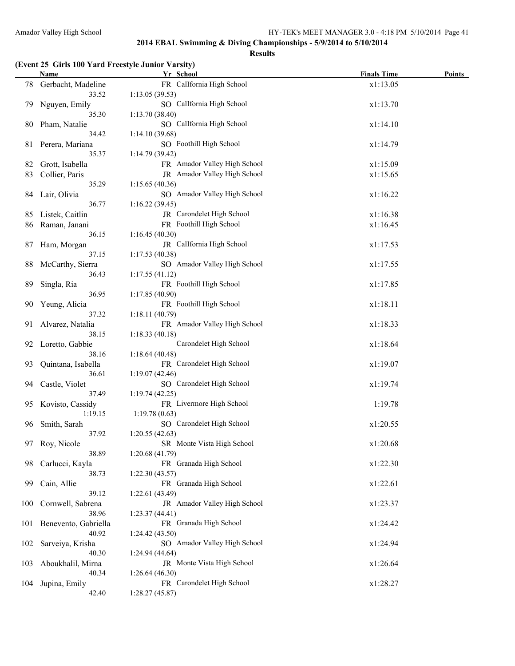#### **Results**

### **(Event 25 Girls 100 Yard Freestyle Junior Varsity)**

|       | Name                       | Yr School                                       | <b>Finals Time</b> | Points |
|-------|----------------------------|-------------------------------------------------|--------------------|--------|
|       | 78 Gerbacht, Madeline      | FR Callfornia High School                       | x1:13.05           |        |
|       | 33.52                      | 1:13.05(39.53)                                  |                    |        |
| 79.   | Nguyen, Emily              | SO CalIfornia High School                       | x1:13.70           |        |
|       | 35.30                      | 1:13.70(38.40)                                  |                    |        |
| 80    | Pham, Natalie              | SO CalIfornia High School                       | x1:14.10           |        |
|       | 34.42                      | 1:14.10(39.68)                                  |                    |        |
| 81    | Perera, Mariana            | SO Foothill High School                         | x1:14.79           |        |
|       | 35.37                      | 1:14.79(39.42)                                  |                    |        |
| 82    | Grott, Isabella            | FR Amador Valley High School                    | x1:15.09           |        |
| 83    | Collier, Paris             | JR Amador Valley High School                    | x1:15.65           |        |
|       | 35.29                      | 1:15.65(40.36)                                  |                    |        |
| 84    | Lair, Olivia               | SO Amador Valley High School                    | x1:16.22           |        |
|       | 36.77                      | 1:16.22(39.45)                                  |                    |        |
| 85    | Listek, Caitlin            | JR Carondelet High School                       | x1:16.38           |        |
| 86    | Raman, Janani              | FR Foothill High School                         | x1:16.45           |        |
|       | 36.15                      | 1:16.45(40.30)                                  |                    |        |
| 87    | Ham, Morgan                | JR CalIfornia High School                       | x1:17.53           |        |
|       | 37.15                      | 1:17.53(40.38)                                  |                    |        |
| 88    | McCarthy, Sierra           | SO Amador Valley High School                    | x1:17.55           |        |
|       | 36.43                      | 1:17.55(41.12)                                  |                    |        |
| 89    | Singla, Ria                | FR Foothill High School                         | x1:17.85           |        |
|       | 36.95                      | 1:17.85 (40.90)                                 |                    |        |
| 90    | Yeung, Alicia              | FR Foothill High School                         | x1:18.11           |        |
|       | 37.32                      | 1:18.11(40.79)                                  |                    |        |
| 91    | Alvarez, Natalia           | FR Amador Valley High School                    | x1:18.33           |        |
|       | 38.15                      | 1:18.33(40.18)                                  |                    |        |
| 92    | Loretto, Gabbie            | Carondelet High School                          | x1:18.64           |        |
|       | 38.16                      | 1:18.64(40.48)                                  |                    |        |
| 93    | Quintana, Isabella         | FR Carondelet High School                       | x1:19.07           |        |
|       | 36.61                      | 1:19.07(42.46)                                  |                    |        |
| 94    | Castle, Violet             | SO Carondelet High School                       | x1:19.74           |        |
|       | 37.49                      | 1:19.74(42.25)                                  |                    |        |
| 95    | Kovisto, Cassidy           | FR Livermore High School                        | 1:19.78            |        |
|       | 1:19.15                    | 1:19.78(0.63)                                   |                    |        |
| 96.   | Smith, Sarah               | SO Carondelet High School                       | x1:20.55           |        |
|       | 37.92                      | 1:20.55(42.63)                                  |                    |        |
|       | 97 Roy, Nicole             | SR Monte Vista High School                      | x1:20.68           |        |
|       | 38.89                      | 1:20.68(41.79)                                  |                    |        |
| 98    | Carlucci, Kayla            | FR Granada High School                          | x1:22.30           |        |
|       | 38.73                      | 1:22.30(43.57)                                  |                    |        |
| 99    | Cain, Allie<br>39.12       | FR Granada High School                          | x1:22.61           |        |
|       |                            | 1:22.61 (43.49)<br>JR Amador Valley High School |                    |        |
| 100   | Cornwell, Sabrena<br>38.96 | 1:23.37(44.41)                                  | x1:23.37           |        |
| 101 - | Benevento, Gabriella       | FR Granada High School                          | x1:24.42           |        |
|       | 40.92                      | 1:24.42 (43.50)                                 |                    |        |
| 102   | Sarveiya, Krisha           | SO Amador Valley High School                    | x1:24.94           |        |
|       | 40.30                      | 1:24.94(44.64)                                  |                    |        |
| 103   | Aboukhalil, Mirna          | JR Monte Vista High School                      | x1:26.64           |        |
|       | 40.34                      | 1:26.64(46.30)                                  |                    |        |
| 104   | Jupina, Emily              | FR Carondelet High School                       | x1:28.27           |        |
|       | 42.40                      | 1:28.27(45.87)                                  |                    |        |
|       |                            |                                                 |                    |        |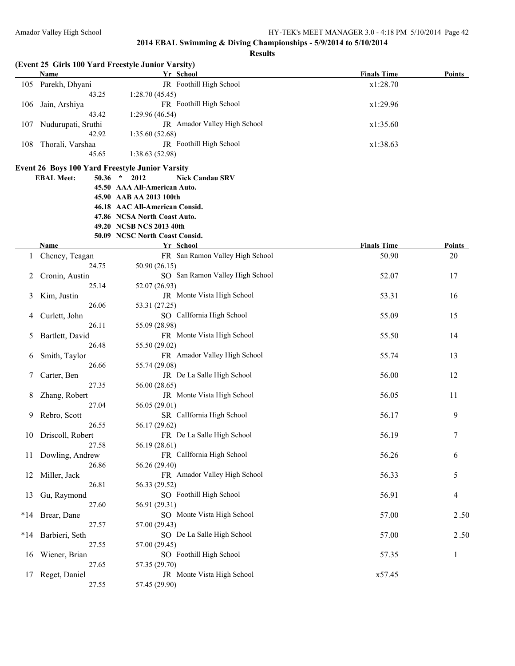|       | Name                           | (Event 25 Girls 100 Yard Freestyle Junior Varsity)<br>Yr School | <b>Finals Time</b> | <b>Points</b> |
|-------|--------------------------------|-----------------------------------------------------------------|--------------------|---------------|
| 105   | Parekh, Dhyani                 | JR Foothill High School                                         | x1:28.70           |               |
|       | 43.25                          | 1:28.70(45.45)                                                  |                    |               |
|       | 106 Jain, Arshiya              | FR Foothill High School                                         | x1:29.96           |               |
|       | 43.42                          | 1:29.96(46.54)                                                  |                    |               |
| 107   | Nudurupati, Sruthi             | JR Amador Valley High School                                    | x1:35.60           |               |
|       | 42.92                          | 1:35.60(52.68)                                                  |                    |               |
| 108   | Thorali, Varshaa               | JR Foothill High School                                         | x1:38.63           |               |
|       | 45.65                          | 1:38.63(52.98)                                                  |                    |               |
|       |                                | <b>Event 26 Boys 100 Yard Freestyle Junior Varsity</b>          |                    |               |
|       | <b>EBAL Meet:</b><br>$50.36$ * | <b>Nick Candau SRV</b><br>2012                                  |                    |               |
|       |                                | 45.50 AAA All-American Auto.                                    |                    |               |
|       |                                | 45.90 AAB AA 2013 100th                                         |                    |               |
|       |                                | 46.18 AAC All-American Consid.                                  |                    |               |
|       |                                | 47.86 NCSA North Coast Auto.<br>49.20 NCSB NCS 2013 40th        |                    |               |
|       |                                | 50.09 NCSC North Coast Consid.                                  |                    |               |
|       | <b>Name</b>                    | Yr School                                                       | <b>Finals Time</b> | <b>Points</b> |
|       | Cheney, Teagan                 | FR San Ramon Valley High School                                 | 50.90              | 20            |
|       | 24.75                          | 50.90 (26.15)                                                   |                    |               |
|       | Cronin, Austin                 | SO San Ramon Valley High School                                 | 52.07              | 17            |
|       | 25.14                          | 52.07 (26.93)                                                   |                    |               |
| 3     | Kim, Justin                    | JR Monte Vista High School                                      | 53.31              | 16            |
|       | 26.06                          | 53.31 (27.25)                                                   |                    |               |
| 4     | Curlett, John                  | SO CalIfornia High School                                       | 55.09              | 15            |
|       | 26.11                          | 55.09 (28.98)                                                   |                    |               |
| 5     | Bartlett, David                | FR Monte Vista High School                                      | 55.50              | 14            |
|       | 26.48                          | 55.50 (29.02)                                                   |                    |               |
| 6     | Smith, Taylor                  | FR Amador Valley High School                                    | 55.74              | 13            |
|       | 26.66                          | 55.74 (29.08)                                                   |                    |               |
|       | Carter, Ben                    | JR De La Salle High School                                      | 56.00              | 12            |
|       | 27.35                          | 56.00 (28.65)                                                   |                    |               |
|       | Zhang, Robert                  | JR Monte Vista High School                                      | 56.05              | 11            |
|       | 27.04                          | 56.05 (29.01)                                                   |                    |               |
| 9     | Rebro, Scott                   | SR CalIfornia High School                                       | 56.17              | 9             |
|       | 26.55                          | 56.17 (29.62)                                                   |                    |               |
|       | 10 Driscoll, Robert            | FR De La Salle High School                                      | 56.19              | 7             |
|       | 27.58                          | 56.19 (28.61)                                                   |                    |               |
| 11    | Dowling, Andrew                | FR CalIfornia High School                                       | 56.26              | 6             |
|       | 26.86                          | 56.26 (29.40)                                                   |                    |               |
| 12    | Miller, Jack                   | FR Amador Valley High School                                    | 56.33              | 5             |
|       | 26.81                          | 56.33 (29.52)                                                   |                    |               |
| 13    | Gu, Raymond                    | SO Foothill High School                                         | 56.91              | 4             |
|       | 27.60                          | 56.91 (29.31)                                                   |                    |               |
|       | *14 Brear, Dane                | SO Monte Vista High School                                      | 57.00              | 2.50          |
|       | 27.57                          | 57.00 (29.43)                                                   |                    |               |
| $*14$ | Barbieri, Seth                 | SO De La Salle High School                                      | 57.00              | 2.50          |
|       | 27.55                          | 57.00 (29.45)                                                   |                    |               |
| 16    | Wiener, Brian                  | SO Foothill High School                                         | 57.35              | 1             |
|       | 27.65                          | 57.35 (29.70)                                                   |                    |               |
| 17    | Reget, Daniel                  | JR Monte Vista High School                                      | x57.45             |               |
|       | 27.55                          | 57.45 (29.90)                                                   |                    |               |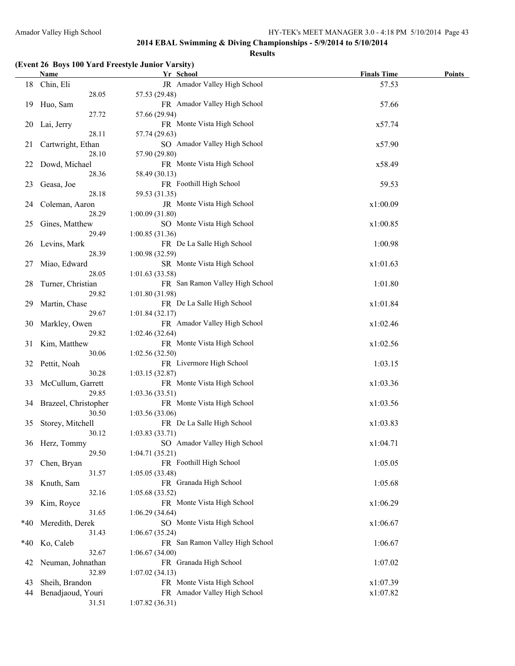#### **Results**

#### **(Event 26 Boys 100 Yard Freestyle Junior Varsity)**

|       | <b>Name</b>          | Yr School                                    | <b>Finals Time</b> | <b>Points</b> |
|-------|----------------------|----------------------------------------------|--------------------|---------------|
|       | 18 Chin, Eli         | JR Amador Valley High School                 | 57.53              |               |
|       | 28.05                | 57.53 (29.48)                                |                    |               |
| 19    | Huo, Sam             | FR Amador Valley High School                 | 57.66              |               |
|       | 27.72                | 57.66 (29.94)                                |                    |               |
| 20    | Lai, Jerry           | FR Monte Vista High School                   | x57.74             |               |
|       | 28.11                | 57.74 (29.63)                                |                    |               |
| 21    | Cartwright, Ethan    | SO Amador Valley High School                 | x57.90             |               |
|       | 28.10                | 57.90 (29.80)                                |                    |               |
| 22    | Dowd, Michael        | FR Monte Vista High School                   | x58.49             |               |
|       | 28.36                | 58.49 (30.13)                                |                    |               |
| 23    | Geasa, Joe           | FR Foothill High School                      | 59.53              |               |
|       | 28.18                | 59.53 (31.35)                                |                    |               |
| 24    | Coleman, Aaron       | JR Monte Vista High School                   | x1:00.09           |               |
|       | 28.29                | 1:00.09(31.80)                               |                    |               |
| 25    |                      | SO Monte Vista High School                   |                    |               |
|       | Gines, Matthew       |                                              | x1:00.85           |               |
|       | 29.49                | 1:00.85(31.36)<br>FR De La Salle High School |                    |               |
| 26    | Levins, Mark         |                                              | 1:00.98            |               |
|       | 28.39                | 1:00.98(32.59)                               |                    |               |
| 27    | Miao, Edward         | SR Monte Vista High School                   | x1:01.63           |               |
|       | 28.05                | 1:01.63(33.58)                               |                    |               |
| 28    | Turner, Christian    | FR San Ramon Valley High School              | 1:01.80            |               |
|       | 29.82                | 1:01.80(31.98)                               |                    |               |
| 29    | Martin, Chase        | FR De La Salle High School                   | x1:01.84           |               |
|       | 29.67                | 1:01.84(32.17)                               |                    |               |
| 30    | Markley, Owen        | FR Amador Valley High School                 | x1:02.46           |               |
|       | 29.82                | 1:02.46(32.64)                               |                    |               |
| 31    | Kim, Matthew         | FR Monte Vista High School                   | x1:02.56           |               |
|       | 30.06                | 1:02.56(32.50)                               |                    |               |
| 32    | Pettit, Noah         | FR Livermore High School                     | 1:03.15            |               |
|       | 30.28                | 1:03.15(32.87)                               |                    |               |
| 33    | McCullum, Garrett    | FR Monte Vista High School                   | x1:03.36           |               |
|       | 29.85                | 1:03.36(33.51)                               |                    |               |
| 34    | Brazeel, Christopher | FR Monte Vista High School                   | x1:03.56           |               |
|       | 30.50                | 1:03.56(33.06)                               |                    |               |
| 35    | Storey, Mitchell     | FR De La Salle High School                   | x1:03.83           |               |
|       | 30.12                | 1:03.83(33.71)                               |                    |               |
|       | 36 Herz, Tommy       | SO Amador Valley High School                 | x1:04.71           |               |
|       | 29.50                | 1:04.71(35.21)                               |                    |               |
| 37    | Chen, Bryan          | FR Foothill High School                      | 1:05.05            |               |
|       | 31.57                | 1:05.05(33.48)                               |                    |               |
| 38    | Knuth, Sam           | FR Granada High School                       | 1:05.68            |               |
|       | 32.16                | 1:05.68(33.52)                               |                    |               |
| 39    | Kim, Royce           | FR Monte Vista High School                   | x1:06.29           |               |
|       | 31.65                | 1:06.29(34.64)                               |                    |               |
| $*40$ | Meredith, Derek      | SO Monte Vista High School                   | x1:06.67           |               |
|       | 31.43                | 1:06.67(35.24)                               |                    |               |
| $*40$ | Ko, Caleb            | FR San Ramon Valley High School              | 1:06.67            |               |
|       | 32.67                | 1:06.67(34.00)                               |                    |               |
| 42    | Neuman, Johnathan    | FR Granada High School                       | 1:07.02            |               |
|       | 32.89                | 1:07.02(34.13)                               |                    |               |
| 43    | Sheih, Brandon       | FR Monte Vista High School                   | x1:07.39           |               |
| 44    | Benadjaoud, Youri    | FR Amador Valley High School                 | x1:07.82           |               |
|       | 31.51                | 1:07.82(36.31)                               |                    |               |
|       |                      |                                              |                    |               |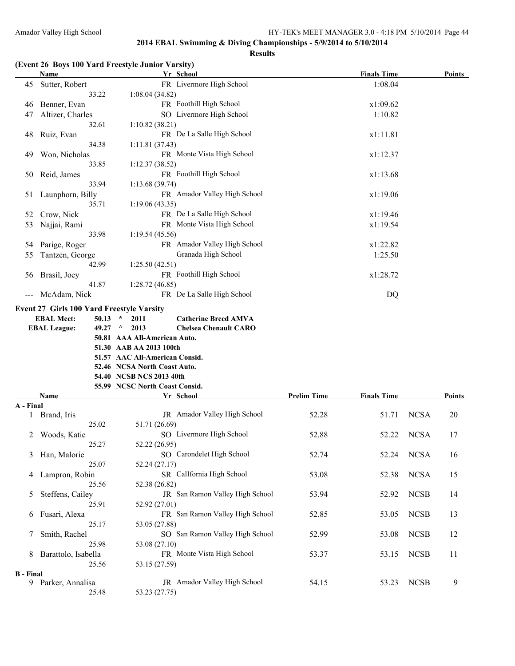#### **Results**

# **(Event 26 Boys 100 Yard Freestyle Junior Varsity)**

|                  | <b>Name</b>                               | Yr School                                   |                    | <b>Finals Time</b> |             | Points        |
|------------------|-------------------------------------------|---------------------------------------------|--------------------|--------------------|-------------|---------------|
| 45               | Sutter, Robert                            | FR Livermore High School                    |                    | 1:08.04            |             |               |
|                  | 33.22                                     | 1:08.04(34.82)                              |                    |                    |             |               |
| 46               | Benner, Evan                              | FR Foothill High School                     |                    | x1:09.62           |             |               |
| 47               | Altizer, Charles                          | SO Livermore High School                    |                    | 1:10.82            |             |               |
|                  | 32.61                                     | 1:10.82(38.21)                              |                    |                    |             |               |
| 48               | Ruiz, Evan                                | FR De La Salle High School                  |                    | x1:11.81           |             |               |
|                  | 34.38                                     | 1:11.81(37.43)                              |                    |                    |             |               |
| 49               | Won, Nicholas                             | FR Monte Vista High School                  |                    | x1:12.37           |             |               |
|                  | 33.85                                     | 1:12.37(38.52)                              |                    |                    |             |               |
| 50               | Reid, James                               | FR Foothill High School                     |                    | x1:13.68           |             |               |
|                  | 33.94                                     | 1:13.68(39.74)                              |                    |                    |             |               |
|                  |                                           | FR Amador Valley High School                |                    |                    |             |               |
| 51               | Launphorn, Billy                          |                                             |                    | x1:19.06           |             |               |
|                  | 35.71                                     | 1:19.06(43.35)                              |                    |                    |             |               |
| 52               | Crow, Nick                                | FR De La Salle High School                  |                    | x1:19.46           |             |               |
| 53               | Najjai, Rami                              | FR Monte Vista High School                  |                    | x1:19.54           |             |               |
|                  | 33.98                                     | 1:19.54(45.56)                              |                    |                    |             |               |
| 54               | Parige, Roger                             | FR Amador Valley High School                |                    | x1:22.82           |             |               |
| 55               | Tantzen, George                           | Granada High School                         |                    | 1:25.50            |             |               |
|                  | 42.99                                     | 1:25.50(42.51)                              |                    |                    |             |               |
| 56               | Brasil, Joey                              | FR Foothill High School                     |                    | x1:28.72           |             |               |
|                  | 41.87                                     | 1:28.72(46.85)                              |                    |                    |             |               |
|                  | McAdam, Nick                              | FR De La Salle High School                  |                    | DQ                 |             |               |
|                  | Event 27 Girls 100 Yard Freestyle Varsity |                                             |                    |                    |             |               |
|                  |                                           |                                             |                    |                    |             |               |
|                  | <b>EBAL Meet:</b><br>$50.13$ *            | 2011<br><b>Catherine Breed AMVA</b>         |                    |                    |             |               |
|                  | <b>EBAL League:</b><br>49.27 $\land$      | 2013<br><b>Chelsea Chenault CARO</b>        |                    |                    |             |               |
|                  |                                           | 50.81 AAA All-American Auto.                |                    |                    |             |               |
|                  |                                           | 51.30 AAB AA 2013 100th                     |                    |                    |             |               |
|                  |                                           | 51.57 AAC All-American Consid.              |                    |                    |             |               |
|                  |                                           | 52.46 NCSA North Coast Auto.                |                    |                    |             |               |
|                  |                                           | 54.40 NCSB NCS 2013 40th                    |                    |                    |             |               |
|                  | Name                                      | 55.99 NCSC North Coast Consid.<br>Yr School | <b>Prelim Time</b> | <b>Finals Time</b> |             | <b>Points</b> |
| A - Final        |                                           |                                             |                    |                    |             |               |
|                  | Brand, Iris                               | JR Amador Valley High School                | 52.28              | 51.71              | <b>NCSA</b> | 20            |
|                  | 25.02                                     |                                             |                    |                    |             |               |
|                  |                                           | 51.71 (26.69)<br>SO Livermore High School   |                    |                    |             |               |
| 2                | Woods, Katie                              |                                             | 52.88              | 52.22              | <b>NCSA</b> | 17            |
|                  | 25.27                                     | 52.22 (26.95)                               |                    |                    |             |               |
| 3                | Han, Malorie                              | SO Carondelet High School                   | 52.74              | 52.24              | <b>NCSA</b> | 16            |
|                  | 25.07                                     | 52.24 (27.17)                               |                    |                    |             |               |
| 4                | Lampron, Robin                            | SR CalIfornia High School                   | 53.08              | 52.38              | <b>NCSA</b> | 15            |
|                  | 25.56                                     | 52.38 (26.82)                               |                    |                    |             |               |
| 5                | Steffens, Cailey                          | JR San Ramon Valley High School             | 53.94              | 52.92              | <b>NCSB</b> | 14            |
|                  | 25.91                                     | 52.92 (27.01)                               |                    |                    |             |               |
| 6                | Fusari, Alexa                             | FR San Ramon Valley High School             | 52.85              | 53.05              | <b>NCSB</b> | 13            |
|                  | 25.17                                     | 53.05 (27.88)                               |                    |                    |             |               |
| 7                | Smith, Rachel                             | SO San Ramon Valley High School             | 52.99              | 53.08              | <b>NCSB</b> | 12            |
|                  | 25.98                                     | 53.08 (27.10)                               |                    |                    |             |               |
| 8                | Barattolo, Isabella                       | FR Monte Vista High School                  | 53.37              | 53.15              | <b>NCSB</b> | 11            |
|                  | 25.56                                     | 53.15 (27.59)                               |                    |                    |             |               |
|                  |                                           |                                             |                    |                    |             |               |
| <b>B</b> - Final |                                           |                                             |                    |                    |             |               |
| 9                | Parker, Annalisa                          | JR Amador Valley High School                | 54.15              | 53.23              | <b>NCSB</b> | 9             |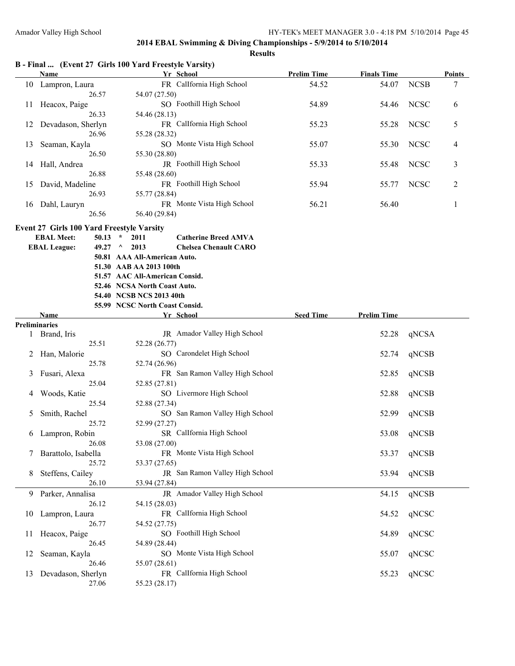**Results**

|  |  |  | B - Final  (Event 27 Girls 100 Yard Freestyle Varsity) |  |  |
|--|--|--|--------------------------------------------------------|--|--|
|--|--|--|--------------------------------------------------------|--|--|

|    | Name               | Yr School                      | <b>Prelim Time</b> | <b>Finals Time</b> |             | <b>Points</b>  |
|----|--------------------|--------------------------------|--------------------|--------------------|-------------|----------------|
| 10 | Lampron, Laura     | FR CalIfornia High School      | 54.52              | 54.07              | <b>NCSB</b> | 7              |
|    | 26.57              | 54.07 (27.50)                  |                    |                    |             |                |
| 11 | Heacox, Paige      | SO Foothill High School        | 54.89              | 54.46              | <b>NCSC</b> | 6              |
|    | 26.33              | 54.46 (28.13)                  |                    |                    |             |                |
| 12 | Devadason, Sherlyn | FR Callfornia High School      | 55.23              | 55.28              | <b>NCSC</b> | 5              |
|    | 26.96              | 55.28 (28.32)                  |                    |                    |             |                |
| 13 | Seaman, Kayla      | SO Monte Vista High School     | 55.07              | 55.30              | <b>NCSC</b> | $\overline{4}$ |
|    | 26.50              | 55.30 (28.80)                  |                    |                    |             |                |
| 14 | Hall, Andrea       | <b>JR</b> Foothill High School | 55.33              | 55.48              | <b>NCSC</b> | 3              |
|    | 26.88              | 55.48 (28.60)                  |                    |                    |             |                |
| 15 | David, Madeline    | FR Foothill High School        | 55.94              | 55.77              | <b>NCSC</b> | $\overline{2}$ |
|    | 26.93              | 55.77 (28.84)                  |                    |                    |             |                |
| 16 | Dahl, Lauryn       | FR Monte Vista High School     | 56.21              | 56.40              |             |                |
|    | 26.56              | 56.40 (29.84)                  |                    |                    |             |                |

#### **Event 27 Girls 100 Yard Freestyle Varsity**

| <b>EBAL Meet:</b>   | $50.13 * 2011$                 | <b>Catherine Breed AMVA</b>               |
|---------------------|--------------------------------|-------------------------------------------|
| <b>EBAL League:</b> | $49.27 \quad \land \quad 2013$ | <b>Chelsea Chenault CARO</b>              |
|                     | 50.81 AAA All-American Auto.   |                                           |
|                     | 51.30 AAB AA 2013 100th        |                                           |
|                     | 51.57 AAC All-American Consid. |                                           |
|                     | 52.46 NCSA North Coast Auto.   |                                           |
|                     | 54.40 NCSB NCS 2013 40th       |                                           |
|                     | 55.99 NCSC North Coast Consid. |                                           |
| <b>N</b> T = === =  |                                | $V_{\rm eff}$ $\Omega_{\rm eff}$ $\sim$ 1 |

|    | <b>Name</b>          | Yr School                       | <b>Seed Time</b> | <b>Prelim Time</b> |       |
|----|----------------------|---------------------------------|------------------|--------------------|-------|
|    | <b>Preliminaries</b> |                                 |                  |                    |       |
|    | Brand, Iris          | JR Amador Valley High School    |                  | 52.28              | qNCSA |
|    | 25.51                | 52.28 (26.77)                   |                  |                    |       |
|    | Han, Malorie         | SO Carondelet High School       |                  | 52.74              | qNCSB |
|    | 25.78                | 52.74 (26.96)                   |                  |                    |       |
| 3  | Fusari, Alexa        | FR San Ramon Valley High School |                  | 52.85              | qNCSB |
|    | 25.04                | 52.85 (27.81)                   |                  |                    |       |
| 4  | Woods, Katie         | SO Livermore High School        |                  | 52.88              | qNCSB |
|    | 25.54                | 52.88 (27.34)                   |                  |                    |       |
| 5  | Smith, Rachel        | SO San Ramon Valley High School |                  | 52.99              | qNCSB |
|    | 25.72                | 52.99 (27.27)                   |                  |                    |       |
| 6  | Lampron, Robin       | SR Callfornia High School       |                  | 53.08              | qNCSB |
|    | 26.08                | 53.08 (27.00)                   |                  |                    |       |
|    | Barattolo, Isabella  | FR Monte Vista High School      |                  | 53.37              | qNCSB |
|    | 25.72                | 53.37 (27.65)                   |                  |                    |       |
| 8  | Steffens, Cailey     | JR San Ramon Valley High School |                  | 53.94              | qNCSB |
|    | 26.10                | 53.94 (27.84)                   |                  |                    |       |
| 9  | Parker, Annalisa     | JR Amador Valley High School    |                  | 54.15              | qNCSB |
|    | 26.12                | 54.15 (28.03)                   |                  |                    |       |
| 10 | Lampron, Laura       | FR Callfornia High School       |                  | 54.52              | qNCSC |
|    | 26.77                | 54.52 (27.75)                   |                  |                    |       |
| 11 | Heacox, Paige        | SO Foothill High School         |                  | 54.89              | qNCSC |
|    | 26.45                | 54.89 (28.44)                   |                  |                    |       |
| 12 | Seaman, Kayla        | SO Monte Vista High School      |                  | 55.07              | qNCSC |
|    | 26.46                | 55.07 (28.61)                   |                  |                    |       |
| 13 | Devadason, Sherlyn   | FR Callfornia High School       |                  | 55.23              | qNCSC |
|    | 27.06                | 55.23 (28.17)                   |                  |                    |       |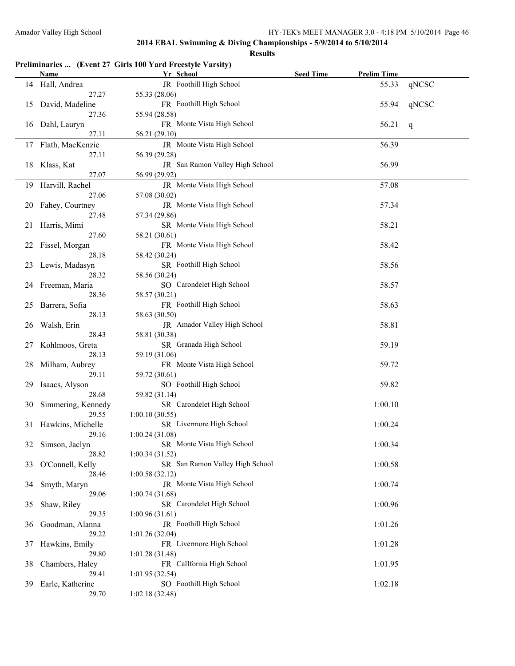|    |                      | Preliminaries  (Event 27 Girls 100 Yard Freestyle Varsity) |                  | <b>Prelim Time</b> |       |
|----|----------------------|------------------------------------------------------------|------------------|--------------------|-------|
|    | <b>Name</b>          | Yr School<br>JR Foothill High School                       | <b>Seed Time</b> |                    |       |
|    | 14 Hall, Andrea      |                                                            |                  | 55.33              | qNCSC |
|    | 27.27                | 55.33 (28.06)<br>FR Foothill High School                   |                  |                    |       |
| 15 | David, Madeline      |                                                            |                  | 55.94              | qNCSC |
|    | 27.36                | 55.94 (28.58)                                              |                  |                    |       |
| 16 | Dahl, Lauryn         | FR Monte Vista High School                                 |                  | 56.21              | q     |
|    | 27.11                | 56.21 (29.10)                                              |                  |                    |       |
|    | 17 Flath, MacKenzie  | JR Monte Vista High School                                 |                  | 56.39              |       |
|    | 27.11                | 56.39 (29.28)                                              |                  |                    |       |
| 18 | Klass, Kat           | JR San Ramon Valley High School                            |                  | 56.99              |       |
|    | 27.07                | 56.99 (29.92)                                              |                  |                    |       |
| 19 | Harvill, Rachel      | JR Monte Vista High School                                 |                  | 57.08              |       |
|    | 27.06                | 57.08 (30.02)                                              |                  |                    |       |
| 20 | Fahey, Courtney      | JR Monte Vista High School                                 |                  | 57.34              |       |
|    | 27.48                | 57.34 (29.86)                                              |                  |                    |       |
| 21 | Harris, Mimi         | SR Monte Vista High School                                 |                  | 58.21              |       |
|    | 27.60                | 58.21 (30.61)                                              |                  |                    |       |
| 22 | Fissel, Morgan       | FR Monte Vista High School                                 |                  | 58.42              |       |
|    | 28.18                | 58.42 (30.24)                                              |                  |                    |       |
| 23 | Lewis, Madasyn       | SR Foothill High School                                    |                  | 58.56              |       |
|    | 28.32                | 58.56 (30.24)                                              |                  |                    |       |
| 24 | Freeman, Maria       | SO Carondelet High School                                  |                  | 58.57              |       |
|    | 28.36                | 58.57 (30.21)                                              |                  |                    |       |
| 25 | Barrera, Sofia       | FR Foothill High School                                    |                  | 58.63              |       |
|    | 28.13                | 58.63 (30.50)                                              |                  |                    |       |
| 26 | Walsh, Erin          | JR Amador Valley High School                               |                  | 58.81              |       |
|    | 28.43                | 58.81 (30.38)                                              |                  |                    |       |
| 27 | Kohlmoos, Greta      | SR Granada High School                                     |                  | 59.19              |       |
|    | 28.13                | 59.19 (31.06)                                              |                  |                    |       |
| 28 | Milham, Aubrey       | FR Monte Vista High School                                 |                  | 59.72              |       |
|    | 29.11                | 59.72 (30.61)                                              |                  |                    |       |
| 29 | Isaacs, Alyson       | SO Foothill High School                                    |                  | 59.82              |       |
|    | 28.68                | 59.82 (31.14)                                              |                  |                    |       |
| 30 | Simmering, Kennedy   | SR Carondelet High School                                  |                  | 1:00.10            |       |
|    | 29.55                | 1:00.10(30.55)                                             |                  |                    |       |
|    | 31 Hawkins, Michelle | SR Livermore High School                                   |                  | 1:00.24            |       |
|    | 29.16                | 1:00.24(31.08)                                             |                  |                    |       |
| 32 | Simson, Jaclyn       | SR Monte Vista High School                                 |                  | 1:00.34            |       |
|    | 28.82                | 1:00.34(31.52)                                             |                  |                    |       |
| 33 | O'Connell, Kelly     | SR San Ramon Valley High School                            |                  | 1:00.58            |       |
|    | 28.46                | 1:00.58(32.12)                                             |                  |                    |       |
| 34 | Smyth, Maryn         | JR Monte Vista High School                                 |                  | 1:00.74            |       |
|    | 29.06                | 1:00.74(31.68)                                             |                  |                    |       |
| 35 | Shaw, Riley          | SR Carondelet High School                                  |                  | 1:00.96            |       |
|    | 29.35                | 1:00.96(31.61)                                             |                  |                    |       |
| 36 | Goodman, Alanna      | JR Foothill High School                                    |                  | 1:01.26            |       |
|    | 29.22                | 1:01.26(32.04)                                             |                  |                    |       |
| 37 | Hawkins, Emily       | FR Livermore High School                                   |                  | 1:01.28            |       |
|    | 29.80                | 1:01.28 (31.48)                                            |                  |                    |       |
| 38 | Chambers, Haley      | FR CalIfornia High School                                  |                  | 1:01.95            |       |
|    | 29.41                | 1:01.95(32.54)                                             |                  |                    |       |
| 39 | Earle, Katherine     | SO Foothill High School                                    |                  | 1:02.18            |       |
|    | 29.70                | 1:02.18(32.48)                                             |                  |                    |       |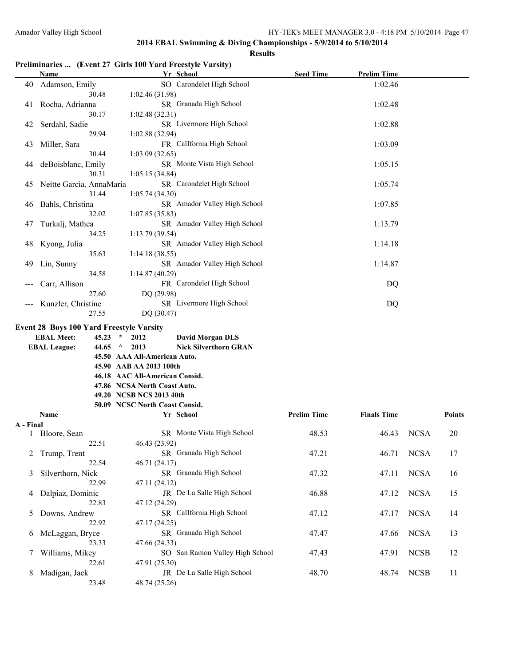#### **Results**

# **Preliminaries ... (Event 27 Girls 100 Yard Freestyle Varsity)**

|    | <b>Name</b>                                                                                                                                                                                                                                                                                                                                                                                                              | Yr School                            | <b>Seed Time</b> | <b>Prelim Time</b> |  |
|----|--------------------------------------------------------------------------------------------------------------------------------------------------------------------------------------------------------------------------------------------------------------------------------------------------------------------------------------------------------------------------------------------------------------------------|--------------------------------------|------------------|--------------------|--|
| 40 | Adamson, Emily                                                                                                                                                                                                                                                                                                                                                                                                           | SO Carondelet High School            |                  | 1:02.46            |  |
|    | 30.48                                                                                                                                                                                                                                                                                                                                                                                                                    | 1:02.46(31.98)                       |                  |                    |  |
| 41 | Rocha, Adrianna                                                                                                                                                                                                                                                                                                                                                                                                          | SR Granada High School               |                  | 1:02.48            |  |
|    | 30.17                                                                                                                                                                                                                                                                                                                                                                                                                    | 1:02.48(32.31)                       |                  |                    |  |
| 42 | Serdahl, Sadie                                                                                                                                                                                                                                                                                                                                                                                                           | SR Livermore High School             |                  | 1:02.88            |  |
|    | 29.94                                                                                                                                                                                                                                                                                                                                                                                                                    | 1:02.88(32.94)                       |                  |                    |  |
| 43 | Miller, Sara                                                                                                                                                                                                                                                                                                                                                                                                             | FR CalIfornia High School            |                  | 1:03.09            |  |
|    | 30.44                                                                                                                                                                                                                                                                                                                                                                                                                    | 1:03.09(32.65)                       |                  |                    |  |
| 44 | deBoisblanc, Emily                                                                                                                                                                                                                                                                                                                                                                                                       | SR Monte Vista High School           |                  | 1:05.15            |  |
|    | 30.31                                                                                                                                                                                                                                                                                                                                                                                                                    | 1:05.15(34.84)                       |                  |                    |  |
| 45 | Neitte Garcia, AnnaMaria                                                                                                                                                                                                                                                                                                                                                                                                 | SR Carondelet High School            |                  | 1:05.74            |  |
|    | 31.44                                                                                                                                                                                                                                                                                                                                                                                                                    | 1:05.74(34.30)                       |                  |                    |  |
| 46 | Bahls, Christina                                                                                                                                                                                                                                                                                                                                                                                                         | SR Amador Valley High School         |                  | 1:07.85            |  |
|    | 32.02                                                                                                                                                                                                                                                                                                                                                                                                                    | 1:07.85(35.83)                       |                  |                    |  |
| 47 | Turkalj, Mathea                                                                                                                                                                                                                                                                                                                                                                                                          | SR Amador Valley High School         |                  | 1:13.79            |  |
|    | 34.25                                                                                                                                                                                                                                                                                                                                                                                                                    | 1:13.79(39.54)                       |                  |                    |  |
| 48 | Kyong, Julia                                                                                                                                                                                                                                                                                                                                                                                                             | SR Amador Valley High School         |                  | 1:14.18            |  |
|    | 35.63                                                                                                                                                                                                                                                                                                                                                                                                                    | 1:14.18(38.55)                       |                  |                    |  |
| 49 | Lin, Sunny                                                                                                                                                                                                                                                                                                                                                                                                               | SR Amador Valley High School         |                  | 1:14.87            |  |
|    | 34.58                                                                                                                                                                                                                                                                                                                                                                                                                    | 1:14.87(40.29)                       |                  |                    |  |
|    | Carr, Allison                                                                                                                                                                                                                                                                                                                                                                                                            | FR Carondelet High School            |                  | DQ                 |  |
|    | 27.60                                                                                                                                                                                                                                                                                                                                                                                                                    | DQ (29.98)                           |                  |                    |  |
|    | Kunzler, Christine                                                                                                                                                                                                                                                                                                                                                                                                       | SR Livermore High School             |                  | DQ                 |  |
|    | 27.55                                                                                                                                                                                                                                                                                                                                                                                                                    | DQ (30.47)                           |                  |                    |  |
|    | <b>Event 28 Boys 100 Yard Freestyle Varsity</b>                                                                                                                                                                                                                                                                                                                                                                          |                                      |                  |                    |  |
|    | <b>EBAL Meet:</b><br>45.23<br>$\star$                                                                                                                                                                                                                                                                                                                                                                                    | <b>David Morgan DLS</b><br>2012      |                  |                    |  |
|    | <b>EBAL League:</b><br>44.65<br>$\mathcal{A}$                                                                                                                                                                                                                                                                                                                                                                            | <b>Nick Silverthorn GRAN</b><br>2013 |                  |                    |  |
|    | $\mathbf{A} = \mathbf{A} \mathbf{A} + \mathbf{A} \mathbf{A} + \mathbf{A} \mathbf{A} + \mathbf{A} \mathbf{A} + \mathbf{A} \mathbf{A} + \mathbf{A} \mathbf{A} + \mathbf{A} \mathbf{A} + \mathbf{A} \mathbf{A} + \mathbf{A} \mathbf{A} + \mathbf{A} \mathbf{A} + \mathbf{A} \mathbf{A} + \mathbf{A} \mathbf{A} + \mathbf{A} \mathbf{A} + \mathbf{A} \mathbf{A} + \mathbf{A} \mathbf{A} + \mathbf{A} \mathbf{A} + \mathbf{A$ |                                      |                  |                    |  |

| <b>EBAL League:</b> | 44.65 $\land$ 2013             | <b>Nick Silverthorn GRA</b> |
|---------------------|--------------------------------|-----------------------------|
|                     | 45.50 AAA All-American Auto.   |                             |
|                     | 45.90 AAB AA 2013 100th        |                             |
|                     | 46.18 AAC All-American Consid. |                             |
|                     | 47.86 NCSA North Coast Auto.   |                             |
|                     | 49.20 NCSB NCS 2013 40th       |                             |
|                     | 50.09 NCSC North Coast Consid. |                             |
| <b>Name</b>         |                                | Yr School                   |

|           | Name              | Yr School                       | <b>Prelim Time</b> | <b>Finals Time</b> |             | <b>Points</b> |
|-----------|-------------------|---------------------------------|--------------------|--------------------|-------------|---------------|
| A - Final |                   |                                 |                    |                    |             |               |
|           | Bloore, Sean      | SR Monte Vista High School      | 48.53              | 46.43              | <b>NCSA</b> | 20            |
|           | 22.51             | 46.43 (23.92)                   |                    |                    |             |               |
|           | Trump, Trent      | SR Granada High School          | 47.21              | 46.71              | <b>NCSA</b> | 17            |
|           | 22.54             | 46.71(24.17)                    |                    |                    |             |               |
| 3         | Silverthorn, Nick | SR Granada High School          | 47.32              | 47.11              | <b>NCSA</b> | 16            |
|           | 22.99             | 47.11 (24.12)                   |                    |                    |             |               |
| 4         | Dalpiaz, Dominic  | JR De La Salle High School      | 46.88              | 47.12              | <b>NCSA</b> | 15            |
|           | 22.83             | 47.12 (24.29)                   |                    |                    |             |               |
| 5.        | Downs, Andrew     | SR Callfornia High School       | 47.12              | 47.17              | <b>NCSA</b> | 14            |
|           | 22.92             | 47.17 (24.25)                   |                    |                    |             |               |
| 6         | McLaggan, Bryce   | SR Granada High School          | 47.47              | 47.66              | <b>NCSA</b> | 13            |
|           | 23.33             | 47.66 (24.33)                   |                    |                    |             |               |
|           | Williams, Mikey   | SO San Ramon Valley High School | 47.43              | 47.91              | <b>NCSB</b> | 12            |
|           | 22.61             | 47.91 (25.30)                   |                    |                    |             |               |
| 8         | Madigan, Jack     | JR De La Salle High School      | 48.70              | 48.74              | <b>NCSB</b> | 11            |
|           | 23.48             | 48.74 (25.26)                   |                    |                    |             |               |
|           |                   |                                 |                    |                    |             |               |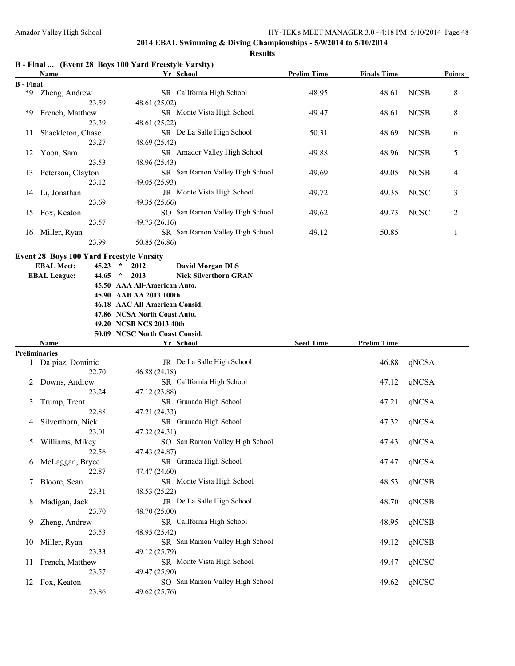|  | B - Final  (Event 28 Boys 100 Yard Freestyle Varsity) |  |  |
|--|-------------------------------------------------------|--|--|
|  |                                                       |  |  |

| Name                           |                                                 | Yr School                                         | <b>Prelim Time</b> | <b>Finals Time</b> |             | <b>Points</b> |
|--------------------------------|-------------------------------------------------|---------------------------------------------------|--------------------|--------------------|-------------|---------------|
| <b>B</b> - Final               |                                                 |                                                   |                    |                    |             |               |
| $*9$<br>Zheng, Andrew          |                                                 | SR CalIfornia High School                         | 48.95              | 48.61              | <b>NCSB</b> | 8             |
|                                | 23.59                                           | 48.61 (25.02)                                     |                    |                    |             |               |
| *9<br>French, Matthew<br>23.39 |                                                 | SR Monte Vista High School                        | 49.47              | 48.61              | <b>NCSB</b> | 8             |
|                                |                                                 | 48.61 (25.22)                                     |                    |                    |             |               |
| Shackleton, Chase<br>11        |                                                 | SR De La Salle High School                        | 50.31              | 48.69              | <b>NCSB</b> | 6             |
| 23.27<br>12<br>Yoon, Sam       |                                                 | 48.69 (25.42)                                     |                    |                    |             |               |
|                                |                                                 | SR Amador Valley High School                      |                    | 48.96              | <b>NCSB</b> |               |
|                                |                                                 |                                                   | 49.88              |                    |             | 5             |
|                                | 23.53                                           | 48.96 (25.43)                                     |                    |                    |             |               |
| 13                             | Peterson, Clayton                               | SR San Ramon Valley High School                   | 49.69              | 49.05              | <b>NCSB</b> | 4             |
|                                | 23.12                                           | 49.05 (25.93)                                     |                    |                    |             |               |
|                                | 14 Li, Jonathan                                 | JR Monte Vista High School                        | 49.72              | 49.35              | <b>NCSC</b> | 3             |
|                                | 23.69                                           | 49.35 (25.66)                                     |                    |                    |             |               |
| 15                             | Fox, Keaton                                     | SO San Ramon Valley High School                   | 49.62              | 49.73              | <b>NCSC</b> | 2             |
|                                | 23.57                                           | 49.73 (26.16)                                     |                    |                    |             |               |
| 16                             | Miller, Ryan                                    | SR San Ramon Valley High School                   | 49.12              | 50.85              |             | 1             |
|                                | 23.99                                           | 50.85 (26.86)                                     |                    |                    |             |               |
|                                | <b>Event 28 Boys 100 Yard Freestyle Varsity</b> |                                                   |                    |                    |             |               |
|                                | <b>EBAL Meet:</b><br>45.23                      | $\star$<br>2012<br><b>David Morgan DLS</b>        |                    |                    |             |               |
|                                | <b>EBAL League:</b><br>44.65                    | $\Lambda$<br>2013<br><b>Nick Silverthorn GRAN</b> |                    |                    |             |               |
|                                |                                                 | 45.50 AAA All-American Auto.                      |                    |                    |             |               |
|                                |                                                 | 45.90 AAB AA 2013 100th                           |                    |                    |             |               |
|                                |                                                 | 46.18 AAC All-American Consid.                    |                    |                    |             |               |
|                                |                                                 | 47.86 NCSA North Coast Auto.                      |                    |                    |             |               |
|                                |                                                 | 49.20 NCSB NCS 2013 40th                          |                    |                    |             |               |
|                                |                                                 | 50.09 NCSC North Coast Consid.                    |                    |                    |             |               |
|                                | Name                                            | Yr School                                         | <b>Seed Time</b>   | <b>Prelim Time</b> |             |               |
|                                | Preliminaries                                   |                                                   |                    |                    |             |               |
|                                | Dalpiaz, Dominic                                | JR De La Salle High School                        |                    | 46.88              | qNCSA       |               |
|                                | 22.70                                           | 46.88 (24.18)                                     |                    |                    |             |               |
| 2                              | Downs, Andrew                                   | SR CalIfornia High School                         |                    | 47.12              | qNCSA       |               |
|                                | 23.24                                           | 47.12 (23.88)                                     |                    |                    |             |               |
|                                |                                                 | SR Granada High School                            |                    |                    |             |               |
| 3                              | Trump, Trent                                    |                                                   |                    | 47.21              | qNCSA       |               |
|                                | 22.88                                           | 47.21 (24.33)                                     |                    |                    |             |               |
| 4                              | Silverthorn, Nick                               | SR Granada High School                            |                    | 47.32              | qNCSA       |               |
|                                | 23.01                                           | 47.32 (24.31)                                     |                    |                    |             |               |
| 5                              | Williams, Mikey                                 | SO San Ramon Valley High School                   |                    | 47.43              | qNCSA       |               |
|                                | 22.56                                           | 47.43 (24.87)                                     |                    |                    |             |               |
|                                | 6 McLaggan, Bryce                               | SR Granada High School                            |                    | 47.47              | qNCSA       |               |
|                                | 22.87                                           | 47.47 (24.60)                                     |                    |                    |             |               |
| 7                              | Bloore, Sean                                    | SR Monte Vista High School                        |                    | 48.53              | qNCSB       |               |
|                                | 23.31                                           | 48.53 (25.22)                                     |                    |                    |             |               |
| 8                              | Madigan, Jack                                   | JR De La Salle High School                        |                    | 48.70              | qNCSB       |               |
|                                | 23.70                                           | 48.70 (25.00)                                     |                    |                    |             |               |
| 9                              | Zheng, Andrew                                   | SR CalIfornia High School                         |                    | 48.95              | qNCSB       |               |
|                                | 23.53                                           | 48.95 (25.42)                                     |                    |                    |             |               |
| 10                             | Miller, Ryan                                    | SR San Ramon Valley High School                   |                    | 49.12              | qNCSB       |               |
|                                | 23.33                                           | 49.12 (25.79)                                     |                    |                    |             |               |
| 11                             | French, Matthew                                 | SR Monte Vista High School                        |                    | 49.47              | qNCSC       |               |
|                                |                                                 |                                                   |                    |                    |             |               |
|                                | 23.57                                           |                                                   |                    |                    |             |               |
| 12                             | Fox, Keaton                                     | 49.47 (25.90)<br>SO San Ramon Valley High School  |                    | 49.62              | qNCSC       |               |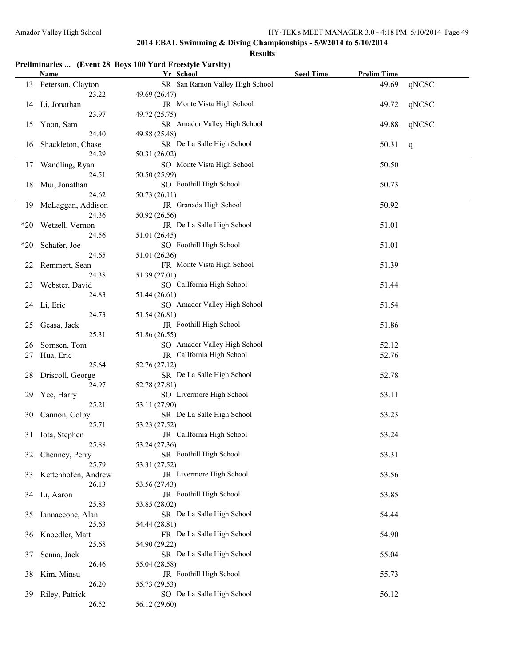| Preliminaries  (Event 28 Boys 100 Yard Freestyle Varsity) |  |  |  |
|-----------------------------------------------------------|--|--|--|
|                                                           |  |  |  |

|       | <b>Name</b>           | Yr School                       | <b>Seed Time</b> | <b>Prelim Time</b> |       |
|-------|-----------------------|---------------------------------|------------------|--------------------|-------|
|       | 13 Peterson, Clayton  | SR San Ramon Valley High School |                  | 49.69              | qNCSC |
|       | 23.22                 | 49.69 (26.47)                   |                  |                    |       |
|       | 14 Li, Jonathan       | JR Monte Vista High School      |                  | 49.72              | qNCSC |
|       | 23.97                 | 49.72 (25.75)                   |                  |                    |       |
| 15    | Yoon, Sam             | SR Amador Valley High School    |                  | 49.88              | qNCSC |
|       | 24.40                 | 49.88 (25.48)                   |                  |                    |       |
| 16    | Shackleton, Chase     | SR De La Salle High School      |                  | 50.31              | q     |
|       | 24.29                 | 50.31 (26.02)                   |                  |                    |       |
| 17    | Wandling, Ryan        | SO Monte Vista High School      |                  | 50.50              |       |
|       | 24.51                 | 50.50 (25.99)                   |                  |                    |       |
| 18    | Mui, Jonathan         | SO Foothill High School         |                  | 50.73              |       |
|       | 24.62                 | 50.73 (26.11)                   |                  |                    |       |
| 19    | McLaggan, Addison     | JR Granada High School          |                  | 50.92              |       |
|       | 24.36                 | 50.92 (26.56)                   |                  |                    |       |
| $*20$ | Wetzell, Vernon       | JR De La Salle High School      |                  | 51.01              |       |
|       | 24.56                 | 51.01 (26.45)                   |                  |                    |       |
|       |                       | SO Foothill High School         |                  |                    |       |
| $*20$ | Schafer, Joe<br>24.65 |                                 |                  | 51.01              |       |
|       |                       | 51.01 (26.36)                   |                  |                    |       |
| 22    | Remmert, Sean         | FR Monte Vista High School      |                  | 51.39              |       |
|       | 24.38                 | 51.39 (27.01)                   |                  |                    |       |
| 23    | Webster, David        | SO CalIfornia High School       |                  | 51.44              |       |
|       | 24.83                 | 51.44 (26.61)                   |                  |                    |       |
|       | 24 Li, Eric           | SO Amador Valley High School    |                  | 51.54              |       |
|       | 24.73                 | 51.54 (26.81)                   |                  |                    |       |
| 25    | Geasa, Jack           | JR Foothill High School         |                  | 51.86              |       |
|       | 25.31                 | 51.86 (26.55)                   |                  |                    |       |
| 26    | Sornsen, Tom          | SO Amador Valley High School    |                  | 52.12              |       |
| 27    | Hua, Eric             | JR CalIfornia High School       |                  | 52.76              |       |
|       | 25.64                 | 52.76 (27.12)                   |                  |                    |       |
| 28    | Driscoll, George      | SR De La Salle High School      |                  | 52.78              |       |
|       | 24.97                 | 52.78 (27.81)                   |                  |                    |       |
| 29    | Yee, Harry            | SO Livermore High School        |                  | 53.11              |       |
|       | 25.21                 | 53.11 (27.90)                   |                  |                    |       |
| 30    | Cannon, Colby         | SR De La Salle High School      |                  | 53.23              |       |
|       | 25.71                 | 53.23 (27.52)                   |                  |                    |       |
|       | 31 Iota, Stephen      | JR CalIfornia High School       |                  | 53.24              |       |
|       | 25.88                 | 53.24 (27.36)                   |                  |                    |       |
| 32    | Chenney, Perry        | SR Foothill High School         |                  | 53.31              |       |
|       | 25.79                 | 53.31 (27.52)                   |                  |                    |       |
| 33    | Kettenhofen, Andrew   | JR Livermore High School        |                  | 53.56              |       |
|       | 26.13                 | 53.56 (27.43)                   |                  |                    |       |
|       | 34 Li, Aaron          | JR Foothill High School         |                  | 53.85              |       |
|       | 25.83                 | 53.85 (28.02)                   |                  |                    |       |
| 35    | Iannaccone, Alan      | SR De La Salle High School      |                  | 54.44              |       |
|       | 25.63                 | 54.44 (28.81)                   |                  |                    |       |
| 36    | Knoedler, Matt        | FR De La Salle High School      |                  | 54.90              |       |
|       | 25.68                 | 54.90 (29.22)                   |                  |                    |       |
| 37    | Senna, Jack           | SR De La Salle High School      |                  | 55.04              |       |
|       | 26.46                 | 55.04 (28.58)                   |                  |                    |       |
| 38    | Kim, Minsu            | JR Foothill High School         |                  | 55.73              |       |
|       | 26.20                 | 55.73 (29.53)                   |                  |                    |       |
| 39    | Riley, Patrick        | SO De La Salle High School      |                  | 56.12              |       |
|       | 26.52                 | 56.12 (29.60)                   |                  |                    |       |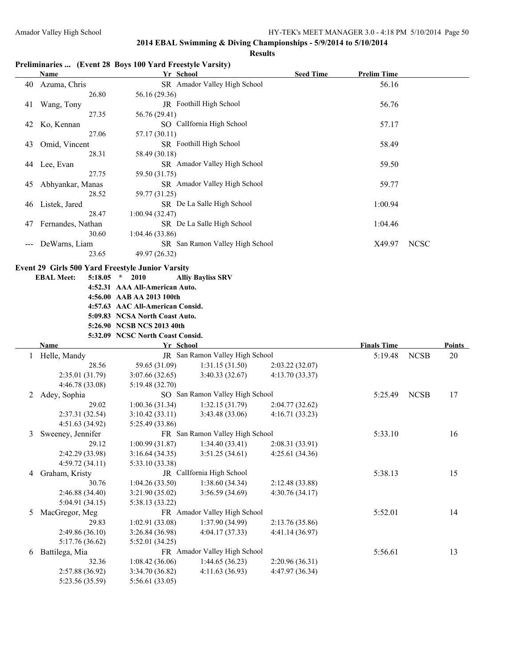#### **Results**

# **Preliminaries ... (Event 28 Boys 100 Yard Freestyle Varsity)**

|    | <b>Name</b>                                             | Yr School                          |                                 | <b>Seed Time</b> | <b>Prelim Time</b> |             |               |
|----|---------------------------------------------------------|------------------------------------|---------------------------------|------------------|--------------------|-------------|---------------|
| 40 | Azuma, Chris                                            |                                    | SR Amador Valley High School    |                  | 56.16              |             |               |
|    | 26.80                                                   | 56.16 (29.36)                      |                                 |                  |                    |             |               |
| 41 | Wang, Tony                                              |                                    | JR Foothill High School         |                  | 56.76              |             |               |
|    | 27.35                                                   | 56.76 (29.41)                      |                                 |                  |                    |             |               |
| 42 | Ko, Kennan                                              |                                    | SO CalIfornia High School       |                  | 57.17              |             |               |
|    | 27.06                                                   | 57.17 (30.11)                      |                                 |                  |                    |             |               |
| 43 | Omid, Vincent                                           |                                    | SR Foothill High School         |                  | 58.49              |             |               |
|    | 28.31                                                   |                                    |                                 |                  |                    |             |               |
|    |                                                         | 58.49 (30.18)                      | SR Amador Valley High School    |                  |                    |             |               |
|    | 44 Lee, Evan                                            |                                    |                                 |                  | 59.50              |             |               |
|    | 27.75                                                   | 59.50 (31.75)                      |                                 |                  |                    |             |               |
| 45 | Abhyankar, Manas                                        |                                    | SR Amador Valley High School    |                  | 59.77              |             |               |
|    | 28.52                                                   | 59.77 (31.25)                      |                                 |                  |                    |             |               |
| 46 | Listek, Jared                                           |                                    | SR De La Salle High School      |                  | 1:00.94            |             |               |
|    | 28.47                                                   | 1:00.94(32.47)                     |                                 |                  |                    |             |               |
| 47 | Fernandes, Nathan                                       |                                    | SR De La Salle High School      |                  | 1:04.46            |             |               |
|    | 30.60                                                   | 1:04.46(33.86)                     |                                 |                  |                    |             |               |
|    | DeWarns, Liam                                           |                                    | SR San Ramon Valley High School |                  | X49.97             | <b>NCSC</b> |               |
|    | 23.65                                                   | 49.97 (26.32)                      |                                 |                  |                    |             |               |
|    |                                                         |                                    |                                 |                  |                    |             |               |
|    | <b>Event 29 Girls 500 Yard Freestyle Junior Varsity</b> |                                    |                                 |                  |                    |             |               |
|    | <b>EBAL Meet:</b>                                       | $5:18.05$ * 2010                   | <b>Alliy Bayliss SRV</b>        |                  |                    |             |               |
|    |                                                         | 4:52.31 AAA All-American Auto.     |                                 |                  |                    |             |               |
|    |                                                         | 4:56.00 AAB AA 2013 100th          |                                 |                  |                    |             |               |
|    |                                                         | 4:57.63 AAC All-American Consid.   |                                 |                  |                    |             |               |
|    |                                                         | 5:09.83 NCSA North Coast Auto.     |                                 |                  |                    |             |               |
|    |                                                         | 5:26.90 NCSB NCS 2013 40th         |                                 |                  |                    |             |               |
|    |                                                         | 5:32.09 NCSC North Coast Consid.   |                                 |                  |                    |             |               |
|    | Name                                                    | Yr School                          |                                 |                  | <b>Finals Time</b> |             | <b>Points</b> |
|    | 1 Helle, Mandy                                          |                                    | JR San Ramon Valley High School |                  | 5:19.48            | <b>NCSB</b> | 20            |
|    | 28.56                                                   | 59.65 (31.09)                      | 1:31.15(31.50)                  | 2:03.22(32.07)   |                    |             |               |
|    | 2:35.01(31.79)                                          | 3:07.66(32.65)                     | 3:40.33(32.67)                  | 4:13.70(33.37)   |                    |             |               |
|    | 4:46.78 (33.08)                                         | 5:19.48(32.70)                     |                                 |                  |                    |             |               |
| 2  | Adey, Sophia                                            |                                    | SO San Ramon Valley High School |                  | 5:25.49            | <b>NCSB</b> | 17            |
|    | 29.02                                                   | 1:00.36(31.34)                     | 1:32.15(31.79)                  | 2:04.77(32.62)   |                    |             |               |
|    | 2:37.31 (32.54)                                         | 3:10.42(33.11)                     | 3:43.48(33.06)                  | 4:16.71(33.23)   |                    |             |               |
|    | 4:51.63 (34.92)                                         | 5:25.49 (33.86)                    |                                 |                  |                    |             |               |
| 3  | Sweeney, Jennifer                                       |                                    | FR San Ramon Valley High School |                  | 5:33.10            |             | 16            |
|    | 29.12                                                   | 1:00.99(31.87)                     | 1:34.40(33.41)                  | 2:08.31 (33.91)  |                    |             |               |
|    | 2:42.29 (33.98)                                         | 3:16.64(34.35)                     | 3:51.25(34.61)                  | 4:25.61 (34.36)  |                    |             |               |
|    | 4:59.72 (34.11)                                         | 5:33.10 (33.38)                    |                                 |                  |                    |             |               |
| 4  | Graham, Kristy                                          |                                    | JR CalIfornia High School       |                  | 5:38.13            |             | 15            |
|    | 30.76                                                   | 1:04.26(33.50)                     | 1:38.60(34.34)                  | 2:12.48 (33.88)  |                    |             |               |
|    | 2:46.88 (34.40)                                         |                                    |                                 |                  |                    |             |               |
|    |                                                         |                                    |                                 |                  |                    |             |               |
|    |                                                         | 3:21.90(35.02)                     | 3:56.59(34.69)                  | 4:30.76(34.17)   |                    |             |               |
|    | 5:04.91 (34.15)                                         | 5:38.13 (33.22)                    |                                 |                  |                    |             |               |
| 5  | MacGregor, Meg                                          |                                    | FR Amador Valley High School    |                  | 5:52.01            |             | 14            |
|    | 29.83                                                   | 1:02.91(33.08)                     | 1:37.90 (34.99)                 | 2:13.76 (35.86)  |                    |             |               |
|    | 2:49.86 (36.10)                                         | 3:26.84(36.98)                     | 4:04.17 (37.33)                 | 4:41.14 (36.97)  |                    |             |               |
|    | 5:17.76 (36.62)                                         | 5:52.01 (34.25)                    |                                 |                  |                    |             |               |
| 6  | Battilega, Mia                                          |                                    | FR Amador Valley High School    |                  | 5:56.61            |             | 13            |
|    | 32.36                                                   | 1:08.42(36.06)                     | 1:44.65(36.23)                  | 2:20.96 (36.31)  |                    |             |               |
|    | 2:57.88 (36.92)<br>5:23.56 (35.59)                      | 3:34.70 (36.82)<br>5:56.61 (33.05) | 4:11.63(36.93)                  | 4:47.97 (36.34)  |                    |             |               |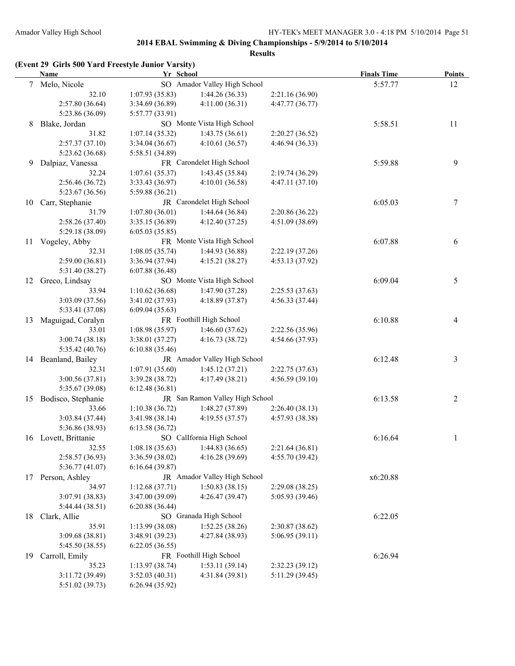|    | (Event 29 Girls 500 Yard Freestyle Junior Varsity)<br><b>Name</b> | Yr School       |                                 |                 | <b>Finals Time</b> | <b>Points</b>  |
|----|-------------------------------------------------------------------|-----------------|---------------------------------|-----------------|--------------------|----------------|
|    | 7 Melo, Nicole                                                    |                 | SO Amador Valley High School    |                 | 5:57.77            | 12             |
|    | 32.10                                                             | 1:07.93(35.83)  | 1:44.26(36.33)                  | 2:21.16 (36.90) |                    |                |
|    | 2:57.80 (36.64)                                                   | 3:34.69 (36.89) | 4:11.00(36.31)                  | 4:47.77 (36.77) |                    |                |
|    | 5:23.86 (36.09)                                                   | 5:57.77 (33.91) |                                 |                 |                    |                |
| 8  | Blake, Jordan                                                     |                 | SO Monte Vista High School      |                 | 5:58.51            | 11             |
|    | 31.82                                                             | 1:07.14(35.32)  | 1:43.75(36.61)                  | 2:20.27(36.52)  |                    |                |
|    | 2:57.37(37.10)                                                    | 3:34.04(36.67)  | 4:10.61(36.57)                  | 4:46.94 (36.33) |                    |                |
|    | 5:23.62 (36.68)                                                   | 5:58.51 (34.89) |                                 |                 |                    |                |
| 9  | Dalpiaz, Vanessa                                                  |                 | FR Carondelet High School       |                 | 5:59.88            | 9              |
|    | 32.24                                                             | 1:07.61(35.37)  | 1:43.45(35.84)                  | 2:19.74 (36.29) |                    |                |
|    | 2:56.46 (36.72)                                                   | 3:33.43 (36.97) | 4:10.01(36.58)                  | 4:47.11(37.10)  |                    |                |
|    | 5:23.67 (36.56)                                                   | 5:59.88 (36.21) |                                 |                 |                    |                |
| 10 | Carr, Stephanie                                                   |                 | JR Carondelet High School       |                 | 6:05.03            | 7              |
|    | 31.79                                                             | 1:07.80(36.01)  | 1:44.64(36.84)                  | 2:20.86 (36.22) |                    |                |
|    | 2:58.26 (37.40)                                                   | 3:35.15 (36.89) | 4:12.40(37.25)                  | 4:51.09 (38.69) |                    |                |
|    | 5:29.18 (38.09)                                                   | 6:05.03(35.85)  |                                 |                 |                    |                |
| 11 | Vogeley, Abby                                                     |                 | FR Monte Vista High School      |                 | 6:07.88            | 6              |
|    | 32.31                                                             | 1:08.05(35.74)  | 1:44.93 (36.88)                 | 2:22.19 (37.26) |                    |                |
|    | 2:59.00(36.81)                                                    | 3:36.94 (37.94) | 4:15.21(38.27)                  | 4:53.13 (37.92) |                    |                |
|    | 5:31.40 (38.27)                                                   | 6:07.88(36.48)  |                                 |                 |                    |                |
| 12 | Greco, Lindsay                                                    |                 | SO Monte Vista High School      |                 | 6:09.04            | 5              |
|    | 33.94                                                             | 1:10.62(36.68)  | 1:47.90(37.28)                  | 2:25.53(37.63)  |                    |                |
|    | 3:03.09 (37.56)                                                   | 3:41.02 (37.93) | 4:18.89 (37.87)                 | 4:56.33 (37.44) |                    |                |
|    | 5:33.41 (37.08)                                                   | 6:09.04(35.63)  |                                 |                 |                    |                |
| 13 | Maguigad, Coralyn                                                 |                 | FR Foothill High School         |                 | 6:10.88            | 4              |
|    | 33.01                                                             | 1:08.98(35.97)  | 1:46.60(37.62)                  | 2:22.56 (35.96) |                    |                |
|    | 3:00.74(38.18)                                                    | 3:38.01 (37.27) | 4:16.73(38.72)                  | 4:54.66 (37.93) |                    |                |
|    | 5:35.42 (40.76)                                                   | 6:10.88(35.46)  |                                 |                 |                    |                |
|    | 14 Beanland, Bailey                                               |                 | JR Amador Valley High School    |                 | 6:12.48            | 3              |
|    | 32.31                                                             | 1:07.91(35.60)  | 1:45.12(37.21)                  | 2:22.75(37.63)  |                    |                |
|    | 3:00.56 (37.81)                                                   | 3:39.28 (38.72) | 4:17.49 (38.21)                 | 4:56.59 (39.10) |                    |                |
|    | 5:35.67 (39.08)                                                   | 6:12.48(36.81)  |                                 |                 |                    |                |
| 15 | Bodisco, Stephanie                                                |                 | JR San Ramon Valley High School |                 | 6:13.58            | $\overline{2}$ |
|    | 33.66                                                             | 1:10.38(36.72)  | 1:48.27(37.89)                  | 2:26.40(38.13)  |                    |                |
|    | 3:03.84 (37.44)                                                   | 3:41.98(38.14)  | 4:19.55 (37.57)                 | 4:57.93 (38.38) |                    |                |
|    | 5:36.86 (38.93)                                                   | 6:13.58(36.72)  |                                 |                 |                    |                |
|    | 16 Lovett, Brittanie                                              |                 | SO CalIfornia High School       |                 | 6:16.64            | 1              |
|    | 32.55                                                             | 1:08.18(35.63)  | 1:44.83(36.65)                  | 2:21.64 (36.81) |                    |                |
|    | 2:58.57 (36.93)                                                   | 3:36.59 (38.02) | 4:16.28 (39.69)                 | 4:55.70 (39.42) |                    |                |
|    | 5:36.77(41.07)                                                    | 6:16.64(39.87)  |                                 |                 |                    |                |
| 17 | Person, Ashley                                                    |                 | JR Amador Valley High School    |                 | x6:20.88           |                |
|    | 34.97                                                             | 1:12.68(37.71)  | 1:50.83(38.15)                  | 2:29.08(38.25)  |                    |                |
|    | 3:07.91 (38.83)                                                   | 3:47.00(39.09)  | 4:26.47 (39.47)                 | 5:05.93 (39.46) |                    |                |
|    | 5:44.44(38.51)                                                    | 6:20.88(36.44)  |                                 |                 |                    |                |
| 18 | Clark, Allie                                                      |                 | SO Granada High School          |                 | 6:22.05            |                |
|    | 35.91                                                             | 1:13.99(38.08)  | 1:52.25(38.26)                  | 2:30.87 (38.62) |                    |                |
|    | 3:09.68 (38.81)                                                   | 3:48.91 (39.23) | 4:27.84 (38.93)                 | 5:06.95(39.11)  |                    |                |
|    | 5:45.50 (38.55)                                                   | 6:22.05(36.55)  |                                 |                 |                    |                |
| 19 | Carroll, Emily                                                    |                 | FR Foothill High School         |                 | 6:26.94            |                |
|    | 35.23                                                             | 1:13.97(38.74)  | 1:53.11(39.14)                  | 2:32.23 (39.12) |                    |                |
|    | 3:11.72 (39.49)                                                   | 3:52.03(40.31)  | 4:31.84 (39.81)                 | 5:11.29 (39.45) |                    |                |
|    | 5:51.02 (39.73)                                                   | 6:26.94(35.92)  |                                 |                 |                    |                |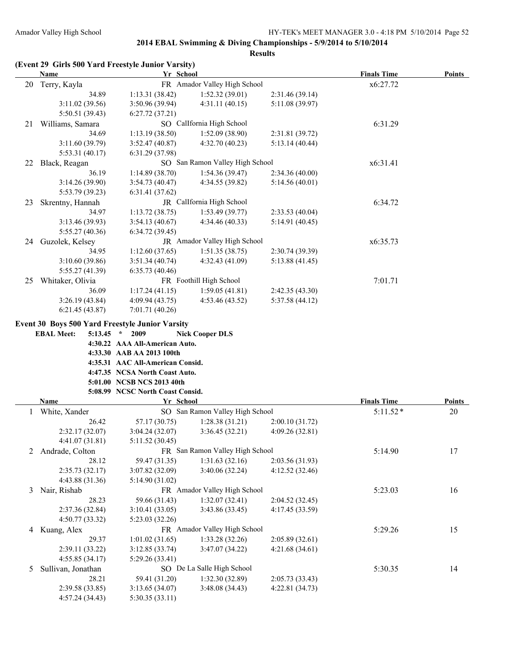|    | (Event 29 Girls 500 Yard Freestyle Junior Varsity)<br><b>Name</b>                          | Yr School                        |                                 |                 | <b>Finals Time</b> | <b>Points</b> |
|----|--------------------------------------------------------------------------------------------|----------------------------------|---------------------------------|-----------------|--------------------|---------------|
| 20 | Terry, Kayla                                                                               |                                  | FR Amador Valley High School    |                 | x6:27.72           |               |
|    | 34.89                                                                                      | 1:13.31(38.42)                   | 1:52.32(39.01)                  | 2:31.46 (39.14) |                    |               |
|    | 3:11.02(39.56)                                                                             | 3:50.96(39.94)                   | 4:31.11(40.15)                  | 5:11.08 (39.97) |                    |               |
|    | 5:50.51 (39.43)                                                                            | 6:27.72(37.21)                   |                                 |                 |                    |               |
| 21 | Williams, Samara                                                                           |                                  | SO CalIfornia High School       |                 | 6:31.29            |               |
|    | 34.69                                                                                      | 1:13.19(38.50)                   | 1:52.09 (38.90)                 | 2:31.81 (39.72) |                    |               |
|    | 3:11.60(39.79)                                                                             | 3:52.47(40.87)                   | 4:32.70 (40.23)                 | 5:13.14(40.44)  |                    |               |
|    | 5:53.31 (40.17)                                                                            | 6:31.29 (37.98)                  |                                 |                 |                    |               |
|    | 22 Black, Reagan                                                                           |                                  | SO San Ramon Valley High School |                 | x6:31.41           |               |
|    | 36.19                                                                                      | 1:14.89(38.70)                   | 1:54.36(39.47)                  | 2:34.36 (40.00) |                    |               |
|    | 3:14.26 (39.90)                                                                            | 3:54.73(40.47)                   | 4:34.55 (39.82)                 | 5:14.56(40.01)  |                    |               |
|    | 5:53.79 (39.23)                                                                            | 6:31.41(37.62)                   |                                 |                 |                    |               |
| 23 | Skrentny, Hannah                                                                           |                                  | JR CalIfornia High School       |                 | 6:34.72            |               |
|    | 34.97                                                                                      | 1:13.72(38.75)                   | 1:53.49(39.77)                  | 2:33.53(40.04)  |                    |               |
|    | 3:13.46 (39.93)                                                                            | 3:54.13(40.67)                   | 4:34.46 (40.33)                 | 5:14.91(40.45)  |                    |               |
|    | 5:55.27(40.36)                                                                             | 6:34.72(39.45)                   |                                 |                 |                    |               |
| 24 | Guzolek, Kelsey                                                                            |                                  | JR Amador Valley High School    |                 | x6:35.73           |               |
|    | 34.95                                                                                      | 1:12.60(37.65)                   | 1:51.35(38.75)                  | 2:30.74(39.39)  |                    |               |
|    | 3:10.60(39.86)                                                                             | 3:51.34(40.74)                   | 4:32.43(41.09)                  | 5:13.88(41.45)  |                    |               |
|    | 5:55.27(41.39)                                                                             | 6:35.73(40.46)                   |                                 |                 |                    |               |
| 25 | Whitaker, Olivia                                                                           |                                  | FR Foothill High School         |                 | 7:01.71            |               |
|    | 36.09                                                                                      | 1:17.24(41.15)                   | 1:59.05(41.81)                  | 2:42.35 (43.30) |                    |               |
|    | 3:26.19(43.84)                                                                             | 4:09.94(43.75)                   | 4:53.46(43.52)                  | 5:37.58(44.12)  |                    |               |
|    | 6:21.45(43.87)                                                                             | 7:01.71(40.26)                   |                                 |                 |                    |               |
|    |                                                                                            |                                  |                                 |                 |                    |               |
|    | <b>Event 30 Boys 500 Yard Freestyle Junior Varsity</b><br><b>EBAL Meet:</b><br>$5:13.45$ * | 2009                             | <b>Nick Cooper DLS</b>          |                 |                    |               |
|    |                                                                                            | 4:30.22 AAA All-American Auto.   |                                 |                 |                    |               |
|    |                                                                                            | 4:33.30 AAB AA 2013 100th        |                                 |                 |                    |               |
|    |                                                                                            | 4:35.31 AAC All-American Consid. |                                 |                 |                    |               |
|    |                                                                                            | 4:47.35 NCSA North Coast Auto.   |                                 |                 |                    |               |
|    |                                                                                            | 5:01.00 NCSB NCS 2013 40th       |                                 |                 |                    |               |
|    |                                                                                            | 5:08.99 NCSC North Coast Consid. |                                 |                 |                    |               |
|    | Name                                                                                       | Yr School                        |                                 |                 | <b>Finals Time</b> | <b>Points</b> |
| 1  | White, Xander                                                                              |                                  | SO San Ramon Valley High School |                 | $5:11.52*$         | 20            |
|    | 26.42                                                                                      | 57.17 (30.75)                    | 1:28.38(31.21)                  | 2:00.10(31.72)  |                    |               |
|    | 2:32.17 (32.07)                                                                            | 3:04.24 (32.07)                  | 3:36.45 (32.21)                 | 4:09.26 (32.81) |                    |               |
|    | 4:41.07 (31.81)                                                                            | 5:11.52(30.45)                   |                                 |                 |                    |               |
|    | 2 Andrade, Colton                                                                          |                                  | FR San Ramon Valley High School |                 | 5:14.90            | 17            |
|    | 28.12                                                                                      | 59.47 (31.35)                    | 1:31.63(32.16)                  | 2:03.56 (31.93) |                    |               |
|    | 2:35.73 (32.17)                                                                            | 3:07.82 (32.09)                  | 3:40.06 (32.24)                 | 4:12.52 (32.46) |                    |               |
|    | 4:43.88 (31.36)                                                                            | 5:14.90(31.02)                   |                                 |                 |                    |               |
|    | 3 Nair, Rishab                                                                             |                                  | FR Amador Valley High School    |                 | 5:23.03            | 16            |
|    | 28.23                                                                                      | 59.66 (31.43)                    | 1:32.07(32.41)                  | 2:04.52 (32.45) |                    |               |
|    | 2:37.36 (32.84)                                                                            | 3:10.41(33.05)                   | 3:43.86 (33.45)                 | 4:17.45 (33.59) |                    |               |
|    | 4:50.77 (33.32)                                                                            | 5:23.03 (32.26)                  |                                 |                 |                    |               |
|    | 4 Kuang, Alex                                                                              |                                  | FR Amador Valley High School    |                 | 5:29.26            | 15            |
|    | 29.37                                                                                      | 1:01.02(31.65)                   | 1:33.28(32.26)                  | 2:05.89(32.61)  |                    |               |
|    | 2:39.11(33.22)                                                                             | 3:12.85(33.74)                   | 3:47.07 (34.22)                 | 4:21.68(34.61)  |                    |               |
|    | 4:55.85(34.17)                                                                             | 5:29.26(33.41)                   |                                 |                 |                    |               |
| 5  | Sullivan, Jonathan                                                                         |                                  | SO De La Salle High School      |                 | 5:30.35            | 14            |
|    | 28.21                                                                                      | 59.41 (31.20)                    | 1:32.30(32.89)                  | 2:05.73 (33.43) |                    |               |
|    | 2:39.58 (33.85)                                                                            | 3:13.65(34.07)                   | 3:48.08(34.43)                  | 4:22.81 (34.73) |                    |               |
|    | 4:57.24 (34.43)                                                                            | 5:30.35(33.11)                   |                                 |                 |                    |               |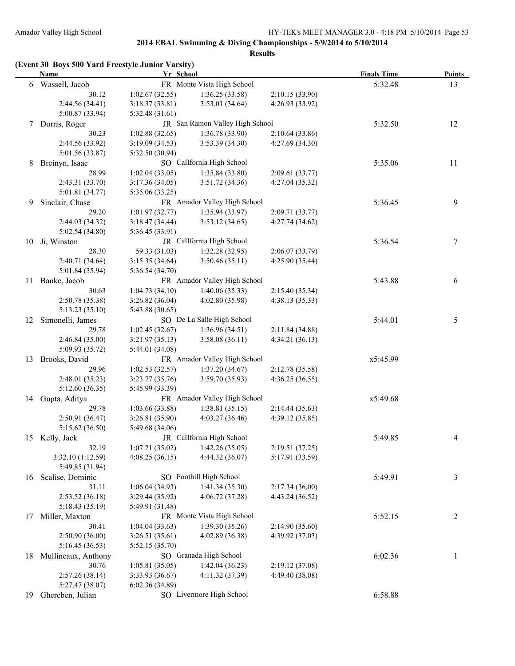|  | (Event 30 Boys 500 Yard Freestyle Junior Varsity) |  |  |
|--|---------------------------------------------------|--|--|
|  |                                                   |  |  |

|    | <b>Name</b>         | Yr School       |                                   |                 | <b>Finals Time</b> | <b>Points</b> |
|----|---------------------|-----------------|-----------------------------------|-----------------|--------------------|---------------|
|    | 6 Wassell, Jacob    |                 | FR Monte Vista High School        |                 | 5:32.48            | 13            |
|    | 30.12               | 1:02.67(32.55)  | 1:36.25(33.58)                    | 2:10.15 (33.90) |                    |               |
|    | 2:44.56 (34.41)     | 3:18.37(33.81)  | 3:53.01(34.64)                    | 4:26.93 (33.92) |                    |               |
|    | 5:00.87 (33.94)     | 5:32.48(31.61)  |                                   |                 |                    |               |
| 7  | Dorris, Roger       |                 | JR San Ramon Valley High School   |                 | 5:32.50            | 12            |
|    | 30.23               | 1:02.88(32.65)  | 1:36.78(33.90)                    | 2:10.64(33.86)  |                    |               |
|    | 2:44.56 (33.92)     | 3:19.09(34.53)  | 3:53.39 (34.30)                   | 4:27.69(34.30)  |                    |               |
|    | 5:01.56 (33.87)     | 5:32.50 (30.94) |                                   |                 |                    |               |
| 8  | Breinyn, Isaac      |                 | SO CalIfornia High School         |                 | 5:35.06            | 11            |
|    | 28.99               | 1:02.04(33.05)  | 1:35.84(33.80)                    | 2:09.61(33.77)  |                    |               |
|    | 2:43.31 (33.70)     | 3:17.36(34.05)  | 3:51.72(34.36)                    | 4:27.04 (35.32) |                    |               |
|    | 5:01.81 (34.77)     | 5:35.06(33.25)  |                                   |                 |                    |               |
| 9. | Sinclair, Chase     |                 | FR Amador Valley High School      |                 | 5:36.45            | 9             |
|    | 29.20               | 1:01.97(32.77)  | 1:35.94(33.97)                    | 2:09.71(33.77)  |                    |               |
|    | 2:44.03 (34.32)     | 3:18.47 (34.44) | 3:53.12(34.65)                    | 4:27.74(34.62)  |                    |               |
|    | 5:02.54 (34.80)     | 5:36.45 (33.91) |                                   |                 |                    |               |
| 10 | Ji, Winston         |                 | JR CalIfornia High School         |                 | 5:36.54            | 7             |
|    | 28.30               | 59.33 (31.03)   | 1:32.28(32.95)                    | 2:06.07(33.79)  |                    |               |
|    | 2:40.71(34.64)      | 3:15.35(34.64)  | 3:50.46(35.11)                    | 4:25.90 (35.44) |                    |               |
|    | 5:01.84 (35.94)     | 5:36.54(34.70)  |                                   |                 |                    |               |
|    |                     |                 | FR Amador Valley High School      |                 | 5:43.88            |               |
| 11 | Banke, Jacob        |                 |                                   |                 |                    | 6             |
|    | 30.63               | 1:04.73(34.10)  | 1:40.06(35.33)                    | 2:15.40(35.34)  |                    |               |
|    | 2:50.78 (35.38)     | 3:26.82(36.04)  | 4:02.80(35.98)                    | 4:38.13(35.33)  |                    |               |
|    | 5:13.23 (35.10)     | 5:43.88 (30.65) |                                   |                 |                    |               |
| 12 | Simonelli, James    |                 | SO De La Salle High School        |                 | 5:44.01            | 5             |
|    | 29.78               | 1:02.45(32.67)  | 1:36.96(34.51)                    | 2:11.84 (34.88) |                    |               |
|    | 2:46.84(35.00)      | 3:21.97(35.13)  | 3:58.08(36.11)                    | 4:34.21(36.13)  |                    |               |
|    | 5:09.93 (35.72)     | 5:44.01 (34.08) |                                   |                 |                    |               |
| 13 | Brooks, David       |                 | FR Amador Valley High School      |                 | x5:45.99           |               |
|    | 29.96               | 1:02.53(32.57)  | 1:37.20(34.67)                    | 2:12.78 (35.58) |                    |               |
|    | 2:48.01(35.23)      | 3:23.77(35.76)  | 3:59.70(35.93)                    | 4:36.25(36.55)  |                    |               |
|    | 5:12.60(36.35)      | 5:45.99 (33.39) |                                   |                 |                    |               |
| 14 | Gupta, Aditya       |                 | FR Amador Valley High School      |                 | x5:49.68           |               |
|    | 29.78               | 1:03.66(33.88)  | 1:38.81(35.15)                    | 2:14.44(35.63)  |                    |               |
|    | 2:50.91(36.47)      | 3:26.81 (35.90) | 4:03.27(36.46)                    | 4:39.12(35.85)  |                    |               |
|    | 5:15.62(36.50)      | 5:49.68 (34.06) |                                   |                 |                    |               |
|    | 15 Kelly, Jack      |                 | JR CalIfornia High School         |                 | 5:49.85            | 4             |
|    | 32.19               |                 | $1:07.21(35.02)$ $1:42.26(35.05)$ | 2:19.51 (37.25) |                    |               |
|    | 3:32.10(1:12.59)    | 4:08.25(36.15)  | 4:44.32 (36.07)                   | 5:17.91 (33.59) |                    |               |
|    | 5:49.85 (31.94)     |                 |                                   |                 |                    |               |
| 16 | Scalise, Dominic    |                 | SO Foothill High School           |                 | 5:49.91            | 3             |
|    | 31.11               | 1:06.04(34.93)  | 1:41.34(35.30)                    | 2:17.34(36.00)  |                    |               |
|    | 2:53.52 (36.18)     | 3:29.44(35.92)  | 4:06.72 (37.28)                   | 4:43.24 (36.52) |                    |               |
|    | 5:18.43 (35.19)     | 5:49.91 (31.48) |                                   |                 |                    |               |
| 17 | Miller, Maxton      |                 | FR Monte Vista High School        |                 | 5:52.15            | 2             |
|    | 30.41               | 1:04.04(33.63)  | 1:39.30(35.26)                    | 2:14.90(35.60)  |                    |               |
|    | 2:50.90(36.00)      | 3:26.51(35.61)  | 4:02.89 (36.38)                   | 4:39.92 (37.03) |                    |               |
|    | 5:16.45(36.53)      | 5:52.15 (35.70) |                                   |                 |                    |               |
| 18 | Mullineaux, Anthony |                 | SO Granada High School            |                 | 6:02.36            | 1             |
|    | 30.76               | 1:05.81(35.05)  | 1:42.04(36.23)                    | 2:19.12(37.08)  |                    |               |
|    | 2:57.26 (38.14)     | 3:33.93 (36.67) | 4:11.32(37.39)                    | 4:49.40 (38.08) |                    |               |
|    | 5:27.47 (38.07)     | 6:02.36(34.89)  |                                   |                 |                    |               |
| 19 | Ghereben, Julian    |                 | SO Livermore High School          |                 | 6:58.88            |               |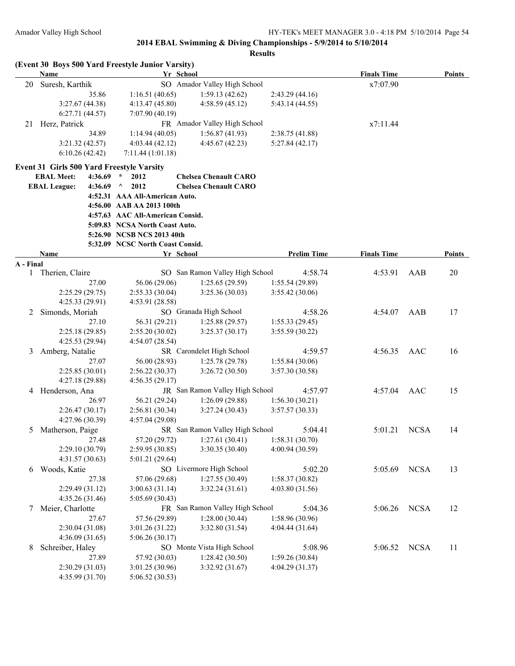|           | (Event 30 Boys 500 Yard Freestyle Junior Varsity) |                                  |                                 |                    |                    |             |               |
|-----------|---------------------------------------------------|----------------------------------|---------------------------------|--------------------|--------------------|-------------|---------------|
|           | <b>Name</b>                                       |                                  | Yr School                       |                    | <b>Finals Time</b> |             | <b>Points</b> |
| 20        | Suresh, Karthik                                   |                                  | SO Amador Valley High School    |                    | x7:07.90           |             |               |
|           | 35.86                                             | 1:16.51(40.65)                   | 1:59.13(42.62)                  | 2:43.29(44.16)     |                    |             |               |
|           | 3:27.67(44.38)                                    | 4:13.47(45.80)                   | 4:58.59(45.12)                  | 5:43.14 (44.55)    |                    |             |               |
|           | 6:27.71(44.57)                                    | 7:07.90 (40.19)                  |                                 |                    |                    |             |               |
| 21        | Herz, Patrick                                     |                                  | FR Amador Valley High School    |                    | x7:11.44           |             |               |
|           | 34.89                                             | 1:14.94(40.05)                   | 1:56.87(41.93)                  | 2:38.75 (41.88)    |                    |             |               |
|           | 3:21.32(42.57)                                    | 4:03.44(42.12)                   | 4:45.67(42.23)                  | 5:27.84(42.17)     |                    |             |               |
|           | 6:10.26(42.42)                                    | 7:11.44(1:01.18)                 |                                 |                    |                    |             |               |
|           | Event 31 Girls 500 Yard Freestyle Varsity         |                                  |                                 |                    |                    |             |               |
|           | <b>EBAL Meet:</b><br>4:36.69                      | $\star$<br>2012                  | <b>Chelsea Chenault CARO</b>    |                    |                    |             |               |
|           | <b>EBAL League:</b><br>4:36.69                    | 2012<br>Λ                        | <b>Chelsea Chenault CARO</b>    |                    |                    |             |               |
|           |                                                   | 4:52.31 AAA All-American Auto.   |                                 |                    |                    |             |               |
|           |                                                   | 4:56.00 AAB AA 2013 100th        |                                 |                    |                    |             |               |
|           |                                                   | 4:57.63 AAC All-American Consid. |                                 |                    |                    |             |               |
|           |                                                   | 5:09.83 NCSA North Coast Auto.   |                                 |                    |                    |             |               |
|           |                                                   | 5:26.90 NCSB NCS 2013 40th       |                                 |                    |                    |             |               |
|           |                                                   | 5:32.09 NCSC North Coast Consid. |                                 |                    |                    |             |               |
|           | Name                                              |                                  | Yr School                       | <b>Prelim Time</b> | <b>Finals Time</b> |             | <b>Points</b> |
| A - Final |                                                   |                                  |                                 |                    |                    |             |               |
| 1         | Therien, Claire                                   |                                  | SO San Ramon Valley High School | 4:58.74            | 4:53.91            | AAB         | 20            |
|           | 27.00                                             | 56.06 (29.06)                    | 1:25.65(29.59)                  | 1:55.54(29.89)     |                    |             |               |
|           | 2:25.29(29.75)                                    | 2:55.33(30.04)                   | 3:25.36(30.03)                  | 3:55.42 (30.06)    |                    |             |               |
|           | 4:25.33 (29.91)                                   | 4:53.91 (28.58)                  |                                 |                    |                    |             |               |
| 2         | Simonds, Moriah                                   |                                  | SO Granada High School          | 4:58.26            | 4:54.07            | AAB         | 17            |
|           | 27.10                                             | 56.31 (29.21)                    | 1:25.88(29.57)                  | 1:55.33(29.45)     |                    |             |               |
|           | 2:25.18(29.85)                                    | 2:55.20(30.02)                   | 3:25.37(30.17)                  | 3:55.59 (30.22)    |                    |             |               |
|           | 4:25.53(29.94)                                    | 4:54.07 (28.54)                  |                                 |                    |                    |             |               |
| 3         | Amberg, Natalie                                   |                                  | SR Carondelet High School       | 4:59.57            | 4:56.35            | AAC         | 16            |
|           | 27.07                                             | 56.00 (28.93)                    | 1:25.78(29.78)                  | 1:55.84(30.06)     |                    |             |               |
|           | 2:25.85(30.01)                                    | 2:56.22(30.37)                   | 3:26.72(30.50)                  | 3:57.30 (30.58)    |                    |             |               |
|           | 4:27.18 (29.88)                                   | 4:56.35(29.17)                   |                                 |                    |                    |             |               |
|           | 4 Henderson, Ana                                  |                                  | JR San Ramon Valley High School | 4:57.97            | 4:57.04            | AAC         | 15            |
|           | 26.97                                             | 56.21 (29.24)                    | 1:26.09(29.88)                  | 1:56.30(30.21)     |                    |             |               |
|           | 2:26.47(30.17)                                    | 2:56.81(30.34)                   | 3:27.24(30.43)                  | 3:57.57(30.33)     |                    |             |               |
|           | 4:27.96 (30.39)                                   | 4:57.04(29.08)                   |                                 |                    |                    |             |               |
| 5         | Matherson, Paige                                  |                                  | SR San Ramon Valley High School | 5:04.41            | 5:01.21            | <b>NCSA</b> | 14            |
|           | 27.48                                             | 57.20 (29.72)                    | 1:27.61(30.41)                  | 1:58.31 (30.70)    |                    |             |               |
|           | 2:29.10 (30.79)                                   | 2:59.95 (30.85)                  | 3:30.35 (30.40)                 | 4:00.94 (30.59)    |                    |             |               |
|           | 4:31.57(30.63)                                    | 5:01.21(29.64)                   |                                 |                    |                    |             |               |
| 6         | Woods, Katie                                      |                                  | SO Livermore High School        | 5:02.20            | 5:05.69            | <b>NCSA</b> | 13            |
|           | 27.38                                             | 57.06 (29.68)                    | 1:27.55(30.49)                  | 1:58.37(30.82)     |                    |             |               |
|           | 2:29.49 (31.12)                                   | 3:00.63(31.14)                   | 3:32.24(31.61)                  | 4:03.80(31.56)     |                    |             |               |
|           | 4:35.26(31.46)                                    | 5:05.69(30.43)                   |                                 |                    |                    |             |               |
| 7         | Meier, Charlotte                                  |                                  | FR San Ramon Valley High School | 5:04.36            | 5:06.26            | <b>NCSA</b> | 12            |
|           | 27.67                                             | 57.56 (29.89)                    | 1:28.00(30.44)                  | 1:58.96 (30.96)    |                    |             |               |
|           | 2:30.04(31.08)                                    | 3:01.26 (31.22)                  | 3:32.80 (31.54)                 | 4:04.44 (31.64)    |                    |             |               |
|           | 4:36.09(31.65)                                    | 5:06.26(30.17)                   |                                 |                    |                    |             |               |
| 8         | Schreiber, Haley                                  |                                  | SO Monte Vista High School      | 5:08.96            | 5:06.52            | <b>NCSA</b> | 11            |
|           | 27.89                                             | 57.92 (30.03)                    | 1:28.42(30.50)                  | 1:59.26(30.84)     |                    |             |               |
|           | 2:30.29(31.03)                                    | 3:01.25 (30.96)                  | 3:32.92(31.67)                  | 4:04.29 (31.37)    |                    |             |               |
|           | 4:35.99 (31.70)                                   | 5:06.52 (30.53)                  |                                 |                    |                    |             |               |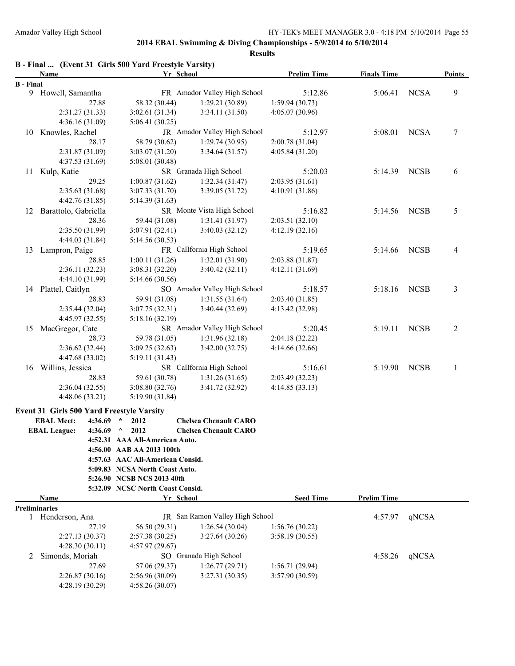|                  | B - Final  (Event 31 Girls 500 Yard Freestyle Varsity) |                                  |                                   |                                    |                    |             |                |
|------------------|--------------------------------------------------------|----------------------------------|-----------------------------------|------------------------------------|--------------------|-------------|----------------|
|                  | Name                                                   | Yr School                        |                                   | <b>Prelim Time</b>                 | <b>Finals Time</b> |             | <b>Points</b>  |
| <b>B</b> - Final |                                                        |                                  |                                   |                                    |                    |             |                |
|                  | 9 Howell, Samantha                                     |                                  | FR Amador Valley High School      | 5:12.86                            | 5:06.41            | <b>NCSA</b> | 9              |
|                  | 27.88                                                  | 58.32 (30.44)                    | 1:29.21 (30.89)                   | 1:59.94(30.73)                     |                    |             |                |
|                  | 2:31.27(31.33)                                         | 3:02.61(31.34)                   | 3:34.11 (31.50)                   | 4:05.07(30.96)                     |                    |             |                |
|                  | 4:36.16(31.09)                                         | 5:06.41(30.25)                   | JR Amador Valley High School      |                                    |                    |             |                |
| 10               | Knowles, Rachel<br>28.17                               |                                  |                                   | 5:12.97                            | 5:08.01            | <b>NCSA</b> | 7              |
|                  | 2:31.87 (31.09)                                        | 58.79 (30.62)<br>3:03.07(31.20)  | 1:29.74(30.95)<br>3:34.64 (31.57) | 2:00.78 (31.04)<br>4:05.84 (31.20) |                    |             |                |
|                  | 4:37.53(31.69)                                         |                                  |                                   |                                    |                    |             |                |
|                  |                                                        | 5:08.01 (30.48)                  | SR Granada High School            |                                    |                    | <b>NCSB</b> |                |
| 11               | Kulp, Katie<br>29.25                                   | 1:00.87(31.62)                   | 1:32.34(31.47)                    | 5:20.03<br>2:03.95(31.61)          | 5:14.39            |             | 6              |
|                  |                                                        |                                  |                                   |                                    |                    |             |                |
|                  | 2:35.63 (31.68)                                        | 3:07.33(31.70)                   | 3:39.05 (31.72)                   | 4:10.91(31.86)                     |                    |             |                |
|                  | 4:42.76(31.85)                                         | 5:14.39(31.63)                   |                                   |                                    |                    |             |                |
| 12               | Barattolo, Gabriella                                   |                                  | SR Monte Vista High School        | 5:16.82                            | 5:14.56            | <b>NCSB</b> | 5              |
|                  | 28.36                                                  | 59.44 (31.08)                    | 1:31.41(31.97)                    | 2:03.51(32.10)                     |                    |             |                |
|                  | 2:35.50(31.99)                                         | 3:07.91(32.41)                   | 3:40.03 (32.12)                   | 4:12.19(32.16)                     |                    |             |                |
|                  | 4:44.03 (31.84)                                        | 5:14.56 (30.53)                  |                                   |                                    |                    |             |                |
|                  | 13 Lampron, Paige                                      |                                  | FR CalIfornia High School         | 5:19.65                            | 5:14.66            | <b>NCSB</b> | 4              |
|                  | 28.85                                                  | 1:00.11(31.26)                   | 1:32.01(31.90)                    | 2:03.88 (31.87)                    |                    |             |                |
|                  | 2:36.11(32.23)                                         | 3:08.31(32.20)                   | 3:40.42(32.11)                    | 4:12.11(31.69)                     |                    |             |                |
|                  | 4:44.10 (31.99)                                        | 5:14.66 (30.56)                  |                                   |                                    |                    |             |                |
|                  | 14 Plattel, Caitlyn                                    |                                  | SO Amador Valley High School      | 5:18.57                            | 5:18.16            | <b>NCSB</b> | 3              |
|                  | 28.83                                                  | 59.91 (31.08)                    | 1:31.55(31.64)                    | 2:03.40(31.85)                     |                    |             |                |
|                  | 2:35.44(32.04)                                         | 3:07.75(32.31)                   | 3:40.44 (32.69)                   | 4:13.42 (32.98)                    |                    |             |                |
|                  | 4:45.97 (32.55)                                        | 5:18.16(32.19)                   |                                   |                                    |                    |             |                |
| 15               | MacGregor, Cate                                        |                                  | SR Amador Valley High School      | 5:20.45                            | 5:19.11            | <b>NCSB</b> | $\overline{c}$ |
|                  | 28.73                                                  | 59.78 (31.05)                    | 1:31.96(32.18)                    | 2:04.18 (32.22)                    |                    |             |                |
|                  | 2:36.62(32.44)                                         | 3:09.25(32.63)                   | 3:42.00(32.75)                    | 4:14.66 (32.66)                    |                    |             |                |
|                  | 4:47.68 (33.02)                                        | 5:19.11(31.43)                   |                                   |                                    |                    |             |                |
| 16               | Willins, Jessica                                       |                                  | SR Callfornia High School         | 5:16.61                            | 5:19.90            | <b>NCSB</b> | $\mathbf{1}$   |
|                  | 28.83                                                  | 59.61 (30.78)                    | 1:31.26(31.65)                    | 2:03.49 (32.23)                    |                    |             |                |
|                  | 2:36.04(32.55)                                         | 3:08.80(32.76)                   | 3:41.72 (32.92)                   | 4:14.85(33.13)                     |                    |             |                |
|                  | 4:48.06(33.21)                                         | 5:19.90 (31.84)                  |                                   |                                    |                    |             |                |
|                  | Event 31 Girls 500 Yard Freestyle Varsity              |                                  |                                   |                                    |                    |             |                |
|                  | <b>EBAL Meet:</b><br>4:36.69                           | 2012                             | <b>Chelsea Chenault CARO</b>      |                                    |                    |             |                |
|                  | <b>EBAL League:</b><br>4:36.69                         | $\wedge$<br>2012                 | <b>Chelsea Chenault CARO</b>      |                                    |                    |             |                |
|                  |                                                        | 4:52.31 AAA All-American Auto.   |                                   |                                    |                    |             |                |
|                  |                                                        | 4:56.00 AAB AA 2013 100th        |                                   |                                    |                    |             |                |
|                  |                                                        | 4:57.63 AAC All-American Consid. |                                   |                                    |                    |             |                |
|                  |                                                        | 5:09.83 NCSA North Coast Auto.   |                                   |                                    |                    |             |                |
|                  |                                                        | 5:26.90 NCSB NCS 2013 40th       |                                   |                                    |                    |             |                |
|                  |                                                        | 5:32.09 NCSC North Coast Consid. |                                   |                                    |                    |             |                |
|                  | Name                                                   | Yr School                        |                                   | <b>Seed Time</b>                   | <b>Prelim Time</b> |             |                |
|                  | <b>Preliminaries</b>                                   |                                  |                                   |                                    |                    |             |                |
| 1                | Henderson, Ana                                         |                                  | JR San Ramon Valley High School   |                                    | 4:57.97            | qNCSA       |                |
|                  | 27.19                                                  | 56.50 (29.31)                    | 1:26.54(30.04)                    | 1:56.76(30.22)                     |                    |             |                |
|                  | 2:27.13(30.37)                                         | 2:57.38(30.25)                   | 3:27.64(30.26)                    | 3:58.19(30.55)                     |                    |             |                |
|                  | 4:28.30(30.11)                                         | 4:57.97(29.67)                   |                                   |                                    |                    |             |                |
| 2                | Simonds, Moriah                                        |                                  | SO Granada High School            |                                    | 4:58.26            | qNCSA       |                |
|                  | 27.69                                                  | 57.06 (29.37)                    | 1:26.77(29.71)                    | 1:56.71(29.94)                     |                    |             |                |
|                  | 2:26.87(30.16)                                         | 2:56.96 (30.09)                  | 3:27.31(30.35)                    | 3:57.90(30.59)                     |                    |             |                |
|                  | 4:28.19 (30.29)                                        | 4:58.26(30.07)                   |                                   |                                    |                    |             |                |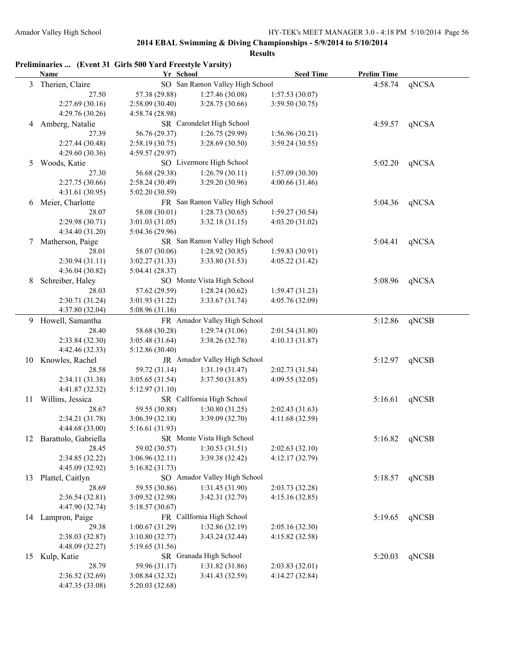|    | Preliminaries  (Event 31 Girls 500 Yard Freestyle Varsity)<br>Name | Yr School       |                                 | <b>Seed Time</b> | <b>Prelim Time</b> |               |
|----|--------------------------------------------------------------------|-----------------|---------------------------------|------------------|--------------------|---------------|
| 3  | Therien, Claire                                                    |                 | SO San Ramon Valley High School |                  | 4:58.74            | qNCSA         |
|    | 27.50                                                              | 57.38 (29.88)   | 1:27.46(30.08)                  | 1:57.53(30.07)   |                    |               |
|    | 2:27.69(30.16)                                                     | 2:58.09 (30.40) | 3:28.75 (30.66)                 | 3:59.50 (30.75)  |                    |               |
|    | 4:29.76 (30.26)                                                    | 4:58.74 (28.98) |                                 |                  |                    |               |
| 4  | Amberg, Natalie                                                    |                 | SR Carondelet High School       |                  | 4:59.57            | qNCSA         |
|    | 27.39                                                              | 56.76 (29.37)   | 1:26.75(29.99)                  | 1:56.96(30.21)   |                    |               |
|    | 2:27.44 (30.48)                                                    | 2:58.19(30.75)  | 3:28.69(30.50)                  | 3:59.24(30.55)   |                    |               |
|    | 4:29.60 (30.36)                                                    | 4:59.57 (29.97) |                                 |                  |                    |               |
| 5  | Woods, Katie                                                       |                 | SO Livermore High School        |                  | 5:02.20            | qNCSA         |
|    | 27.30                                                              | 56.68 (29.38)   | 1:26.79(30.11)                  | 1:57.09(30.30)   |                    |               |
|    | 2:27.75 (30.66)                                                    | 2:58.24(30.49)  | 3:29.20 (30.96)                 | 4:00.66(31.46)   |                    |               |
|    | 4:31.61 (30.95)                                                    | 5:02.20 (30.59) |                                 |                  |                    |               |
| 6  | Meier, Charlotte                                                   |                 | FR San Ramon Valley High School |                  | 5:04.36            | qNCSA         |
|    | 28.07                                                              | 58.08 (30.01)   | 1:28.73(30.65)                  | 1:59.27(30.54)   |                    |               |
|    | 2:29.98 (30.71)                                                    | 3:01.03(31.05)  | 3:32.18(31.15)                  | 4:03.20(31.02)   |                    |               |
|    | 4:34.40 (31.20)                                                    | 5:04.36 (29.96) |                                 |                  |                    |               |
| 7  | SR San Ramon Valley High School<br>Matherson, Paige                |                 |                                 |                  | 5:04.41            | qNCSA         |
|    | 28.01                                                              | 58.07 (30.06)   | 1:28.92(30.85)                  | 1:59.83(30.91)   |                    |               |
|    | 2:30.94(31.11)                                                     | 3:02.27(31.33)  | 3:33.80(31.53)                  | 4:05.22(31.42)   |                    |               |
|    | 4:36.04 (30.82)                                                    |                 |                                 |                  |                    |               |
|    |                                                                    | 5:04.41(28.37)  | SO Monte Vista High School      |                  | 5:08.96            |               |
| 8  | Schreiber, Haley                                                   |                 |                                 |                  |                    | qNCSA         |
|    | 28.03                                                              | 57.62 (29.59)   | 1:28.24(30.62)                  | 1:59.47(31.23)   |                    |               |
|    | 2:30.71 (31.24)                                                    | 3:01.93 (31.22) | 3:33.67(31.74)                  | 4:05.76 (32.09)  |                    |               |
|    | 4:37.80 (32.04)                                                    | 5:08.96(31.16)  |                                 |                  |                    |               |
| 9  | Howell, Samantha                                                   |                 | FR Amador Valley High School    |                  | 5:12.86            | qNCSB         |
|    | 28.40                                                              | 58.68 (30.28)   | 1:29.74(31.06)                  | 2:01.54 (31.80)  |                    |               |
|    | 2:33.84 (32.30)                                                    | 3:05.48(31.64)  | 3:38.26(32.78)                  | 4:10.13(31.87)   |                    |               |
|    | 4:42.46 (32.33)<br>5:12.86(30.40)                                  |                 |                                 |                  |                    |               |
|    | 10 Knowles, Rachel                                                 |                 | JR Amador Valley High School    |                  | 5:12.97            | qNCSB         |
|    | 28.58                                                              | 59.72 (31.14)   | 1:31.19(31.47)                  | 2:02.73 (31.54)  |                    |               |
|    | 2:34.11 (31.38)                                                    | 3:05.65(31.54)  | 3:37.50(31.85)                  | 4:09.55 (32.05)  |                    |               |
|    | 4:41.87 (32.32)                                                    | 5:12.97(31.10)  |                                 |                  |                    |               |
|    | 11 Willins, Jessica                                                |                 | SR CalIfornia High School       |                  | 5:16.61            | qNCSB         |
|    | 28.67                                                              | 59.55 (30.88)   | 1:30.80(31.25)                  | 2:02.43(31.63)   |                    |               |
|    | 2:34.21 (31.78)                                                    | 3:06.39(32.18)  | 3:39.09(32.70)                  | 4:11.68 (32.59)  |                    |               |
|    | 4:44.68 (33.00)                                                    | 5:16.61 (31.93) |                                 |                  |                    |               |
|    | 12 Barattolo, Gabriella                                            |                 | SR Monte Vista High School      |                  |                    | 5:16.82 qNCSB |
|    | 28.45                                                              | 59.02 (30.57)   | 1:30.53(31.51)                  | 2:02.63(32.10)   |                    |               |
|    | 2:34.85 (32.22)                                                    | 3:06.96(32.11)  | 3:39.38 (32.42)                 | 4:12.17(32.79)   |                    |               |
|    | 4:45.09 (32.92)                                                    | 5:16.82 (31.73) |                                 |                  |                    |               |
| 13 | Plattel, Caitlyn                                                   |                 | SO Amador Valley High School    |                  | 5:18.57            | qNCSB         |
|    | 28.69                                                              | 59.55 (30.86)   | 1:31.45(31.90)                  | 2:03.73 (32.28)  |                    |               |
|    | 2:36.54 (32.81)                                                    | 3:09.52 (32.98) | 3:42.31(32.79)                  | 4:15.16(32.85)   |                    |               |
|    | 4:47.90 (32.74)                                                    | 5:18.57(30.67)  |                                 |                  |                    |               |
|    | 14 Lampron, Paige                                                  |                 | FR CalIfornia High School       |                  | 5:19.65            | qNCSB         |
|    | 29.38                                                              | 1:00.67(31.29)  | 1:32.86(32.19)                  | 2:05.16(32.30)   |                    |               |
|    | 2:38.03 (32.87)                                                    | 3:10.80(32.77)  | 3:43.24 (32.44)                 | 4:15.82(32.58)   |                    |               |
|    | 4:48.09 (32.27)                                                    | 5:19.65 (31.56) |                                 |                  |                    |               |
| 15 | Kulp, Katie                                                        |                 | SR Granada High School          |                  | 5:20.03            | qNCSB         |
|    | 28.79                                                              | 59.96 (31.17)   | 1:31.82(31.86)                  | 2:03.83(32.01)   |                    |               |
|    | 2:36.52(32.69)                                                     | 3:08.84 (32.32) | 3:41.43 (32.59)                 | 4:14.27(32.84)   |                    |               |
|    | 4:47.35 (33.08)                                                    | 5:20.03 (32.68) |                                 |                  |                    |               |
|    |                                                                    |                 |                                 |                  |                    |               |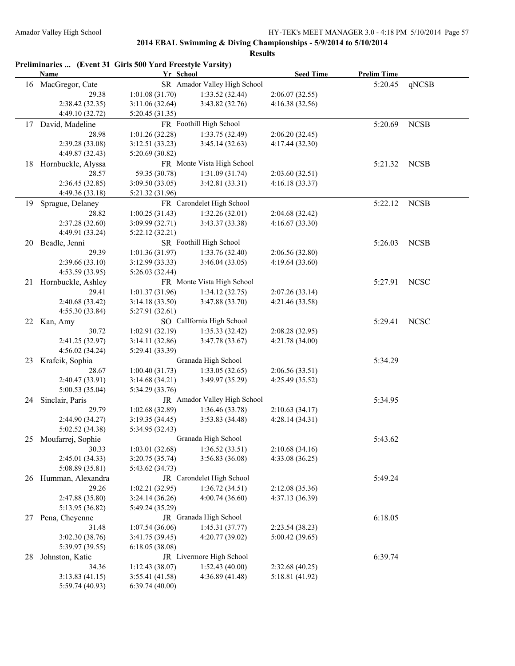|    | Preliminaries  (Event 31 Girls 500 Yard Freestyle Varsity)<br><b>Name</b> | Yr School       |                              | <b>Seed Time</b> | <b>Prelim Time</b> |             |
|----|---------------------------------------------------------------------------|-----------------|------------------------------|------------------|--------------------|-------------|
|    | 16 MacGregor, Cate                                                        |                 | SR Amador Valley High School |                  | 5:20.45            | qNCSB       |
|    | 29.38                                                                     | 1:01.08(31.70)  | 1:33.52(32.44)               | 2:06.07(32.55)   |                    |             |
|    | 2:38.42 (32.35)                                                           | 3:11.06(32.64)  | 3:43.82 (32.76)              | 4:16.38(32.56)   |                    |             |
|    | 4:49.10 (32.72)                                                           | 5:20.45 (31.35) |                              |                  |                    |             |
| 17 | David, Madeline                                                           |                 | FR Foothill High School      |                  | 5:20.69            | <b>NCSB</b> |
|    | 28.98                                                                     | 1:01.26(32.28)  | 1:33.75 (32.49)              | 2:06.20(32.45)   |                    |             |
|    | 2:39.28 (33.08)                                                           | 3:12.51(33.23)  | 3:45.14(32.63)               | 4:17.44 (32.30)  |                    |             |
|    | 4:49.87 (32.43)                                                           | 5:20.69 (30.82) |                              |                  |                    |             |
|    | 18 Hornbuckle, Alyssa                                                     |                 | FR Monte Vista High School   |                  | 5:21.32            | <b>NCSB</b> |
|    | 28.57                                                                     | 59.35 (30.78)   | 1:31.09(31.74)               | 2:03.60(32.51)   |                    |             |
|    | 2:36.45 (32.85)                                                           | 3:09.50(33.05)  | 3:42.81 (33.31)              | 4:16.18(33.37)   |                    |             |
|    | 4:49.36 (33.18)                                                           | 5:21.32 (31.96) |                              |                  |                    |             |
| 19 | Sprague, Delaney                                                          |                 | FR Carondelet High School    |                  | 5:22.12            | <b>NCSB</b> |
|    | 28.82                                                                     | 1:00.25(31.43)  | 1:32.26(32.01)               | 2:04.68 (32.42)  |                    |             |
|    | 2:37.28 (32.60)                                                           | 3:09.99 (32.71) | 3:43.37 (33.38)              | 4:16.67(33.30)   |                    |             |
|    | 4:49.91 (33.24)                                                           | 5:22.12(32.21)  |                              |                  |                    |             |
| 20 | Beadle, Jenni                                                             |                 | SR Foothill High School      |                  | 5:26.03            | <b>NCSB</b> |
|    | 29.39                                                                     |                 |                              |                  |                    |             |
|    |                                                                           | 1:01.36(31.97)  | 1:33.76 (32.40)              | 2:06.56 (32.80)  |                    |             |
|    | 2:39.66 (33.10)                                                           | 3:12.99 (33.33) | 3:46.04(33.05)               | 4:19.64 (33.60)  |                    |             |
|    | 4:53.59 (33.95)                                                           | 5:26.03 (32.44) |                              |                  |                    |             |
| 21 | Hornbuckle, Ashley                                                        |                 | FR Monte Vista High School   |                  | 5:27.91            | <b>NCSC</b> |
|    | 29.41                                                                     | 1:01.37 (31.96) | 1:34.12(32.75)               | 2:07.26(33.14)   |                    |             |
|    | 2:40.68 (33.42)                                                           | 3:14.18(33.50)  | 3:47.88 (33.70)              | 4:21.46 (33.58)  |                    |             |
|    | 4:55.30 (33.84)                                                           | 5:27.91(32.61)  |                              |                  |                    |             |
|    | 22 Kan, Amy                                                               |                 | SO CalIfornia High School    |                  | 5:29.41            | <b>NCSC</b> |
|    | 30.72                                                                     | 1:02.91 (32.19) | 1:35.33(32.42)               | 2:08.28 (32.95)  |                    |             |
|    | 2:41.25 (32.97)                                                           | 3:14.11(32.86)  | 3:47.78 (33.67)              | 4:21.78 (34.00)  |                    |             |
|    | 4:56.02 (34.24)                                                           | 5:29.41 (33.39) |                              |                  |                    |             |
| 23 | Krafcik, Sophia                                                           |                 | Granada High School          |                  | 5:34.29            |             |
|    | 28.67                                                                     | 1:00.40(31.73)  | 1:33.05(32.65)               | 2:06.56(33.51)   |                    |             |
|    | 2:40.47 (33.91)                                                           | 3:14.68(34.21)  | 3:49.97(35.29)               | 4:25.49 (35.52)  |                    |             |
|    | 5:00.53 (35.04)                                                           | 5:34.29 (33.76) |                              |                  |                    |             |
| 24 | Sinclair, Paris                                                           |                 | JR Amador Valley High School |                  | 5:34.95            |             |
|    | 29.79                                                                     | 1:02.68(32.89)  | 1:36.46(33.78)               | 2:10.63(34.17)   |                    |             |
|    | 2:44.90 (34.27)                                                           | 3:19.35(34.45)  | 3:53.83(34.48)               | 4:28.14(34.31)   |                    |             |
|    | 5:02.52 (34.38)                                                           | 5:34.95 (32.43) |                              |                  |                    |             |
| 25 | Moufarrej, Sophie                                                         |                 | Granada High School          |                  | 5:43.62            |             |
|    | 30.33                                                                     | 1:03.01(32.68)  | 1:36.52(33.51)               | 2:10.68(34.16)   |                    |             |
|    | 2:45.01 (34.33)                                                           | 3:20.75(35.74)  | 3:56.83 (36.08)              | 4:33.08 (36.25)  |                    |             |
|    | 5:08.89 (35.81)                                                           | 5:43.62 (34.73) |                              |                  |                    |             |
|    | 26 Humman, Alexandra                                                      |                 | JR Carondelet High School    |                  | 5:49.24            |             |
|    | 29.26                                                                     | 1:02.21(32.95)  | 1:36.72(34.51)               | 2:12.08 (35.36)  |                    |             |
|    | 2:47.88 (35.80)                                                           | 3:24.14(36.26)  | 4:00.74(36.60)               | 4:37.13 (36.39)  |                    |             |
|    | 5:13.95 (36.82)                                                           | 5:49.24 (35.29) |                              |                  |                    |             |
| 27 | Pena, Cheyenne                                                            |                 | JR Granada High School       |                  | 6:18.05            |             |
|    |                                                                           |                 |                              |                  |                    |             |
|    | 31.48                                                                     | 1:07.54(36.06)  | 1:45.31(37.77)               | 2:23.54 (38.23)  |                    |             |
|    | 3:02.30 (38.76)                                                           | 3:41.75(39.45)  | 4:20.77(39.02)               | 5:00.42(39.65)   |                    |             |
|    | 5:39.97 (39.55)                                                           | 6:18.05(38.08)  |                              |                  |                    |             |
| 28 | Johnston, Katie                                                           |                 | JR Livermore High School     |                  | 6:39.74            |             |
|    | 34.36                                                                     | 1:12.43(38.07)  | 1:52.43(40.00)               | 2:32.68 (40.25)  |                    |             |
|    | 3:13.83(41.15)                                                            | 3:55.41(41.58)  | 4:36.89 (41.48)              | 5:18.81 (41.92)  |                    |             |
|    | 5:59.74 (40.93)                                                           | 6:39.74(40.00)  |                              |                  |                    |             |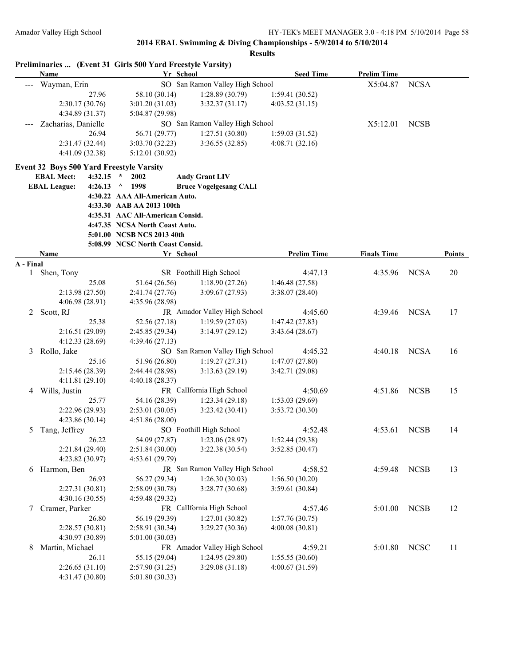|              |                     |                                   | Preliminaries  (Event 31 Girls 500 Yard Freestyle Varsity) |                                 |                           |                    |             |               |
|--------------|---------------------|-----------------------------------|------------------------------------------------------------|---------------------------------|---------------------------|--------------------|-------------|---------------|
|              | Name                |                                   |                                                            | Yr School                       | <b>Seed Time</b>          | <b>Prelim Time</b> |             |               |
|              | Wayman, Erin        |                                   |                                                            | SO San Ramon Valley High School |                           | X5:04.87           | <b>NCSA</b> |               |
|              |                     | 27.96                             | 58.10 (30.14)                                              | 1:28.89(30.79)                  | 1:59.41(30.52)            |                    |             |               |
|              |                     | 2:30.17(30.76)                    | 3:01.20(31.03)                                             | 3:32.37(31.17)                  | 4:03.52 (31.15)           |                    |             |               |
|              |                     | 4:34.89 (31.37)                   | 5:04.87 (29.98)                                            |                                 |                           |                    |             |               |
|              | Zacharias, Danielle |                                   |                                                            | SO San Ramon Valley High School |                           | X5:12.01           | <b>NCSB</b> |               |
|              |                     | 26.94                             | 56.71 (29.77)                                              | 1:27.51(30.80)                  | 1:59.03(31.52)            |                    |             |               |
|              |                     | 2:31.47 (32.44)                   | 3:03.70(32.23)                                             | 3:36.55(32.85)                  | 4:08.71(32.16)            |                    |             |               |
|              |                     | 4:41.09 (32.38)                   | 5:12.01(30.92)                                             |                                 |                           |                    |             |               |
|              |                     |                                   | Event 32 Boys 500 Yard Freestyle Varsity                   |                                 |                           |                    |             |               |
|              | <b>EBAL Meet:</b>   | 4:32.15                           | $\star$<br>2002                                            | <b>Andy Grant LIV</b>           |                           |                    |             |               |
|              | <b>EBAL League:</b> | 4:26.13                           | $^{\circ}$ 1998                                            | <b>Bruce Vogelgesang CALI</b>   |                           |                    |             |               |
|              |                     |                                   | 4:30.22 AAA All-American Auto.                             |                                 |                           |                    |             |               |
|              |                     |                                   | 4:33.30 AAB AA 2013 100th                                  |                                 |                           |                    |             |               |
|              |                     |                                   | 4:35.31 AAC All-American Consid.                           |                                 |                           |                    |             |               |
|              |                     |                                   | 4:47.35 NCSA North Coast Auto.                             |                                 |                           |                    |             |               |
|              |                     |                                   | 5:01.00 NCSB NCS 2013 40th                                 |                                 |                           |                    |             |               |
|              |                     |                                   | 5:08.99 NCSC North Coast Consid.                           |                                 |                           |                    |             |               |
|              | Name                |                                   |                                                            | Yr School                       | <b>Prelim Time</b>        | <b>Finals Time</b> |             | <b>Points</b> |
| A - Final    |                     |                                   |                                                            |                                 |                           |                    |             |               |
| $\mathbf{1}$ | Shen, Tony          |                                   |                                                            | SR Foothill High School         | 4:47.13                   | 4:35.96            | <b>NCSA</b> | 20            |
|              |                     | 25.08                             | 51.64 (26.56)                                              | 1:18.90(27.26)                  | 1:46.48(27.58)            |                    |             |               |
|              |                     | 2:13.98(27.50)                    | 2:41.74(27.76)                                             | 3:09.67(27.93)                  | 3:38.07(28.40)            |                    |             |               |
|              |                     | 4:06.98 (28.91)                   | 4:35.96 (28.98)                                            |                                 |                           |                    |             |               |
| 2            | Scott, RJ           |                                   |                                                            | JR Amador Valley High School    | 4:45.60                   | 4:39.46            | <b>NCSA</b> | 17            |
|              |                     | 25.38                             | 52.56 (27.18)                                              | 1:19.59(27.03)                  | 1:47.42(27.83)            |                    |             |               |
|              |                     | 2:16.51(29.09)                    | 2:45.85 (29.34)                                            | 3:14.97(29.12)                  | 3:43.64(28.67)            |                    |             |               |
|              |                     | 4:12.33 (28.69)                   | 4:39.46 (27.13)                                            |                                 |                           |                    |             |               |
| 3            | Rollo, Jake         | 25.16                             |                                                            | SO San Ramon Valley High School | 4:45.32                   | 4:40.18            | <b>NCSA</b> | 16            |
|              |                     |                                   | 51.96 (26.80)                                              | 1:19.27(27.31)                  | 1:47.07(27.80)            |                    |             |               |
|              |                     | 2:15.46 (28.39)                   | 2:44.44 (28.98)                                            | 3:13.63(29.19)                  | 3:42.71 (29.08)           |                    |             |               |
|              |                     | 4:11.81(29.10)                    | 4:40.18 (28.37)                                            | FR CalIfornia High School       |                           |                    | <b>NCSB</b> |               |
| 4            | Wills, Justin       | 25.77                             | 54.16 (28.39)                                              | 1:23.34(29.18)                  | 4:50.69<br>1:53.03(29.69) | 4:51.86            |             | 15            |
|              |                     |                                   |                                                            | 3:23.42(30.41)                  | 3:53.72 (30.30)           |                    |             |               |
|              |                     | 2:22.96(29.93)<br>4:23.86 (30.14) | 2:53.01(30.05)<br>4:51.86 (28.00)                          |                                 |                           |                    |             |               |
| 5            | Tang, Jeffrey       |                                   |                                                            | SO Foothill High School         | 4:52.48                   | 4:53.61            | <b>NCSB</b> | 14            |
|              |                     | 26.22                             | 54.09 (27.87)                                              | 1:23.06 (28.97)                 | 1:52.44 (29.38)           |                    |             |               |
|              |                     | 2:21.84 (29.40)                   | 2:51.84(30.00)                                             | 3:22.38 (30.54)                 | 3:52.85(30.47)            |                    |             |               |
|              |                     | 4:23.82 (30.97)                   | 4:53.61 (29.79)                                            |                                 |                           |                    |             |               |
| 6            | Harmon, Ben         |                                   |                                                            | JR San Ramon Valley High School | 4:58.52                   | 4:59.48            | <b>NCSB</b> | 13            |
|              |                     | 26.93                             | 56.27 (29.34)                                              | 1:26.30(30.03)                  | 1:56.50(30.20)            |                    |             |               |
|              |                     | 2:27.31(30.81)                    | 2:58.09 (30.78)                                            | 3:28.77 (30.68)                 | 3:59.61 (30.84)           |                    |             |               |
|              |                     | 4:30.16(30.55)                    | 4:59.48 (29.32)                                            |                                 |                           |                    |             |               |
| 7            | Cramer, Parker      |                                   |                                                            | FR CalIfornia High School       | 4:57.46                   | 5:01.00            | <b>NCSB</b> | 12            |
|              |                     | 26.80                             | 56.19 (29.39)                                              | 1:27.01(30.82)                  | 1:57.76(30.75)            |                    |             |               |
|              |                     | 2:28.57 (30.81)                   | 2:58.91 (30.34)                                            | 3:29.27 (30.36)                 | 4:00.08(30.81)            |                    |             |               |
|              |                     | 4:30.97 (30.89)                   | 5:01.00(30.03)                                             |                                 |                           |                    |             |               |
| 8            | Martin, Michael     |                                   |                                                            | FR Amador Valley High School    | 4:59.21                   | 5:01.80            | <b>NCSC</b> | 11            |
|              |                     | 26.11                             | 55.15 (29.04)                                              | 1:24.95(29.80)                  | 1:55.55(30.60)            |                    |             |               |
|              |                     | 2:26.65(31.10)                    | 2:57.90(31.25)                                             | 3:29.08(31.18)                  | 4:00.67 (31.59)           |                    |             |               |
|              |                     | 4:31.47 (30.80)                   | 5:01.80(30.33)                                             |                                 |                           |                    |             |               |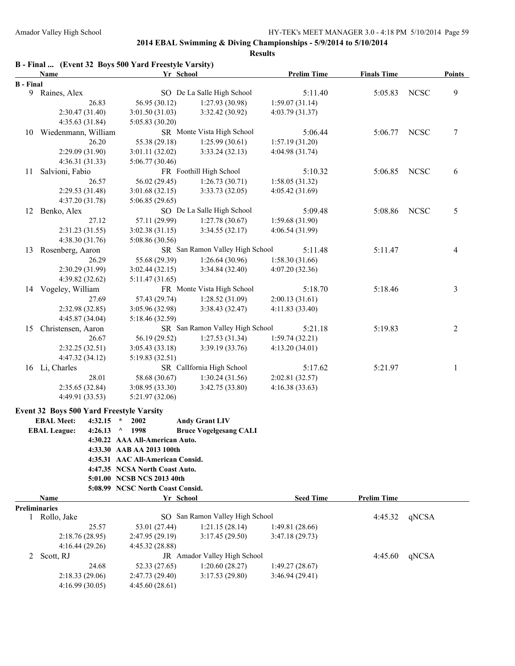|                  | Name                 |         | B - Final  (Event 32 Boys 500 Yard Freestyle Varsity) | Yr School                       | <b>Prelim Time</b> | <b>Finals Time</b> |             | <b>Points</b> |
|------------------|----------------------|---------|-------------------------------------------------------|---------------------------------|--------------------|--------------------|-------------|---------------|
| <b>B</b> - Final |                      |         |                                                       |                                 |                    |                    |             |               |
|                  | 9 Raines, Alex       |         |                                                       | SO De La Salle High School      | 5:11.40            | 5:05.83            | <b>NCSC</b> | 9             |
|                  |                      | 26.83   | 56.95 (30.12)                                         | 1:27.93(30.98)                  | 1:59.07(31.14)     |                    |             |               |
|                  | 2:30.47 (31.40)      |         | 3:01.50(31.03)                                        | 3:32.42(30.92)                  | 4:03.79 (31.37)    |                    |             |               |
|                  | 4:35.63 (31.84)      |         | 5:05.83 (30.20)                                       |                                 |                    |                    |             |               |
| 10               | Wiedenmann, William  |         |                                                       | SR Monte Vista High School      | 5:06.44            | 5:06.77            | <b>NCSC</b> | $\tau$        |
|                  |                      | 26.20   | 55.38 (29.18)                                         | 1:25.99(30.61)                  | 1:57.19(31.20)     |                    |             |               |
|                  | 2:29.09 (31.90)      |         | 3:01.11(32.02)                                        | 3:33.24(32.13)                  | 4:04.98 (31.74)    |                    |             |               |
|                  | 4:36.31(31.33)       |         | 5:06.77 (30.46)                                       |                                 |                    |                    |             |               |
| 11               | Salvioni, Fabio      |         |                                                       | FR Foothill High School         | 5:10.32            | 5:06.85            | <b>NCSC</b> | 6             |
|                  |                      | 26.57   | 56.02 (29.45)                                         | 1:26.73(30.71)                  | 1:58.05(31.32)     |                    |             |               |
|                  | 2:29.53 (31.48)      |         | 3:01.68(32.15)                                        | 3:33.73(32.05)                  | 4:05.42 (31.69)    |                    |             |               |
|                  | 4:37.20 (31.78)      |         | 5:06.85(29.65)                                        |                                 |                    |                    |             |               |
| 12               | Benko, Alex          |         |                                                       | SO De La Salle High School      | 5:09.48            | 5:08.86            | <b>NCSC</b> | 5             |
|                  |                      | 27.12   | 57.11 (29.99)                                         | 1:27.78(30.67)                  | 1:59.68 (31.90)    |                    |             |               |
|                  | 2:31.23 (31.55)      |         | 3:02.38(31.15)                                        | 3:34.55(32.17)                  | 4:06.54 (31.99)    |                    |             |               |
|                  | 4:38.30 (31.76)      |         | 5:08.86 (30.56)                                       |                                 |                    |                    |             |               |
| 13               | Rosenberg, Aaron     |         |                                                       | SR San Ramon Valley High School | 5:11.48            | 5:11.47            |             | 4             |
|                  |                      | 26.29   | 55.68 (29.39)                                         | 1:26.64(30.96)                  | 1:58.30(31.66)     |                    |             |               |
|                  | 2:30.29 (31.99)      |         | 3:02.44(32.15)                                        | 3:34.84 (32.40)                 | 4:07.20 (32.36)    |                    |             |               |
|                  | 4:39.82 (32.62)      |         | 5:11.47(31.65)                                        |                                 |                    |                    |             |               |
|                  | 14 Vogeley, William  |         |                                                       | FR Monte Vista High School      | 5:18.70            | 5:18.46            |             | 3             |
|                  |                      | 27.69   | 57.43 (29.74)                                         | 1:28.52(31.09)                  | 2:00.13(31.61)     |                    |             |               |
|                  | 2:32.98 (32.85)      |         | 3:05.96 (32.98)                                       | 3:38.43 (32.47)                 | 4:11.83 (33.40)    |                    |             |               |
|                  | 4:45.87 (34.04)      |         | 5:18.46 (32.59)                                       |                                 |                    |                    |             |               |
| 15               | Christensen, Aaron   |         |                                                       | SR San Ramon Valley High School | 5:21.18            | 5:19.83            |             | $\sqrt{2}$    |
|                  |                      | 26.67   | 56.19 (29.52)                                         | 1:27.53(31.34)                  | 1:59.74(32.21)     |                    |             |               |
|                  | 2:32.25(32.51)       |         | 3:05.43(33.18)                                        | 3:39.19 (33.76)                 | 4:13.20(34.01)     |                    |             |               |
|                  | 4:47.32 (34.12)      |         | 5:19.83(32.51)                                        |                                 |                    |                    |             |               |
|                  | 16 Li, Charles       |         |                                                       | SR CalIfornia High School       | 5:17.62            | 5:21.97            |             | 1             |
|                  |                      | 28.01   | 58.68 (30.67)                                         | 1:30.24(31.56)                  | 2:02.81 (32.57)    |                    |             |               |
|                  | 2:35.65 (32.84)      |         | 3:08.95 (33.30)                                       | 3:42.75 (33.80)                 | 4:16.38(33.63)     |                    |             |               |
|                  | 4:49.91 (33.53)      |         | 5:21.97 (32.06)                                       |                                 |                    |                    |             |               |
|                  |                      |         |                                                       |                                 |                    |                    |             |               |
|                  |                      |         | Event 32 Boys 500 Yard Freestyle Varsity              |                                 |                    |                    |             |               |
|                  | <b>EBAL Meet:</b>    | 4:32.15 | 2002<br>$\star$                                       | <b>Andy Grant LIV</b>           |                    |                    |             |               |
|                  | <b>EBAL League:</b>  | 4:26.13 | 1998<br>$\wedge$                                      | <b>Bruce Vogelgesang CALI</b>   |                    |                    |             |               |
|                  |                      |         | 4:30.22 AAA All-American Auto.                        |                                 |                    |                    |             |               |
|                  |                      |         | 4:33.30 AAB AA 2013 100th                             |                                 |                    |                    |             |               |
|                  |                      |         | 4:35.31 AAC All-American Consid.                      |                                 |                    |                    |             |               |
|                  |                      |         | 4:47.35 NCSA North Coast Auto.                        |                                 |                    |                    |             |               |
|                  |                      |         | 5:01.00 NCSB NCS 2013 40th                            |                                 |                    |                    |             |               |
|                  |                      |         | 5:08.99 NCSC North Coast Consid.                      |                                 |                    |                    |             |               |
|                  | Name                 |         |                                                       | Yr School                       | <b>Seed Time</b>   | <b>Prelim Time</b> |             |               |
|                  | <b>Preliminaries</b> |         |                                                       | SO San Ramon Valley High School |                    |                    |             |               |
|                  | 1 Rollo, Jake        |         |                                                       | 1:21.15(28.14)                  |                    | 4:45.32            | qNCSA       |               |
|                  |                      | 25.57   | 53.01 (27.44)                                         |                                 | 1:49.81 (28.66)    |                    |             |               |
|                  | 2:18.76 (28.95)      |         | 2:47.95(29.19)                                        | 3:17.45 (29.50)                 | 3:47.18(29.73)     |                    |             |               |
|                  | 4:16.44(29.26)       |         | 4:45.32 (28.88)                                       |                                 |                    |                    |             |               |
| 2                | Scott, RJ            |         |                                                       | JR Amador Valley High School    |                    | 4:45.60            | qNCSA       |               |
|                  |                      | 24.68   | 52.33 (27.65)                                         | 1:20.60(28.27)                  | 1:49.27(28.67)     |                    |             |               |
|                  | 2:18.33(29.06)       |         | 2:47.73(29.40)                                        | 3:17.53(29.80)                  | 3:46.94(29.41)     |                    |             |               |
|                  | 4:16.99(30.05)       |         | 4:45.60(28.61)                                        |                                 |                    |                    |             |               |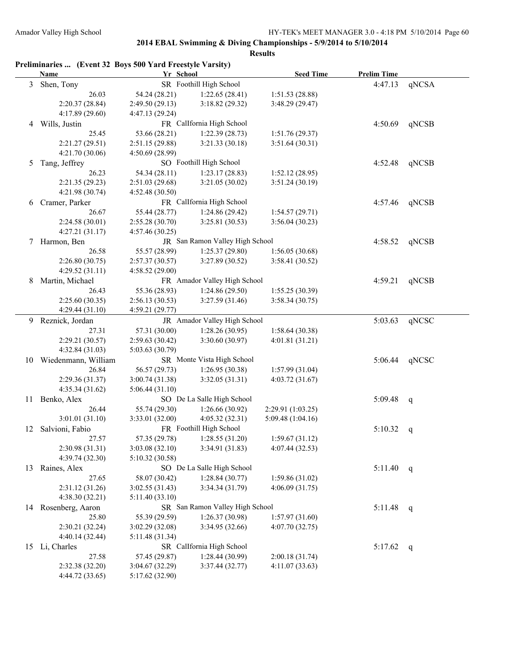|                | Preliminaries  (Event 32 Boys 500 Yard Freestyle Varsity) |                 |                                 |                   |                    |              |
|----------------|-----------------------------------------------------------|-----------------|---------------------------------|-------------------|--------------------|--------------|
|                | <b>Name</b>                                               | Yr School       |                                 | <b>Seed Time</b>  | <b>Prelim Time</b> |              |
| $\mathfrak{Z}$ | Shen, Tony                                                |                 | SR Foothill High School         |                   | 4:47.13            | qNCSA        |
|                | 26.03                                                     | 54.24 (28.21)   | 1:22.65(28.41)                  | 1:51.53 (28.88)   |                    |              |
|                | 2:20.37 (28.84)                                           | 2:49.50(29.13)  | 3:18.82(29.32)                  | 3:48.29 (29.47)   |                    |              |
|                | 4:17.89 (29.60)                                           | 4:47.13(29.24)  |                                 |                   |                    |              |
| 4              | Wills, Justin                                             |                 | FR CalIfornia High School       |                   | 4:50.69            | qNCSB        |
|                | 25.45                                                     | 53.66 (28.21)   | 1:22.39(28.73)                  | 1:51.76(29.37)    |                    |              |
|                | 2:21.27(29.51)                                            | 2:51.15(29.88)  | 3:21.33(30.18)                  | 3:51.64(30.31)    |                    |              |
|                | 4:21.70 (30.06)                                           | 4:50.69(28.99)  |                                 |                   |                    |              |
| 5              | Tang, Jeffrey                                             |                 | SO Foothill High School         |                   | 4:52.48            | qNCSB        |
|                | 26.23                                                     | 54.34 (28.11)   | 1:23.17(28.83)                  | 1:52.12(28.95)    |                    |              |
|                | 2:21.35(29.23)                                            | 2:51.03(29.68)  | 3:21.05 (30.02)                 | 3:51.24(30.19)    |                    |              |
|                | 4:21.98 (30.74)                                           | 4:52.48(30.50)  |                                 |                   |                    |              |
| 6              | Cramer, Parker                                            |                 | FR CalIfornia High School       |                   | 4:57.46            | qNCSB        |
|                | 26.67                                                     | 55.44 (28.77)   | 1:24.86 (29.42)                 | 1:54.57(29.71)    |                    |              |
|                | 2:24.58(30.01)                                            | 2:55.28(30.70)  | 3:25.81 (30.53)                 | 3:56.04(30.23)    |                    |              |
|                | 4:27.21(31.17)                                            | 4:57.46(30.25)  |                                 |                   |                    |              |
|                |                                                           |                 | JR San Ramon Valley High School |                   |                    |              |
| 7              | Harmon, Ben                                               |                 |                                 |                   | 4:58.52            | qNCSB        |
|                | 26.58                                                     | 55.57 (28.99)   | 1:25.37(29.80)                  | 1:56.05(30.68)    |                    |              |
|                | 2:26.80(30.75)                                            | 2:57.37(30.57)  | 3:27.89 (30.52)                 | 3:58.41 (30.52)   |                    |              |
|                | 4:29.52(31.11)                                            | 4:58.52(29.00)  |                                 |                   |                    |              |
| 8              | Martin, Michael                                           |                 | FR Amador Valley High School    |                   | 4:59.21            | qNCSB        |
|                | 26.43                                                     | 55.36 (28.93)   | 1:24.86 (29.50)                 | 1:55.25(30.39)    |                    |              |
|                | 2:25.60(30.35)                                            | 2:56.13(30.53)  | 3:27.59(31.46)                  | 3:58.34(30.75)    |                    |              |
|                | 4:29.44(31.10)                                            | 4:59.21(29.77)  |                                 |                   |                    |              |
| 9              | Reznick, Jordan                                           |                 | JR Amador Valley High School    |                   | 5:03.63            | qNCSC        |
|                | 27.31                                                     | 57.31 (30.00)   | 1:28.26(30.95)                  | 1:58.64(30.38)    |                    |              |
|                | 2:29.21 (30.57)                                           | 2:59.63(30.42)  | 3:30.60 (30.97)                 | 4:01.81(31.21)    |                    |              |
|                | 4:32.84 (31.03)                                           | 5:03.63(30.79)  |                                 |                   |                    |              |
|                | 10 Wiedenmann, William                                    |                 | SR Monte Vista High School      |                   | 5:06.44            | qNCSC        |
|                | 26.84                                                     | 56.57 (29.73)   | 1:26.95(30.38)                  | 1:57.99(31.04)    |                    |              |
|                | 2:29.36 (31.37)                                           | 3:00.74(31.38)  | 3:32.05(31.31)                  | 4:03.72(31.67)    |                    |              |
|                | 4:35.34(31.62)                                            | 5:06.44(31.10)  |                                 |                   |                    |              |
| 11             | Benko, Alex                                               |                 | SO De La Salle High School      |                   | 5:09.48            | q            |
|                | 26.44                                                     | 55.74 (29.30)   | 1:26.66(30.92)                  | 2:29.91 (1:03.25) |                    |              |
|                | 3:01.01(31.10)                                            | 3:33.01 (32.00) | 4:05.32(32.31)                  | 5:09.48 (1:04.16) |                    |              |
|                | 12 Salvioni, Fabio                                        |                 | FR Foothill High School         |                   | 5:10.32            | q            |
|                | 27.57                                                     | 57.35 (29.78)   | 1:28.55(31.20)                  | 1:59.67(31.12)    |                    |              |
|                | 2:30.98 (31.31)                                           | 3:03.08(32.10)  | 3:34.91 (31.83)                 | 4:07.44 (32.53)   |                    |              |
|                | 4:39.74 (32.30)                                           | 5:10.32(30.58)  |                                 |                   |                    |              |
| 13             | Raines, Alex                                              |                 | SO De La Salle High School      |                   | 5:11.40            | q            |
|                | 27.65                                                     | 58.07 (30.42)   | 1:28.84(30.77)                  | 1:59.86 (31.02)   |                    |              |
|                | 2:31.12 (31.26)                                           | 3:02.55(31.43)  | 3:34.34 (31.79)                 | 4:06.09(31.75)    |                    |              |
|                | 4:38.30 (32.21)                                           | 5:11.40(33.10)  |                                 |                   |                    |              |
|                | 14 Rosenberg, Aaron                                       |                 | SR San Ramon Valley High School |                   | 5:11.48            | q            |
|                | 25.80                                                     | 55.39 (29.59)   | 1:26.37(30.98)                  | 1:57.97(31.60)    |                    |              |
|                | 2:30.21(32.24)                                            | 3:02.29(32.08)  | 3:34.95 (32.66)                 | 4:07.70(32.75)    |                    |              |
|                | 4:40.14 (32.44)                                           | 5:11.48(31.34)  |                                 |                   |                    |              |
|                | 15 Li, Charles                                            |                 | SR Callfornia High School       |                   | 5:17.62            | $\mathbf{q}$ |
|                | 27.58                                                     | 57.45 (29.87)   | 1:28.44(30.99)                  | 2:00.18(31.74)    |                    |              |
|                | 2:32.38 (32.20)                                           | 3:04.67(32.29)  | 3:37.44(32.77)                  | 4:11.07(33.63)    |                    |              |
|                | 4:44.72 (33.65)                                           | 5:17.62 (32.90) |                                 |                   |                    |              |
|                |                                                           |                 |                                 |                   |                    |              |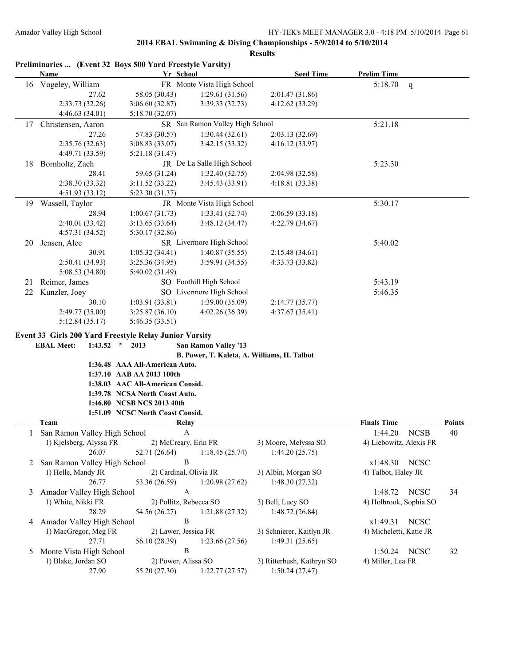|    |                                  | Preliminaries  (Event 32 Boys 500 Yard Freestyle Varsity) |                                             |                           |                         |              |               |
|----|----------------------------------|-----------------------------------------------------------|---------------------------------------------|---------------------------|-------------------------|--------------|---------------|
|    | <b>Name</b>                      | Yr School                                                 |                                             | <b>Seed Time</b>          | <b>Prelim Time</b>      |              |               |
|    | 16 Vogeley, William              |                                                           | FR Monte Vista High School                  |                           | 5:18.70                 | $\mathsf{q}$ |               |
|    | 27.62                            | 58.05 (30.43)                                             | 1:29.61(31.56)                              | 2:01.47 (31.86)           |                         |              |               |
|    | 2:33.73 (32.26)                  | 3:06.60(32.87)                                            | 3:39.33 (32.73)                             | 4:12.62 (33.29)           |                         |              |               |
|    | 4:46.63(34.01)                   | 5:18.70(32.07)                                            |                                             |                           |                         |              |               |
| 17 | Christensen, Aaron               |                                                           | SR San Ramon Valley High School             |                           | 5:21.18                 |              |               |
|    | 27.26                            | 57.83 (30.57)                                             | 1:30.44(32.61)                              | 2:03.13(32.69)            |                         |              |               |
|    | 2:35.76(32.63)                   | 3:08.83 (33.07)                                           | 3:42.15 (33.32)                             | 4:16.12 (33.97)           |                         |              |               |
|    | 4:49.71 (33.59)                  | 5:21.18 (31.47)                                           |                                             |                           |                         |              |               |
| 18 | Bornholtz, Zach                  |                                                           | JR De La Salle High School                  |                           | 5:23.30                 |              |               |
|    | 28.41                            | 59.65 (31.24)                                             | 1:32.40(32.75)                              | 2:04.98 (32.58)           |                         |              |               |
|    | 2:38.30 (33.32)                  | 3:11.52(33.22)                                            | 3:45.43(33.91)                              | 4:18.81 (33.38)           |                         |              |               |
|    | 4:51.93(33.12)                   | 5:23.30 (31.37)                                           |                                             |                           |                         |              |               |
|    | 19 Wassell, Taylor               |                                                           | JR Monte Vista High School                  |                           | 5:30.17                 |              |               |
|    | 28.94                            | 1:00.67(31.73)                                            | 1:33.41(32.74)                              | 2:06.59(33.18)            |                         |              |               |
|    | 2:40.01 (33.42)                  | 3:13.65(33.64)                                            | 3:48.12(34.47)                              | 4:22.79 (34.67)           |                         |              |               |
|    | 4:57.31 (34.52)                  | 5:30.17 (32.86)                                           |                                             |                           |                         |              |               |
| 20 | Jensen, Alec                     |                                                           | SR Livermore High School                    |                           | 5:40.02                 |              |               |
|    | 30.91                            | 1:05.32(34.41)                                            | 1:40.87(35.55)                              | 2:15.48(34.61)            |                         |              |               |
|    | 2:50.41 (34.93)                  | 3:25.36(34.95)                                            | 3:59.91 (34.55)                             | 4:33.73 (33.82)           |                         |              |               |
|    | 5:08.53 (34.80)                  | 5:40.02(31.49)                                            |                                             |                           |                         |              |               |
| 21 | Reimer, James                    |                                                           | SO Foothill High School                     |                           | 5:43.19                 |              |               |
| 22 | Kunzler, Joey                    |                                                           | SO Livermore High School                    |                           | 5:46.35                 |              |               |
|    | 30.10                            | 1:03.91(33.81)                                            | 1:39.00(35.09)                              | 2:14.77(35.77)            |                         |              |               |
|    | 2:49.77 (35.00)                  | 3:25.87(36.10)                                            | 4:02.26(36.39)                              | 4:37.67(35.41)            |                         |              |               |
|    | 5:12.84(35.17)                   | 5:46.35 (33.51)                                           |                                             |                           |                         |              |               |
|    |                                  | Event 33 Girls 200 Yard Freestyle Relay Junior Varsity    |                                             |                           |                         |              |               |
|    | <b>EBAL Meet:</b><br>$1:43.52$ * | 2013                                                      | <b>San Ramon Valley '13</b>                 |                           |                         |              |               |
|    |                                  |                                                           | B. Power, T. Kaleta, A. Williams, H. Talbot |                           |                         |              |               |
|    |                                  | 1:36.48 AAA All-American Auto.                            |                                             |                           |                         |              |               |
|    |                                  | 1:37.10 AAB AA 2013 100th                                 |                                             |                           |                         |              |               |
|    |                                  | 1:38.03 AAC All-American Consid.                          |                                             |                           |                         |              |               |
|    |                                  | 1:39.78 NCSA North Coast Auto.                            |                                             |                           |                         |              |               |
|    |                                  | 1:46.80 NCSB NCS 2013 40th                                |                                             |                           |                         |              |               |
|    |                                  | 1:51.09 NCSC North Coast Consid.                          |                                             |                           |                         |              |               |
|    | Team                             | Relay                                                     |                                             |                           | <b>Finals Time</b>      |              | <b>Points</b> |
|    | San Ramon Valley High School     | A                                                         |                                             |                           | 1:44.20                 | <b>NCSB</b>  | 40            |
|    | 1) Kjelsberg, Alyssa FR          | 2) McCreary, Erin FR                                      |                                             | 3) Moore, Melyssa SO      | 4) Liebowitz, Alexis FR |              |               |
|    | 26.07                            | 52.71 (26.64)                                             | 1:18.45(25.74)                              | 1:44.20(25.75)            |                         |              |               |
| 2  | San Ramon Valley High School     | $\, {\bf B}$                                              |                                             |                           | x1:48.30 NCSC           |              |               |
|    | 1) Helle, Mandy JR               | 2) Cardinal, Olivia JR                                    |                                             | 3) Albin, Morgan SO       | 4) Talbot, Haley JR     |              |               |
|    | 26.77                            | 53.36 (26.59)                                             | 1:20.98(27.62)                              | 1:48.30(27.32)            |                         |              |               |
| 3  | Amador Valley High School        | A                                                         |                                             |                           | 1:48.72                 | <b>NCSC</b>  | 34            |
|    | 1) White, Nikki FR               | 2) Pollitz, Rebecca SO                                    |                                             | 3) Bell, Lucy SO          | 4) Holbrook, Sophia SO  |              |               |
|    | 28.29                            | 54.56 (26.27)                                             | 1:21.88(27.32)                              | 1:48.72 (26.84)           |                         |              |               |
| 4  | Amador Valley High School        | $\, {\bf B}$                                              |                                             |                           | x1:49.31                | <b>NCSC</b>  |               |
|    | 1) MacGregor, Meg FR             | 2) Lawer, Jessica FR                                      |                                             | 3) Schnierer, Kaitlyn JR  | 4) Micheletti, Katie JR |              |               |
|    | 27.71                            | 56.10 (28.39)                                             | 1:23.66(27.56)                              | 1:49.31(25.65)            |                         |              |               |
| 5  | Monte Vista High School          | $\, {\bf B}$                                              |                                             |                           | 1:50.24                 | <b>NCSC</b>  | 32            |
|    | 1) Blake, Jordan SO              | 2) Power, Alissa SO                                       |                                             | 3) Ritterbush, Kathryn SO | 4) Miller, Lea FR       |              |               |
|    | 27.90                            | 55.20 (27.30)                                             | 1:22.77(27.57)                              | 1:50.24(27.47)            |                         |              |               |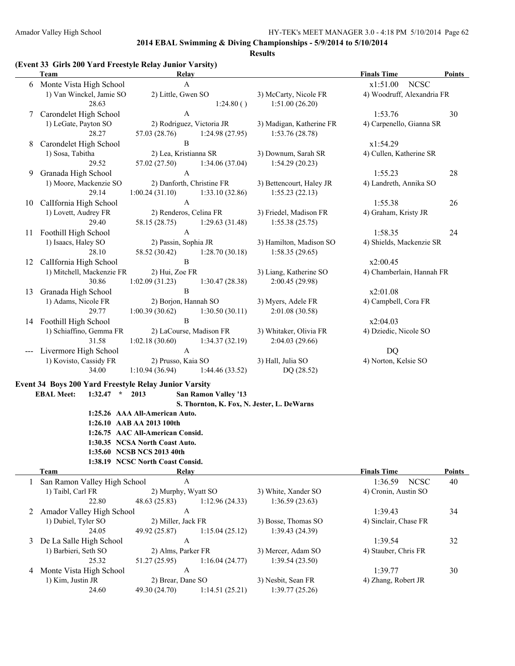#### **Results**

# **(Event 33 Girls 200 Yard Freestyle Relay Junior Varsity)**

|    | Team                                                  | <b>Relay</b>                     |                             |                                            | <b>Finals Time</b>         | <b>Points</b> |
|----|-------------------------------------------------------|----------------------------------|-----------------------------|--------------------------------------------|----------------------------|---------------|
| 6  | Monte Vista High School                               | $\mathbf{A}$                     |                             |                                            | <b>NCSC</b><br>x1:51.00    |               |
|    | 1) Van Winckel, Jamie SO                              | 2) Little, Gwen SO               |                             | 3) McCarty, Nicole FR                      | 4) Woodruff, Alexandria FR |               |
|    | 28.63                                                 |                                  | 1:24.80()                   | 1:51.00(26.20)                             |                            |               |
| 7  | Carondelet High School                                | $\mathbf{A}$                     |                             |                                            | 1:53.76                    | 30            |
|    | 1) LeGate, Payton SO                                  | 2) Rodriguez, Victoria JR        |                             | 3) Madigan, Katherine FR                   | 4) Carpenello, Gianna SR   |               |
|    | 28.27                                                 | 57.03 (28.76)                    | 1:24.98(27.95)              | 1:53.76(28.78)                             |                            |               |
| 8  | Carondelet High School                                | $\, {\bf B}$                     |                             |                                            | x1:54.29                   |               |
|    | 1) Sosa, Tabitha                                      | 2) Lea, Kristianna SR            |                             | 3) Downum, Sarah SR                        | 4) Cullen, Katherine SR    |               |
|    | 29.52                                                 | 57.02 (27.50)                    | 1:34.06(37.04)              | 1:54.29(20.23)                             |                            |               |
| 9  | Granada High School                                   | $\boldsymbol{\mathsf{A}}$        |                             |                                            | 1:55.23                    | 28            |
|    | 1) Moore, Mackenzie SO                                | 2) Danforth, Christine FR        |                             | 3) Bettencourt, Haley JR                   | 4) Landreth, Annika SO     |               |
|    | 29.14                                                 | 1:00.24(31.10)                   | 1:33.10(32.86)              | 1:55.23(22.13)                             |                            |               |
| 10 | CalIfornia High School                                | $\boldsymbol{\rm{A}}$            |                             |                                            | 1:55.38                    | 26            |
|    | 1) Lovett, Audrey FR                                  | 2) Renderos, Celina FR           |                             | 3) Friedel, Madison FR                     | 4) Graham, Kristy JR       |               |
|    | 29.40                                                 | 58.15 (28.75)                    | 1:29.63(31.48)              | 1:55.38(25.75)                             |                            |               |
| 11 | Foothill High School                                  | $\mathbf{A}$                     |                             |                                            | 1:58.35                    | 24            |
|    | 1) Isaacs, Haley SO                                   | 2) Passin, Sophia JR             |                             | 3) Hamilton, Madison SO                    | 4) Shields, Mackenzie SR   |               |
|    | 28.10                                                 | 58.52 (30.42)                    | 1:28.70(30.18)              | 1:58.35(29.65)                             |                            |               |
| 12 | CalIfornia High School                                | $\mathbf B$                      |                             |                                            | x2:00.45                   |               |
|    | 1) Mitchell, Mackenzie FR                             | 2) Hui, Zoe FR                   |                             | 3) Liang, Katherine SO                     | 4) Chamberlain, Hannah FR  |               |
|    | 30.86                                                 | 1:02.09(31.23)                   | 1:30.47(28.38)              | 2:00.45 (29.98)                            |                            |               |
| 13 | Granada High School                                   | $\, {\bf B}$                     |                             |                                            | x2:01.08                   |               |
|    | 1) Adams, Nicole FR                                   | 2) Borjon, Hannah SO             |                             | 3) Myers, Adele FR                         | 4) Campbell, Cora FR       |               |
|    | 29.77                                                 | 1:00.39(30.62)                   | 1:30.50(30.11)              | 2:01.08 (30.58)                            |                            |               |
|    | 14 Foothill High School                               | $\, {\bf B}$                     |                             |                                            | x2:04.03                   |               |
|    | 1) Schiaffino, Gemma FR                               | 2) LaCourse, Madison FR          |                             | 3) Whitaker, Olivia FR                     | 4) Dziedic, Nicole SO      |               |
|    | 31.58                                                 | 1:02.18(30.60)                   | 1:34.37(32.19)              | 2:04.03(29.66)                             |                            |               |
|    | Livermore High School                                 | $\mathbf{A}$                     |                             |                                            | <b>DQ</b>                  |               |
|    | 1) Kovisto, Cassidy FR                                | 2) Prusso, Kaia SO               |                             | 3) Hall, Julia SO                          | 4) Norton, Kelsie SO       |               |
|    | 34.00                                                 | 1:10.94(36.94)                   | 1:44.46(33.52)              | DQ (28.52)                                 |                            |               |
|    | Event 34 Boys 200 Yard Freestyle Relay Junior Varsity |                                  |                             |                                            |                            |               |
|    | <b>EBAL Meet:</b><br>$1:32.47$ * 2013                 |                                  | <b>San Ramon Valley '13</b> |                                            |                            |               |
|    |                                                       |                                  |                             | S. Thornton, K. Fox, N. Jester, L. DeWarns |                            |               |
|    |                                                       | 1:25.26 AAA All-American Auto.   |                             |                                            |                            |               |
|    |                                                       | 1:26.10 AAB AA 2013 100th        |                             |                                            |                            |               |
|    |                                                       | 1:26.75 AAC All-American Consid. |                             |                                            |                            |               |
|    |                                                       | 1:30.35 NCSA North Coast Auto.   |                             |                                            |                            |               |
|    |                                                       | 1:35.60 NCSB NCS 2013 40th       |                             |                                            |                            |               |
|    |                                                       | 1:38.19 NCSC North Coast Consid. |                             |                                            |                            |               |
|    | <b>Team</b>                                           | Relay                            |                             |                                            | <b>Finals Time</b>         | <b>Points</b> |
| 1  | San Ramon Valley High School                          | $\boldsymbol{\rm{A}}$            |                             |                                            | 1:36.59<br><b>NCSC</b>     | 40            |
|    | 1) Taibl, Carl FR                                     | 2) Murphy, Wyatt SO              |                             | 3) White, Xander SO                        | 4) Cronin, Austin SO       |               |
|    | 22.80                                                 | 48.63 (25.83)                    | 1:12.96(24.33)              | 1:36.59(23.63)                             |                            |               |
| 2  | Amador Valley High School                             | $\mathbf{A}$                     |                             |                                            | 1:39.43                    | 34            |
|    | 1) Dubiel, Tyler SO                                   | 2) Miller, Jack FR               |                             | 3) Bosse, Thomas SO                        | 4) Sinclair, Chase FR      |               |
|    | 24.05                                                 | 49.92 (25.87)                    | 1:15.04(25.12)              | 1:39.43 (24.39)                            |                            |               |
| 3  | De La Salle High School                               | $\mathbf{A}$                     |                             |                                            | 1:39.54                    | 32            |
|    | 1) Barbieri, Seth SO                                  | 2) Alms, Parker FR               |                             | 3) Mercer, Adam SO                         | 4) Stauber, Chris FR       |               |
|    | 25.32                                                 | 51.27 (25.95)                    | 1:16.04(24.77)              | 1:39.54(23.50)                             |                            |               |
| 4  | Monte Vista High School                               | $\mathbf{A}$                     |                             |                                            | 1:39.77                    | 30            |
|    | 1) Kim, Justin JR                                     | 2) Brear, Dane SO                |                             | 3) Nesbit, Sean FR                         | 4) Zhang, Robert JR        |               |
|    | 24.60                                                 | 49.30 (24.70)                    | 1:14.51(25.21)              | 1:39.77(25.26)                             |                            |               |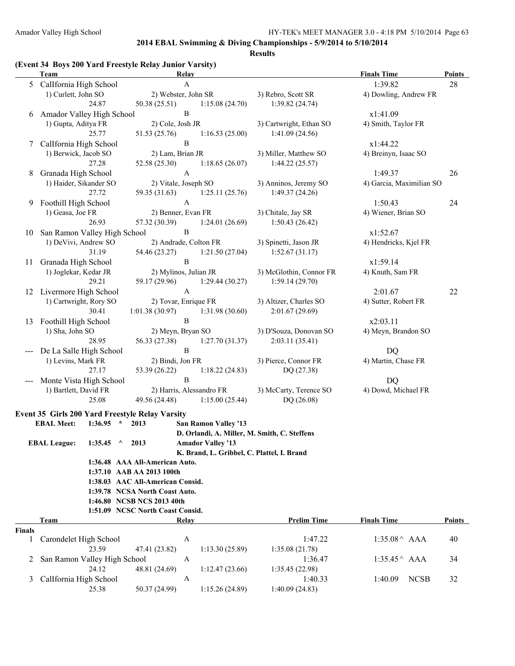**Results**

### **(Event 34 Boys 200 Yard Freestyle Relay Junior Varsity)**

|               | Team                                            | <b>Relay</b>                               |                                              | <b>Finals Time</b>       | Points        |
|---------------|-------------------------------------------------|--------------------------------------------|----------------------------------------------|--------------------------|---------------|
|               | 5 Callfornia High School                        | A                                          |                                              | 1:39.82                  | 28            |
|               | 1) Curlett, John SO                             | 2) Webster, John SR                        | 3) Rebro, Scott SR                           | 4) Dowling, Andrew FR    |               |
|               | 24.87                                           | 50.38(25.51)<br>1:15.08(24.70)             | 1:39.82(24.74)                               |                          |               |
| 6             | Amador Valley High School                       | B                                          |                                              | x1:41.09                 |               |
|               | 1) Gupta, Aditya FR                             | 2) Cole, Josh JR                           | 3) Cartwright, Ethan SO                      | 4) Smith, Taylor FR      |               |
|               | 25.77                                           | 51.53 (25.76)<br>1:16.53(25.00)            | 1:41.09(24.56)                               |                          |               |
| 7             | Callfornia High School                          | B                                          |                                              | x1:44.22                 |               |
|               | 1) Berwick, Jacob SO                            | 2) Lam, Brian JR                           | 3) Miller, Matthew SO                        | 4) Breinyn, Isaac SO     |               |
|               | 27.28                                           | 52.58 (25.30)<br>1:18.65(26.07)            | 1:44.22(25.57)                               |                          |               |
| 8             | Granada High School                             | $\mathbf{A}$                               |                                              | 1:49.37                  | 26            |
|               | 1) Haider, Sikander SO                          | 2) Vitale, Joseph SO                       | 3) Anninos, Jeremy SO                        | 4) Garcia, Maximilian SO |               |
|               | 27.72                                           | 59.35 (31.63) 1:25.11 (25.76)              | 1:49.37(24.26)                               |                          |               |
| 9             | Foothill High School                            | $\mathbf{A}$                               |                                              | 1:50.43                  | 24            |
|               | 1) Geasa, Joe FR                                | 2) Benner, Evan FR                         | 3) Chitale, Jay SR                           | 4) Wiener, Brian SO      |               |
|               | 26.93                                           | 57.32 (30.39)<br>1:24.01(26.69)            | 1:50.43(26.42)                               |                          |               |
| 10            | San Ramon Valley High School                    | $\, {\bf B}$                               |                                              | x1:52.67                 |               |
|               | 1) DeVivi, Andrew SO                            | 2) Andrade, Colton FR                      | 3) Spinetti, Jason JR                        | 4) Hendricks, Kjel FR    |               |
|               | 31.19                                           | 54.46 (23.27)<br>1:21.50(27.04)            | 1:52.67(31.17)                               |                          |               |
|               | 11 Granada High School                          | $\, {\bf B}$                               |                                              | x1:59.14                 |               |
|               | 1) Joglekar, Kedar JR                           | 2) Mylinos, Julian JR                      | 3) McGlothin, Connor FR                      | 4) Knuth, Sam FR         |               |
|               | 29.21                                           | 59.17 (29.96)<br>1:29.44(30.27)            | 1:59.14(29.70)                               |                          |               |
|               | 12 Livermore High School                        | $\mathbf{A}$                               |                                              | 2:01.67                  | 22            |
|               | 1) Cartwright, Rory SO                          | 2) Tovar, Enrique FR                       | 3) Altizer, Charles SO                       | 4) Sutter, Robert FR     |               |
|               | 30.41                                           | $1:01.38(30.97)$ $1:31.98(30.60)$          | 2:01.67(29.69)                               |                          |               |
|               | 13 Foothill High School                         | $\, {\bf B}$                               |                                              | x2:03.11                 |               |
|               | 1) Sha, John SO                                 | 2) Meyn, Bryan SO                          | 3) D'Souza, Donovan SO                       | 4) Meyn, Brandon SO      |               |
|               | 28.95                                           | 56.33 (27.38)<br>1:27.70(31.37)            | 2:03.11 (35.41)                              |                          |               |
|               | De La Salle High School                         | $\mathbf{B}$                               |                                              | DQ                       |               |
|               | 1) Levins, Mark FR                              | 2) Bindi, Jon FR                           | 3) Pierce, Connor FR                         | 4) Martin, Chase FR      |               |
|               | 27.17                                           | 53.39 (26.22)<br>1:18.22(24.83)            | DQ (27.38)                                   |                          |               |
|               | --- Monte Vista High School                     | $\, {\bf B}$                               |                                              | <b>DQ</b>                |               |
|               | 1) Bartlett, David FR                           | 2) Harris, Alessandro FR                   | 3) McCarty, Terence SO                       | 4) Dowd, Michael FR      |               |
|               | 25.08                                           | 49.56 (24.48) 1:15.00 (25.44)              | DQ (26.08)                                   |                          |               |
|               | Event 35 Girls 200 Yard Freestyle Relay Varsity |                                            |                                              |                          |               |
|               | $1:36.95$ * 2013<br><b>EBAL Meet:</b>           | <b>San Ramon Valley '13</b>                |                                              |                          |               |
|               |                                                 |                                            | D. Orlandi, A. Miller, M. Smith, C. Steffens |                          |               |
|               | <b>EBAL League:</b><br>$1:35.45$ ^ 2013         | <b>Amador Valley '13</b>                   |                                              |                          |               |
|               |                                                 | K. Brand, L. Gribbel, C. Plattel, I. Brand |                                              |                          |               |
|               |                                                 | 1:36.48 AAA All-American Auto.             |                                              |                          |               |
|               |                                                 | 1:37.10 AAB AA 2013 100th                  |                                              |                          |               |
|               |                                                 | 1:38.03 AAC All-American Consid.           |                                              |                          |               |
|               |                                                 | 1:39.78 NCSA North Coast Auto.             |                                              |                          |               |
|               |                                                 | 1:46.80 NCSB NCS 2013 40th                 |                                              |                          |               |
|               |                                                 | 1:51.09 NCSC North Coast Consid.           |                                              |                          |               |
|               | Team                                            | Relay                                      | <b>Prelim Time</b>                           | <b>Finals Time</b>       | <b>Points</b> |
| <b>Finals</b> |                                                 |                                            |                                              |                          |               |
| 1             | Carondelet High School                          | $\mathbf{A}$                               | 1:47.22                                      | $1:35.08^{\wedge}$ AAA   | 40            |
|               | 23.59                                           | 1:13.30(25.89)<br>47.41 (23.82)            | 1:35.08(21.78)                               |                          |               |
| 2             | San Ramon Valley High School                    | A                                          | 1:36.47                                      | $1:35.45^{\wedge}$ AAA   | 34            |
|               | 24.12                                           | 48.81 (24.69)<br>1:12.47(23.66)            | 1:35.45(22.98)                               |                          |               |
| 3             | Callfornia High School                          | A                                          | 1:40.33                                      | <b>NCSB</b><br>1:40.09   | 32            |
|               | 25.38                                           | 50.37 (24.99)<br>1:15.26(24.89)            | 1:40.09(24.83)                               |                          |               |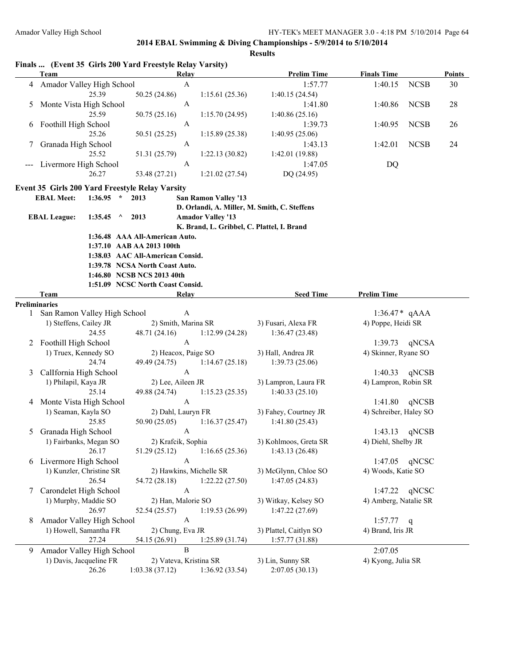|   | Finals  (Event 35 Girls 200 Yard Freestyle Relay Varsity) |             |                                  |                    |                                            |                                              |                        |             |               |
|---|-----------------------------------------------------------|-------------|----------------------------------|--------------------|--------------------------------------------|----------------------------------------------|------------------------|-------------|---------------|
|   | <b>Team</b>                                               |             |                                  | Relay              |                                            | <b>Prelim Time</b>                           | <b>Finals Time</b>     |             | <b>Points</b> |
| 4 | Amador Valley High School                                 |             |                                  | $\mathbf{A}$       |                                            | 1:57.77                                      | 1:40.15                | <b>NCSB</b> | 30            |
|   |                                                           | 25.39       | 50.25 (24.86)                    |                    | 1:15.61(25.36)                             | 1:40.15(24.54)                               |                        |             |               |
| 5 | Monte Vista High School                                   |             |                                  | $\mathbf{A}$       |                                            | 1:41.80                                      | 1:40.86                | <b>NCSB</b> | 28            |
|   |                                                           | 25.59       | 50.75 (25.16)                    |                    | 1:15.70(24.95)                             | 1:40.86(25.16)                               |                        |             |               |
| 6 | Foothill High School                                      |             |                                  | $\mathbf{A}$       |                                            | 1:39.73                                      | 1:40.95                | <b>NCSB</b> | 26            |
|   |                                                           | 25.26       | 50.51 (25.25)                    |                    | 1:15.89(25.38)                             | 1:40.95(25.06)                               |                        |             |               |
| 7 | Granada High School                                       |             |                                  | $\mathbf{A}$       |                                            | 1:43.13                                      | 1:42.01                | <b>NCSB</b> | 24            |
|   |                                                           | 25.52       | 51.31 (25.79)                    |                    | 1:22.13(30.82)                             | 1:42.01 (19.88)                              |                        |             |               |
|   | Livermore High School                                     |             |                                  | $\mathbf{A}$       |                                            | 1:47.05                                      | DQ                     |             |               |
|   |                                                           | 26.27       | 53.48 (27.21)                    |                    | 1:21.02(27.54)                             | DQ (24.95)                                   |                        |             |               |
|   | Event 35 Girls 200 Yard Freestyle Relay Varsity           |             |                                  |                    |                                            |                                              |                        |             |               |
|   | <b>EBAL Meet:</b>                                         | $1:36.95$ * | 2013                             |                    | <b>San Ramon Valley '13</b>                |                                              |                        |             |               |
|   |                                                           |             |                                  |                    |                                            | D. Orlandi, A. Miller, M. Smith, C. Steffens |                        |             |               |
|   | <b>EBAL League:</b>                                       | $1:35.45$ ^ | 2013                             |                    | <b>Amador Valley '13</b>                   |                                              |                        |             |               |
|   |                                                           |             |                                  |                    | K. Brand, L. Gribbel, C. Plattel, I. Brand |                                              |                        |             |               |
|   |                                                           |             | 1:36.48 AAA All-American Auto.   |                    |                                            |                                              |                        |             |               |
|   |                                                           |             | 1:37.10 AAB AA 2013 100th        |                    |                                            |                                              |                        |             |               |
|   |                                                           |             | 1:38.03 AAC All-American Consid. |                    |                                            |                                              |                        |             |               |
|   |                                                           |             | 1:39.78 NCSA North Coast Auto.   |                    |                                            |                                              |                        |             |               |
|   |                                                           |             | 1:46.80 NCSB NCS 2013 40th       |                    |                                            |                                              |                        |             |               |
|   |                                                           |             | 1:51.09 NCSC North Coast Consid. |                    |                                            |                                              |                        |             |               |
|   | <b>Team</b>                                               |             |                                  | Relay              |                                            | <b>Seed Time</b>                             | <b>Prelim Time</b>     |             |               |
|   | <b>Preliminaries</b>                                      |             |                                  |                    |                                            |                                              |                        |             |               |
|   | 1 San Ramon Valley High School                            |             |                                  | A                  |                                            |                                              | $1:36.47*$ qAAA        |             |               |
|   | 1) Steffens, Cailey JR                                    |             |                                  |                    | 2) Smith, Marina SR                        | 3) Fusari, Alexa FR                          | 4) Poppe, Heidi SR     |             |               |
|   |                                                           | 24.55       | 48.71 (24.16)                    |                    | 1:12.99(24.28)                             | 1:36.47(23.48)                               |                        |             |               |
|   | 2 Foothill High School                                    |             |                                  | $\mathbf{A}$       |                                            |                                              | 1:39.73                | qNCSA       |               |
|   | 1) Truex, Kennedy SO                                      |             |                                  |                    | 2) Heacox, Paige SO                        | 3) Hall, Andrea JR                           | 4) Skinner, Ryane SO   |             |               |
|   |                                                           | 24.74       | 49.49 (24.75)                    |                    | 1:14.67(25.18)                             | 1:39.73(25.06)                               |                        |             |               |
| 3 | Callfornia High School                                    |             |                                  | $\mathbf{A}$       |                                            |                                              | 1:40.33                | qNCSB       |               |
|   | 1) Philapil, Kaya JR                                      |             |                                  | 2) Lee, Aileen JR  |                                            | 3) Lampron, Laura FR                         | 4) Lampron, Robin SR   |             |               |
|   |                                                           | 25.14       | 49.88 (24.74)                    |                    | 1:15.23(25.35)                             | 1:40.33(25.10)                               |                        |             |               |
| 4 | Monte Vista High School                                   |             |                                  | $\mathbf{A}$       |                                            |                                              | 1:41.80                | qNCSB       |               |
|   | 1) Seaman, Kayla SO                                       |             |                                  | 2) Dahl, Lauryn FR |                                            | 3) Fahey, Courtney JR                        | 4) Schreiber, Haley SO |             |               |
|   |                                                           | 25.85       | 50.90 (25.05)                    |                    | 1:16.37(25.47)                             | 1:41.80(25.43)                               |                        |             |               |
| 5 | Granada High School                                       |             |                                  | A                  |                                            |                                              | 1:43.13                | qNCSB       |               |
|   | 1) Fairbanks, Megan SO                                    |             |                                  | 2) Krafcik, Sophia |                                            | 3) Kohlmoos, Greta SR                        | 4) Diehl, Shelby JR    |             |               |
|   |                                                           | 26.17       | 51.29 (25.12)                    |                    | 1:16.65(25.36)                             | 1:43.13(26.48)                               |                        |             |               |
|   | 6 Livermore High School                                   |             |                                  | $\mathbf{A}$       |                                            |                                              | 1:47.05                | qNCSC       |               |
|   | 1) Kunzler, Christine SR                                  |             |                                  |                    | 2) Hawkins, Michelle SR                    | 3) McGlynn, Chloe SO                         | 4) Woods, Katie SO     |             |               |
|   |                                                           | 26.54       | 54.72 (28.18)                    |                    | 1:22.22(27.50)                             | 1:47.05(24.83)                               |                        |             |               |
| 7 | Carondelet High School                                    |             |                                  | $\mathbf{A}$       |                                            |                                              | 1:47.22                | qNCSC       |               |
|   | 1) Murphy, Maddie SO                                      |             |                                  | 2) Han, Malorie SO |                                            | 3) Witkay, Kelsey SO                         | 4) Amberg, Natalie SR  |             |               |
|   |                                                           | 26.97       | 52.54 (25.57)                    |                    | 1:19.53(26.99)                             | 1:47.22(27.69)                               |                        |             |               |
| 8 | Amador Valley High School                                 |             |                                  | $\mathbf{A}$       |                                            |                                              | 1:57.77                | q           |               |
|   | 1) Howell, Samantha FR                                    |             |                                  | 2) Chung, Eva JR   |                                            | 3) Plattel, Caitlyn SO                       | 4) Brand, Iris JR      |             |               |
|   |                                                           | 27.24       | 54.15 (26.91)                    |                    | 1:25.89(31.74)                             | 1:57.77(31.88)                               |                        |             |               |
| 9 | Amador Valley High School                                 |             |                                  | $\, {\bf B}$       |                                            |                                              | 2:07.05                |             |               |
|   | 1) Davis, Jacqueline FR                                   |             |                                  |                    | 2) Vateva, Kristina SR                     | 3) Lin, Sunny SR                             | 4) Kyong, Julia SR     |             |               |
|   |                                                           | 26.26       | 1:03.38(37.12)                   |                    | 1:36.92(33.54)                             | 2:07.05(30.13)                               |                        |             |               |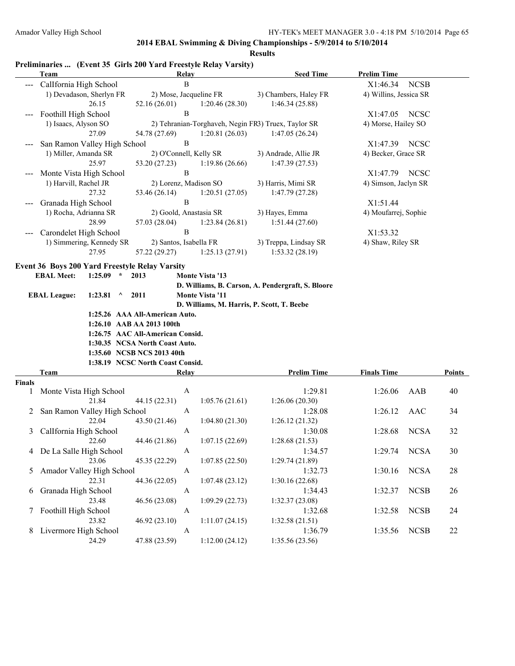|               | <b>Team</b>                                    | Relay                                               | <b>Seed Time</b>                                  | <b>Prelim Time</b>      |               |  |
|---------------|------------------------------------------------|-----------------------------------------------------|---------------------------------------------------|-------------------------|---------------|--|
|               | CalIfornia High School                         | B                                                   |                                                   | <b>NCSB</b><br>X1:46.34 |               |  |
|               | 1) Devadason, Sherlyn FR                       | 2) Mose, Jacqueline FR                              | 3) Chambers, Haley FR                             | 4) Willins, Jessica SR  |               |  |
|               | 26.15                                          | 52.16 (26.01)<br>1:20.46(28.30)                     | 1:46.34(25.88)                                    |                         |               |  |
| ---           | Foothill High School                           | B                                                   |                                                   | X1:47.05<br><b>NCSC</b> |               |  |
|               | 1) Isaacs, Alyson SO                           | 2) Tehranian-Torghaveh, Negin FR3) Truex, Taylor SR |                                                   | 4) Morse, Hailey SO     |               |  |
|               | 27.09                                          | 1:20.81(26.03)<br>54.78 (27.69)                     | 1:47.05(26.24)                                    |                         |               |  |
|               | San Ramon Valley High School                   | B                                                   |                                                   | X1:47.39<br><b>NCSC</b> |               |  |
|               | 1) Miller, Amanda SR                           | 2) O'Connell, Kelly SR                              | 3) Andrade, Allie JR                              | 4) Becker, Grace SR     |               |  |
|               | 25.97                                          | 53.20 (27.23)<br>1:19.86(26.66)                     | 1:47.39(27.53)                                    |                         |               |  |
|               | Monte Vista High School                        | $\, {\bf B}$                                        |                                                   | X1:47.79<br>NCSC        |               |  |
|               | 1) Harvill, Rachel JR                          | 2) Lorenz, Madison SO                               | 3) Harris, Mimi SR                                | 4) Simson, Jaclyn SR    |               |  |
|               | 27.32                                          | 53.46 (26.14)<br>1:20.51(27.05)                     | 1:47.79 (27.28)                                   |                         |               |  |
| ---           | Granada High School                            | $\, {\bf B}$                                        |                                                   | X1:51.44                |               |  |
|               | 1) Rocha, Adrianna SR                          | 2) Goold, Anastasia SR                              | 3) Hayes, Emma                                    | 4) Moufarrej, Sophie    |               |  |
|               | 28.99                                          | 57.03 (28.04)<br>1:23.84(26.81)                     | 1:51.44(27.60)                                    |                         |               |  |
|               | Carondelet High School                         | $\, {\bf B}$                                        |                                                   | X1:53.32                |               |  |
|               | 1) Simmering, Kennedy SR                       | 2) Santos, Isabella FR                              | 3) Treppa, Lindsay SR                             | 4) Shaw, Riley SR       |               |  |
|               | 27.95                                          | 57.22 (29.27)<br>1:25.13(27.91)                     | 1:53.32(28.19)                                    |                         |               |  |
|               | Event 36 Boys 200 Yard Freestyle Relay Varsity |                                                     |                                                   |                         |               |  |
|               | <b>EBAL Meet:</b><br>$1:25.09$ *               | 2013<br><b>Monte Vista '13</b>                      |                                                   |                         |               |  |
|               |                                                |                                                     | D. Williams, B. Carson, A. Pendergraft, S. Bloore |                         |               |  |
|               | 1:23.81<br><b>EBAL League:</b><br>$\wedge$     | 2011<br><b>Monte Vista '11</b>                      |                                                   |                         |               |  |
|               |                                                | D. Williams, M. Harris, P. Scott, T. Beebe          |                                                   |                         |               |  |
|               |                                                | 1:25.26 AAA All-American Auto.                      |                                                   |                         |               |  |
|               |                                                | 1:26.10 AAB AA 2013 100th                           |                                                   |                         |               |  |
|               |                                                | 1:26.75 AAC All-American Consid.                    |                                                   |                         |               |  |
|               |                                                | 1:30.35 NCSA North Coast Auto.                      |                                                   |                         |               |  |
|               |                                                | 1:35.60 NCSB NCS 2013 40th                          |                                                   |                         |               |  |
|               |                                                | 1:38.19 NCSC North Coast Consid.                    |                                                   |                         |               |  |
|               | Team                                           | Relay                                               | <b>Prelim Time</b>                                | <b>Finals Time</b>      | <b>Points</b> |  |
| <b>Finals</b> |                                                | A                                                   | 1:29.81                                           | 1:26.06<br>AAB          | 40            |  |
| 1             | Monte Vista High School<br>21.84               | 44.15 (22.31)<br>1:05.76(21.61)                     | 1:26.06(20.30)                                    |                         |               |  |
|               | San Ramon Valley High School                   | A                                                   | 1:28.08                                           | 1:26.12<br>AAC          | 34            |  |
| 2             | 22.04                                          | 43.50 (21.46)<br>1:04.80(21.30)                     | 1:26.12(21.32)                                    |                         |               |  |
| 3             | Callfornia High School                         | A                                                   | 1:30.08                                           | 1:28.68<br><b>NCSA</b>  | 32            |  |
|               | 22.60                                          | 44.46 (21.86)<br>1:07.15(22.69)                     | 1:28.68(21.53)                                    |                         |               |  |
|               | 4 De La Salle High School                      | $\mathbf{A}$                                        | 1:34.57                                           | <b>NCSA</b><br>1:29.74  | 30            |  |
|               | 23.06                                          | 45.35 (22.29)<br>1:07.85(22.50)                     | 1:29.74(21.89)                                    |                         |               |  |
|               | Amador Valley High School                      | $\mathbf{A}$                                        | 1:32.73                                           | <b>NCSA</b><br>1:30.16  | 28            |  |
| 5             | 22.31                                          | 44.36 (22.05)                                       |                                                   |                         |               |  |
|               | Granada High School                            | 1:07.48(23.12)<br>$\mathbf{A}$                      | 1:30.16(22.68)<br>1:34.43                         | <b>NCSB</b><br>1:32.37  | 26            |  |
| 6             | 23.48                                          | 46.56 (23.08)<br>1:09.29(22.73)                     | 1:32.37(23.08)                                    |                         |               |  |
|               |                                                | $\mathbf{A}$                                        | 1:32.68                                           | <b>NCSB</b><br>1:32.58  | 24            |  |
|               | 7 Foothill High School<br>23.82                | 46.92 (23.10)<br>1:11.07(24.15)                     | 1:32.58(21.51)                                    |                         |               |  |
|               | 8 Livermore High School                        | $\mathbf{A}$                                        | 1:36.79                                           | <b>NCSB</b><br>1:35.56  | 22            |  |
|               | 24.29                                          | 47.88 (23.59)<br>1:12.00(24.12)                     | 1:35.56 (23.56)                                   |                         |               |  |
|               |                                                |                                                     |                                                   |                         |               |  |

# **Preliminaries ... (Event 35 Girls 200 Yard Freestyle Relay Varsity)**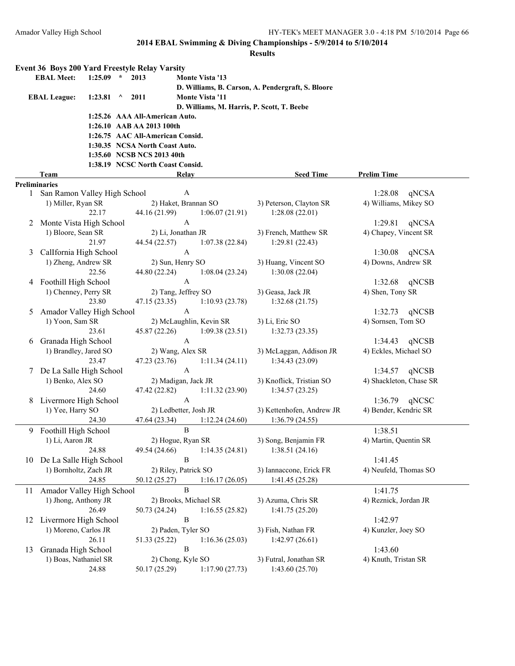|    | Event 36 Boys 200 Yard Freestyle Relay Varsity         |             |          |                                  |              |                         |                                                   |                         |
|----|--------------------------------------------------------|-------------|----------|----------------------------------|--------------|-------------------------|---------------------------------------------------|-------------------------|
|    | <b>EBAL Meet:</b>                                      | $1:25.09$ * |          | 2013                             |              | <b>Monte Vista '13</b>  |                                                   |                         |
|    |                                                        |             |          |                                  |              |                         | D. Williams, B. Carson, A. Pendergraft, S. Bloore |                         |
|    | <b>EBAL League:</b>                                    | 1:23.81     | $\wedge$ | 2011                             |              | <b>Monte Vista '11</b>  |                                                   |                         |
|    |                                                        |             |          |                                  |              |                         | D. Williams, M. Harris, P. Scott, T. Beebe        |                         |
|    |                                                        |             |          | 1:25.26 AAA All-American Auto.   |              |                         |                                                   |                         |
|    |                                                        |             |          | 1:26.10 AAB AA 2013 100th        |              |                         |                                                   |                         |
|    |                                                        |             |          | 1:26.75 AAC All-American Consid. |              |                         |                                                   |                         |
|    |                                                        |             |          | 1:30.35 NCSA North Coast Auto.   |              |                         |                                                   |                         |
|    |                                                        |             |          | 1:35.60 NCSB NCS 2013 40th       |              |                         |                                                   |                         |
|    |                                                        |             |          | 1:38.19 NCSC North Coast Consid. |              |                         |                                                   |                         |
|    | Team                                                   |             |          |                                  |              |                         | <b>Seed Time</b>                                  | <b>Prelim Time</b>      |
|    |                                                        |             |          |                                  | Relay        |                         |                                                   |                         |
|    | <b>Preliminaries</b><br>1 San Ramon Valley High School |             |          |                                  | A            |                         |                                                   | 1:28.08<br>qNCSA        |
|    | 1) Miller, Ryan SR                                     |             |          |                                  |              | 2) Haket, Brannan SO    |                                                   |                         |
|    |                                                        | 22.17       |          |                                  |              |                         | 3) Peterson, Clayton SR                           | 4) Williams, Mikey SO   |
|    |                                                        |             |          | 44.16 (21.99)                    |              | 1:06.07(21.91)          | 1:28.08(22.01)                                    |                         |
| 2  | Monte Vista High School                                |             |          |                                  | $\mathbf{A}$ |                         |                                                   | qNCSA<br>1:29.81        |
|    | 1) Bloore, Sean SR                                     |             |          | 2) Li, Jonathan JR               |              |                         | 3) French, Matthew SR                             | 4) Chapey, Vincent SR   |
|    |                                                        | 21.97       |          | 44.54 (22.57)                    |              | 1:07.38(22.84)          | 1:29.81(22.43)                                    |                         |
| 3  | CalIfornia High School                                 |             |          |                                  | A            |                         |                                                   | qNCSA<br>1:30.08        |
|    | 1) Zheng, Andrew SR                                    |             |          | 2) Sun, Henry SO                 |              |                         | 3) Huang, Vincent SO                              | 4) Downs, Andrew SR     |
|    |                                                        | 22.56       |          | 44.80 (22.24)                    |              | 1:08.04(23.24)          | 1:30.08(22.04)                                    |                         |
| 4  | Foothill High School                                   |             |          |                                  | $\mathbf{A}$ |                         |                                                   | qNCSB<br>1:32.68        |
|    | 1) Chenney, Perry SR                                   |             |          | 2) Tang, Jeffrey SO              |              |                         | 3) Geasa, Jack JR                                 | 4) Shen, Tony SR        |
|    |                                                        | 23.80       |          | 47.15(23.35)                     |              | 1:10.93(23.78)          | 1:32.68(21.75)                                    |                         |
| 5  | Amador Valley High School                              |             |          |                                  | $\mathbf{A}$ |                         |                                                   | 1:32.73<br>qNCSB        |
|    | 1) Yoon, Sam SR                                        |             |          |                                  |              | 2) McLaughlin, Kevin SR | 3) Li, Eric SO                                    | 4) Sornsen, Tom SO      |
|    |                                                        | 23.61       |          | 45.87(22.26)                     |              | 1:09.38(23.51)          | 1:32.73(23.35)                                    |                         |
| 6  | Granada High School                                    |             |          |                                  | $\mathbf{A}$ |                         |                                                   | $1:34.43$ qNCSB         |
|    | 1) Brandley, Jared SO                                  |             |          | 2) Wang, Alex SR                 |              |                         | 3) McLaggan, Addison JR                           | 4) Eckles, Michael SO   |
|    |                                                        | 23.47       |          | 47.23 (23.76)                    |              | 1:11.34(24.11)          | 1:34.43(23.09)                                    |                         |
|    |                                                        |             |          |                                  | $\mathbf{A}$ |                         |                                                   |                         |
|    | 7 De La Salle High School                              |             |          |                                  |              |                         |                                                   | 1:34.57<br>qNCSB        |
|    | 1) Benko, Alex SO                                      |             |          | 2) Madigan, Jack JR              |              |                         | 3) Knoflick, Tristian SO                          | 4) Shackleton, Chase SR |
|    |                                                        | 24.60       |          | 47.42 (22.82)                    |              | 1:11.32(23.90)          | 1:34.57(23.25)                                    |                         |
| 8. | Livermore High School                                  |             |          |                                  | $\mathbf{A}$ |                         |                                                   | 1:36.79<br>qNCSC        |
|    | 1) Yee, Harry SO                                       |             |          | 2) Ledbetter, Josh JR            |              |                         | 3) Kettenhofen, Andrew JR                         | 4) Bender, Kendric SR   |
|    |                                                        | 24.30       |          | 47.64 (23.34)                    |              | 1:12.24(24.60)          | 1:36.79(24.55)                                    |                         |
|    | 9 Foothill High School                                 |             |          |                                  | B            |                         |                                                   | 1:38.51                 |
|    | 1) Li, Aaron JR                                        |             |          | 2) Hogue, Ryan SR                |              |                         | 3) Song, Benjamin FR                              | 4) Martin, Quentin SR   |
|    |                                                        | 24.88       |          | 49.54 (24.66)                    |              | 1:14.35(24.81)          | 1:38.51(24.16)                                    |                         |
| 10 | De La Salle High School                                |             |          |                                  | B            |                         |                                                   | 1:41.45                 |
|    | 1) Bornholtz, Zach JR                                  |             |          | 2) Riley, Patrick SO             |              |                         | 3) Iannaccone, Erick FR                           | 4) Neufeld, Thomas SO   |
|    |                                                        | 24.85       |          | 50.12 (25.27)                    |              | 1:16.17(26.05)          | 1:41.45(25.28)                                    |                         |
| 11 | Amador Valley High School                              |             |          |                                  | B            |                         |                                                   | 1:41.75                 |
|    | 1) Jhong, Anthony JR                                   |             |          |                                  |              | 2) Brooks, Michael SR   | 3) Azuma, Chris SR                                | 4) Reznick, Jordan JR   |
|    |                                                        | 26.49       |          | 50.73 (24.24)                    |              | 1:16.55(25.82)          | 1:41.75(25.20)                                    |                         |
| 12 | Livermore High School                                  |             |          |                                  | B            |                         |                                                   | 1:42.97                 |
|    |                                                        |             |          |                                  |              |                         | 3) Fish, Nathan FR                                |                         |
|    | 1) Moreno, Carlos JR                                   |             |          | 2) Paden, Tyler SO               |              |                         |                                                   | 4) Kunzler, Joey SO     |
|    |                                                        | 26.11       |          | 51.33 (25.22)                    |              | 1:16.36(25.03)          | 1:42.97(26.61)                                    |                         |
| 13 | Granada High School                                    |             |          |                                  | B            |                         |                                                   | 1:43.60                 |
|    | 1) Boas, Nathaniel SR                                  |             |          | 2) Chong, Kyle SO                |              |                         | 3) Futral, Jonathan SR                            | 4) Knuth, Tristan SR    |
|    |                                                        | 24.88       |          | 50.17 (25.29)                    |              | 1:17.90(27.73)          | 1:43.60(25.70)                                    |                         |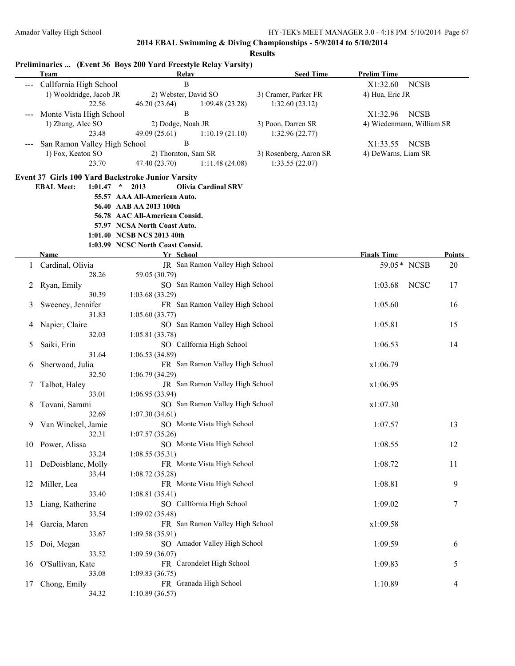|                        | <b>Team</b>                  | Preliminaries  (Event 36 Boys 200 Yard Freestyle Relay Varsity)<br><b>Relay</b> | <b>Seed Time</b>       | <b>Prelim Time</b>        |               |
|------------------------|------------------------------|---------------------------------------------------------------------------------|------------------------|---------------------------|---------------|
|                        | Callfornia High School       | $\, {\bf B}$                                                                    |                        | <b>NCSB</b><br>X1:32.60   |               |
|                        | 1) Wooldridge, Jacob JR      | 2) Webster, David SO                                                            | 3) Cramer, Parker FR   | 4) Hua, Eric JR           |               |
|                        | 22.56                        | 46.20 (23.64)<br>1:09.48(23.28)                                                 | 1:32.60(23.12)         |                           |               |
|                        | Monte Vista High School      | $\mathbf B$                                                                     |                        | X1:32.96<br><b>NCSB</b>   |               |
|                        | 1) Zhang, Alec SO            | 2) Dodge, Noah JR                                                               | 3) Poon, Darren SR     | 4) Wiedenmann, William SR |               |
|                        | 23.48                        | 49.09 (25.61)<br>1:10.19(21.10)                                                 | 1:32.96(22.77)         |                           |               |
| $\qquad \qquad \cdots$ | San Ramon Valley High School | $\mathbf B$                                                                     |                        | <b>NCSB</b><br>X1:33.55   |               |
|                        | 1) Fox, Keaton SO            | 2) Thornton, Sam SR                                                             | 3) Rosenberg, Aaron SR | 4) DeWarns, Liam SR       |               |
|                        | 23.70                        |                                                                                 |                        |                           |               |
|                        |                              | 47.40 (23.70)<br>1:11.48(24.08)                                                 | 1:33.55(22.07)         |                           |               |
|                        |                              | Event 37 Girls 100 Yard Backstroke Junior Varsity                               |                        |                           |               |
|                        | <b>EBAL Meet:</b>            | $1:01.47$ * 2013<br><b>Olivia Cardinal SRV</b>                                  |                        |                           |               |
|                        |                              | 55.57 AAA All-American Auto.                                                    |                        |                           |               |
|                        |                              | 56.40 AAB AA 2013 100th                                                         |                        |                           |               |
|                        |                              | 56.78 AAC All-American Consid.                                                  |                        |                           |               |
|                        |                              | 57.97 NCSA North Coast Auto.                                                    |                        |                           |               |
|                        |                              | 1:01.40 NCSB NCS 2013 40th                                                      |                        |                           |               |
|                        |                              | 1:03.99 NCSC North Coast Consid.                                                |                        |                           |               |
|                        | <b>Name</b>                  | Yr School                                                                       |                        | <b>Finals Time</b>        | <b>Points</b> |
| 1                      | Cardinal, Olivia             | JR San Ramon Valley High School                                                 |                        | 59.05 * NCSB              | 20            |
|                        | 28.26                        | 59.05 (30.79)                                                                   |                        |                           |               |
| 2                      | Ryan, Emily                  | SO San Ramon Valley High School                                                 |                        | 1:03.68<br><b>NCSC</b>    | 17            |
|                        | 30.39                        | 1:03.68 (33.29)                                                                 |                        |                           |               |
| 3                      | Sweeney, Jennifer            | FR San Ramon Valley High School                                                 |                        | 1:05.60                   | 16            |
|                        | 31.83                        | 1:05.60(33.77)                                                                  |                        |                           |               |
| 4                      | Napier, Claire               | SO San Ramon Valley High School                                                 |                        | 1:05.81                   | 15            |
|                        | 32.03                        | 1:05.81(33.78)                                                                  |                        |                           |               |
|                        | Saiki, Erin                  | SO CalIfornia High School                                                       |                        | 1:06.53                   | 14            |
| 5.                     |                              |                                                                                 |                        |                           |               |
|                        | 31.64                        | 1:06.53(34.89)                                                                  |                        |                           |               |
| 6                      | Sherwood, Julia              | FR San Ramon Valley High School                                                 |                        | x1:06.79                  |               |
|                        | 32.50                        | 1:06.79(34.29)                                                                  |                        |                           |               |
| 7                      | Talbot, Haley                | JR San Ramon Valley High School                                                 |                        | x1:06.95                  |               |
|                        | 33.01                        | 1:06.95(33.94)                                                                  |                        |                           |               |
| 8                      | Tovani, Sammi                | SO San Ramon Valley High School                                                 |                        | x1:07.30                  |               |
|                        | 32.69                        | 1:07.30(34.61)                                                                  |                        |                           |               |
| 9                      | Van Winckel, Jamie           | SO Monte Vista High School                                                      |                        | 1:07.57                   | 13            |
|                        | 32.31                        | 1:07.57(35.26)                                                                  |                        |                           |               |
|                        | 10 Power, Alissa             | SO Monte Vista High School                                                      |                        | 1:08.55                   | 12            |
|                        | 33.24                        | 1:08.55(35.31)                                                                  |                        |                           |               |
| 11                     | DeDoisblanc, Molly           | FR Monte Vista High School                                                      |                        | 1:08.72                   | 11            |
|                        | 33.44                        | 1:08.72(35.28)                                                                  |                        |                           |               |
| 12                     | Miller, Lea                  | FR Monte Vista High School                                                      |                        | 1:08.81                   | 9             |
|                        | 33.40                        | 1:08.81(35.41)                                                                  |                        |                           |               |
| 13                     | Liang, Katherine             | SO CalIfornia High School                                                       |                        | 1:09.02                   | 7             |
|                        | 33.54                        | 1:09.02(35.48)                                                                  |                        |                           |               |
| 14                     | Garcia, Maren                | FR San Ramon Valley High School                                                 |                        | x1:09.58                  |               |
|                        | 33.67                        | 1:09.58(35.91)                                                                  |                        |                           |               |
| 15                     | Doi, Megan                   | SO Amador Valley High School                                                    |                        | 1:09.59                   | 6             |
|                        | 33.52                        | 1:09.59 (36.07)                                                                 |                        |                           |               |
| 16                     | O'Sullivan, Kate             | FR Carondelet High School                                                       |                        | 1:09.83                   | 5             |
|                        | 33.08                        | 1:09.83(36.75)                                                                  |                        |                           |               |
| 17                     | Chong, Emily                 | FR Granada High School                                                          |                        | 1:10.89                   | 4             |
|                        |                              |                                                                                 |                        |                           |               |
|                        | 34.32                        | 1:10.89(36.57)                                                                  |                        |                           |               |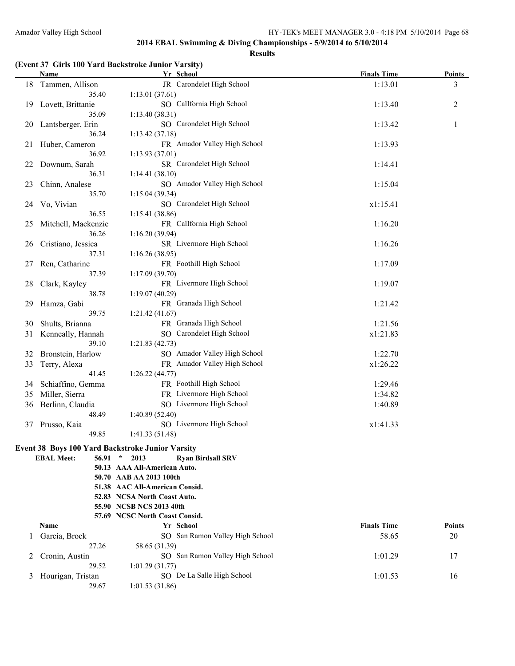#### **Results**

#### **(Event 37 Girls 100 Yard Backstroke Junior Varsity)**

|    | Name                         | Yr School                                               | <b>Finals Time</b> | <b>Points</b> |
|----|------------------------------|---------------------------------------------------------|--------------------|---------------|
| 18 | Tammen, Allison              | JR Carondelet High School                               | 1:13.01            | 3             |
|    | 35.40                        | 1:13.01(37.61)                                          |                    |               |
| 19 | Lovett, Brittanie            | SO CalIfornia High School                               | 1:13.40            | 2             |
|    | 35.09                        | 1:13.40(38.31)                                          |                    |               |
| 20 | Lantsberger, Erin            | SO Carondelet High School                               | 1:13.42            | 1             |
|    | 36.24                        | 1:13.42(37.18)                                          |                    |               |
| 21 | Huber, Cameron               | FR Amador Valley High School                            | 1:13.93            |               |
|    | 36.92                        | 1:13.93(37.01)                                          |                    |               |
| 22 | Downum, Sarah                | SR Carondelet High School                               | 1:14.41            |               |
|    | 36.31                        | 1:14.41(38.10)                                          |                    |               |
| 23 | Chinn, Analese               | SO Amador Valley High School                            | 1:15.04            |               |
|    | 35.70                        | 1:15.04(39.34)                                          |                    |               |
| 24 | Vo, Vivian                   | SO Carondelet High School                               | x1:15.41           |               |
|    | 36.55                        | 1:15.41 (38.86)                                         |                    |               |
| 25 | Mitchell, Mackenzie          | FR CalIfornia High School                               | 1:16.20            |               |
|    | 36.26                        | 1:16.20(39.94)                                          |                    |               |
| 26 | Cristiano, Jessica           | SR Livermore High School                                | 1:16.26            |               |
|    | 37.31                        | 1:16.26(38.95)                                          |                    |               |
| 27 | Ren, Catharine               | FR Foothill High School                                 | 1:17.09            |               |
|    | 37.39                        | 1:17.09(39.70)                                          |                    |               |
| 28 | Clark, Kayley                | FR Livermore High School                                | 1:19.07            |               |
|    | 38.78                        | 1:19.07(40.29)                                          |                    |               |
| 29 | Hamza, Gabi                  | FR Granada High School                                  | 1:21.42            |               |
|    | 39.75                        | 1:21.42(41.67)                                          |                    |               |
| 30 | Shults, Brianna              | FR Granada High School                                  | 1:21.56            |               |
| 31 | Kenneally, Hannah            | SO Carondelet High School                               | x1:21.83           |               |
|    | 39.10                        | 1:21.83(42.73)                                          |                    |               |
| 32 | Bronstein, Harlow            | SO Amador Valley High School                            | 1:22.70            |               |
| 33 | Terry, Alexa                 | FR Amador Valley High School                            | x1:26.22           |               |
|    | 41.45                        | 1:26.22(44.77)                                          |                    |               |
| 34 | Schiaffino, Gemma            | FR Foothill High School                                 | 1:29.46            |               |
| 35 | Miller, Sierra               | FR Livermore High School                                | 1:34.82            |               |
| 36 | Berlinn, Claudia             | SO Livermore High School                                | 1:40.89            |               |
|    | 48.49                        | 1:40.89(52.40)                                          |                    |               |
| 37 | Prusso, Kaia                 | SO Livermore High School                                | x1:41.33           |               |
|    | 49.85                        | 1:41.33(51.48)                                          |                    |               |
|    |                              | <b>Event 38 Boys 100 Yard Backstroke Junior Varsity</b> |                    |               |
|    | <b>EBAL Meet:</b><br>56.91 * | 2013<br><b>Ryan Birdsall SRV</b>                        |                    |               |
|    |                              | 50.13 AAA All-American Auto.                            |                    |               |
|    |                              | 50.70 AAB AA 2013 100th                                 |                    |               |
|    |                              | 51.38 AAC All-American Consid.                          |                    |               |
|    |                              | 52.83 NCSA North Coast Auto.                            |                    |               |
|    |                              | 55.90 NCSB NCS 2013 40th                                |                    |               |
|    |                              | 57.69 NCSC North Coast Consid.                          |                    |               |

| Name                | Yr School                       | <b>Finals Time</b> | <b>Points</b> |
|---------------------|---------------------------------|--------------------|---------------|
| Garcia, Brock       | SO San Ramon Valley High School | 58.65              | 20            |
| 27.26               | 58.65 (31.39)                   |                    |               |
| 2 Cronin, Austin    | SO San Ramon Valley High School | 1:01.29            | 17            |
| 29.52               | 1:01.29(31.77)                  |                    |               |
| 3 Hourigan, Tristan | SO De La Salle High School      | 1:01.53            | 16            |
| 29.67               | 1:01.53(31.86)                  |                    |               |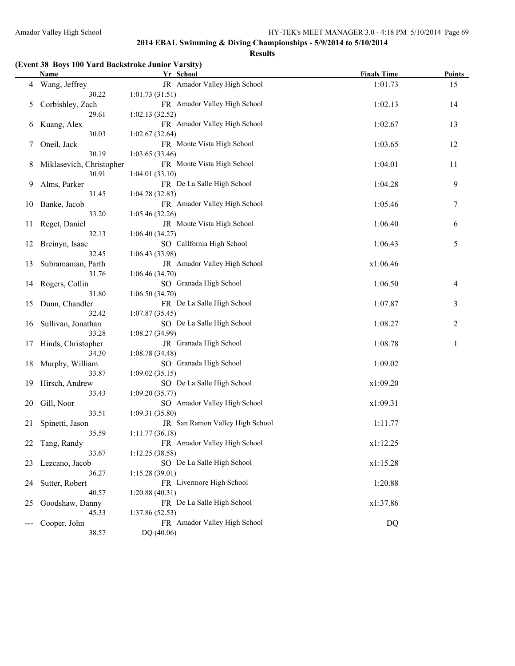#### **Results**

# **(Event 38 Boys 100 Yard Backstroke Junior Varsity)**

|    | Name                        | Yr School                                    | <b>Finals Time</b> | Points |
|----|-----------------------------|----------------------------------------------|--------------------|--------|
| 4  | Wang, Jeffrey               | JR Amador Valley High School                 | 1:01.73            | 15     |
|    | 30.22                       | 1:01.73(31.51)                               |                    |        |
| 5  | Corbishley, Zach            | FR Amador Valley High School                 | 1:02.13            | 14     |
|    | 29.61                       | 1:02.13(32.52)                               |                    |        |
| 6  | Kuang, Alex                 | FR Amador Valley High School                 | 1:02.67            | 13     |
|    | 30.03                       | 1:02.67(32.64)                               |                    |        |
| 7  | Oneil, Jack                 | FR Monte Vista High School                   | 1:03.65            | 12     |
|    | 30.19                       | 1:03.65(33.46)                               |                    |        |
| 8  | Miklasevich, Christopher    | FR Monte Vista High School                   | 1:04.01            | 11     |
|    | 30.91                       | 1:04.01(33.10)                               |                    |        |
| 9  | Alms, Parker                | FR De La Salle High School                   | 1:04.28            | 9      |
|    | 31.45                       | 1:04.28(32.83)                               |                    |        |
| 10 | Banke, Jacob                | FR Amador Valley High School                 | 1:05.46            | 7      |
|    | 33.20                       | 1:05.46(32.26)                               |                    |        |
| 11 | Reget, Daniel               | JR Monte Vista High School                   | 1:06.40            | 6      |
|    | 32.13                       | 1:06.40(34.27)                               |                    |        |
| 12 | Breinyn, Isaac              | SO CalIfornia High School                    | 1:06.43            | 5      |
|    | 32.45                       | 1:06.43 (33.98)                              |                    |        |
| 13 | Subramanian, Parth          | JR Amador Valley High School                 | x1:06.46           |        |
|    | 31.76                       | 1:06.46(34.70)                               |                    |        |
| 14 | Rogers, Collin              | SO Granada High School                       | 1:06.50            | 4      |
|    | 31.80                       | 1:06.50(34.70)                               |                    |        |
| 15 | Dunn, Chandler              | FR De La Salle High School<br>1:07.87(35.45) | 1:07.87            | 3      |
|    | 32.42                       |                                              |                    |        |
| 16 | Sullivan, Jonathan<br>33.28 | SO De La Salle High School                   | 1:08.27            | 2      |
| 17 | Hinds, Christopher          | 1:08.27(34.99)<br>JR Granada High School     | 1:08.78            | 1      |
|    | 34.30                       | 1:08.78(34.48)                               |                    |        |
| 18 | Murphy, William             | SO Granada High School                       | 1:09.02            |        |
|    | 33.87                       | 1:09.02(35.15)                               |                    |        |
| 19 | Hirsch, Andrew              | SO De La Salle High School                   | x1:09.20           |        |
|    | 33.43                       | 1:09.20(35.77)                               |                    |        |
| 20 | Gill, Noor                  | SO Amador Valley High School                 | x1:09.31           |        |
|    | 33.51                       | 1:09.31 (35.80)                              |                    |        |
| 21 | Spinetti, Jason             | JR San Ramon Valley High School              | 1:11.77            |        |
|    | 35.59                       | 1:11.77(36.18)                               |                    |        |
| 22 | Tang, Randy                 | FR Amador Valley High School                 | x1:12.25           |        |
|    | 33.67                       | 1:12.25(38.58)                               |                    |        |
| 23 | Lezcano, Jacob              | SO De La Salle High School                   | x1:15.28           |        |
|    | 36.27                       | 1:15.28(39.01)                               |                    |        |
| 24 | Sutter, Robert              | FR Livermore High School                     | 1:20.88            |        |
|    | 40.57                       | 1:20.88(40.31)                               |                    |        |
| 25 | Goodshaw, Danny             | FR De La Salle High School                   | x1:37.86           |        |
|    | 45.33                       | 1:37.86 (52.53)                              |                    |        |
|    | Cooper, John                | FR Amador Valley High School                 | DQ                 |        |
|    | 38.57                       | DQ (40.06)                                   |                    |        |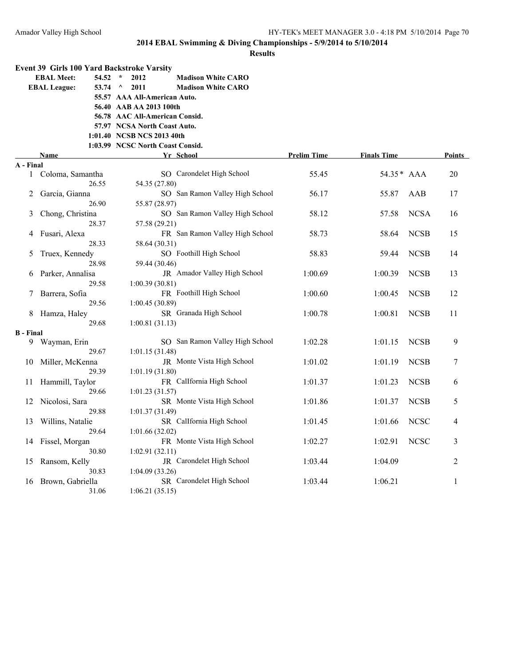|                            | Event 39 Girls 100 Yard Backstroke Varsity |                                                                |                    |                    |             |        |
|----------------------------|--------------------------------------------|----------------------------------------------------------------|--------------------|--------------------|-------------|--------|
| <b>EBAL Meet:</b><br>54.52 |                                            | $\star$<br>2012<br><b>Madison White CARO</b>                   |                    |                    |             |        |
|                            | <b>EBAL League:</b><br>53.74               | 2011<br><b>Madison White CARO</b><br>$\wedge$                  |                    |                    |             |        |
|                            |                                            | 55.57 AAA All-American Auto.                                   |                    |                    |             |        |
|                            |                                            | 56.40 AAB AA 2013 100th                                        |                    |                    |             |        |
|                            |                                            | 56.78 AAC All-American Consid.                                 |                    |                    |             |        |
|                            |                                            | 57.97 NCSA North Coast Auto.                                   |                    |                    |             |        |
|                            |                                            | 1:01.40 NCSB NCS 2013 40th<br>1:03.99 NCSC North Coast Consid. |                    |                    |             |        |
|                            | Name                                       | Yr School                                                      | <b>Prelim Time</b> | <b>Finals Time</b> |             | Points |
| A - Final                  |                                            |                                                                |                    |                    |             |        |
| $\mathbf{1}$               | Coloma, Samantha                           | SO Carondelet High School                                      | 55.45              | 54.35* AAA         |             | 20     |
|                            | 26.55                                      | 54.35 (27.80)                                                  |                    |                    |             |        |
| 2                          | Garcia, Gianna                             | SO San Ramon Valley High School                                | 56.17              | 55.87              | AAB         | 17     |
|                            | 26.90                                      | 55.87 (28.97)                                                  |                    |                    |             |        |
| 3                          | Chong, Christina                           | SO San Ramon Valley High School                                | 58.12              | 57.58              | <b>NCSA</b> | 16     |
|                            | 28.37                                      | 57.58 (29.21)                                                  |                    |                    |             |        |
|                            | Fusari, Alexa                              | FR San Ramon Valley High School                                | 58.73              | 58.64              | <b>NCSB</b> | 15     |
|                            | 28.33                                      | 58.64 (30.31)                                                  |                    |                    |             |        |
| 5                          | Truex, Kennedy                             | SO Foothill High School                                        | 58.83              | 59.44              | <b>NCSB</b> | 14     |
|                            | 28.98                                      | 59.44 (30.46)                                                  |                    |                    |             |        |
| 6                          | Parker, Annalisa                           | JR Amador Valley High School                                   | 1:00.69            | 1:00.39            | <b>NCSB</b> | 13     |
|                            | 29.58                                      | 1:00.39(30.81)                                                 |                    |                    |             |        |
|                            | Barrera, Sofia<br>29.56                    | FR Foothill High School                                        | 1:00.60            | 1:00.45            | <b>NCSB</b> | 12     |
| 8                          | Hamza, Haley                               | 1:00.45(30.89)<br>SR Granada High School                       | 1:00.78            | 1:00.81            | <b>NCSB</b> | 11     |
|                            | 29.68                                      | 1:00.81(31.13)                                                 |                    |                    |             |        |
| <b>B</b> - Final           |                                            |                                                                |                    |                    |             |        |
| 9                          | Wayman, Erin                               | SO San Ramon Valley High School                                | 1:02.28            | 1:01.15            | <b>NCSB</b> | 9      |
|                            | 29.67                                      | 1:01.15(31.48)                                                 |                    |                    |             |        |
| 10                         | Miller, McKenna                            | JR Monte Vista High School                                     | 1:01.02            | 1:01.19            | <b>NCSB</b> | 7      |
|                            | 29.39                                      | 1:01.19(31.80)                                                 |                    |                    |             |        |
| 11                         | Hammill, Taylor                            | FR CalIfornia High School                                      | 1:01.37            | 1:01.23            | <b>NCSB</b> | 6      |
|                            | 29.66                                      | 1:01.23(31.57)                                                 |                    |                    |             |        |
| 12                         | Nicolosi, Sara                             | SR Monte Vista High School                                     | 1:01.86            | 1:01.37            | <b>NCSB</b> | 5      |
|                            | 29.88                                      | 1:01.37(31.49)                                                 |                    |                    |             |        |
| 13                         | Willins, Natalie                           | SR CalIfornia High School                                      | 1:01.45            | 1:01.66            | <b>NCSC</b> | 4      |
|                            | 29.64                                      | 1:01.66(32.02)                                                 |                    |                    |             |        |
| 14                         | Fissel, Morgan                             | FR Monte Vista High School                                     | 1:02.27            | 1:02.91            | <b>NCSC</b> | 3      |
|                            | 30.80                                      | 1:02.91(32.11)                                                 |                    |                    |             |        |
| 15                         | Ransom, Kelly<br>30.83                     | JR Carondelet High School<br>1:04.09 (33.26)                   | 1:03.44            | 1:04.09            |             | 2      |
| 16                         | Brown, Gabriella                           | SR Carondelet High School                                      | 1:03.44            | 1:06.21            |             | 1      |
|                            | 31.06                                      | 1:06.21(35.15)                                                 |                    |                    |             |        |
|                            |                                            |                                                                |                    |                    |             |        |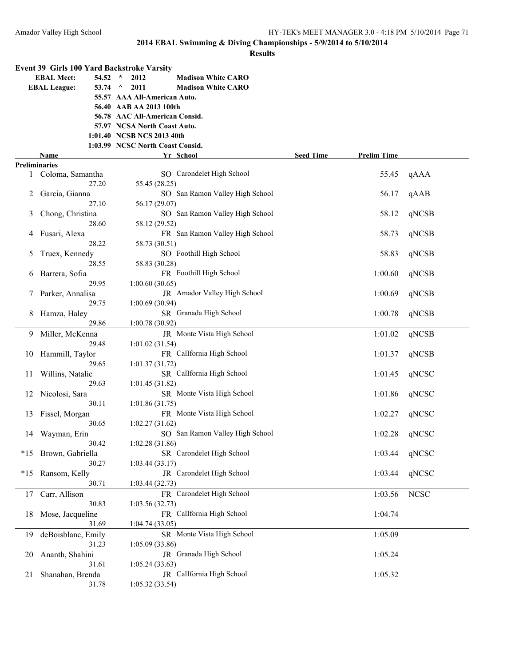|                      | <b>Event 39 Girls 100 Yard Backstroke Varsity</b> |                                  |                                 |                  |                    |             |
|----------------------|---------------------------------------------------|----------------------------------|---------------------------------|------------------|--------------------|-------------|
|                      | <b>EBAL Meet:</b><br>54.52                        | $\star$<br>2012                  | <b>Madison White CARO</b>       |                  |                    |             |
|                      | <b>EBAL League:</b>                               | 53.74 $\land$<br>2011            | <b>Madison White CARO</b>       |                  |                    |             |
|                      |                                                   | 55.57 AAA All-American Auto.     |                                 |                  |                    |             |
|                      |                                                   | 56.40 AAB AA 2013 100th          |                                 |                  |                    |             |
|                      |                                                   | 56.78 AAC All-American Consid.   |                                 |                  |                    |             |
|                      |                                                   | 57.97 NCSA North Coast Auto.     |                                 |                  |                    |             |
|                      |                                                   | 1:01.40 NCSB NCS 2013 40th       |                                 |                  |                    |             |
|                      |                                                   | 1:03.99 NCSC North Coast Consid. |                                 |                  |                    |             |
|                      | Name                                              |                                  | Yr School                       | <b>Seed Time</b> | <b>Prelim Time</b> |             |
| <b>Preliminaries</b> |                                                   |                                  |                                 |                  |                    |             |
|                      | 1 Coloma, Samantha                                |                                  | SO Carondelet High School       |                  | 55.45              | qAAA        |
|                      | 27.20                                             | 55.45 (28.25)                    |                                 |                  |                    |             |
| 2                    | Garcia, Gianna                                    |                                  | SO San Ramon Valley High School |                  | 56.17              | qAAB        |
|                      | 27.10                                             | 56.17 (29.07)                    |                                 |                  |                    |             |
| 3                    | Chong, Christina                                  |                                  | SO San Ramon Valley High School |                  | 58.12              | qNCSB       |
|                      | 28.60                                             | 58.12 (29.52)                    |                                 |                  |                    |             |
| 4                    | Fusari, Alexa                                     |                                  | FR San Ramon Valley High School |                  | 58.73              | qNCSB       |
|                      | 28.22                                             | 58.73 (30.51)                    |                                 |                  |                    |             |
|                      | Truex, Kennedy                                    |                                  | SO Foothill High School         |                  | 58.83              | qNCSB       |
| 5                    | 28.55                                             |                                  |                                 |                  |                    |             |
|                      |                                                   | 58.83 (30.28)                    |                                 |                  |                    |             |
| 6                    | Barrera, Sofia                                    |                                  | FR Foothill High School         |                  | 1:00.60            | qNCSB       |
|                      | 29.95                                             | 1:00.60(30.65)                   |                                 |                  |                    |             |
|                      | Parker, Annalisa                                  |                                  | JR Amador Valley High School    |                  | 1:00.69            | qNCSB       |
|                      | 29.75                                             | 1:00.69(30.94)                   |                                 |                  |                    |             |
| 8                    | Hamza, Haley                                      |                                  | SR Granada High School          |                  | 1:00.78            | qNCSB       |
|                      | 29.86                                             | 1:00.78(30.92)                   |                                 |                  |                    |             |
| 9.                   | Miller, McKenna                                   |                                  | JR Monte Vista High School      |                  | 1:01.02            | qNCSB       |
|                      | 29.48                                             | 1:01.02(31.54)                   |                                 |                  |                    |             |
| 10                   | Hammill, Taylor                                   |                                  | FR Callfornia High School       |                  | 1:01.37            | qNCSB       |
|                      | 29.65                                             | 1:01.37(31.72)                   |                                 |                  |                    |             |
| 11                   | Willins, Natalie                                  |                                  | SR CalIfornia High School       |                  | 1:01.45            | qNCSC       |
|                      | 29.63                                             | 1:01.45(31.82)                   |                                 |                  |                    |             |
| 12                   | Nicolosi, Sara                                    |                                  | SR Monte Vista High School      |                  | 1:01.86            | qNCSC       |
|                      | 30.11                                             | 1:01.86(31.75)                   |                                 |                  |                    |             |
| 13                   | Fissel, Morgan                                    |                                  | FR Monte Vista High School      |                  | 1:02.27            | qNCSC       |
|                      | 30.65                                             | 1:02.27(31.62)                   |                                 |                  |                    |             |
|                      | 14 Wayman, Erin                                   |                                  | SO San Ramon Valley High School |                  | 1:02.28            | qNCSC       |
|                      | 30.42                                             | 1:02.28(31.86)                   |                                 |                  |                    |             |
|                      | *15 Brown, Gabriella                              |                                  | SR Carondelet High School       |                  | 1:03.44            | qNCSC       |
|                      | 30.27                                             | 1:03.44(33.17)                   |                                 |                  |                    |             |
| $*15$                | Ransom, Kelly                                     |                                  | JR Carondelet High School       |                  | 1:03.44            | qNCSC       |
|                      | 30.71                                             | 1:03.44(32.73)                   |                                 |                  |                    |             |
| 17                   | Carr, Allison                                     |                                  | FR Carondelet High School       |                  | 1:03.56            | <b>NCSC</b> |
|                      | 30.83                                             | 1:03.56(32.73)                   |                                 |                  |                    |             |
| 18                   | Mose, Jacqueline                                  |                                  | FR CalIfornia High School       |                  | 1:04.74            |             |
|                      | 31.69                                             | 1:04.74(33.05)                   |                                 |                  |                    |             |
|                      |                                                   |                                  | SR Monte Vista High School      |                  |                    |             |
| 19                   | deBoisblanc, Emily                                |                                  |                                 |                  | 1:05.09            |             |
|                      | 31.23                                             | 1:05.09(33.86)                   |                                 |                  |                    |             |
| 20                   | Ananth, Shahini                                   |                                  | JR Granada High School          |                  | 1:05.24            |             |
|                      | 31.61                                             | 1:05.24(33.63)                   |                                 |                  |                    |             |
| 21                   | Shanahan, Brenda                                  |                                  | JR CalIfornia High School       |                  | 1:05.32            |             |
|                      | 31.78                                             | 1:05.32(33.54)                   |                                 |                  |                    |             |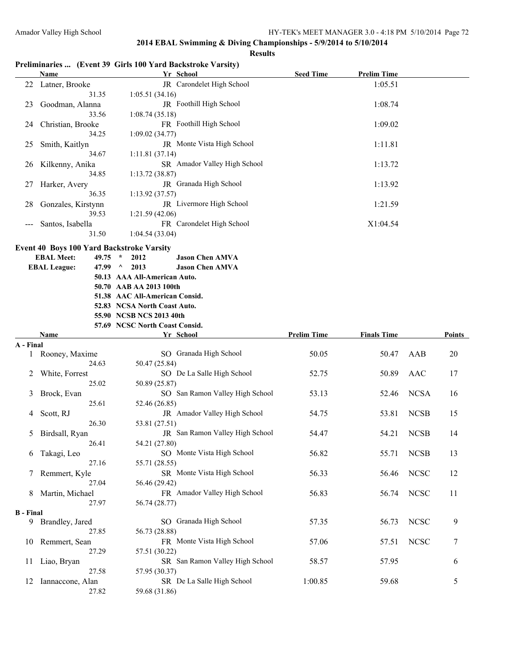### **Results**

# **Preliminaries ... (Event 39 Girls 100 Yard Backstroke Varsity)**

|                  | Name                                      | Yr School                                                  | <b>Seed Time</b>   | <b>Prelim Time</b> |             |        |
|------------------|-------------------------------------------|------------------------------------------------------------|--------------------|--------------------|-------------|--------|
|                  | 22 Latner, Brooke                         | JR Carondelet High School                                  |                    | 1:05.51            |             |        |
|                  | 31.35                                     | 1:05.51(34.16)                                             |                    |                    |             |        |
| 23               | Goodman, Alanna                           | JR Foothill High School                                    |                    | 1:08.74            |             |        |
|                  | 33.56                                     | 1:08.74(35.18)                                             |                    |                    |             |        |
| 24               | Christian, Brooke                         | FR Foothill High School                                    |                    | 1:09.02            |             |        |
|                  | 34.25                                     | 1:09.02(34.77)<br>JR Monte Vista High School               |                    |                    |             |        |
| 25               | Smith, Kaitlyn<br>34.67                   | 1:11.81(37.14)                                             |                    | 1:11.81            |             |        |
| 26               | Kilkenny, Anika                           | SR Amador Valley High School                               |                    | 1:13.72            |             |        |
|                  | 34.85                                     | 1:13.72 (38.87)                                            |                    |                    |             |        |
| 27               | Harker, Avery                             | JR Granada High School                                     |                    | 1:13.92            |             |        |
|                  | 36.35                                     | 1:13.92(37.57)                                             |                    |                    |             |        |
| 28               | Gonzales, Kirstynn                        | JR Livermore High School                                   |                    | 1:21.59            |             |        |
|                  | 39.53                                     | 1:21.59(42.06)                                             |                    |                    |             |        |
| $---$            | Santos, Isabella                          | FR Carondelet High School                                  |                    | X1:04.54           |             |        |
|                  | 31.50                                     | 1:04.54(33.04)                                             |                    |                    |             |        |
|                  | Event 40 Boys 100 Yard Backstroke Varsity |                                                            |                    |                    |             |        |
|                  | <b>EBAL Meet:</b><br>$49.75$ *            | 2012<br><b>Jason Chen AMVA</b>                             |                    |                    |             |        |
|                  | <b>EBAL League:</b><br>47.99 $\land$      | 2013<br><b>Jason Chen AMVA</b>                             |                    |                    |             |        |
|                  |                                           | 50.13 AAA All-American Auto.                               |                    |                    |             |        |
|                  |                                           | 50.70 AAB AA 2013 100th                                    |                    |                    |             |        |
|                  |                                           | 51.38 AAC All-American Consid.                             |                    |                    |             |        |
|                  |                                           | 52.83 NCSA North Coast Auto.                               |                    |                    |             |        |
|                  |                                           | 55.90 NCSB NCS 2013 40th<br>57.69 NCSC North Coast Consid. |                    |                    |             |        |
|                  | Name                                      | Yr School                                                  | <b>Prelim Time</b> | <b>Finals Time</b> |             | Points |
| A - Final        |                                           |                                                            |                    |                    |             |        |
| 1                | Rooney, Maxime                            | SO Granada High School                                     | 50.05              | 50.47              | AAB         | 20     |
|                  | 24.63                                     | 50.47 (25.84)                                              |                    |                    |             |        |
| 2                | White, Forrest                            | SO De La Salle High School                                 | 52.75              | 50.89              | AAC         | 17     |
|                  | 25.02                                     | 50.89 (25.87)                                              |                    |                    |             |        |
| 3                | Brock, Evan                               | SO San Ramon Valley High School                            | 53.13              | 52.46              | <b>NCSA</b> | 16     |
|                  | 25.61                                     | 52.46 (26.85)                                              |                    |                    |             |        |
| 4                | Scott, RJ                                 | JR Amador Valley High School                               | 54.75              | 53.81              | <b>NCSB</b> | 15     |
|                  | 26.30                                     | 53.81 (27.51)                                              |                    |                    |             |        |
| 5                | Birdsall, Ryan                            | JR San Ramon Valley High School<br>54.21 (27.80)           | 54.47              | 54.21              | <b>NCSB</b> | 14     |
| 6                | 26.41<br>Takagi, Leo                      | SO Monte Vista High School                                 | 56.82              | 55.71              | <b>NCSB</b> | 13     |
|                  | 27.16                                     | 55.71 (28.55)                                              |                    |                    |             |        |
| 7                | Remmert, Kyle                             | SR Monte Vista High School                                 | 56.33              | 56.46              | <b>NCSC</b> | 12     |
|                  | 27.04                                     | 56.46 (29.42)                                              |                    |                    |             |        |
| 8                | Martin, Michael                           | FR Amador Valley High School                               | 56.83              | 56.74              | <b>NCSC</b> | 11     |
|                  | 27.97                                     | 56.74 (28.77)                                              |                    |                    |             |        |
| <b>B</b> - Final |                                           |                                                            |                    |                    |             |        |
| 9                | Brandley, Jared                           | SO Granada High School                                     | 57.35              | 56.73              | <b>NCSC</b> | 9      |
|                  | 27.85                                     | 56.73 (28.88)                                              |                    |                    |             |        |
| 10               | Remmert, Sean                             | FR Monte Vista High School                                 | 57.06              | 57.51              | <b>NCSC</b> | 7      |
|                  | 27.29                                     | 57.51 (30.22)                                              |                    |                    |             |        |
| 11               | Liao, Bryan                               | SR San Ramon Valley High School                            | 58.57              | 57.95              |             | 6      |
|                  | 27.58                                     | 57.95 (30.37)<br>SR De La Salle High School                | 1:00.85            | 59.68              |             |        |
| 12               | Iannaccone, Alan<br>27.82                 | 59.68 (31.86)                                              |                    |                    |             | 5      |
|                  |                                           |                                                            |                    |                    |             |        |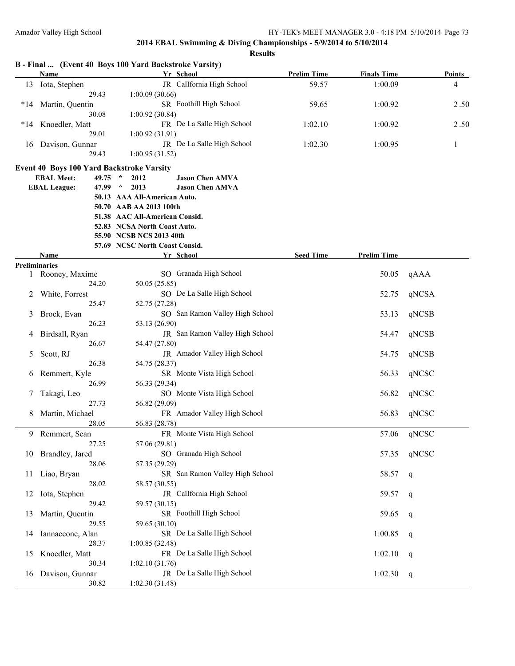| 4<br>2.50<br>2.50<br>1 |
|------------------------|
|                        |
|                        |
|                        |
|                        |
|                        |
|                        |
|                        |
|                        |
|                        |
|                        |
|                        |
|                        |
|                        |
|                        |
|                        |
|                        |
|                        |
|                        |
|                        |
|                        |
| qAAA                   |
|                        |
| qNCSA                  |
|                        |
| qNCSB                  |
|                        |
| qNCSB                  |
|                        |
| qNCSB                  |
|                        |
| qNCSC                  |
|                        |
|                        |
| qNCSC                  |
|                        |
| qNCSC                  |
|                        |
| qNCSC                  |
|                        |
| qNCSC                  |
|                        |
| q                      |
|                        |
| q                      |
|                        |
| q                      |
|                        |
| q                      |
|                        |
|                        |
|                        |
| q                      |
| q                      |
|                        |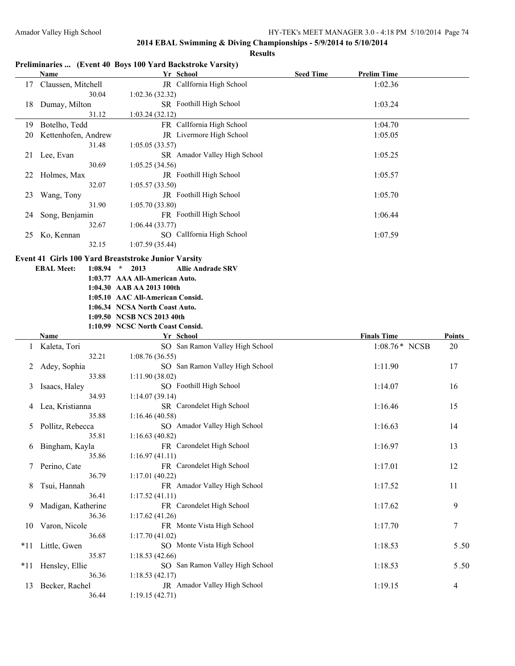|     |                              | Preliminaries  (Event 40 Boys 100 Yard Backstroke Varsity) |                  |                    |               |
|-----|------------------------------|------------------------------------------------------------|------------------|--------------------|---------------|
|     | Name                         | Yr School                                                  | <b>Seed Time</b> | <b>Prelim Time</b> |               |
| 17  | Claussen, Mitchell<br>30.04  | JR CalIfornia High School<br>1:02.36(32.32)                |                  | 1:02.36            |               |
| 18  | Dumay, Milton<br>31.12       | SR Foothill High School<br>1:03.24(32.12)                  |                  | 1:03.24            |               |
|     | 19 Botelho, Tedd             | FR CalIfornia High School                                  |                  | 1:04.70            |               |
|     |                              | JR Livermore High School                                   |                  |                    |               |
| 20  | Kettenhofen, Andrew<br>31.48 | 1:05.05(33.57)                                             |                  | 1:05.05            |               |
| 21  | Lee, Evan<br>30.69           | SR Amador Valley High School<br>1:05.25(34.56)             |                  | 1:05.25            |               |
| 22  | Holmes, Max                  | JR Foothill High School                                    |                  | 1:05.57            |               |
|     | 32.07                        | 1:05.57(33.50)                                             |                  |                    |               |
| 23  | Wang, Tony                   | JR Foothill High School                                    |                  | 1:05.70            |               |
|     | 31.90                        | 1:05.70(33.80)                                             |                  |                    |               |
| 24  | Song, Benjamin               | FR Foothill High School                                    |                  | 1:06.44            |               |
|     | 32.67                        | 1:06.44(33.77)                                             |                  |                    |               |
| 25  | Ko, Kennan                   | SO CalIfornia High School                                  |                  | 1:07.59            |               |
|     | 32.15                        | 1:07.59(35.44)                                             |                  |                    |               |
|     |                              | <b>Event 41 Girls 100 Yard Breaststroke Junior Varsity</b> |                  |                    |               |
|     | <b>EBAL Meet:</b><br>1:08.94 | $\star$<br><b>Allie Andrade SRV</b><br>2013                |                  |                    |               |
|     |                              | 1:03.77 AAA All-American Auto.                             |                  |                    |               |
|     |                              | 1:04.30 AAB AA 2013 100th                                  |                  |                    |               |
|     |                              | 1:05.10 AAC All-American Consid.                           |                  |                    |               |
|     |                              | 1:06.34 NCSA North Coast Auto.                             |                  |                    |               |
|     |                              | 1:09.50 NCSB NCS 2013 40th                                 |                  |                    |               |
|     |                              | 1:10.99 NCSC North Coast Consid.                           |                  |                    |               |
|     | <b>Name</b>                  | Yr School                                                  |                  | <b>Finals Time</b> | <b>Points</b> |
|     |                              |                                                            |                  |                    |               |
| 1   | Kaleta, Tori                 | SO San Ramon Valley High School                            |                  | 1:08.76* NCSB      | 20            |
|     | 32.21                        | 1:08.76(36.55)                                             |                  |                    |               |
| 2   | Adey, Sophia                 | SO San Ramon Valley High School                            |                  | 1:11.90            | 17            |
|     | 33.88                        | 1:11.90(38.02)                                             |                  |                    |               |
| 3   | Isaacs, Haley                | SO Foothill High School                                    |                  | 1:14.07            | 16            |
|     | 34.93                        | 1:14.07(39.14)                                             |                  |                    |               |
| 4   | Lea, Kristianna              | SR Carondelet High School                                  |                  | 1:16.46            | 15            |
|     | 35.88                        | 1:16.46(40.58)                                             |                  |                    |               |
| 5   | Pollitz, Rebecca             | SO Amador Valley High School                               |                  | 1:16.63            | 14            |
|     | 35.81                        | 1:16.63(40.82)                                             |                  |                    |               |
|     | 6 Bingham, Kayla             | FR Carondelet High School                                  |                  | 1:16.97            | 13            |
|     | 35.86                        | 1:16.97(41.11)                                             |                  |                    |               |
| 7   | Perino, Cate                 | FR Carondelet High School                                  |                  | 1:17.01            | 12            |
|     | 36.79                        | 1:17.01(40.22)                                             |                  |                    |               |
| 8   | Tsui, Hannah                 | FR Amador Valley High School                               |                  | 1:17.52            | 11            |
|     | 36.41                        | 1:17.52(41.11)                                             |                  |                    |               |
| 9   | Madigan, Katherine           | FR Carondelet High School                                  |                  | 1:17.62            | 9             |
|     | 36.36                        | 1:17.62(41.26)                                             |                  |                    |               |
| 10  | Varon, Nicole                | FR Monte Vista High School                                 |                  | 1:17.70            | 7             |
|     | 36.68                        | 1:17.70(41.02)                                             |                  |                    |               |
| *11 | Little, Gwen                 | SO Monte Vista High School                                 |                  | 1:18.53            |               |
|     | 35.87                        | 1:18.53(42.66)                                             |                  |                    | 5.50          |
| *11 | Hensley, Ellie               | SO San Ramon Valley High School                            |                  | 1:18.53            |               |
|     | 36.36                        | 1:18.53(42.17)                                             |                  |                    | 5.50          |
| 13  | Becker, Rachel               | JR Amador Valley High School                               |                  | 1:19.15            | 4             |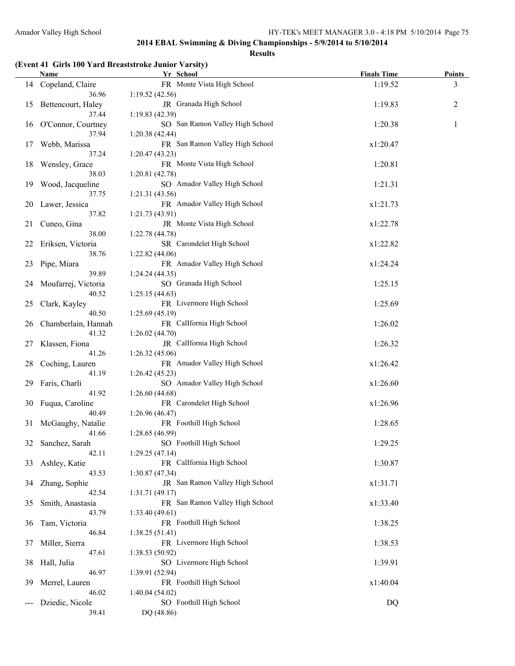#### **Results**

## **(Event 41 Girls 100 Yard Breaststroke Junior Varsity)**

|    | Name                    | Yr School                                 | <b>Finals Time</b> | <b>Points</b> |
|----|-------------------------|-------------------------------------------|--------------------|---------------|
|    | 14 Copeland, Claire     | FR Monte Vista High School                | 1:19.52            | 3             |
|    | 36.96                   | 1:19.52(42.56)                            |                    |               |
|    | 15 Bettencourt, Haley   | JR Granada High School                    | 1:19.83            | 2             |
|    | 37.44                   | 1:19.83(42.39)                            |                    |               |
|    | 16 O'Connor, Courtney   | SO San Ramon Valley High School           | 1:20.38            | 1             |
|    | 37.94                   | 1:20.38(42.44)                            |                    |               |
| 17 | Webb, Marissa           | FR San Ramon Valley High School           | x1:20.47           |               |
|    | 37.24                   | 1:20.47(43.23)                            |                    |               |
| 18 | Wensley, Grace          | FR Monte Vista High School                | 1:20.81            |               |
|    | 38.03                   | 1:20.81(42.78)                            |                    |               |
| 19 | Wood, Jacqueline        | SO Amador Valley High School              | 1:21.31            |               |
|    | 37.75                   | 1:21.31(43.56)                            |                    |               |
| 20 | Lawer, Jessica          | FR Amador Valley High School              | x1:21.73           |               |
|    | 37.82                   | 1:21.73(43.91)                            |                    |               |
| 21 | Cuneo, Gina             | JR Monte Vista High School                | x1:22.78           |               |
|    | 38.00                   | 1:22.78(44.78)                            |                    |               |
| 22 | Eriksen, Victoria       | SR Carondelet High School                 | x1:22.82           |               |
|    | 38.76                   | 1:22.82(44.06)                            |                    |               |
| 23 | Pipe, Miara             | FR Amador Valley High School              | x1:24.24           |               |
|    | 39.89                   | 1:24.24(44.35)                            |                    |               |
| 24 | Moufarrej, Victoria     | SO Granada High School                    | 1:25.15            |               |
|    | 40.52                   | 1:25.15(44.63)                            |                    |               |
| 25 | Clark, Kayley           | FR Livermore High School                  | 1:25.69            |               |
|    | 40.50                   | 1:25.69(45.19)                            |                    |               |
| 26 | Chamberlain, Hannah     | FR CalIfornia High School                 | 1:26.02            |               |
|    | 41.32                   | 1:26.02(44.70)                            |                    |               |
| 27 | Klassen, Fiona          | JR CalIfornia High School                 | 1:26.32            |               |
|    | 41.26                   | 1:26.32(45.06)                            |                    |               |
| 28 | Coching, Lauren         | FR Amador Valley High School              | x1:26.42           |               |
|    | 41.19                   | 1:26.42(45.23)                            |                    |               |
| 29 | Faris, Charli           | SO Amador Valley High School              | x1:26.60           |               |
|    | 41.92                   | 1:26.60(44.68)                            |                    |               |
| 30 | Fuqua, Caroline         | FR Carondelet High School                 | x1:26.96           |               |
|    | 40.49                   | 1:26.96(46.47)                            |                    |               |
|    | 31 McGaughy, Natalie    | FR Foothill High School                   | 1:28.65            |               |
|    | 41.66                   | 1:28.65(46.99)                            |                    |               |
|    | 32 Sanchez, Sarah       | SO Foothill High School                   | 1:29.25            |               |
|    | 42.11                   | 1:29.25(47.14)                            |                    |               |
| 33 | Ashley, Katie           | FR Callfornia High School                 | 1:30.87            |               |
|    | 43.53                   | 1:30.87(47.34)                            |                    |               |
| 34 | Zhang, Sophie           | JR San Ramon Valley High School           | x1:31.71           |               |
|    | 42.54                   | 1:31.71(49.17)                            |                    |               |
| 35 | Smith, Anastasia        | FR San Ramon Valley High School           | x1:33.40           |               |
|    | 43.79                   | 1:33.40(49.61)                            |                    |               |
| 36 | Tam, Victoria           | FR Foothill High School                   | 1:38.25            |               |
|    | 46.84                   | 1:38.25(51.41)                            |                    |               |
| 37 | Miller, Sierra          | FR Livermore High School                  | 1:38.53            |               |
|    | 47.61                   | 1:38.53(50.92)                            |                    |               |
| 38 | Hall, Julia             | SO Livermore High School                  | 1:39.91            |               |
|    | 46.97                   | 1:39.91(52.94)                            |                    |               |
| 39 | Merrel, Lauren<br>46.02 | FR Foothill High School<br>1:40.04(54.02) | x1:40.04           |               |
|    | Dziedic, Nicole         | SO Foothill High School                   | DQ                 |               |
|    | 39.41                   | DQ (48.86)                                |                    |               |
|    |                         |                                           |                    |               |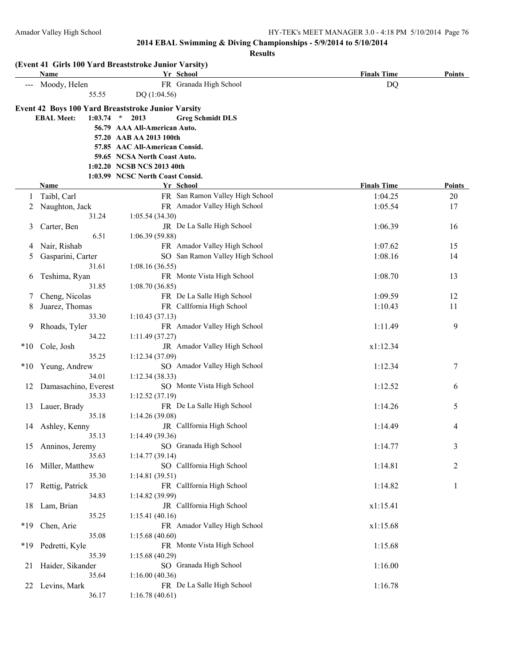|       | (Event 41 Girls 100 Yard Breaststroke Junior Varsity)<br>Name |                                  | Yr School                       | <b>Finals Time</b> | <b>Points</b>  |
|-------|---------------------------------------------------------------|----------------------------------|---------------------------------|--------------------|----------------|
|       | Moody, Helen                                                  |                                  | FR Granada High School          | DQ                 |                |
|       | 55.55                                                         | DQ (1:04.56)                     |                                 |                    |                |
|       | Event 42 Boys 100 Yard Breaststroke Junior Varsity            |                                  |                                 |                    |                |
|       | $1:03.74$ *<br><b>EBAL Meet:</b>                              | 2013                             | <b>Greg Schmidt DLS</b>         |                    |                |
|       |                                                               | 56.79 AAA All-American Auto.     |                                 |                    |                |
|       |                                                               | 57.20 AAB AA 2013 100th          |                                 |                    |                |
|       |                                                               | 57.85 AAC All-American Consid.   |                                 |                    |                |
|       |                                                               | 59.65 NCSA North Coast Auto.     |                                 |                    |                |
|       |                                                               | 1:02.20 NCSB NCS 2013 40th       |                                 |                    |                |
|       |                                                               | 1:03.99 NCSC North Coast Consid. |                                 |                    |                |
|       | Name                                                          |                                  | Yr School                       | <b>Finals Time</b> | Points         |
| 1     | Taibl, Carl                                                   |                                  | FR San Ramon Valley High School | 1:04.25            | 20             |
| 2     | Naughton, Jack                                                |                                  | FR Amador Valley High School    | 1:05.54            | 17             |
|       | 31.24                                                         | 1:05.54(34.30)                   |                                 |                    |                |
| 3     | Carter, Ben                                                   |                                  | JR De La Salle High School      | 1:06.39            | 16             |
|       | 6.51                                                          | 1:06.39(59.88)                   |                                 |                    |                |
| 4     | Nair, Rishab                                                  |                                  | FR Amador Valley High School    | 1:07.62            | 15             |
| 5     | Gasparini, Carter                                             |                                  | SO San Ramon Valley High School | 1:08.16            | 14             |
|       | 31.61                                                         | 1:08.16(36.55)                   |                                 |                    |                |
|       |                                                               |                                  | FR Monte Vista High School      | 1:08.70            | 13             |
| 6     | Teshima, Ryan<br>31.85                                        |                                  |                                 |                    |                |
|       |                                                               | 1:08.70(36.85)                   |                                 |                    |                |
| Τ     | Cheng, Nicolas                                                |                                  | FR De La Salle High School      | 1:09.59            | 12             |
| 8     | Juarez, Thomas                                                |                                  | FR CalIfornia High School       | 1:10.43            | 11             |
|       | 33.30                                                         | 1:10.43(37.13)                   |                                 |                    |                |
| 9     | Rhoads, Tyler                                                 |                                  | FR Amador Valley High School    | 1:11.49            | 9              |
|       | 34.22                                                         | 1:11.49(37.27)                   |                                 |                    |                |
| $*10$ | Cole, Josh                                                    |                                  | JR Amador Valley High School    | x1:12.34           |                |
|       | 35.25                                                         | 1:12.34 (37.09)                  |                                 |                    |                |
| $*10$ | Yeung, Andrew                                                 |                                  | SO Amador Valley High School    | 1:12.34            | 7              |
|       | 34.01                                                         | 1:12.34(38.33)                   |                                 |                    |                |
| 12    | Damasachino, Everest                                          |                                  | SO Monte Vista High School      | 1:12.52            | 6              |
|       | 35.33                                                         | 1:12.52(37.19)                   |                                 |                    |                |
| 13    | Lauer, Brady                                                  |                                  | FR De La Salle High School      | 1:14.26            | 5              |
|       | 35.18                                                         | 1:14.26(39.08)                   |                                 |                    |                |
|       | 14 Ashley, Kenny                                              |                                  | JR CalIfornia High School       | 1:14.49            | 4              |
|       | 35.13                                                         | 1:14.49 (39.36)                  |                                 |                    |                |
| 15    | Anninos, Jeremy                                               |                                  | SO Granada High School          | 1:14.77            | 3              |
|       | 35.63                                                         | 1:14.77(39.14)                   |                                 |                    |                |
| 16    | Miller, Matthew                                               |                                  | SO CalIfornia High School       | 1:14.81            | $\overline{c}$ |
|       | 35.30                                                         | 1:14.81(39.51)                   |                                 |                    |                |
| 17    | Rettig, Patrick                                               |                                  | FR CalIfornia High School       | 1:14.82            | $\mathbf{1}$   |
|       | 34.83                                                         | 1:14.82 (39.99)                  |                                 |                    |                |
| 18    | Lam, Brian                                                    |                                  | JR CalIfornia High School       | x1:15.41           |                |
|       | 35.25                                                         | 1:15.41(40.16)                   |                                 |                    |                |
| $*19$ | Chen, Arie                                                    |                                  | FR Amador Valley High School    | x1:15.68           |                |
|       | 35.08                                                         | 1:15.68(40.60)                   |                                 |                    |                |
| *19   | Pedretti, Kyle                                                |                                  | FR Monte Vista High School      | 1:15.68            |                |
|       | 35.39                                                         | 1:15.68 (40.29)                  |                                 |                    |                |
| 21    | Haider, Sikander                                              |                                  | SO Granada High School          | 1:16.00            |                |
|       | 35.64                                                         | 1:16.00(40.36)                   |                                 |                    |                |
| 22    | Levins, Mark                                                  |                                  | FR De La Salle High School      | 1:16.78            |                |
|       | 36.17                                                         | 1:16.78(40.61)                   |                                 |                    |                |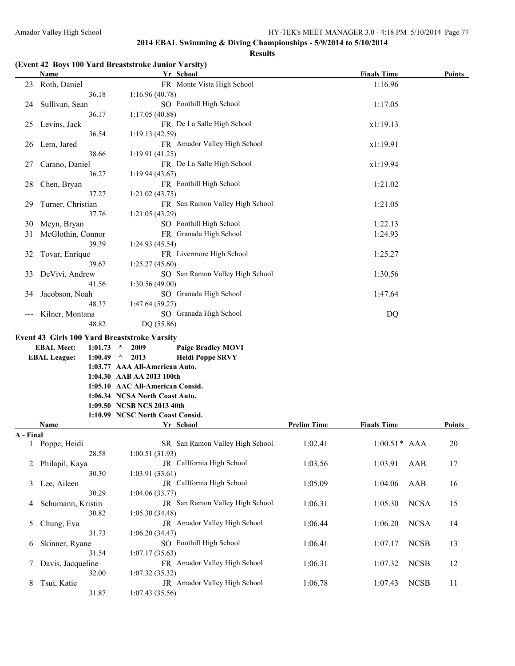#### **Results**

#### **(Event 42 Boys 100 Yard Breaststroke Junior Varsity)**

|           | $\mu$ . The state is not been as a set of $\mu$ in the state of $\mu$<br>Name |             |                                  | Yr School                       |                    | <b>Finals Time</b>     | <b>Points</b> |
|-----------|-------------------------------------------------------------------------------|-------------|----------------------------------|---------------------------------|--------------------|------------------------|---------------|
| 23        | Roth, Daniel                                                                  |             |                                  | FR Monte Vista High School      |                    | 1:16.96                |               |
|           |                                                                               | 36.18       | 1:16.96(40.78)                   |                                 |                    |                        |               |
| 24        | Sullivan, Sean                                                                |             |                                  | SO Foothill High School         |                    | 1:17.05                |               |
|           |                                                                               | 36.17       | 1:17.05(40.88)                   |                                 |                    |                        |               |
| 25        | Levins, Jack                                                                  |             |                                  | FR De La Salle High School      |                    | x1:19.13               |               |
|           |                                                                               | 36.54       | 1:19.13(42.59)                   |                                 |                    |                        |               |
| 26        | Lem, Jared                                                                    |             |                                  | FR Amador Valley High School    |                    | x1:19.91               |               |
|           |                                                                               | 38.66       | 1:19.91(41.25)                   |                                 |                    |                        |               |
| 27        | Carano, Daniel                                                                |             |                                  | FR De La Salle High School      |                    | x1:19.94               |               |
|           |                                                                               | 36.27       | 1:19.94(43.67)                   |                                 |                    |                        |               |
| 28        | Chen, Bryan                                                                   |             |                                  | FR Foothill High School         |                    | 1:21.02                |               |
|           |                                                                               | 37.27       | 1:21.02(43.75)                   |                                 |                    |                        |               |
| 29        | Turner, Christian                                                             |             |                                  | FR San Ramon Valley High School |                    | 1:21.05                |               |
|           |                                                                               | 37.76       | 1:21.05(43.29)                   |                                 |                    |                        |               |
| 30        | Meyn, Bryan                                                                   |             |                                  | SO Foothill High School         |                    | 1:22.13                |               |
| 31        | McGlothin, Connor                                                             |             |                                  | FR Granada High School          |                    | 1:24.93                |               |
|           |                                                                               | 39.39       | 1:24.93(45.54)                   |                                 |                    |                        |               |
| 32        | Tovar, Enrique                                                                |             |                                  | FR Livermore High School        |                    | 1:25.27                |               |
|           |                                                                               | 39.67       | 1:25.27(45.60)                   |                                 |                    |                        |               |
| 33        | DeVivi, Andrew                                                                |             |                                  | SO San Ramon Valley High School |                    | 1:30.56                |               |
|           |                                                                               | 41.56       | 1:30.56(49.00)                   |                                 |                    |                        |               |
| 34        | Jacobson, Noah                                                                |             |                                  | SO Granada High School          |                    | 1:47.64                |               |
|           |                                                                               | 48.37       | 1:47.64 (59.27)                  |                                 |                    |                        |               |
|           | Kilner, Montana                                                               |             |                                  | SO Granada High School          |                    | DQ                     |               |
|           |                                                                               | 48.82       | DQ (55.86)                       |                                 |                    |                        |               |
|           | <b>Event 43 Girls 100 Yard Breaststroke Varsity</b>                           |             |                                  |                                 |                    |                        |               |
|           | <b>EBAL Meet:</b>                                                             | $1:01.73$ * | 2009                             | <b>Paige Bradley MOVI</b>       |                    |                        |               |
|           | <b>EBAL League:</b>                                                           | $1:00.49$ ^ | 2013                             | <b>Heidi Poppe SRVY</b>         |                    |                        |               |
|           |                                                                               |             | 1:03.77 AAA All-American Auto.   |                                 |                    |                        |               |
|           |                                                                               |             | 1:04.30 AAB AA 2013 100th        |                                 |                    |                        |               |
|           |                                                                               |             | 1:05.10 AAC All-American Consid. |                                 |                    |                        |               |
|           |                                                                               |             | 1:06.34 NCSA North Coast Auto.   |                                 |                    |                        |               |
|           |                                                                               |             | 1:09.50 NCSB NCS 2013 40th       |                                 |                    |                        |               |
|           |                                                                               |             | 1:10.99 NCSC North Coast Consid. |                                 |                    |                        |               |
|           | Name                                                                          |             |                                  | Yr School                       | <b>Prelim Time</b> | <b>Finals Time</b>     | Points        |
| A - Final | 1 Poppe, Heidi                                                                |             |                                  | SR San Ramon Valley High School | 1:02.41            | $1:00.51*$ AAA         | 20            |
|           |                                                                               | 28.58       | 1:00.51(31.93)                   |                                 |                    |                        |               |
| 2         | Philapil, Kaya                                                                |             |                                  | JR CalIfornia High School       | 1:03.56            | 1:03.91<br>AAB         | 17            |
|           |                                                                               | 30.30       | 1:03.91(33.61)                   |                                 |                    |                        |               |
| 3         | Lee, Aileen                                                                   |             |                                  | JR CalIfornia High School       | 1:05.09            | 1:04.06<br>AAB         | 16            |
|           |                                                                               | 30.29       | 1:04.06 (33.77)                  |                                 |                    |                        |               |
| 4         | Schumann, Kristin                                                             |             |                                  | JR San Ramon Valley High School | 1:06.31            | <b>NCSA</b><br>1:05.30 | 15            |
|           |                                                                               | 30.82       | 1:05.30(34.48)                   |                                 |                    |                        |               |
| 5         | Chung, Eva                                                                    |             |                                  | JR Amador Valley High School    | 1:06.44            | <b>NCSA</b><br>1:06.20 | 14            |
|           |                                                                               | 31.73       | 1:06.20(34.47)                   |                                 |                    |                        |               |
|           |                                                                               |             |                                  |                                 |                    |                        |               |

6 Skinner, Ryane SO Foothill High School 1:06.41 1:07.17 NCSB 13

7 Davis, Jacqueline FR Amador Valley High School 1:06.31 1:07.32 NCSB 12

8 Tsui, Katie **JR** Amador Valley High School 1:06.78 1:07.43 NCSB 11

31.54 1:07.17 (35.63)

32.00 1:07.32 (35.32)

31.87 1:07.43 (35.56)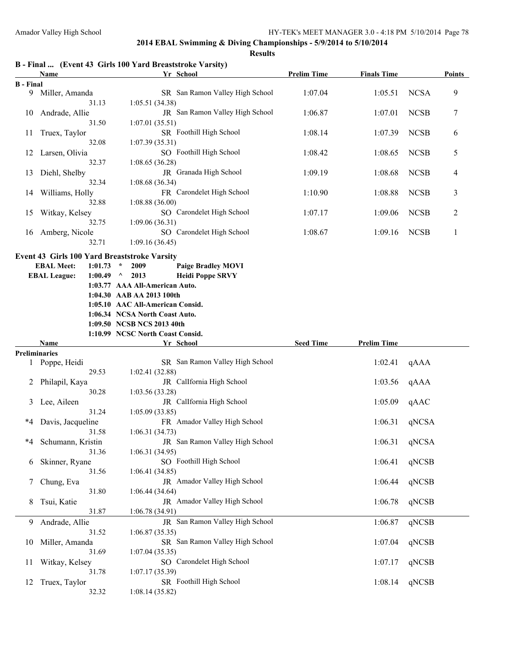**Finals Time Points** 

## **2014 EBAL Swimming & Diving Championships - 5/9/2014 to 5/10/2014**

|                  |                                                           |             |               |                                  | 2014 EBAL Swimming & Diving Championships - 5/9/2014 to 5/10/2014 |                    |                    |             |                |
|------------------|-----------------------------------------------------------|-------------|---------------|----------------------------------|-------------------------------------------------------------------|--------------------|--------------------|-------------|----------------|
|                  |                                                           |             |               |                                  | <b>Results</b>                                                    |                    |                    |             |                |
|                  | B - Final  (Event 43 Girls 100 Yard Breaststroke Varsity) |             |               |                                  |                                                                   |                    |                    |             |                |
|                  | Name                                                      |             |               |                                  | Yr School                                                         | <b>Prelim Time</b> | <b>Finals Time</b> |             | Poin           |
| <b>B</b> - Final |                                                           |             |               |                                  |                                                                   |                    |                    |             |                |
| 9                | Miller, Amanda                                            |             |               |                                  | SR San Ramon Valley High School                                   | 1:07.04            | 1:05.51            | <b>NCSA</b> | 9              |
|                  | 31.13                                                     |             |               | 1:05.51(34.38)                   |                                                                   |                    |                    |             |                |
| 10               | Andrade, Allie                                            |             |               |                                  | JR San Ramon Valley High School                                   | 1:06.87            | 1:07.01            | <b>NCSB</b> | 7              |
|                  | 31.50                                                     |             |               | 1:07.01(35.51)                   |                                                                   |                    |                    |             |                |
| 11               | Truex, Taylor                                             |             |               |                                  | SR Foothill High School                                           | 1:08.14            | 1:07.39            | <b>NCSB</b> | 6              |
|                  | 32.08                                                     |             |               | 1:07.39(35.31)                   |                                                                   |                    |                    |             |                |
| 12               | Larsen, Olivia                                            |             |               |                                  | SO Foothill High School                                           | 1:08.42            | 1:08.65            | <b>NCSB</b> | 5              |
|                  | 32.37                                                     |             |               | 1:08.65(36.28)                   |                                                                   |                    |                    |             |                |
| 13               | Diehl, Shelby                                             |             |               |                                  | JR Granada High School                                            | 1:09.19            | 1:08.68            | <b>NCSB</b> | $\overline{4}$ |
|                  | 32.34                                                     |             |               | 1:08.68(36.34)                   |                                                                   |                    |                    |             |                |
| 14               | Williams, Holly                                           |             |               |                                  | FR Carondelet High School                                         | 1:10.90            | 1:08.88            | <b>NCSB</b> | 3              |
|                  | 32.88                                                     |             |               | 1:08.88(36.00)                   |                                                                   |                    |                    |             |                |
| 15               | Witkay, Kelsey                                            |             |               |                                  | SO Carondelet High School                                         | 1:07.17            | 1:09.06            | <b>NCSB</b> | 2              |
|                  | 32.75                                                     |             |               | 1:09.06(36.31)                   |                                                                   |                    |                    |             |                |
| 16               | Amberg, Nicole                                            |             |               |                                  | SO Carondelet High School                                         | 1:08.67            | 1:09.16            | <b>NCSB</b> | 1              |
|                  | 32.71                                                     |             |               | 1:09.16(36.45)                   |                                                                   |                    |                    |             |                |
|                  | <b>Event 43 Girls 100 Yard Breaststroke Varsity</b>       |             |               |                                  |                                                                   |                    |                    |             |                |
|                  | <b>EBAL Meet:</b>                                         | 1:01.73     | $\mathcal{R}$ | 2009                             | <b>Paige Bradley MOVI</b>                                         |                    |                    |             |                |
|                  | <b>EBAL League:</b>                                       | $1:00.49$ ^ |               | 2013                             | <b>Heidi Poppe SRVY</b>                                           |                    |                    |             |                |
|                  |                                                           |             |               | 1:03.77 AAA All-American Auto.   |                                                                   |                    |                    |             |                |
|                  |                                                           |             |               | 1:04.30 AAB AA 2013 100th        |                                                                   |                    |                    |             |                |
|                  |                                                           |             |               | 1:05.10 AAC All-American Consid. |                                                                   |                    |                    |             |                |
|                  |                                                           |             |               | 1:06.34 NCSA North Coast Auto.   |                                                                   |                    |                    |             |                |
|                  |                                                           |             |               | 1:09.50 NCSB NCS 2013 40th       |                                                                   |                    |                    |             |                |
|                  |                                                           |             |               | 1:10.99 NCSC North Coast Consid. |                                                                   |                    |                    |             |                |
|                  | <b>Name</b>                                               |             |               |                                  | Yr School                                                         | <b>Seed Time</b>   | <b>Prelim Time</b> |             |                |
|                  | <b>Preliminaries</b>                                      |             |               |                                  |                                                                   |                    |                    |             |                |
| 1                | Poppe, Heidi                                              |             |               |                                  | SR San Ramon Valley High School                                   |                    | 1:02.41            | qAAA        |                |
|                  | 29.53                                                     |             |               | 1:02.41(32.88)                   |                                                                   |                    |                    |             |                |
|                  | Philapil, Kaya                                            |             |               |                                  | JR Callfornia High School                                         |                    | 1:03.56            | qAAA        |                |
|                  | 30.28                                                     |             |               | 1:03.56(33.28)                   |                                                                   |                    |                    |             |                |
| 3                | Lee, Aileen                                               |             |               |                                  | JR Callfornia High School                                         |                    | 1:05.09            | qAAC        |                |
|                  | 31.24                                                     |             |               | 1:05.09(33.85)                   |                                                                   |                    |                    |             |                |
| *4               | Davis, Jacqueline                                         |             |               |                                  | FR Amador Valley High School                                      |                    | 1:06.31            | qNCSA       |                |
|                  | 31.58                                                     |             |               | 1:06.31(34.73)                   |                                                                   |                    |                    |             |                |
| *4               | Schumann, Kristin                                         |             |               |                                  | JR San Ramon Valley High School                                   |                    | 1:06.31            | qNCSA       |                |
|                  | 31.36                                                     |             |               | 1:06.31(34.95)                   |                                                                   |                    |                    |             |                |

32.32 1:08.14 (35.82)

|                 | Name                 | Yr School                           | <b>Seed Time</b> | <b>Prelim Time</b> |       |
|-----------------|----------------------|-------------------------------------|------------------|--------------------|-------|
|                 | eliminaries          |                                     |                  |                    |       |
|                 | 1 Poppe, Heidi       | SR San Ramon Valley High School     |                  | 1:02.41            | qAAA  |
|                 | 29.53                | 1:02.41(32.88)                      |                  |                    |       |
|                 | 2 Philapil, Kaya     | JR CalIfornia High School           |                  | 1:03.56            | qAAA  |
|                 | 30.28                | 1:03.56(33.28)                      |                  |                    |       |
|                 | 3 Lee, Aileen        | JR CalIfornia High School           |                  | 1:05.09            | qAAC  |
|                 | 31.24                | 1:05.09(33.85)                      |                  |                    |       |
|                 | *4 Davis, Jacqueline | FR Amador Valley High School        |                  | 1:06.31            | qNCSA |
|                 | 31.58                | 1:06.31(34.73)                      |                  |                    |       |
|                 | *4 Schumann, Kristin | JR San Ramon Valley High School     |                  | 1:06.31            | qNCSA |
|                 | 31.36                | 1:06.31(34.95)                      |                  |                    |       |
|                 | 6 Skinner, Ryane     | SO Foothill High School             |                  | 1:06.41            | qNCSB |
|                 | 31.56                | 1:06.41(34.85)                      |                  |                    |       |
| $7\overline{ }$ | Chung, Eva           | <b>JR</b> Amador Valley High School |                  | 1:06.44            | qNCSB |
|                 | 31.80                | 1:06.44(34.64)                      |                  |                    |       |
|                 | 8 Tsui, Katie        | JR Amador Valley High School        |                  | 1:06.78            | qNCSB |
|                 | 31.87                | 1:06.78(34.91)                      |                  |                    |       |
|                 | 9 Andrade, Allie     | JR San Ramon Valley High School     |                  | 1:06.87            | qNCSB |
|                 | 31.52                | 1:06.87(35.35)                      |                  |                    |       |
|                 | 10 Miller, Amanda    | SR San Ramon Valley High School     |                  | 1:07.04            | qNCSB |
|                 | 31.69                | 1:07.04(35.35)                      |                  |                    |       |
|                 | 11 Witkay, Kelsey    | SO Carondelet High School           |                  | 1:07.17            | qNCSB |
|                 | 31.78                | 1:07.17(35.39)                      |                  |                    |       |
|                 | 12 Truex, Taylor     | SR Foothill High School             |                  | 1:08.14            | qNCSB |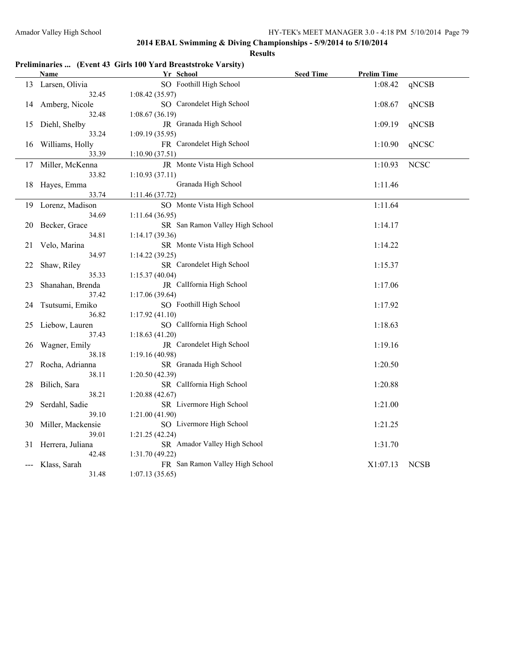|    | Name               | Yr School                       | <b>Seed Time</b> | <b>Prelim Time</b> |             |
|----|--------------------|---------------------------------|------------------|--------------------|-------------|
|    | 13 Larsen, Olivia  | SO Foothill High School         |                  | 1:08.42            | qNCSB       |
|    | 32.45              | 1:08.42(35.97)                  |                  |                    |             |
| 14 | Amberg, Nicole     | SO Carondelet High School       |                  | 1:08.67            | qNCSB       |
|    | 32.48              | 1:08.67(36.19)                  |                  |                    |             |
| 15 | Diehl, Shelby      | JR Granada High School          |                  | 1:09.19            | qNCSB       |
|    | 33.24              | 1:09.19(35.95)                  |                  |                    |             |
|    | 16 Williams, Holly | FR Carondelet High School       |                  | 1:10.90            | qNCSC       |
|    | 33.39              | 1:10.90(37.51)                  |                  |                    |             |
| 17 | Miller, McKenna    | JR Monte Vista High School      |                  | 1:10.93            | <b>NCSC</b> |
|    | 33.82              | 1:10.93(37.11)                  |                  |                    |             |
| 18 | Hayes, Emma        | Granada High School             |                  | 1:11.46            |             |
|    | 33.74              | 1:11.46(37.72)                  |                  |                    |             |
| 19 | Lorenz, Madison    | SO Monte Vista High School      |                  | 1:11.64            |             |
|    | 34.69              | 1:11.64(36.95)                  |                  |                    |             |
| 20 | Becker, Grace      | SR San Ramon Valley High School |                  | 1:14.17            |             |
|    | 34.81              | 1:14.17(39.36)                  |                  |                    |             |
| 21 | Velo, Marina       | SR Monte Vista High School      |                  | 1:14.22            |             |
|    | 34.97              | 1:14.22(39.25)                  |                  |                    |             |
| 22 | Shaw, Riley        | SR Carondelet High School       |                  | 1:15.37            |             |
|    | 35.33              | 1:15.37(40.04)                  |                  |                    |             |
| 23 | Shanahan, Brenda   | JR CalIfornia High School       |                  | 1:17.06            |             |
|    | 37.42              | 1:17.06(39.64)                  |                  |                    |             |
| 24 | Tsutsumi, Emiko    | SO Foothill High School         |                  | 1:17.92            |             |
|    | 36.82              | 1:17.92(41.10)                  |                  |                    |             |
| 25 | Liebow, Lauren     | SO CalIfornia High School       |                  | 1:18.63            |             |
|    | 37.43              | 1:18.63(41.20)                  |                  |                    |             |
| 26 | Wagner, Emily      | JR Carondelet High School       |                  | 1:19.16            |             |
|    | 38.18              | 1:19.16 (40.98)                 |                  |                    |             |
| 27 | Rocha, Adrianna    | SR Granada High School          |                  | 1:20.50            |             |
|    | 38.11              | 1:20.50(42.39)                  |                  |                    |             |
| 28 | Bilich, Sara       | SR Callfornia High School       |                  | 1:20.88            |             |
|    | 38.21              | 1:20.88(42.67)                  |                  |                    |             |
| 29 | Serdahl, Sadie     | SR Livermore High School        |                  | 1:21.00            |             |
|    | 39.10              | 1:21.00(41.90)                  |                  |                    |             |
| 30 | Miller, Mackensie  | SO Livermore High School        |                  | 1:21.25            |             |
|    | 39.01              | 1:21.25(42.24)                  |                  |                    |             |
| 31 | Herrera, Juliana   | SR Amador Valley High School    |                  | 1:31.70            |             |
|    | 42.48              | 1:31.70 (49.22)                 |                  |                    |             |
|    | Klass, Sarah       | FR San Ramon Valley High School |                  | X1:07.13           | <b>NCSB</b> |
|    | 31.48              | 1:07.13(35.65)                  |                  |                    |             |

# **Preliminaries ... (Event 43 Girls 100 Yard Breaststroke Varsity)**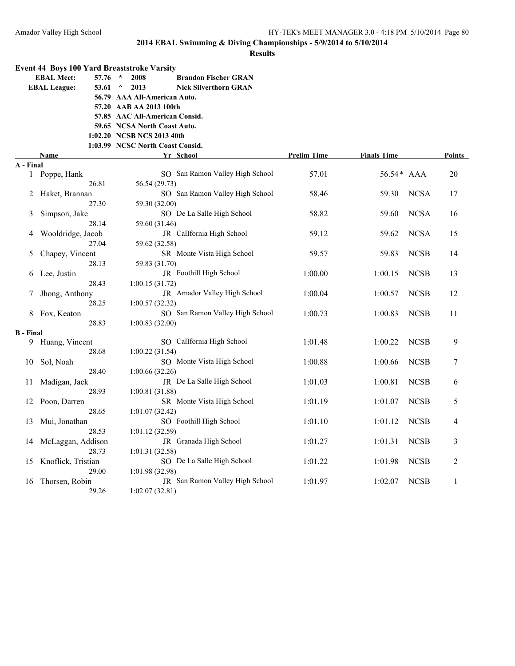|                  | <b>Event 44 Boys 100 Yard Breaststroke Varsity</b> |                                                  |                    |                    |             |                |
|------------------|----------------------------------------------------|--------------------------------------------------|--------------------|--------------------|-------------|----------------|
|                  | <b>EBAL Meet:</b><br>57.76                         | $\star$<br>2008<br><b>Brandon Fischer GRAN</b>   |                    |                    |             |                |
|                  | <b>EBAL League:</b><br>53.61                       | 2013<br>$\wedge$<br><b>Nick Silverthorn GRAN</b> |                    |                    |             |                |
|                  |                                                    | 56.79 AAA All-American Auto.                     |                    |                    |             |                |
|                  |                                                    | 57.20 AAB AA 2013 100th                          |                    |                    |             |                |
|                  |                                                    | 57.85 AAC All-American Consid.                   |                    |                    |             |                |
|                  |                                                    | 59.65 NCSA North Coast Auto.                     |                    |                    |             |                |
|                  |                                                    | 1:02.20 NCSB NCS 2013 40th                       |                    |                    |             |                |
|                  |                                                    | 1:03.99 NCSC North Coast Consid.                 |                    |                    |             |                |
|                  | Name                                               | Yr School                                        | <b>Prelim Time</b> | <b>Finals Time</b> |             | Points         |
| A - Final        |                                                    |                                                  |                    |                    |             |                |
| $\mathbf{1}$     | Poppe, Hank                                        | SO San Ramon Valley High School                  | 57.01              | 56.54 * AAA        |             | 20             |
|                  | 26.81                                              | 56.54 (29.73)                                    |                    |                    |             |                |
| 2                | Haket, Brannan                                     | SO San Ramon Valley High School                  | 58.46              | 59.30              | <b>NCSA</b> | 17             |
|                  | 27.30                                              | 59.30 (32.00)                                    |                    |                    |             |                |
| 3                | Simpson, Jake                                      | SO De La Salle High School                       | 58.82              | 59.60              | <b>NCSA</b> | 16             |
|                  | 28.14                                              | 59.60 (31.46)                                    |                    |                    |             |                |
|                  | Wooldridge, Jacob                                  | JR CalIfornia High School                        | 59.12              | 59.62              | <b>NCSA</b> | 15             |
|                  | 27.04                                              | 59.62 (32.58)                                    |                    |                    |             |                |
| 5                | Chapey, Vincent                                    | SR Monte Vista High School                       | 59.57              | 59.83              | <b>NCSB</b> | 14             |
|                  | 28.13                                              | 59.83 (31.70)                                    |                    |                    |             |                |
| 6                | Lee, Justin                                        | JR Foothill High School                          | 1:00.00            | 1:00.15            | <b>NCSB</b> | 13             |
|                  | 28.43                                              | 1:00.15(31.72)<br>JR Amador Valley High School   |                    |                    |             |                |
| 7                | Jhong, Anthony                                     |                                                  | 1:00.04            | 1:00.57            | <b>NCSB</b> | 12             |
|                  | 28.25                                              | 1:00.57(32.32)                                   |                    | 1:00.83            | <b>NCSB</b> |                |
| 8                | Fox, Keaton<br>28.83                               | SO San Ramon Valley High School                  | 1:00.73            |                    |             | 11             |
| <b>B</b> - Final |                                                    | 1:00.83(32.00)                                   |                    |                    |             |                |
| 9.               | Huang, Vincent                                     | SO CalIfornia High School                        | 1:01.48            | 1:00.22            | <b>NCSB</b> | 9              |
|                  | 28.68                                              | 1:00.22(31.54)                                   |                    |                    |             |                |
| 10               | Sol, Noah                                          | SO Monte Vista High School                       | 1:00.88            | 1:00.66            | <b>NCSB</b> | 7              |
|                  | 28.40                                              | 1:00.66 (32.26)                                  |                    |                    |             |                |
| 11               | Madigan, Jack                                      | JR De La Salle High School                       | 1:01.03            | 1:00.81            | <b>NCSB</b> | 6              |
|                  | 28.93                                              | 1:00.81 (31.88)                                  |                    |                    |             |                |
| 12               | Poon, Darren                                       | SR Monte Vista High School                       | 1:01.19            | 1:01.07            | <b>NCSB</b> | 5              |
|                  | 28.65                                              | 1:01.07(32.42)                                   |                    |                    |             |                |
| 13               | Mui, Jonathan                                      | SO Foothill High School                          | 1:01.10            | 1:01.12            | <b>NCSB</b> | 4              |
|                  | 28.53                                              | 1:01.12 (32.59)                                  |                    |                    |             |                |
| 14               | McLaggan, Addison                                  | JR Granada High School                           | 1:01.27            | 1:01.31            | <b>NCSB</b> | 3              |
|                  | 28.73                                              | 1:01.31(32.58)                                   |                    |                    |             |                |
| 15               | Knoflick, Tristian                                 | SO De La Salle High School                       | 1:01.22            | 1:01.98            | <b>NCSB</b> | $\overline{2}$ |
|                  | 29.00                                              | 1:01.98 (32.98)                                  |                    |                    |             |                |
| 16               | Thorsen, Robin                                     | JR San Ramon Valley High School                  | 1:01.97            | 1:02.07            | <b>NCSB</b> | 1              |
|                  | 29.26                                              | 1:02.07(32.81)                                   |                    |                    |             |                |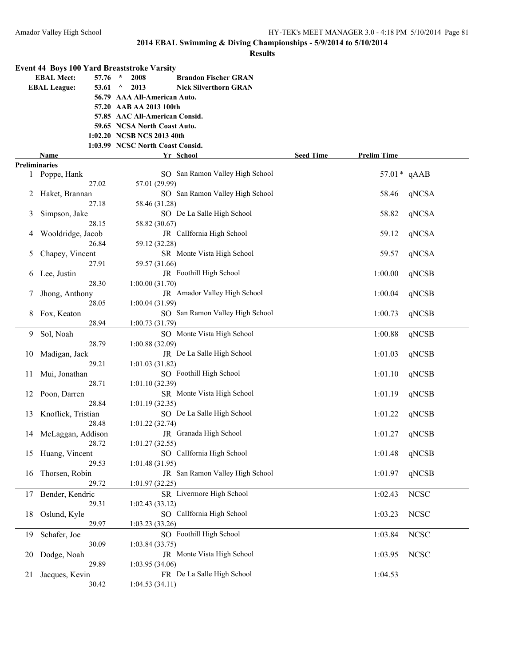|               |                      |       | <b>Event 44 Boys 100 Yard Breaststroke Varsity</b> |                                 |                  |                    |             |
|---------------|----------------------|-------|----------------------------------------------------|---------------------------------|------------------|--------------------|-------------|
|               | <b>EBAL Meet:</b>    | 57.76 | $\star$<br>2008                                    | <b>Brandon Fischer GRAN</b>     |                  |                    |             |
|               | <b>EBAL League:</b>  | 53.61 | 2013<br>$\wedge$                                   | <b>Nick Silverthorn GRAN</b>    |                  |                    |             |
|               |                      |       | 56.79 AAA All-American Auto.                       |                                 |                  |                    |             |
|               |                      |       | 57.20 AAB AA 2013 100th                            |                                 |                  |                    |             |
|               |                      |       | 57.85 AAC All-American Consid.                     |                                 |                  |                    |             |
|               |                      |       | 59.65 NCSA North Coast Auto.                       |                                 |                  |                    |             |
|               |                      |       | 1:02.20 NCSB NCS 2013 40th                         |                                 |                  |                    |             |
|               |                      |       | 1:03.99 NCSC North Coast Consid.                   |                                 |                  |                    |             |
|               | Name                 |       |                                                    | Yr School                       | <b>Seed Time</b> | <b>Prelim Time</b> |             |
|               | <b>Preliminaries</b> |       |                                                    |                                 |                  |                    |             |
|               | 1 Poppe, Hank        |       |                                                    | SO San Ramon Valley High School |                  | $57.01*$ qAAB      |             |
|               |                      | 27.02 | 57.01 (29.99)                                      |                                 |                  |                    |             |
| 2             | Haket, Brannan       |       |                                                    | SO San Ramon Valley High School |                  | 58.46              | qNCSA       |
|               |                      | 27.18 | 58.46 (31.28)                                      |                                 |                  |                    |             |
|               |                      |       |                                                    | SO De La Salle High School      |                  | 58.82              | qNCSA       |
| 3             | Simpson, Jake        | 28.15 |                                                    |                                 |                  |                    |             |
|               |                      |       | 58.82 (30.67)                                      |                                 |                  |                    |             |
| 4             | Wooldridge, Jacob    |       |                                                    | JR CalIfornia High School       |                  | 59.12              | qNCSA       |
|               |                      | 26.84 | 59.12 (32.28)                                      |                                 |                  |                    |             |
| 5             | Chapey, Vincent      |       |                                                    | SR Monte Vista High School      |                  | 59.57              | qNCSA       |
|               |                      | 27.91 | 59.57 (31.66)                                      |                                 |                  |                    |             |
| 6             | Lee, Justin          |       |                                                    | JR Foothill High School         |                  | 1:00.00            | qNCSB       |
|               |                      | 28.30 | 1:00.00 (31.70)                                    |                                 |                  |                    |             |
| $\mathcal{L}$ | Jhong, Anthony       |       |                                                    | JR Amador Valley High School    |                  | 1:00.04            | qNCSB       |
|               |                      | 28.05 | 1:00.04(31.99)                                     |                                 |                  |                    |             |
| 8             | Fox, Keaton          |       |                                                    | SO San Ramon Valley High School |                  | 1:00.73            | qNCSB       |
|               |                      | 28.94 | 1:00.73(31.79)                                     |                                 |                  |                    |             |
| 9             | Sol, Noah            |       |                                                    | SO Monte Vista High School      |                  | 1:00.88            | qNCSB       |
|               |                      | 28.79 | 1:00.88(32.09)                                     |                                 |                  |                    |             |
| 10            | Madigan, Jack        |       |                                                    | JR De La Salle High School      |                  | 1:01.03            | qNCSB       |
|               |                      | 29.21 | 1:01.03(31.82)                                     |                                 |                  |                    |             |
| 11            | Mui, Jonathan        |       |                                                    | SO Foothill High School         |                  | 1:01.10            | qNCSB       |
|               |                      | 28.71 | 1:01.10(32.39)                                     |                                 |                  |                    |             |
| 12            | Poon, Darren         |       |                                                    | SR Monte Vista High School      |                  | 1:01.19            | qNCSB       |
|               |                      | 28.84 | 1:01.19(32.35)                                     |                                 |                  |                    |             |
|               | Knoflick, Tristian   |       |                                                    | SO De La Salle High School      |                  | 1:01.22            | qNCSB       |
| 13            |                      | 28.48 | 1:01.22(32.74)                                     |                                 |                  |                    |             |
|               |                      |       |                                                    |                                 |                  |                    |             |
|               | 14 McLaggan, Addison |       |                                                    | JR Granada High School          |                  | 1:01.27            | qNCSB       |
|               |                      | 28.72 | 1:01.27(32.55)                                     |                                 |                  |                    |             |
|               | 15 Huang, Vincent    |       |                                                    | SO CalIfornia High School       |                  | 1:01.48            | qNCSB       |
|               |                      | 29.53 | 1:01.48(31.95)                                     |                                 |                  |                    |             |
| 16            | Thorsen, Robin       |       |                                                    | JR San Ramon Valley High School |                  | 1:01.97            | qNCSB       |
|               |                      | 29.72 | 1:01.97(32.25)                                     |                                 |                  |                    |             |
| 17            | Bender, Kendric      |       |                                                    | SR Livermore High School        |                  | 1:02.43            | <b>NCSC</b> |
|               |                      | 29.31 | 1:02.43(33.12)                                     |                                 |                  |                    |             |
| 18            | Oslund, Kyle         |       |                                                    | SO CalIfornia High School       |                  | 1:03.23            | <b>NCSC</b> |
|               |                      | 29.97 | 1:03.23(33.26)                                     |                                 |                  |                    |             |
| 19            | Schafer, Joe         |       |                                                    | SO Foothill High School         |                  | 1:03.84            | <b>NCSC</b> |
|               |                      | 30.09 | 1:03.84(33.75)                                     |                                 |                  |                    |             |
| 20            | Dodge, Noah          |       |                                                    | JR Monte Vista High School      |                  | 1:03.95            | <b>NCSC</b> |
|               |                      | 29.89 | 1:03.95(34.06)                                     |                                 |                  |                    |             |
| 21            | Jacques, Kevin       |       |                                                    | FR De La Salle High School      |                  | 1:04.53            |             |
|               |                      | 30.42 | 1:04.53(34.11)                                     |                                 |                  |                    |             |
|               |                      |       |                                                    |                                 |                  |                    |             |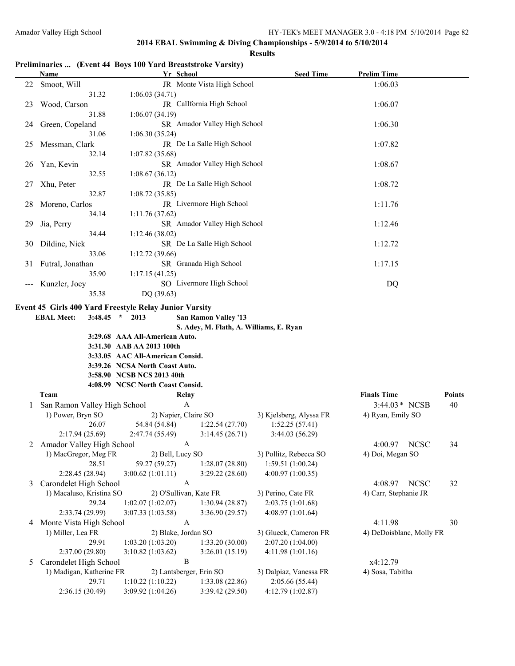#### **Results**

# **Preliminaries ... (Event 44 Boys 100 Yard Breaststroke Varsity)**

|    | <b>Name</b>                                            | Yr School                        |                                         | <b>Seed Time</b>        | <b>Prelim Time</b>       |               |
|----|--------------------------------------------------------|----------------------------------|-----------------------------------------|-------------------------|--------------------------|---------------|
| 22 | Smoot, Will                                            |                                  | JR Monte Vista High School              |                         | 1:06.03                  |               |
|    | 31.32                                                  | 1:06.03(34.71)                   |                                         |                         |                          |               |
| 23 | Wood, Carson                                           |                                  | JR CalIfornia High School               |                         | 1:06.07                  |               |
|    | 31.88                                                  | 1:06.07(34.19)                   |                                         |                         |                          |               |
| 24 | Green, Copeland                                        |                                  | SR Amador Valley High School            |                         | 1:06.30                  |               |
|    | 31.06                                                  | 1:06.30(35.24)                   |                                         |                         |                          |               |
| 25 | Messman, Clark                                         |                                  | JR De La Salle High School              |                         | 1:07.82                  |               |
|    | 32.14                                                  | 1:07.82(35.68)                   |                                         |                         |                          |               |
| 26 | Yan, Kevin                                             |                                  | SR Amador Valley High School            |                         | 1:08.67                  |               |
|    | 32.55                                                  | 1:08.67(36.12)                   |                                         |                         |                          |               |
| 27 | Xhu, Peter                                             |                                  | JR De La Salle High School              |                         | 1:08.72                  |               |
|    | 32.87                                                  | 1:08.72(35.85)                   |                                         |                         |                          |               |
| 28 | Moreno, Carlos                                         |                                  | JR Livermore High School                |                         | 1:11.76                  |               |
|    | 34.14                                                  | 1:11.76(37.62)                   |                                         |                         |                          |               |
| 29 | Jia, Perry                                             |                                  | SR Amador Valley High School            |                         | 1:12.46                  |               |
|    | 34.44                                                  | 1:12.46(38.02)                   |                                         |                         |                          |               |
| 30 | Dildine, Nick                                          |                                  | SR De La Salle High School              |                         | 1:12.72                  |               |
|    | 33.06                                                  | 1:12.72(39.66)                   |                                         |                         |                          |               |
|    | 31 Futral, Jonathan                                    |                                  | SR Granada High School                  |                         | 1:17.15                  |               |
|    | 35.90                                                  | 1:17.15(41.25)                   |                                         |                         |                          |               |
|    | Kunzler, Joey                                          |                                  | SO Livermore High School                |                         | DQ                       |               |
|    | 35.38                                                  | DQ (39.63)                       |                                         |                         |                          |               |
|    | Event 45 Girls 400 Yard Freestyle Relay Junior Varsity |                                  |                                         |                         |                          |               |
|    | <b>EBAL Meet:</b>                                      | $3:48.45$ * 2013                 | San Ramon Valley '13                    |                         |                          |               |
|    |                                                        |                                  | S. Adey, M. Flath, A. Williams, E. Ryan |                         |                          |               |
|    |                                                        | 3:29.68 AAA All-American Auto.   |                                         |                         |                          |               |
|    |                                                        | 3:31.30 AAB AA 2013 100th        |                                         |                         |                          |               |
|    |                                                        | 3:33.05 AAC All-American Consid. |                                         |                         |                          |               |
|    |                                                        | 3:39.26 NCSA North Coast Auto.   |                                         |                         |                          |               |
|    |                                                        | 3:58.90 NCSB NCS 2013 40th       |                                         |                         |                          |               |
|    |                                                        | 4:08.99 NCSC North Coast Consid. |                                         |                         |                          |               |
|    | Team                                                   | <b>Relay</b>                     |                                         |                         | <b>Finals Time</b>       | <b>Points</b> |
| 1  | San Ramon Valley High School                           | $\mathbf{A}$                     |                                         |                         | 3:44.03 * NCSB           | 40            |
|    | 1) Power, Bryn SO                                      | 2) Napier, Claire SO             |                                         | 3) Kjelsberg, Alyssa FR | 4) Ryan, Emily SO        |               |
|    | 26.07                                                  | 54.84 (54.84)                    | 1:22.54(27.70)                          | 1:52.25(57.41)          |                          |               |
|    | 2:17.94 (25.69)                                        | 2:47.74(55.49)                   | 3:14.45(26.71)                          | 3:44.03(56.29)          |                          |               |
|    | 2 Amador Valley High School                            | A                                |                                         |                         | <b>NCSC</b><br>4:00.97   | 34            |
|    | 1) MacGregor, Meg FR                                   | 2) Bell, Lucy SO                 |                                         | 3) Pollitz, Rebecca SO  | 4) Doi, Megan SO         |               |
|    | 28.51                                                  | 59.27 (59.27)                    | 1:28.07(28.80)                          | 1:59.51 (1:00.24)       |                          |               |
|    | 2:28.45 (28.94)                                        | 3:00.62 (1:01.11)                | 3:29.22(28.60)                          | 4:00.97 (1:00.35)       |                          |               |
| 3  | Carondelet High School                                 | A                                |                                         |                         | 4:08.97<br><b>NCSC</b>   | 32            |
|    | 1) Macaluso, Kristina SO                               | 2) O'Sullivan, Kate FR           |                                         | 3) Perino, Cate FR      | 4) Carr, Stephanie JR    |               |
|    | 29.24                                                  | 1:02.07(1:02.07)                 | 1:30.94(28.87)                          | 2:03.75 (1:01.68)       |                          |               |
|    | 2:33.74 (29.99)                                        | 3:07.33 (1:03.58)                | 3:36.90 (29.57)                         | 4:08.97 (1:01.64)       |                          |               |
| 4  | Monte Vista High School                                | $\mathbf{A}$                     |                                         |                         | 4:11.98                  | 30            |
|    | 1) Miller, Lea FR                                      | 2) Blake, Jordan SO              |                                         | 3) Glueck, Cameron FR   | 4) DeDoisblanc, Molly FR |               |
|    | 29.91                                                  | 1:03.20(1:03.20)                 | 1:33.20(30.00)                          | 2:07.20 (1:04.00)       |                          |               |
|    | 2:37.00 (29.80)                                        | 3:10.82(1:03.62)                 | 3:26.01(15.19)                          | 4:11.98 (1:01.16)       |                          |               |
| 5  | Carondelet High School                                 | $\boldsymbol{B}$                 |                                         |                         | x4:12.79                 |               |
|    |                                                        |                                  |                                         |                         |                          |               |
|    | 1) Madigan, Katherine FR                               | 2) Lantsberger, Erin SO          |                                         | 3) Dalpiaz, Vanessa FR  | 4) Sosa, Tabitha         |               |
|    | 29.71                                                  | 1:10.22(1:10.22)                 | 1:33.08 (22.86)                         | 2:05.66 (55.44)         |                          |               |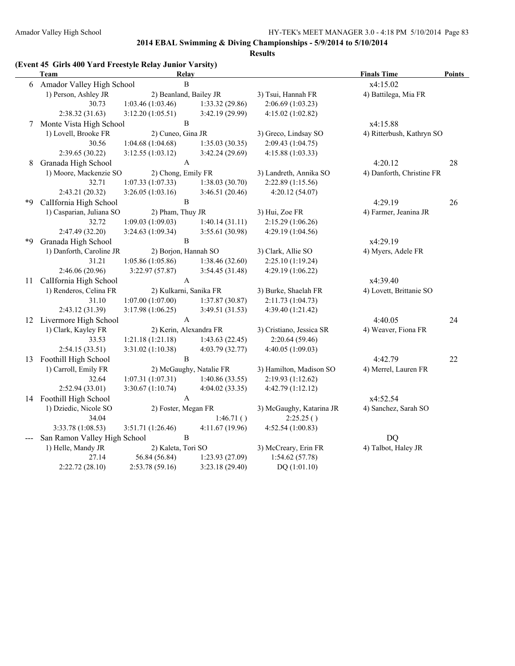| (Event 45 Girls 400 Yard Freestyle Relay Junior Varsity) |  |  |  |
|----------------------------------------------------------|--|--|--|
|                                                          |  |  |  |

|    | <b>Team</b>                  | <b>Relay</b>         |                           |                          | <b>Finals Time</b>        | <b>Points</b> |
|----|------------------------------|----------------------|---------------------------|--------------------------|---------------------------|---------------|
|    | 6 Amador Valley High School  |                      | $\, {\bf B}$              |                          | x4:15.02                  |               |
|    | 1) Person, Ashley JR         |                      | 2) Beanland, Bailey JR    | 3) Tsui, Hannah FR       | 4) Battilega, Mia FR      |               |
|    | 30.73                        | 1:03.46(1:03.46)     | 1:33.32 (29.86)           | 2:06.69 (1:03.23)        |                           |               |
|    | 2:38.32(31.63)               | 3:12.20(1:05.51)     | 3:42.19(29.99)            | 4:15.02(1:02.82)         |                           |               |
| 7  | Monte Vista High School      |                      | $\, {\bf B}$              |                          | x4:15.88                  |               |
|    | 1) Lovell, Brooke FR         | 2) Cuneo, Gina JR    |                           | 3) Greco, Lindsay SO     | 4) Ritterbush, Kathryn SO |               |
|    | 30.56                        | 1:04.68(1:04.68)     | 1:35.03(30.35)            | 2:09.43 (1:04.75)        |                           |               |
|    | 2:39.65 (30.22)              | 3:12.55(1:03.12)     | 3:42.24(29.69)            | 4:15.88 (1:03.33)        |                           |               |
| 8  | Granada High School          |                      | $\boldsymbol{\mathsf{A}}$ |                          | 4:20.12                   | 28            |
|    | 1) Moore, Mackenzie SO       | 2) Chong, Emily FR   |                           | 3) Landreth, Annika SO   | 4) Danforth, Christine FR |               |
|    | 32.71                        | 1:07.33(1:07.33)     | 1:38.03(30.70)            | 2:22.89 (1:15.56)        |                           |               |
|    | 2:43.21 (20.32)              | 3:26.05(1:03.16)     | 3:46.51 (20.46)           | 4:20.12 (54.07)          |                           |               |
| *9 | Callfornia High School       |                      | $\, {\bf B}$              |                          | 4:29.19                   | 26            |
|    | 1) Casparian, Juliana SO     | 2) Pham, Thuy JR     |                           | 3) Hui, Zoe FR           | 4) Farmer, Jeanina JR     |               |
|    | 32.72                        | 1:09.03(1:09.03)     | 1:40.14(31.11)            | 2:15.29 (1:06.26)        |                           |               |
|    | 2:47.49 (32.20)              | 3:24.63 (1:09.34)    | 3:55.61 (30.98)           | 4:29.19 (1:04.56)        |                           |               |
| *Q | Granada High School          |                      | $\, {\bf B}$              |                          | x4:29.19                  |               |
|    | 1) Danforth, Caroline JR     | 2) Borjon, Hannah SO |                           | 3) Clark, Allie SO       | 4) Myers, Adele FR        |               |
|    | 31.21                        | 1:05.86 (1:05.86)    | 1:38.46 (32.60)           | 2:25.10(1:19.24)         |                           |               |
|    | 2:46.06 (20.96)              | 3:22.97(57.87)       | 3:54.45 (31.48)           | 4:29.19 (1:06.22)        |                           |               |
| 11 | CalIfornia High School       |                      | A                         |                          | x4:39.40                  |               |
|    | 1) Renderos, Celina FR       |                      | 2) Kulkarni, Sanika FR    | 3) Burke, Shaelah FR     | 4) Lovett, Brittanie SO   |               |
|    | 31.10                        | 1:07.00(1:07.00)     | 1:37.87(30.87)            | 2:11.73(1:04.73)         |                           |               |
|    | 2:43.12 (31.39)              | 3:17.98 (1:06.25)    | 3:49.51 (31.53)           | 4:39.40 (1:21.42)        |                           |               |
|    | 12 Livermore High School     |                      | $\mathbf{A}$              |                          | 4:40.05                   | 24            |
|    | 1) Clark, Kayley FR          |                      | 2) Kerin, Alexandra FR    | 3) Cristiano, Jessica SR | 4) Weaver, Fiona FR       |               |
|    | 33.53                        | 1:21.18(1:21.18)     | 1:43.63(22.45)            | 2:20.64 (59.46)          |                           |               |
|    | 2:54.15(33.51)               | 3:31.02 (1:10.38)    | 4:03.79 (32.77)           | 4:40.05 (1:09.03)        |                           |               |
| 13 | Foothill High School         |                      | $\, {\bf B}$              |                          | 4:42.79                   | 22            |
|    | 1) Carroll, Emily FR         |                      | 2) McGaughy, Natalie FR   | 3) Hamilton, Madison SO  | 4) Merrel, Lauren FR      |               |
|    | 32.64                        | 1:07.31(1:07.31)     | 1:40.86(33.55)            | 2:19.93 (1:12.62)        |                           |               |
|    | 2:52.94 (33.01)              | 3:30.67(1:10.74)     | 4:04.02(33.35)            | 4:42.79(1:12.12)         |                           |               |
|    | 14 Foothill High School      |                      | $\mathbf{A}$              |                          | x4:52.54                  |               |
|    | 1) Dziedic, Nicole SO        | 2) Foster, Megan FR  |                           | 3) McGaughy, Katarina JR | 4) Sanchez, Sarah SO      |               |
|    | 34.04                        |                      | 1:46.71()                 | 2:25.25()                |                           |               |
|    | 3:33.78 (1:08.53)            | 3:51.71 (1:26.46)    | 4:11.67 (19.96)           | 4:52.54 (1:00.83)        |                           |               |
|    | San Ramon Valley High School |                      | $\, {\bf B}$              |                          | DQ                        |               |
|    | 1) Helle, Mandy JR           | 2) Kaleta, Tori SO   |                           | 3) McCreary, Erin FR     | 4) Talbot, Haley JR       |               |
|    | 27.14                        | 56.84 (56.84)        | 1:23.93(27.09)            | 1:54.62(57.78)           |                           |               |
|    | 2:22.72(28.10)               | 2:53.78 (59.16)      | 3:23.18(29.40)            | DQ (1:01.10)             |                           |               |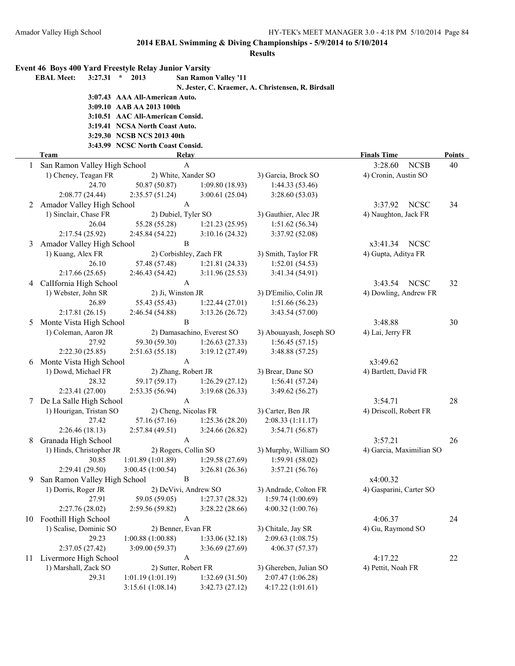|    | Event 46 Boys 400 Yard Freestyle Relay Junior Varsity<br>3:27.31<br><b>EBAL Meet:</b> | $\star$<br>2013                      | <b>San Ramon Valley '11</b>                 |                                                    |                                     |               |
|----|---------------------------------------------------------------------------------------|--------------------------------------|---------------------------------------------|----------------------------------------------------|-------------------------------------|---------------|
|    |                                                                                       |                                      |                                             | N. Jester, C. Kraemer, A. Christensen, R. Birdsall |                                     |               |
|    |                                                                                       | 3:07.43 AAA All-American Auto.       |                                             |                                                    |                                     |               |
|    |                                                                                       | 3:09.10 AAB AA 2013 100th            |                                             |                                                    |                                     |               |
|    |                                                                                       | 3:10.51 AAC All-American Consid.     |                                             |                                                    |                                     |               |
|    |                                                                                       | 3:19.41 NCSA North Coast Auto.       |                                             |                                                    |                                     |               |
|    |                                                                                       | 3:29.30 NCSB NCS 2013 40th           |                                             |                                                    |                                     |               |
|    |                                                                                       | 3:43.99 NCSC North Coast Consid.     |                                             |                                                    |                                     |               |
|    | <b>Team</b>                                                                           |                                      | <b>Relay</b>                                |                                                    | <b>Finals Time</b>                  | <b>Points</b> |
|    | San Ramon Valley High School                                                          |                                      | $\mathbf{A}$                                |                                                    | 3:28.60<br><b>NCSB</b>              | 40            |
|    | 1) Cheney, Teagan FR                                                                  |                                      | 2) White, Xander SO                         | 3) Garcia, Brock SO                                | 4) Cronin, Austin SO                |               |
|    | 24.70                                                                                 | 50.87 (50.87)                        | 1:09.80(18.93)                              | 1:44.33(53.46)                                     |                                     |               |
|    | 2:08.77 (24.44)                                                                       | 2:35.57(51.24)                       | 3:00.61(25.04)                              | 3:28.60(53.03)                                     |                                     |               |
| 2  | Amador Valley High School                                                             |                                      | $\mathbf{A}$                                |                                                    | <b>NCSC</b><br>3:37.92              | 34            |
|    | 1) Sinclair, Chase FR                                                                 | 2) Dubiel, Tyler SO                  |                                             | 3) Gauthier, Alec JR                               | 4) Naughton, Jack FR                |               |
|    | 26.04                                                                                 | 55.28 (55.28)                        | 1:21.23(25.95)                              | 1:51.62(56.34)                                     |                                     |               |
|    | 2:17.54 (25.92)                                                                       | 2:45.84 (54.22)                      | 3:10.16(24.32)                              | 3:37.92 (52.08)                                    |                                     |               |
| 3  | Amador Valley High School                                                             |                                      | $\, {\bf B}$                                |                                                    | <b>NCSC</b><br>x3:41.34             |               |
|    | 1) Kuang, Alex FR                                                                     |                                      | 2) Corbishley, Zach FR                      | 3) Smith, Taylor FR                                | 4) Gupta, Aditya FR                 |               |
|    | 26.10                                                                                 | 57.48 (57.48)                        | 1:21.81(24.33)                              | 1:52.01(54.53)                                     |                                     |               |
|    | 2:17.66(25.65)                                                                        | 2:46.43(54.42)                       | 3:11.96(25.53)                              | 3:41.34 (54.91)                                    |                                     |               |
| 4  | CalIfornia High School                                                                |                                      | A                                           |                                                    | <b>NCSC</b><br>3:43.54              | 32            |
|    | 1) Webster, John SR                                                                   | 2) Ji, Winston JR                    |                                             | 3) D'Emilio, Colin JR                              | 4) Dowling, Andrew FR               |               |
|    | 26.89                                                                                 | 55.43 (55.43)                        | 1:22.44(27.01)                              | 1:51.66(56.23)                                     |                                     |               |
|    | 2:17.81(26.15)                                                                        | 2:46.54 (54.88)                      | 3:13.26(26.72)                              | 3:43.54 (57.00)                                    |                                     |               |
| 5  | Monte Vista High School                                                               |                                      | B                                           |                                                    | 3:48.88                             | 30            |
|    | 1) Coleman, Aaron JR                                                                  |                                      | 2) Damasachino, Everest SO                  | 3) Abouayash, Joseph SO                            | 4) Lai, Jerry FR                    |               |
|    | 27.92                                                                                 | 59.30 (59.30)                        | 1:26.63(27.33)                              | 1:56.45(57.15)                                     |                                     |               |
|    | 2:22.30(25.85)                                                                        | 2:51.63(55.18)                       | 3:19.12(27.49)                              | 3:48.88 (57.25)                                    |                                     |               |
| 6  | Monte Vista High School                                                               |                                      | $\mathbf{A}$                                |                                                    | x3:49.62                            |               |
|    | 1) Dowd, Michael FR                                                                   |                                      | 2) Zhang, Robert JR                         | 3) Brear, Dane SO                                  | 4) Bartlett, David FR               |               |
|    | 28.32                                                                                 | 59.17 (59.17)                        | 1:26.29(27.12)                              | 1:56.41(57.24)                                     |                                     |               |
|    | 2:23.41 (27.00)                                                                       | 2:53.35(56.94)                       | 3:19.68(26.33)<br>$\boldsymbol{\mathsf{A}}$ | 3:49.62 (56.27)                                    |                                     |               |
| 7  | De La Salle High School                                                               |                                      |                                             |                                                    | 3:54.71                             | 28            |
|    | 1) Hourigan, Tristan SO<br>27.42                                                      |                                      | 2) Cheng, Nicolas FR                        | 3) Carter, Ben JR<br>2:08.33(1:11.17)              | 4) Driscoll, Robert FR              |               |
|    | 2:26.46(18.13)                                                                        | 57.16 (57.16)<br>2:57.84(49.51)      | 1:25.36(28.20)                              | 3:54.71 (56.87)                                    |                                     |               |
|    |                                                                                       |                                      | 3:24.66(26.82)                              |                                                    | 3:57.21                             |               |
|    | 8 Granada High School                                                                 |                                      | A                                           |                                                    |                                     | 26            |
|    | 1) Hinds, Christopher JR<br>30.85                                                     |                                      | 2) Rogers, Collin SO                        | 3) Murphy, William SO                              | 4) Garcia, Maximilian SO            |               |
|    | 2:29.41 (29.50)                                                                       | 1:01.89(1:01.89)<br>3:00.45(1:00.54) | 1:29.58(27.69)                              | 1:59.91(58.02)<br>3:57.21 (56.76)                  |                                     |               |
|    |                                                                                       |                                      | 3:26.81(26.36)<br>B                         |                                                    |                                     |               |
| 9  | San Ramon Valley High School                                                          |                                      |                                             | 3) Andrade, Colton FR                              | x4:00.32<br>4) Gasparini, Carter SO |               |
|    | 1) Dorris, Roger JR                                                                   |                                      | 2) DeVivi, Andrew SO                        |                                                    |                                     |               |
|    | 27.91<br>2:27.76 (28.02)                                                              | 59.05 (59.05)                        | 1:27.37(28.32)<br>3:28.22(28.66)            | 1:59.74(1:00.69)<br>4:00.32 (1:00.76)              |                                     |               |
|    | Foothill High School                                                                  | 2:59.56(59.82)                       | A                                           |                                                    |                                     |               |
| 10 | 1) Scalise, Dominic SO                                                                | 2) Benner, Evan FR                   |                                             | 3) Chitale, Jay SR                                 | 4:06.37<br>4) Gu, Raymond SO        | 24            |
|    | 29.23                                                                                 | 1:00.88(1:00.88)                     | 1:33.06(32.18)                              | 2:09.63 (1:08.75)                                  |                                     |               |
|    |                                                                                       |                                      |                                             |                                                    |                                     |               |
|    | 2:37.05 (27.42)                                                                       | 3:09.00(59.37)                       | 3:36.69(27.69)<br>$\mathbf{A}$              | 4:06.37(57.37)                                     |                                     |               |
| 11 | Livermore High School<br>1) Marshall, Zack SO                                         |                                      | 2) Sutter, Robert FR                        | 3) Ghereben, Julian SO                             | 4:17.22<br>4) Pettit, Noah FR       | 22            |
|    | 29.31                                                                                 | 1:01.19(1:01.19)                     | 1:32.69(31.50)                              | 2:07.47 (1:06.28)                                  |                                     |               |
|    |                                                                                       |                                      | 3:42.73(27.12)                              |                                                    |                                     |               |
|    |                                                                                       | 3:15.61(1:08.14)                     |                                             | 4:17.22 (1:01.61)                                  |                                     |               |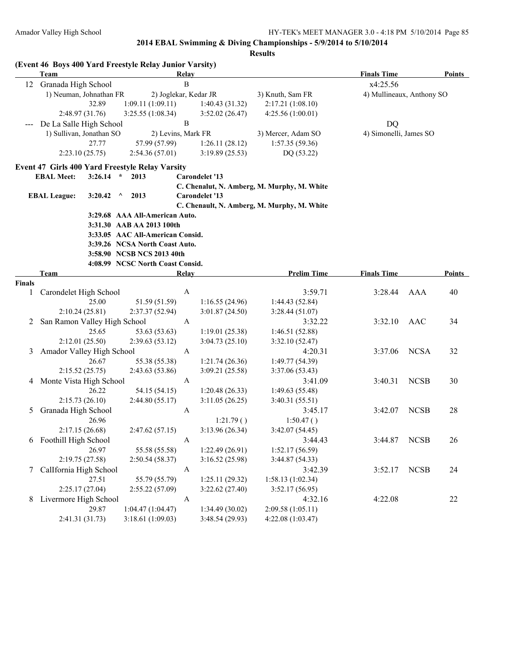|                 | Team                                           |                | (Event 46 Boys 400 Yard Freestyle Relay Junior Varsity) | <b>Relay</b>     |                       |                                             | <b>Finals Time</b>        |             | <b>Points</b> |
|-----------------|------------------------------------------------|----------------|---------------------------------------------------------|------------------|-----------------------|---------------------------------------------|---------------------------|-------------|---------------|
| 12              | Granada High School                            |                |                                                         | $\overline{B}$   |                       |                                             | x4:25.56                  |             |               |
|                 | 1) Neuman, Johnathan FR                        |                | 2) Joglekar, Kedar JR                                   |                  |                       | 3) Knuth, Sam FR                            | 4) Mullineaux, Anthony SO |             |               |
|                 |                                                | 32.89          | 1:09.11(1:09.11)                                        |                  | 1:40.43(31.32)        | 2:17.21(1:08.10)                            |                           |             |               |
|                 | 2:48.97 (31.76)                                |                | 3:25.55(1:08.34)                                        |                  | 3:52.02(26.47)        | 4:25.56 (1:00.01)                           |                           |             |               |
|                 | De La Salle High School                        |                |                                                         | $\, {\bf B}$     |                       |                                             | <b>DQ</b>                 |             |               |
|                 | 1) Sullivan, Jonathan SO                       |                | 2) Levins, Mark FR                                      |                  |                       | 3) Mercer, Adam SO                          | 4) Simonelli, James SO    |             |               |
|                 |                                                | 27.77          | 57.99 (57.99)                                           |                  | 1:26.11(28.12)        | 1:57.35(59.36)                              |                           |             |               |
|                 | 2:23.10(25.75)                                 |                | 2:54.36(57.01)                                          |                  | 3:19.89(25.53)        | DQ (53.22)                                  |                           |             |               |
|                 |                                                |                | Event 47 Girls 400 Yard Freestyle Relay Varsity         |                  |                       |                                             |                           |             |               |
|                 | <b>EBAL Meet:</b>                              | $3:26.14$ *    | 2013                                                    |                  | <b>Carondelet '13</b> |                                             |                           |             |               |
|                 | <b>EBAL League:</b>                            | 3:20.42        | $\wedge$<br>2013                                        |                  | <b>Carondelet '13</b> | C. Chenalut, N. Amberg, M. Murphy, M. White |                           |             |               |
|                 |                                                |                |                                                         |                  |                       | C. Chenault, N. Amberg, M. Murphy, M. White |                           |             |               |
|                 |                                                |                | 3:29.68 AAA All-American Auto.                          |                  |                       |                                             |                           |             |               |
|                 |                                                |                | 3:31.30 AAB AA 2013 100th                               |                  |                       |                                             |                           |             |               |
|                 |                                                |                | 3:33.05 AAC All-American Consid.                        |                  |                       |                                             |                           |             |               |
|                 |                                                |                | 3:39.26 NCSA North Coast Auto.                          |                  |                       |                                             |                           |             |               |
|                 |                                                |                | 3:58.90 NCSB NCS 2013 40th                              |                  |                       |                                             |                           |             |               |
|                 |                                                |                | 4:08.99 NCSC North Coast Consid.                        |                  |                       |                                             |                           |             |               |
|                 | Team                                           |                |                                                         | Relay            |                       | <b>Prelim Time</b>                          | <b>Finals Time</b>        |             | <b>Points</b> |
| <b>Finals</b>   |                                                |                |                                                         |                  |                       |                                             |                           |             |               |
| 1               | Carondelet High School                         |                |                                                         | $\boldsymbol{A}$ |                       | 3:59.71                                     | 3:28.44                   | AAA         | 40            |
|                 |                                                | 25.00          | 51.59 (51.59)                                           |                  | 1:16.55(24.96)        | 1:44.43(52.84)                              |                           |             |               |
|                 | 2:10.24(25.81)<br>San Ramon Valley High School |                | 2:37.37 (52.94)                                         | A                | 3:01.87(24.50)        | 3:28.44(51.07)<br>3:32.22                   | 3:32.10                   | AAC         | 34            |
| 2               |                                                | 25.65          | 53.63 (53.63)                                           |                  | 1:19.01(25.38)        | 1:46.51(52.88)                              |                           |             |               |
|                 | 2:12.01(25.50)                                 |                | 2:39.63(53.12)                                          |                  | 3:04.73(25.10)        | 3:32.10(52.47)                              |                           |             |               |
| 3               | Amador Valley High School                      |                |                                                         | A                |                       | 4:20.31                                     | 3:37.06                   | <b>NCSA</b> | 32            |
|                 |                                                | 26.67          | 55.38 (55.38)                                           |                  | 1:21.74(26.36)        | 1:49.77 (54.39)                             |                           |             |               |
|                 | 2:15.52(25.75)                                 |                | 2:43.63 (53.86)                                         |                  | 3:09.21(25.58)        | 3:37.06 (53.43)                             |                           |             |               |
|                 | 4 Monte Vista High School                      |                |                                                         | A                |                       | 3:41.09                                     | 3:40.31                   | <b>NCSB</b> | 30            |
|                 |                                                | 26.22          | 54.15 (54.15)                                           |                  | 1:20.48(26.33)        | 1:49.63(55.48)                              |                           |             |               |
|                 | 2:15.73(26.10)                                 |                | 2:44.80(55.17)                                          |                  | 3:11.05(26.25)        | 3:40.31(55.51)                              |                           |             |               |
| 5               | Granada High School                            |                |                                                         | A                |                       | 3:45.17                                     | 3:42.07                   | <b>NCSB</b> | 28            |
|                 |                                                | 26.96          |                                                         |                  | 1:21.79()             | 1:50.47()                                   |                           |             |               |
|                 | 2:17.15(26.68)                                 |                | 2:47.62(57.15)                                          |                  | 3:13.96 (26.34)       | 3:42.07(54.45)                              |                           |             |               |
|                 | 6 Foothill High School                         |                |                                                         | A                |                       | 3:44.43                                     | 3:44.87                   | <b>NCSB</b> | 26            |
|                 |                                                | 26.97          | 55.58 (55.58)                                           |                  | 1:22.49(26.91)        | 1:52.17(56.59)                              |                           |             |               |
|                 | 2:19.75 (27.58)                                |                | 2:50.54(58.37)                                          |                  | 3:16.52(25.98)        | 3:44.87(54.33)                              |                           |             |               |
| $7\phantom{.0}$ | CalIfornia High School                         |                |                                                         | A                |                       | 3:42.39                                     | 3:52.17                   | <b>NCSB</b> | 24            |
|                 |                                                | 27.51          | 55.79 (55.79)                                           |                  | 1:25.11(29.32)        | 1:58.13 (1:02.34)                           |                           |             |               |
|                 |                                                | 2:25.17(27.04) | 2:55.22(57.09)                                          |                  | 3:22.62(27.40)        | 3:52.17(56.95)                              |                           |             |               |
|                 | 8 Livermore High School                        |                |                                                         | A                |                       | 4:32.16                                     | 4:22.08                   |             | 22            |
|                 |                                                | 29.87          | 1:04.47(1:04.47)                                        |                  | 1:34.49(30.02)        | 2:09.58(1:05.11)                            |                           |             |               |
|                 | 2:41.31 (31.73)                                |                | 3:18.61(1:09.03)                                        |                  | 3:48.54 (29.93)       | 4:22.08 (1:03.47)                           |                           |             |               |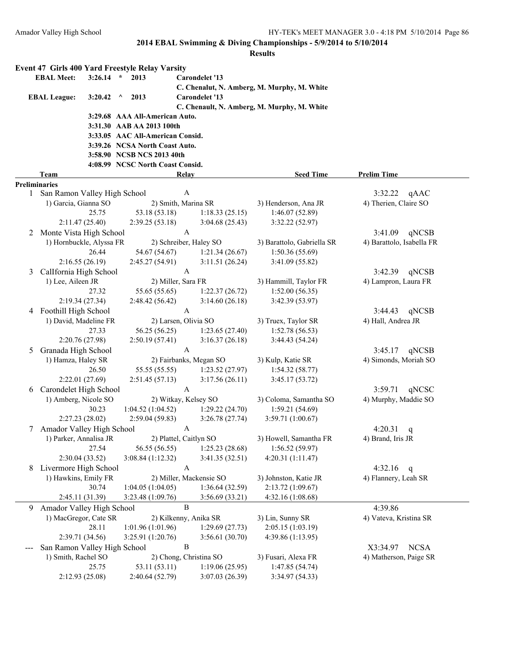|                   |                                                      |         | <b>Event 47 Girls 400 Yard Freestyle Relay Varsity</b> |                  |                         |                                             |                               |
|-------------------|------------------------------------------------------|---------|--------------------------------------------------------|------------------|-------------------------|---------------------------------------------|-------------------------------|
| <b>EBAL Meet:</b> |                                                      | 3:26.14 | $\star$<br>2013                                        |                  | <b>Carondelet '13</b>   |                                             |                               |
|                   |                                                      |         |                                                        |                  |                         |                                             |                               |
|                   | <b>EBAL League:</b>                                  | 3:20.42 | 2013<br>$\wedge$                                       |                  | <b>Carondelet '13</b>   |                                             |                               |
|                   |                                                      |         |                                                        |                  |                         | C. Chenault, N. Amberg, M. Murphy, M. White |                               |
|                   |                                                      |         | 3:29.68 AAA All-American Auto.                         |                  |                         |                                             |                               |
|                   |                                                      |         | 3:31.30 AAB AA 2013 100th                              |                  |                         |                                             |                               |
|                   |                                                      |         | 3:33.05 AAC All-American Consid.                       |                  |                         |                                             |                               |
|                   |                                                      |         | 3:39.26 NCSA North Coast Auto.                         |                  |                         |                                             |                               |
|                   |                                                      |         | 3:58.90 NCSB NCS 2013 40th                             |                  |                         |                                             |                               |
|                   |                                                      |         | 4:08.99 NCSC North Coast Consid.                       |                  |                         |                                             |                               |
|                   | Team                                                 |         |                                                        | <b>Relay</b>     |                         | <b>Seed Time</b>                            | <b>Prelim Time</b>            |
| 1                 | <b>Preliminaries</b><br>San Ramon Valley High School |         |                                                        | A                |                         |                                             | 3:32.22                       |
|                   | 1) Garcia, Gianna SO                                 |         | 2) Smith, Marina SR                                    |                  |                         | 3) Henderson, Ana JR                        | qAAC<br>4) Therien, Claire SO |
|                   |                                                      | 25.75   | 53.18 (53.18)                                          |                  | 1:18.33(25.15)          | 1:46.07(52.89)                              |                               |
|                   | 2:11.47(25.40)                                       |         | 2:39.25(53.18)                                         |                  | 3:04.68(25.43)          | 3:32.22 (52.97)                             |                               |
|                   | 2 Monte Vista High School                            |         |                                                        | $\mathbf{A}$     |                         |                                             | 3:41.09<br>qNCSB              |
|                   | 1) Hornbuckle, Alyssa FR                             |         |                                                        |                  | 2) Schreiber, Haley SO  | 3) Barattolo, Gabriella SR                  | 4) Barattolo, Isabella FR     |
|                   |                                                      | 26.44   | 54.67 (54.67)                                          |                  | 1:21.34(26.67)          | 1:50.36(55.69)                              |                               |
|                   | 2:16.55(26.19)                                       |         | 2:45.27(54.91)                                         |                  | 3:11.51(26.24)          | 3:41.09(55.82)                              |                               |
| 3                 | CalIfornia High School                               |         |                                                        | A                |                         |                                             | 3:42.39<br>qNCSB              |
|                   | 1) Lee, Aileen JR                                    |         | 2) Miller, Sara FR                                     |                  |                         | 3) Hammill, Taylor FR                       | 4) Lampron, Laura FR          |
|                   |                                                      | 27.32   | 55.65 (55.65)                                          |                  | 1:22.37(26.72)          | 1:52.00(56.35)                              |                               |
|                   | 2:19.34(27.34)                                       |         | 2:48.42 (56.42)                                        |                  | 3:14.60(26.18)          | 3:42.39 (53.97)                             |                               |
|                   | 4 Foothill High School                               |         |                                                        | $\mathbf{A}$     |                         |                                             | qNCSB<br>3:44.43              |
|                   | 1) David, Madeline FR                                |         | 2) Larsen, Olivia SO                                   |                  |                         | 3) Truex, Taylor SR                         | 4) Hall, Andrea JR            |
|                   |                                                      | 27.33   | 56.25 (56.25)                                          |                  | 1:23.65(27.40)          | 1:52.78(56.53)                              |                               |
|                   | 2:20.76 (27.98)                                      |         | 2:50.19(57.41)                                         |                  | 3:16.37(26.18)          | 3:44.43 (54.24)                             |                               |
| 5                 | Granada High School                                  |         |                                                        | $\mathbf{A}$     |                         |                                             | 3:45.17<br>qNCSB              |
|                   | 1) Hamza, Haley SR                                   |         |                                                        |                  | 2) Fairbanks, Megan SO  | 3) Kulp, Katie SR                           | 4) Simonds, Moriah SO         |
|                   |                                                      | 26.50   | 55.55 (55.55)                                          |                  | 1:23.52(27.97)          | 1:54.32(58.77)                              |                               |
|                   | 2:22.01 (27.69)                                      |         | 2:51.45(57.13)                                         |                  | 3:17.56(26.11)          | 3:45.17(53.72)                              |                               |
| 6                 | Carondelet High School                               |         |                                                        | $\boldsymbol{A}$ |                         |                                             | 3:59.71<br>qNCSC              |
|                   | 1) Amberg, Nicole SO                                 |         | 2) Witkay, Kelsey SO                                   |                  |                         | 3) Coloma, Samantha SO                      | 4) Murphy, Maddie SO          |
|                   |                                                      | 30.23   | 1:04.52(1:04.52)                                       |                  | 1:29.22(24.70)          | 1:59.21(54.69)                              |                               |
|                   | 2:27.23(28.02)                                       |         | 2:59.04(59.83)                                         |                  | 3:26.78(27.74)          | 3:59.71 (1:00.67)                           |                               |
| 7.                | Amador Valley High School                            |         |                                                        | A                |                         |                                             | 4:20.31<br>q                  |
|                   | 1) Parker, Annalisa JR                               |         | 2) Plattel, Caitlyn SO                                 |                  |                         | 3) Howell, Samantha FR                      | 4) Brand, Iris JR             |
|                   |                                                      | 27.54   | 56.55 (56.55)                                          |                  | 1:25.23(28.68)          | 1:56.52(59.97)                              |                               |
|                   | 2:30.04(33.52)                                       |         | 3:08.84 (1:12.32)                                      |                  | 3:41.35(32.51)          | 4:20.31 (1:11.47)                           |                               |
| 8                 | Livermore High School                                |         |                                                        | $\mathbf{A}$     |                         |                                             | 4:32.16<br>q                  |
|                   | 1) Hawkins, Emily FR                                 |         |                                                        |                  | 2) Miller, Mackensie SO | 3) Johnston, Katie JR                       | 4) Flannery, Leah SR          |
|                   |                                                      | 30.74   | 1:04.05(1:04.05)                                       |                  | 1:36.64(32.59)          | 2:13.72 (1:09.67)                           |                               |
|                   | 2:45.11 (31.39)                                      |         | 3:23.48 (1:09.76)                                      |                  | 3:56.69(33.21)          | 4:32.16 (1:08.68)                           |                               |
| 9.                | Amador Valley High School                            |         |                                                        | B                |                         |                                             | 4:39.86                       |
|                   | 1) MacGregor, Cate SR                                |         | 2) Kilkenny, Anika SR                                  |                  |                         | 3) Lin, Sunny SR                            | 4) Vateva, Kristina SR        |
|                   |                                                      | 28.11   | 1:01.96 (1:01.96)                                      |                  | 1:29.69(27.73)          | 2:05.15 (1:03.19)                           |                               |
|                   | 2:39.71 (34.56)                                      |         | 3:25.91 (1:20.76)                                      |                  | 3:56.61(30.70)          | 4:39.86 (1:13.95)                           |                               |
|                   | San Ramon Valley High School                         |         |                                                        | $\, {\bf B}$     |                         |                                             | X3:34.97<br><b>NCSA</b>       |
|                   | 1) Smith, Rachel SO                                  |         |                                                        |                  | 2) Chong, Christina SO  | 3) Fusari, Alexa FR                         | 4) Matherson, Paige SR        |
|                   |                                                      | 25.75   | 53.11 (53.11)                                          |                  | 1:19.06(25.95)          | 1:47.85(54.74)                              |                               |
|                   | 2:12.93 (25.08)                                      |         | 2:40.64 (52.79)                                        |                  | 3:07.03 (26.39)         | 3:34.97 (54.33)                             |                               |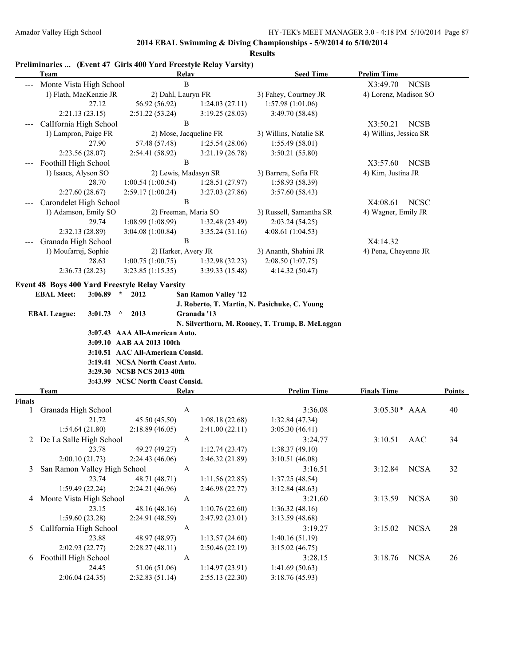| <b>Results</b> |                                                                          |                                                                                                                                                                                                                         |                        |                                                                        |                         |               |  |
|----------------|--------------------------------------------------------------------------|-------------------------------------------------------------------------------------------------------------------------------------------------------------------------------------------------------------------------|------------------------|------------------------------------------------------------------------|-------------------------|---------------|--|
|                | Preliminaries  (Event 47 Girls 400 Yard Freestyle Relay Varsity)<br>Team |                                                                                                                                                                                                                         | <b>Relay</b>           | <b>Seed Time</b>                                                       | <b>Prelim Time</b>      |               |  |
|                | Monte Vista High School                                                  |                                                                                                                                                                                                                         | $\, {\bf B}$           |                                                                        | X3:49.70<br><b>NCSB</b> |               |  |
|                | 1) Flath, MacKenzie JR                                                   | 2) Dahl, Lauryn FR                                                                                                                                                                                                      |                        | 3) Fahey, Courtney JR                                                  | 4) Lorenz, Madison SO   |               |  |
|                | 27.12                                                                    | 56.92 (56.92)                                                                                                                                                                                                           | 1:24.03(27.11)         | 1:57.98 (1:01.06)                                                      |                         |               |  |
|                | 2:21.13(23.15)                                                           | 2:51.22 (53.24)                                                                                                                                                                                                         | 3:19.25(28.03)         | 3:49.70 (58.48)                                                        |                         |               |  |
|                | Callfornia High School                                                   |                                                                                                                                                                                                                         | $\, {\bf B}$           |                                                                        | <b>NCSB</b><br>X3:50.21 |               |  |
|                | 1) Lampron, Paige FR                                                     |                                                                                                                                                                                                                         | 2) Mose, Jacqueline FR | 3) Willins, Natalie SR                                                 | 4) Willins, Jessica SR  |               |  |
|                | 27.90                                                                    | 57.48 (57.48)                                                                                                                                                                                                           | 1:25.54(28.06)         | 1:55.49(58.01)                                                         |                         |               |  |
|                | 2:23.56 (28.07)                                                          | 2:54.41 (58.92)                                                                                                                                                                                                         | 3:21.19(26.78)         | 3:50.21(55.80)                                                         |                         |               |  |
|                | Foothill High School                                                     |                                                                                                                                                                                                                         | $\, {\bf B}$           |                                                                        | X3:57.60<br><b>NCSB</b> |               |  |
|                | 1) Isaacs, Alyson SO                                                     |                                                                                                                                                                                                                         | 2) Lewis, Madasyn SR   | 3) Barrera, Sofia FR                                                   | 4) Kim, Justina JR      |               |  |
|                | 28.70                                                                    | 1:00.54(1:00.54)                                                                                                                                                                                                        | 1:28.51(27.97)         | 1:58.93(58.39)                                                         |                         |               |  |
|                | 2:27.60(28.67)                                                           | 2:59.17 (1:00.24)                                                                                                                                                                                                       | 3:27.03(27.86)         | 3:57.60(58.43)                                                         |                         |               |  |
|                | Carondelet High School                                                   |                                                                                                                                                                                                                         | $\bf{B}$               |                                                                        | X4:08.61<br><b>NCSC</b> |               |  |
|                | 1) Adamson, Emily SO                                                     |                                                                                                                                                                                                                         | 2) Freeman, Maria SO   | 3) Russell, Samantha SR                                                | 4) Wagner, Emily JR     |               |  |
|                | 29.74                                                                    | 1:08.99 (1:08.99)                                                                                                                                                                                                       | 1:32.48(23.49)         | 2:03.24(54.25)                                                         |                         |               |  |
|                | 2:32.13 (28.89)                                                          | 3:04.08 (1:00.84)                                                                                                                                                                                                       | 3:35.24(31.16)         | 4:08.61 (1:04.53)                                                      |                         |               |  |
|                | Granada High School                                                      |                                                                                                                                                                                                                         | $\, {\bf B}$           |                                                                        | X4:14.32                |               |  |
|                | 1) Moufarrej, Sophie                                                     |                                                                                                                                                                                                                         | 2) Harker, Avery JR    | 3) Ananth, Shahini JR                                                  | 4) Pena, Cheyenne JR    |               |  |
|                | 28.63                                                                    | 1:00.75(1:00.75)                                                                                                                                                                                                        | 1:32.98(32.23)         | 2:08.50 (1:07.75)                                                      |                         |               |  |
|                | 2:36.73(28.23)                                                           | 3:23.85(1:15.35)                                                                                                                                                                                                        | 3:39.33(15.48)         | 4:14.32 (50.47)                                                        |                         |               |  |
|                | <b>EBAL League:</b><br>3:01.73<br><b>Team</b>                            | 2013<br>$\wedge$<br>3:07.43 AAA All-American Auto.<br>3:09.10 AAB AA 2013 100th<br>3:10.51 AAC All-American Consid.<br>3:19.41 NCSA North Coast Auto.<br>3:29.30 NCSB NCS 2013 40th<br>3:43.99 NCSC North Coast Consid. | Granada '13<br>Relay   | N. Silverthorn, M. Rooney, T. Trump, B. McLaggan<br><b>Prelim Time</b> | <b>Finals Time</b>      | <b>Points</b> |  |
| Finals         |                                                                          |                                                                                                                                                                                                                         |                        |                                                                        |                         |               |  |
| 1              | Granada High School                                                      |                                                                                                                                                                                                                         | A                      | 3:36.08                                                                | $3:05.30*$ AAA          | 40            |  |
|                | 21.72                                                                    | 45.50 (45.50)                                                                                                                                                                                                           | 1:08.18(22.68)         | 1:32.84(47.34)                                                         |                         |               |  |
|                | 1:54.64 (21.80)                                                          | 2:18.89(46.05)                                                                                                                                                                                                          | 2:41.00(22.11)         | 3:05.30(46.41)                                                         |                         |               |  |
|                | 2 De La Salle High School                                                |                                                                                                                                                                                                                         | A                      | 3:24.77                                                                | 3:10.51<br><b>AAC</b>   | 34            |  |
|                | 23.78                                                                    | 49.27 (49.27)                                                                                                                                                                                                           | 1:12.74(23.47)         | 1:38.37(49.10)                                                         |                         |               |  |
|                | 2:00.10(21.73)                                                           | 2:24.43(46.06)                                                                                                                                                                                                          | 2:46.32(21.89)         | 3:10.51(46.08)                                                         |                         |               |  |
| 3              | San Ramon Valley High School                                             |                                                                                                                                                                                                                         | A                      | 3:16.51                                                                | <b>NCSA</b><br>3:12.84  | 32            |  |
|                | 23.74                                                                    | 48.71 (48.71)                                                                                                                                                                                                           | 1:11.56(22.85)         | 1:37.25(48.54)                                                         |                         |               |  |
|                | 1:59.49(22.24)                                                           | 2:24.21 (46.96)                                                                                                                                                                                                         | 2:46.98 (22.77)        | 3:12.84(48.63)                                                         |                         |               |  |
| 4              | Monte Vista High School                                                  |                                                                                                                                                                                                                         | A                      | 3:21.60                                                                | <b>NCSA</b><br>3:13.59  | 30            |  |
|                | 23.15                                                                    | 48.16 (48.16)                                                                                                                                                                                                           | 1:10.76(22.60)         | 1:36.32(48.16)                                                         |                         |               |  |
|                | 1:59.60(23.28)                                                           | 2:24.91 (48.59)                                                                                                                                                                                                         | 2:47.92(23.01)         | 3:13.59(48.68)                                                         |                         |               |  |
| 5              | Callfornia High School                                                   |                                                                                                                                                                                                                         | A                      | 3:19.27                                                                | 3:15.02<br><b>NCSA</b>  | 28            |  |
|                | 23.88                                                                    | 48.97 (48.97)                                                                                                                                                                                                           | 1:13.57(24.60)         | 1:40.16(51.19)                                                         |                         |               |  |
|                | 2:02.93(22.77)                                                           | 2:28.27(48.11)                                                                                                                                                                                                          | 2:50.46(22.19)         | 3:15.02(46.75)                                                         |                         |               |  |
| 6              | Foothill High School                                                     |                                                                                                                                                                                                                         | A                      | 3:28.15                                                                | 3:18.76<br><b>NCSA</b>  | 26            |  |
|                | 24.45                                                                    | 51.06 (51.06)                                                                                                                                                                                                           | 1:14.97(23.91)         | 1:41.69(50.63)                                                         |                         |               |  |
|                | 2:06.04(24.35)                                                           | 2:32.83(51.14)                                                                                                                                                                                                          | 2:55.13(22.30)         | 3:18.76 (45.93)                                                        |                         |               |  |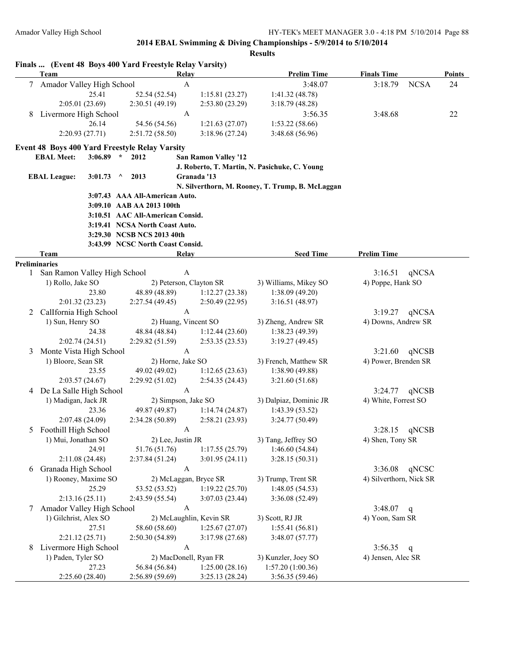| Finals  (Event 48 Boys 400 Yard Freestyle Relay Varsity)<br>Relay<br><b>Prelim Time</b><br><b>Finals Time</b><br><b>Team</b><br>$\mathbf A$<br>Amador Valley High School<br>3:48.07<br><b>NCSA</b><br>3:18.79<br>$7\phantom{.0}$<br>25.41<br>52.54 (52.54)<br>1:15.81(23.27)<br>1:41.32(48.78)<br>2:05.01 (23.69)<br>2:30.51 (49.19)<br>2:53.80 (23.29)<br>3:18.79(48.28)<br>Livermore High School<br>A<br>3:56.35<br>3:48.68<br>8<br>26.14<br>54.56 (54.56)<br>1:53.22(58.66)<br>1:21.63(27.07)<br>2:20.93(27.71)<br>2:51.72(58.50)<br>3:18.96(27.24)<br>3:48.68 (56.96)<br><b>Event 48 Boys 400 Yard Freestyle Relay Varsity</b><br><b>EBAL Meet:</b><br>3:06.89<br>$\star$<br>2012<br><b>San Ramon Valley '12</b><br>J. Roberto, T. Martin, N. Pasichuke, C. Young<br>2013<br>Granada '13<br><b>EBAL League:</b><br>3:01.73<br>$\wedge$<br>N. Silverthorn, M. Rooney, T. Trump, B. McLaggan<br>3:07.43 AAA All-American Auto.<br>3:09.10 AAB AA 2013 100th<br>3:10.51 AAC All-American Consid.<br>3:19.41 NCSA North Coast Auto.<br>3:29.30 NCSB NCS 2013 40th<br>3:43.99 NCSC North Coast Consid.<br><b>Seed Time</b><br><b>Prelim Time</b><br>Team<br>Relay<br><b>Preliminaries</b><br>San Ramon Valley High School<br>A<br>3:16.51<br>qNCSA<br>1<br>2) Peterson, Clayton SR<br>1) Rollo, Jake SO<br>4) Poppe, Hank SO<br>3) Williams, Mikey SO<br>23.80<br>48.89 (48.89)<br>1:38.09(49.20)<br>1:12.27(23.38)<br>2:01.32(23.23)<br>2:27.54 (49.45)<br>2:50.49(22.95)<br>3:16.51(48.97)<br>CalIfornia High School<br>$\mathbf{A}$<br>3:19.27<br>qNCSA<br>2<br>2) Huang, Vincent SO<br>4) Downs, Andrew SR<br>1) Sun, Henry SO<br>3) Zheng, Andrew SR<br>1:38.23 (49.39)<br>24.38<br>48.84 (48.84)<br>1:12.44(23.60)<br>2:02.74(24.51)<br>2:29.82 (51.59)<br>3:19.27(49.45)<br>2:53.35(23.53)<br>$\mathbf{A}$<br>Monte Vista High School<br>3:21.60<br>qNCSB<br>3<br>1) Bloore, Sean SR<br>2) Horne, Jake SO<br>3) French, Matthew SR<br>4) Power, Brenden SR<br>1:12.65(23.63)<br>23.55<br>49.02 (49.02)<br>1:38.90 (49.88)<br>2:03.57(24.67)<br>2:29.92(51.02)<br>3:21.60(51.68)<br>2:54.35(24.43)<br>De La Salle High School<br>A<br>3:24.77<br>qNCSB<br>4<br>1) Madigan, Jack JR<br>2) Simpson, Jake SO<br>3) Dalpiaz, Dominic JR<br>4) White, Forrest SO<br>23.36<br>49.87 (49.87)<br>1:43.39(53.52)<br>1:14.74(24.87)<br>2:07.48 (24.09)<br>3:24.77(50.49)<br>2:34.28(50.89)<br>2:58.21(23.93)<br>Foothill High School<br>qNCSB<br>3:28.15<br>5<br>A<br>3) Tang, Jeffrey SO<br>1) Mui, Jonathan SO<br>2) Lee, Justin JR<br>4) Shen, Tony SR<br>51.76 (51.76)<br>1:46.60(54.84)<br>24.91<br>1:17.55(25.79)<br>2:11.08 (24.48)<br>3:28.15(50.31)<br>2:37.84 (51.24)<br>3:01.95(24.11)<br>Granada High School<br>A<br>3:36.08<br>qNCSC<br>6<br>1) Rooney, Maxime SO<br>4) Silverthorn, Nick SR<br>2) McLaggan, Bryce SR<br>3) Trump, Trent SR<br>25.29<br>1:48.05(54.53)<br>53.52 (53.52)<br>1:19.22(25.70)<br>2:13.16(25.11)<br>2:43.59 (55.54)<br>3:07.03(23.44)<br>3:36.08 (52.49)<br>Amador Valley High School<br>$\mathbf{A}$<br>3:48.07<br>7<br>q<br>1) Gilchrist, Alex SO<br>2) McLaughlin, Kevin SR<br>3) Scott, RJ JR<br>4) Yoon, Sam SR<br>27.51<br>58.60 (58.60)<br>1:25.67(27.07)<br>1:55.41(56.81)<br>2:21.12(25.71)<br>2:50.30(54.89)<br>3:48.07(57.77)<br>3:17.98(27.68) |  |  |              |  |         |              |        |
|-----------------------------------------------------------------------------------------------------------------------------------------------------------------------------------------------------------------------------------------------------------------------------------------------------------------------------------------------------------------------------------------------------------------------------------------------------------------------------------------------------------------------------------------------------------------------------------------------------------------------------------------------------------------------------------------------------------------------------------------------------------------------------------------------------------------------------------------------------------------------------------------------------------------------------------------------------------------------------------------------------------------------------------------------------------------------------------------------------------------------------------------------------------------------------------------------------------------------------------------------------------------------------------------------------------------------------------------------------------------------------------------------------------------------------------------------------------------------------------------------------------------------------------------------------------------------------------------------------------------------------------------------------------------------------------------------------------------------------------------------------------------------------------------------------------------------------------------------------------------------------------------------------------------------------------------------------------------------------------------------------------------------------------------------------------------------------------------------------------------------------------------------------------------------------------------------------------------------------------------------------------------------------------------------------------------------------------------------------------------------------------------------------------------------------------------------------------------------------------------------------------------------------------------------------------------------------------------------------------------------------------------------------------------------------------------------------------------------------------------------------------------------------------------------------------------------------------------------------------------------------------------------------------------------------------------------------------------------------------------------------------------------------------------------------------------------------------------------------------------------------------------------------------------------------------------------------------------------------------------------------------------------------------------------|--|--|--------------|--|---------|--------------|--------|
|                                                                                                                                                                                                                                                                                                                                                                                                                                                                                                                                                                                                                                                                                                                                                                                                                                                                                                                                                                                                                                                                                                                                                                                                                                                                                                                                                                                                                                                                                                                                                                                                                                                                                                                                                                                                                                                                                                                                                                                                                                                                                                                                                                                                                                                                                                                                                                                                                                                                                                                                                                                                                                                                                                                                                                                                                                                                                                                                                                                                                                                                                                                                                                                                                                                                                               |  |  |              |  |         |              | Points |
|                                                                                                                                                                                                                                                                                                                                                                                                                                                                                                                                                                                                                                                                                                                                                                                                                                                                                                                                                                                                                                                                                                                                                                                                                                                                                                                                                                                                                                                                                                                                                                                                                                                                                                                                                                                                                                                                                                                                                                                                                                                                                                                                                                                                                                                                                                                                                                                                                                                                                                                                                                                                                                                                                                                                                                                                                                                                                                                                                                                                                                                                                                                                                                                                                                                                                               |  |  |              |  |         |              | 24     |
|                                                                                                                                                                                                                                                                                                                                                                                                                                                                                                                                                                                                                                                                                                                                                                                                                                                                                                                                                                                                                                                                                                                                                                                                                                                                                                                                                                                                                                                                                                                                                                                                                                                                                                                                                                                                                                                                                                                                                                                                                                                                                                                                                                                                                                                                                                                                                                                                                                                                                                                                                                                                                                                                                                                                                                                                                                                                                                                                                                                                                                                                                                                                                                                                                                                                                               |  |  |              |  |         |              |        |
|                                                                                                                                                                                                                                                                                                                                                                                                                                                                                                                                                                                                                                                                                                                                                                                                                                                                                                                                                                                                                                                                                                                                                                                                                                                                                                                                                                                                                                                                                                                                                                                                                                                                                                                                                                                                                                                                                                                                                                                                                                                                                                                                                                                                                                                                                                                                                                                                                                                                                                                                                                                                                                                                                                                                                                                                                                                                                                                                                                                                                                                                                                                                                                                                                                                                                               |  |  |              |  |         |              |        |
|                                                                                                                                                                                                                                                                                                                                                                                                                                                                                                                                                                                                                                                                                                                                                                                                                                                                                                                                                                                                                                                                                                                                                                                                                                                                                                                                                                                                                                                                                                                                                                                                                                                                                                                                                                                                                                                                                                                                                                                                                                                                                                                                                                                                                                                                                                                                                                                                                                                                                                                                                                                                                                                                                                                                                                                                                                                                                                                                                                                                                                                                                                                                                                                                                                                                                               |  |  |              |  |         |              | 22     |
|                                                                                                                                                                                                                                                                                                                                                                                                                                                                                                                                                                                                                                                                                                                                                                                                                                                                                                                                                                                                                                                                                                                                                                                                                                                                                                                                                                                                                                                                                                                                                                                                                                                                                                                                                                                                                                                                                                                                                                                                                                                                                                                                                                                                                                                                                                                                                                                                                                                                                                                                                                                                                                                                                                                                                                                                                                                                                                                                                                                                                                                                                                                                                                                                                                                                                               |  |  |              |  |         |              |        |
|                                                                                                                                                                                                                                                                                                                                                                                                                                                                                                                                                                                                                                                                                                                                                                                                                                                                                                                                                                                                                                                                                                                                                                                                                                                                                                                                                                                                                                                                                                                                                                                                                                                                                                                                                                                                                                                                                                                                                                                                                                                                                                                                                                                                                                                                                                                                                                                                                                                                                                                                                                                                                                                                                                                                                                                                                                                                                                                                                                                                                                                                                                                                                                                                                                                                                               |  |  |              |  |         |              |        |
|                                                                                                                                                                                                                                                                                                                                                                                                                                                                                                                                                                                                                                                                                                                                                                                                                                                                                                                                                                                                                                                                                                                                                                                                                                                                                                                                                                                                                                                                                                                                                                                                                                                                                                                                                                                                                                                                                                                                                                                                                                                                                                                                                                                                                                                                                                                                                                                                                                                                                                                                                                                                                                                                                                                                                                                                                                                                                                                                                                                                                                                                                                                                                                                                                                                                                               |  |  |              |  |         |              |        |
|                                                                                                                                                                                                                                                                                                                                                                                                                                                                                                                                                                                                                                                                                                                                                                                                                                                                                                                                                                                                                                                                                                                                                                                                                                                                                                                                                                                                                                                                                                                                                                                                                                                                                                                                                                                                                                                                                                                                                                                                                                                                                                                                                                                                                                                                                                                                                                                                                                                                                                                                                                                                                                                                                                                                                                                                                                                                                                                                                                                                                                                                                                                                                                                                                                                                                               |  |  |              |  |         |              |        |
|                                                                                                                                                                                                                                                                                                                                                                                                                                                                                                                                                                                                                                                                                                                                                                                                                                                                                                                                                                                                                                                                                                                                                                                                                                                                                                                                                                                                                                                                                                                                                                                                                                                                                                                                                                                                                                                                                                                                                                                                                                                                                                                                                                                                                                                                                                                                                                                                                                                                                                                                                                                                                                                                                                                                                                                                                                                                                                                                                                                                                                                                                                                                                                                                                                                                                               |  |  |              |  |         |              |        |
|                                                                                                                                                                                                                                                                                                                                                                                                                                                                                                                                                                                                                                                                                                                                                                                                                                                                                                                                                                                                                                                                                                                                                                                                                                                                                                                                                                                                                                                                                                                                                                                                                                                                                                                                                                                                                                                                                                                                                                                                                                                                                                                                                                                                                                                                                                                                                                                                                                                                                                                                                                                                                                                                                                                                                                                                                                                                                                                                                                                                                                                                                                                                                                                                                                                                                               |  |  |              |  |         |              |        |
|                                                                                                                                                                                                                                                                                                                                                                                                                                                                                                                                                                                                                                                                                                                                                                                                                                                                                                                                                                                                                                                                                                                                                                                                                                                                                                                                                                                                                                                                                                                                                                                                                                                                                                                                                                                                                                                                                                                                                                                                                                                                                                                                                                                                                                                                                                                                                                                                                                                                                                                                                                                                                                                                                                                                                                                                                                                                                                                                                                                                                                                                                                                                                                                                                                                                                               |  |  |              |  |         |              |        |
|                                                                                                                                                                                                                                                                                                                                                                                                                                                                                                                                                                                                                                                                                                                                                                                                                                                                                                                                                                                                                                                                                                                                                                                                                                                                                                                                                                                                                                                                                                                                                                                                                                                                                                                                                                                                                                                                                                                                                                                                                                                                                                                                                                                                                                                                                                                                                                                                                                                                                                                                                                                                                                                                                                                                                                                                                                                                                                                                                                                                                                                                                                                                                                                                                                                                                               |  |  |              |  |         |              |        |
|                                                                                                                                                                                                                                                                                                                                                                                                                                                                                                                                                                                                                                                                                                                                                                                                                                                                                                                                                                                                                                                                                                                                                                                                                                                                                                                                                                                                                                                                                                                                                                                                                                                                                                                                                                                                                                                                                                                                                                                                                                                                                                                                                                                                                                                                                                                                                                                                                                                                                                                                                                                                                                                                                                                                                                                                                                                                                                                                                                                                                                                                                                                                                                                                                                                                                               |  |  |              |  |         |              |        |
|                                                                                                                                                                                                                                                                                                                                                                                                                                                                                                                                                                                                                                                                                                                                                                                                                                                                                                                                                                                                                                                                                                                                                                                                                                                                                                                                                                                                                                                                                                                                                                                                                                                                                                                                                                                                                                                                                                                                                                                                                                                                                                                                                                                                                                                                                                                                                                                                                                                                                                                                                                                                                                                                                                                                                                                                                                                                                                                                                                                                                                                                                                                                                                                                                                                                                               |  |  |              |  |         |              |        |
|                                                                                                                                                                                                                                                                                                                                                                                                                                                                                                                                                                                                                                                                                                                                                                                                                                                                                                                                                                                                                                                                                                                                                                                                                                                                                                                                                                                                                                                                                                                                                                                                                                                                                                                                                                                                                                                                                                                                                                                                                                                                                                                                                                                                                                                                                                                                                                                                                                                                                                                                                                                                                                                                                                                                                                                                                                                                                                                                                                                                                                                                                                                                                                                                                                                                                               |  |  |              |  |         |              |        |
|                                                                                                                                                                                                                                                                                                                                                                                                                                                                                                                                                                                                                                                                                                                                                                                                                                                                                                                                                                                                                                                                                                                                                                                                                                                                                                                                                                                                                                                                                                                                                                                                                                                                                                                                                                                                                                                                                                                                                                                                                                                                                                                                                                                                                                                                                                                                                                                                                                                                                                                                                                                                                                                                                                                                                                                                                                                                                                                                                                                                                                                                                                                                                                                                                                                                                               |  |  |              |  |         |              |        |
|                                                                                                                                                                                                                                                                                                                                                                                                                                                                                                                                                                                                                                                                                                                                                                                                                                                                                                                                                                                                                                                                                                                                                                                                                                                                                                                                                                                                                                                                                                                                                                                                                                                                                                                                                                                                                                                                                                                                                                                                                                                                                                                                                                                                                                                                                                                                                                                                                                                                                                                                                                                                                                                                                                                                                                                                                                                                                                                                                                                                                                                                                                                                                                                                                                                                                               |  |  |              |  |         |              |        |
|                                                                                                                                                                                                                                                                                                                                                                                                                                                                                                                                                                                                                                                                                                                                                                                                                                                                                                                                                                                                                                                                                                                                                                                                                                                                                                                                                                                                                                                                                                                                                                                                                                                                                                                                                                                                                                                                                                                                                                                                                                                                                                                                                                                                                                                                                                                                                                                                                                                                                                                                                                                                                                                                                                                                                                                                                                                                                                                                                                                                                                                                                                                                                                                                                                                                                               |  |  |              |  |         |              |        |
|                                                                                                                                                                                                                                                                                                                                                                                                                                                                                                                                                                                                                                                                                                                                                                                                                                                                                                                                                                                                                                                                                                                                                                                                                                                                                                                                                                                                                                                                                                                                                                                                                                                                                                                                                                                                                                                                                                                                                                                                                                                                                                                                                                                                                                                                                                                                                                                                                                                                                                                                                                                                                                                                                                                                                                                                                                                                                                                                                                                                                                                                                                                                                                                                                                                                                               |  |  |              |  |         |              |        |
|                                                                                                                                                                                                                                                                                                                                                                                                                                                                                                                                                                                                                                                                                                                                                                                                                                                                                                                                                                                                                                                                                                                                                                                                                                                                                                                                                                                                                                                                                                                                                                                                                                                                                                                                                                                                                                                                                                                                                                                                                                                                                                                                                                                                                                                                                                                                                                                                                                                                                                                                                                                                                                                                                                                                                                                                                                                                                                                                                                                                                                                                                                                                                                                                                                                                                               |  |  |              |  |         |              |        |
|                                                                                                                                                                                                                                                                                                                                                                                                                                                                                                                                                                                                                                                                                                                                                                                                                                                                                                                                                                                                                                                                                                                                                                                                                                                                                                                                                                                                                                                                                                                                                                                                                                                                                                                                                                                                                                                                                                                                                                                                                                                                                                                                                                                                                                                                                                                                                                                                                                                                                                                                                                                                                                                                                                                                                                                                                                                                                                                                                                                                                                                                                                                                                                                                                                                                                               |  |  |              |  |         |              |        |
|                                                                                                                                                                                                                                                                                                                                                                                                                                                                                                                                                                                                                                                                                                                                                                                                                                                                                                                                                                                                                                                                                                                                                                                                                                                                                                                                                                                                                                                                                                                                                                                                                                                                                                                                                                                                                                                                                                                                                                                                                                                                                                                                                                                                                                                                                                                                                                                                                                                                                                                                                                                                                                                                                                                                                                                                                                                                                                                                                                                                                                                                                                                                                                                                                                                                                               |  |  |              |  |         |              |        |
|                                                                                                                                                                                                                                                                                                                                                                                                                                                                                                                                                                                                                                                                                                                                                                                                                                                                                                                                                                                                                                                                                                                                                                                                                                                                                                                                                                                                                                                                                                                                                                                                                                                                                                                                                                                                                                                                                                                                                                                                                                                                                                                                                                                                                                                                                                                                                                                                                                                                                                                                                                                                                                                                                                                                                                                                                                                                                                                                                                                                                                                                                                                                                                                                                                                                                               |  |  |              |  |         |              |        |
|                                                                                                                                                                                                                                                                                                                                                                                                                                                                                                                                                                                                                                                                                                                                                                                                                                                                                                                                                                                                                                                                                                                                                                                                                                                                                                                                                                                                                                                                                                                                                                                                                                                                                                                                                                                                                                                                                                                                                                                                                                                                                                                                                                                                                                                                                                                                                                                                                                                                                                                                                                                                                                                                                                                                                                                                                                                                                                                                                                                                                                                                                                                                                                                                                                                                                               |  |  |              |  |         |              |        |
|                                                                                                                                                                                                                                                                                                                                                                                                                                                                                                                                                                                                                                                                                                                                                                                                                                                                                                                                                                                                                                                                                                                                                                                                                                                                                                                                                                                                                                                                                                                                                                                                                                                                                                                                                                                                                                                                                                                                                                                                                                                                                                                                                                                                                                                                                                                                                                                                                                                                                                                                                                                                                                                                                                                                                                                                                                                                                                                                                                                                                                                                                                                                                                                                                                                                                               |  |  |              |  |         |              |        |
|                                                                                                                                                                                                                                                                                                                                                                                                                                                                                                                                                                                                                                                                                                                                                                                                                                                                                                                                                                                                                                                                                                                                                                                                                                                                                                                                                                                                                                                                                                                                                                                                                                                                                                                                                                                                                                                                                                                                                                                                                                                                                                                                                                                                                                                                                                                                                                                                                                                                                                                                                                                                                                                                                                                                                                                                                                                                                                                                                                                                                                                                                                                                                                                                                                                                                               |  |  |              |  |         |              |        |
|                                                                                                                                                                                                                                                                                                                                                                                                                                                                                                                                                                                                                                                                                                                                                                                                                                                                                                                                                                                                                                                                                                                                                                                                                                                                                                                                                                                                                                                                                                                                                                                                                                                                                                                                                                                                                                                                                                                                                                                                                                                                                                                                                                                                                                                                                                                                                                                                                                                                                                                                                                                                                                                                                                                                                                                                                                                                                                                                                                                                                                                                                                                                                                                                                                                                                               |  |  |              |  |         |              |        |
|                                                                                                                                                                                                                                                                                                                                                                                                                                                                                                                                                                                                                                                                                                                                                                                                                                                                                                                                                                                                                                                                                                                                                                                                                                                                                                                                                                                                                                                                                                                                                                                                                                                                                                                                                                                                                                                                                                                                                                                                                                                                                                                                                                                                                                                                                                                                                                                                                                                                                                                                                                                                                                                                                                                                                                                                                                                                                                                                                                                                                                                                                                                                                                                                                                                                                               |  |  |              |  |         |              |        |
|                                                                                                                                                                                                                                                                                                                                                                                                                                                                                                                                                                                                                                                                                                                                                                                                                                                                                                                                                                                                                                                                                                                                                                                                                                                                                                                                                                                                                                                                                                                                                                                                                                                                                                                                                                                                                                                                                                                                                                                                                                                                                                                                                                                                                                                                                                                                                                                                                                                                                                                                                                                                                                                                                                                                                                                                                                                                                                                                                                                                                                                                                                                                                                                                                                                                                               |  |  |              |  |         |              |        |
|                                                                                                                                                                                                                                                                                                                                                                                                                                                                                                                                                                                                                                                                                                                                                                                                                                                                                                                                                                                                                                                                                                                                                                                                                                                                                                                                                                                                                                                                                                                                                                                                                                                                                                                                                                                                                                                                                                                                                                                                                                                                                                                                                                                                                                                                                                                                                                                                                                                                                                                                                                                                                                                                                                                                                                                                                                                                                                                                                                                                                                                                                                                                                                                                                                                                                               |  |  |              |  |         |              |        |
|                                                                                                                                                                                                                                                                                                                                                                                                                                                                                                                                                                                                                                                                                                                                                                                                                                                                                                                                                                                                                                                                                                                                                                                                                                                                                                                                                                                                                                                                                                                                                                                                                                                                                                                                                                                                                                                                                                                                                                                                                                                                                                                                                                                                                                                                                                                                                                                                                                                                                                                                                                                                                                                                                                                                                                                                                                                                                                                                                                                                                                                                                                                                                                                                                                                                                               |  |  |              |  |         |              |        |
|                                                                                                                                                                                                                                                                                                                                                                                                                                                                                                                                                                                                                                                                                                                                                                                                                                                                                                                                                                                                                                                                                                                                                                                                                                                                                                                                                                                                                                                                                                                                                                                                                                                                                                                                                                                                                                                                                                                                                                                                                                                                                                                                                                                                                                                                                                                                                                                                                                                                                                                                                                                                                                                                                                                                                                                                                                                                                                                                                                                                                                                                                                                                                                                                                                                                                               |  |  |              |  |         |              |        |
|                                                                                                                                                                                                                                                                                                                                                                                                                                                                                                                                                                                                                                                                                                                                                                                                                                                                                                                                                                                                                                                                                                                                                                                                                                                                                                                                                                                                                                                                                                                                                                                                                                                                                                                                                                                                                                                                                                                                                                                                                                                                                                                                                                                                                                                                                                                                                                                                                                                                                                                                                                                                                                                                                                                                                                                                                                                                                                                                                                                                                                                                                                                                                                                                                                                                                               |  |  |              |  |         |              |        |
|                                                                                                                                                                                                                                                                                                                                                                                                                                                                                                                                                                                                                                                                                                                                                                                                                                                                                                                                                                                                                                                                                                                                                                                                                                                                                                                                                                                                                                                                                                                                                                                                                                                                                                                                                                                                                                                                                                                                                                                                                                                                                                                                                                                                                                                                                                                                                                                                                                                                                                                                                                                                                                                                                                                                                                                                                                                                                                                                                                                                                                                                                                                                                                                                                                                                                               |  |  |              |  |         |              |        |
|                                                                                                                                                                                                                                                                                                                                                                                                                                                                                                                                                                                                                                                                                                                                                                                                                                                                                                                                                                                                                                                                                                                                                                                                                                                                                                                                                                                                                                                                                                                                                                                                                                                                                                                                                                                                                                                                                                                                                                                                                                                                                                                                                                                                                                                                                                                                                                                                                                                                                                                                                                                                                                                                                                                                                                                                                                                                                                                                                                                                                                                                                                                                                                                                                                                                                               |  |  |              |  |         |              |        |
|                                                                                                                                                                                                                                                                                                                                                                                                                                                                                                                                                                                                                                                                                                                                                                                                                                                                                                                                                                                                                                                                                                                                                                                                                                                                                                                                                                                                                                                                                                                                                                                                                                                                                                                                                                                                                                                                                                                                                                                                                                                                                                                                                                                                                                                                                                                                                                                                                                                                                                                                                                                                                                                                                                                                                                                                                                                                                                                                                                                                                                                                                                                                                                                                                                                                                               |  |  |              |  |         |              |        |
|                                                                                                                                                                                                                                                                                                                                                                                                                                                                                                                                                                                                                                                                                                                                                                                                                                                                                                                                                                                                                                                                                                                                                                                                                                                                                                                                                                                                                                                                                                                                                                                                                                                                                                                                                                                                                                                                                                                                                                                                                                                                                                                                                                                                                                                                                                                                                                                                                                                                                                                                                                                                                                                                                                                                                                                                                                                                                                                                                                                                                                                                                                                                                                                                                                                                                               |  |  |              |  |         |              |        |
|                                                                                                                                                                                                                                                                                                                                                                                                                                                                                                                                                                                                                                                                                                                                                                                                                                                                                                                                                                                                                                                                                                                                                                                                                                                                                                                                                                                                                                                                                                                                                                                                                                                                                                                                                                                                                                                                                                                                                                                                                                                                                                                                                                                                                                                                                                                                                                                                                                                                                                                                                                                                                                                                                                                                                                                                                                                                                                                                                                                                                                                                                                                                                                                                                                                                                               |  |  |              |  |         |              |        |
|                                                                                                                                                                                                                                                                                                                                                                                                                                                                                                                                                                                                                                                                                                                                                                                                                                                                                                                                                                                                                                                                                                                                                                                                                                                                                                                                                                                                                                                                                                                                                                                                                                                                                                                                                                                                                                                                                                                                                                                                                                                                                                                                                                                                                                                                                                                                                                                                                                                                                                                                                                                                                                                                                                                                                                                                                                                                                                                                                                                                                                                                                                                                                                                                                                                                                               |  |  |              |  |         |              |        |
|                                                                                                                                                                                                                                                                                                                                                                                                                                                                                                                                                                                                                                                                                                                                                                                                                                                                                                                                                                                                                                                                                                                                                                                                                                                                                                                                                                                                                                                                                                                                                                                                                                                                                                                                                                                                                                                                                                                                                                                                                                                                                                                                                                                                                                                                                                                                                                                                                                                                                                                                                                                                                                                                                                                                                                                                                                                                                                                                                                                                                                                                                                                                                                                                                                                                                               |  |  |              |  |         |              |        |
|                                                                                                                                                                                                                                                                                                                                                                                                                                                                                                                                                                                                                                                                                                                                                                                                                                                                                                                                                                                                                                                                                                                                                                                                                                                                                                                                                                                                                                                                                                                                                                                                                                                                                                                                                                                                                                                                                                                                                                                                                                                                                                                                                                                                                                                                                                                                                                                                                                                                                                                                                                                                                                                                                                                                                                                                                                                                                                                                                                                                                                                                                                                                                                                                                                                                                               |  |  |              |  |         |              |        |
|                                                                                                                                                                                                                                                                                                                                                                                                                                                                                                                                                                                                                                                                                                                                                                                                                                                                                                                                                                                                                                                                                                                                                                                                                                                                                                                                                                                                                                                                                                                                                                                                                                                                                                                                                                                                                                                                                                                                                                                                                                                                                                                                                                                                                                                                                                                                                                                                                                                                                                                                                                                                                                                                                                                                                                                                                                                                                                                                                                                                                                                                                                                                                                                                                                                                                               |  |  |              |  |         |              |        |
|                                                                                                                                                                                                                                                                                                                                                                                                                                                                                                                                                                                                                                                                                                                                                                                                                                                                                                                                                                                                                                                                                                                                                                                                                                                                                                                                                                                                                                                                                                                                                                                                                                                                                                                                                                                                                                                                                                                                                                                                                                                                                                                                                                                                                                                                                                                                                                                                                                                                                                                                                                                                                                                                                                                                                                                                                                                                                                                                                                                                                                                                                                                                                                                                                                                                                               |  |  |              |  |         |              |        |
|                                                                                                                                                                                                                                                                                                                                                                                                                                                                                                                                                                                                                                                                                                                                                                                                                                                                                                                                                                                                                                                                                                                                                                                                                                                                                                                                                                                                                                                                                                                                                                                                                                                                                                                                                                                                                                                                                                                                                                                                                                                                                                                                                                                                                                                                                                                                                                                                                                                                                                                                                                                                                                                                                                                                                                                                                                                                                                                                                                                                                                                                                                                                                                                                                                                                                               |  |  |              |  |         |              |        |
|                                                                                                                                                                                                                                                                                                                                                                                                                                                                                                                                                                                                                                                                                                                                                                                                                                                                                                                                                                                                                                                                                                                                                                                                                                                                                                                                                                                                                                                                                                                                                                                                                                                                                                                                                                                                                                                                                                                                                                                                                                                                                                                                                                                                                                                                                                                                                                                                                                                                                                                                                                                                                                                                                                                                                                                                                                                                                                                                                                                                                                                                                                                                                                                                                                                                                               |  |  |              |  |         |              |        |
|                                                                                                                                                                                                                                                                                                                                                                                                                                                                                                                                                                                                                                                                                                                                                                                                                                                                                                                                                                                                                                                                                                                                                                                                                                                                                                                                                                                                                                                                                                                                                                                                                                                                                                                                                                                                                                                                                                                                                                                                                                                                                                                                                                                                                                                                                                                                                                                                                                                                                                                                                                                                                                                                                                                                                                                                                                                                                                                                                                                                                                                                                                                                                                                                                                                                                               |  |  |              |  |         |              |        |
|                                                                                                                                                                                                                                                                                                                                                                                                                                                                                                                                                                                                                                                                                                                                                                                                                                                                                                                                                                                                                                                                                                                                                                                                                                                                                                                                                                                                                                                                                                                                                                                                                                                                                                                                                                                                                                                                                                                                                                                                                                                                                                                                                                                                                                                                                                                                                                                                                                                                                                                                                                                                                                                                                                                                                                                                                                                                                                                                                                                                                                                                                                                                                                                                                                                                                               |  |  |              |  |         |              |        |
| Livermore High School<br>8                                                                                                                                                                                                                                                                                                                                                                                                                                                                                                                                                                                                                                                                                                                                                                                                                                                                                                                                                                                                                                                                                                                                                                                                                                                                                                                                                                                                                                                                                                                                                                                                                                                                                                                                                                                                                                                                                                                                                                                                                                                                                                                                                                                                                                                                                                                                                                                                                                                                                                                                                                                                                                                                                                                                                                                                                                                                                                                                                                                                                                                                                                                                                                                                                                                                    |  |  | $\mathbf{A}$ |  | 3:56.35 | $\mathsf{q}$ |        |
| 2) MacDonell, Ryan FR<br>1) Paden, Tyler SO<br>3) Kunzler, Joey SO<br>4) Jensen, Alec SR                                                                                                                                                                                                                                                                                                                                                                                                                                                                                                                                                                                                                                                                                                                                                                                                                                                                                                                                                                                                                                                                                                                                                                                                                                                                                                                                                                                                                                                                                                                                                                                                                                                                                                                                                                                                                                                                                                                                                                                                                                                                                                                                                                                                                                                                                                                                                                                                                                                                                                                                                                                                                                                                                                                                                                                                                                                                                                                                                                                                                                                                                                                                                                                                      |  |  |              |  |         |              |        |
| 27.23<br>56.84 (56.84)<br>1:25.00(28.16)<br>1:57.20(1:00.36)                                                                                                                                                                                                                                                                                                                                                                                                                                                                                                                                                                                                                                                                                                                                                                                                                                                                                                                                                                                                                                                                                                                                                                                                                                                                                                                                                                                                                                                                                                                                                                                                                                                                                                                                                                                                                                                                                                                                                                                                                                                                                                                                                                                                                                                                                                                                                                                                                                                                                                                                                                                                                                                                                                                                                                                                                                                                                                                                                                                                                                                                                                                                                                                                                                  |  |  |              |  |         |              |        |
| 2:25.60 (28.40)<br>2:56.89(59.69)<br>3:25.13(28.24)<br>3:56.35(59.46)                                                                                                                                                                                                                                                                                                                                                                                                                                                                                                                                                                                                                                                                                                                                                                                                                                                                                                                                                                                                                                                                                                                                                                                                                                                                                                                                                                                                                                                                                                                                                                                                                                                                                                                                                                                                                                                                                                                                                                                                                                                                                                                                                                                                                                                                                                                                                                                                                                                                                                                                                                                                                                                                                                                                                                                                                                                                                                                                                                                                                                                                                                                                                                                                                         |  |  |              |  |         |              |        |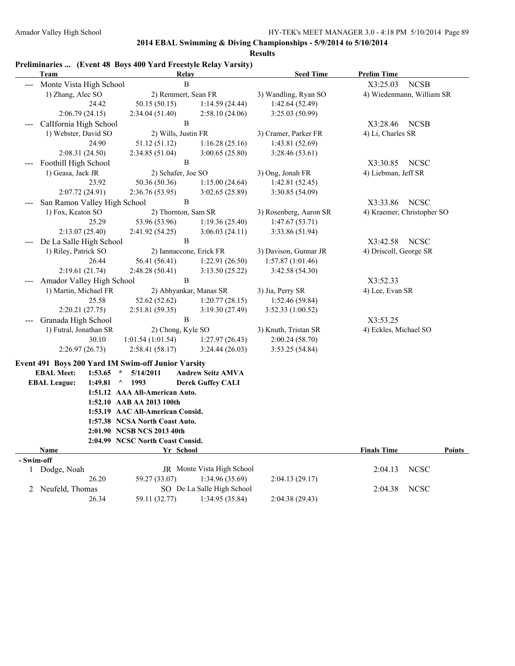|            | Team                                               | Relay                            |                            | <b>Seed Time</b>       | <b>Prelim Time</b>         |               |
|------------|----------------------------------------------------|----------------------------------|----------------------------|------------------------|----------------------------|---------------|
|            | Monte Vista High School                            | B                                |                            |                        | X3:25.03<br><b>NCSB</b>    |               |
|            | 1) Zhang, Alec SO                                  | 2) Remmert, Sean FR              |                            | 3) Wandling, Ryan SO   | 4) Wiedenmann, William SR  |               |
|            | 24.42                                              | 50.15 (50.15)                    | 1:14.59(24.44)             | 1:42.64(52.49)         |                            |               |
|            | 2:06.79(24.15)                                     | 2:34.04(51.40)                   | 2:58.10(24.06)             | 3:25.03(50.99)         |                            |               |
|            | CalIfornia High School                             | $\, {\bf B}$                     |                            |                        | X3:28.46<br><b>NCSB</b>    |               |
|            | 1) Webster, David SO                               | 2) Wills, Justin FR              |                            | 3) Cramer, Parker FR   | 4) Li, Charles SR          |               |
|            | 24.90                                              | 51.12 (51.12)                    | 1:16.28(25.16)             | 1:43.81 (52.69)        |                            |               |
|            | 2:08.31 (24.50)                                    | 2:34.85 (51.04)                  | 3:00.65(25.80)             | 3:28.46 (53.61)        |                            |               |
|            | Foothill High School                               | $\, {\bf B}$                     |                            |                        | X3:30.85<br><b>NCSC</b>    |               |
|            | 1) Geasa, Jack JR                                  | 2) Schafer, Joe SO               |                            | 3) Ong, Jonah FR       | 4) Liebman, Jeff SR        |               |
|            | 23.92                                              | 50.36 (50.36)                    | 1:15.00(24.64)             | 1:42.81(52.45)         |                            |               |
|            | 2:07.72(24.91)                                     | 2:36.76 (53.95)                  | 3:02.65(25.89)             | 3:30.85 (54.09)        |                            |               |
|            | San Ramon Valley High School                       | B                                |                            |                        | <b>NCSC</b><br>X3:33.86    |               |
|            | 1) Fox, Keaton SO                                  | 2) Thornton, Sam SR              |                            | 3) Rosenberg, Aaron SR | 4) Kraemer, Christopher SO |               |
|            | 25.29                                              | 53.96 (53.96)                    | 1:19.36(25.40)             | 1:47.67(53.71)         |                            |               |
|            | 2:13.07(25.40)                                     | 2:41.92 (54.25)                  | 3:06.03(24.11)             | 3:33.86 (51.94)        |                            |               |
|            | De La Salle High School                            | B                                |                            |                        | X3:42.58<br><b>NCSC</b>    |               |
|            | 1) Riley, Patrick SO                               | 2) Iannaccone, Erick FR          |                            | 3) Davison, Gunnar JR  | 4) Driscoll, George SR     |               |
|            | 26.44                                              | 56.41 (56.41)                    | 1:22.91(26.50)             | 1:57.87(1:01.46)       |                            |               |
|            | 2:19.61 (21.74)                                    | 2:48.28 (50.41)                  | 3:13.50 (25.22)            | 3:42.58 (54.30)        |                            |               |
|            | Amador Valley High School                          | B                                |                            |                        | X3:52.33                   |               |
|            | 1) Martin, Michael FR                              | 2) Abhyankar, Manas SR           |                            | 3) Jia, Perry SR       | 4) Lee, Evan SR            |               |
|            | 25.58                                              | 52.62 (52.62)                    | 1:20.77(28.15)             | 1:52.46 (59.84)        |                            |               |
|            | 2:20.21(27.75)                                     | 2:51.81 (59.35)                  | 3:19.30 (27.49)            | 3:52.33(1:00.52)       |                            |               |
|            | Granada High School                                | B                                |                            |                        | X3:53.25                   |               |
|            | 1) Futral, Jonathan SR                             | 2) Chong, Kyle SO                |                            | 3) Knuth, Tristan SR   | 4) Eckles, Michael SO      |               |
|            | 30.10                                              | 1:01.54(1:01.54)                 | 1:27.97(26.43)             | 2:00.24(58.70)         |                            |               |
|            | 2:26.97(26.73)                                     | 2:58.41(58.17)                   | 3:24.44(26.03)             | 3:53.25(54.84)         |                            |               |
|            | Event 491 Boys 200 Yard IM Swim-off Junior Varsity |                                  |                            |                        |                            |               |
|            | <b>EBAL Meet:</b><br>1:53.65                       | 5/14/2011<br>$\star$             | <b>Andrew Seitz AMVA</b>   |                        |                            |               |
|            | <b>EBAL League:</b><br>1:49.81                     | $\wedge$<br>1993                 | <b>Derek Guffey CALI</b>   |                        |                            |               |
|            |                                                    | 1:51.12 AAA All-American Auto.   |                            |                        |                            |               |
|            |                                                    | 1:52.10 AAB AA 2013 100th        |                            |                        |                            |               |
|            |                                                    | 1:53.19 AAC All-American Consid. |                            |                        |                            |               |
|            |                                                    | 1:57.38 NCSA North Coast Auto.   |                            |                        |                            |               |
|            |                                                    | 2:01.90 NCSB NCS 2013 40th       |                            |                        |                            |               |
|            |                                                    | 2:04.99 NCSC North Coast Consid. |                            |                        |                            |               |
|            | <b>Name</b>                                        | Yr School                        |                            |                        | <b>Finals Time</b>         | <b>Points</b> |
| - Swim-off |                                                    |                                  |                            |                        |                            |               |
|            | 1 Dodge, Noah                                      |                                  | JR Monte Vista High School |                        | <b>NCSC</b><br>2:04.13     |               |
|            | 26.20                                              | 59.27 (33.07)                    | 1:34.96(35.69)             | 2:04.13(29.17)         |                            |               |
|            | 2 Neufeld, Thomas                                  |                                  | SO De La Salle High School |                        | <b>NCSC</b><br>2:04.38     |               |
|            | 26.34                                              | 59.11 (32.77)                    | 1:34.95(35.84)             | 2:04.38 (29.43)        |                            |               |

# **Preliminaries ... (Event 48 Boys 400 Yard Freestyle Relay Varsity)**